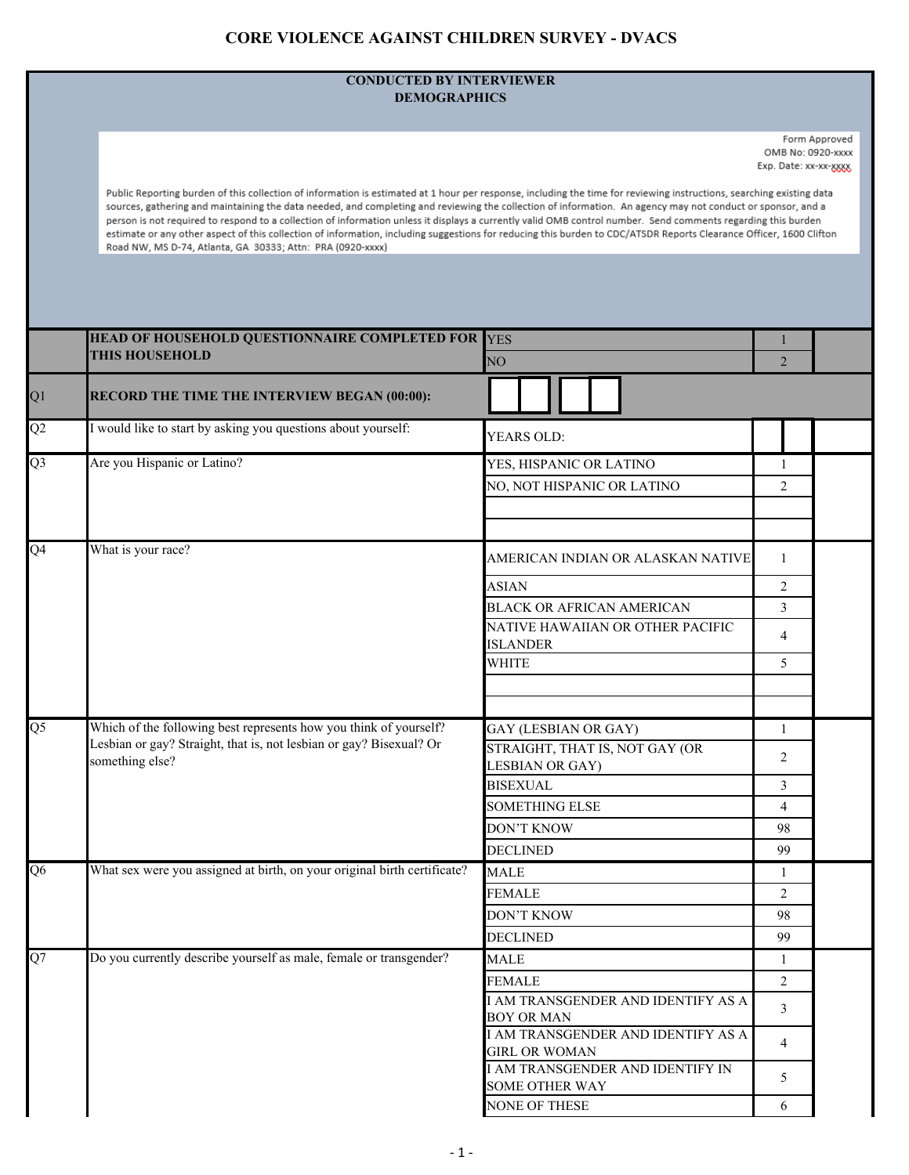## **CORE VIOLENCE AGAINST CHILDREN SURVEY - DVACS**

## **CONDUCTED BY INTERVIEWER DEMOGRAPHICS**

Form Approved OMB No: 0920-xxxx Exp. Date: xx-xx-xxxxx

Public Reporting burden of this collection of information is estimated at 1 hour per response, including the time for reviewing instructions, searching existing data sources, gathering and maintaining the data needed, and completing and reviewing the collection of information. An agency may not conduct or sponsor, and a person is not required to respond to a collection of information unless it displays a currently valid OMB control number. Send comments regarding this burden estimate or any other aspect of this collection of information, including suggestions for reducing this burden to CDC/ATSDR Reports Clearance Officer, 1600 Clifton Road NW, MS D-74, Atlanta, GA 30333; Attn: PRA (0920-xxxx)

|                 | HEAD OF HOUSEHOLD QUESTIONNAIRE COMPLETED FOR                                                                                                               | <b>YES</b>                                                 |                |  |
|-----------------|-------------------------------------------------------------------------------------------------------------------------------------------------------------|------------------------------------------------------------|----------------|--|
|                 | <b>THIS HOUSEHOLD</b>                                                                                                                                       | NO <sub>1</sub>                                            | $\overline{2}$ |  |
| Q1              | RECORD THE TIME THE INTERVIEW BEGAN (00:00):                                                                                                                |                                                            |                |  |
| $\overline{Q2}$ | I would like to start by asking you questions about yourself:                                                                                               | YEARS OLD:                                                 |                |  |
| Q <sub>3</sub>  | Are you Hispanic or Latino?                                                                                                                                 | YES, HISPANIC OR LATINO                                    | 1              |  |
|                 |                                                                                                                                                             | NO, NOT HISPANIC OR LATINO                                 | $\overline{2}$ |  |
|                 |                                                                                                                                                             |                                                            |                |  |
| Q4              | What is your race?                                                                                                                                          | AMERICAN INDIAN OR ALASKAN NATIVE                          | -1             |  |
|                 |                                                                                                                                                             | <b>ASIAN</b>                                               | $\overline{2}$ |  |
|                 |                                                                                                                                                             | <b>BLACK OR AFRICAN AMERICAN</b>                           | $\overline{3}$ |  |
|                 |                                                                                                                                                             | NATIVE HAWAIIAN OR OTHER PACIFIC<br><b>ISLANDER</b>        | $\overline{4}$ |  |
|                 |                                                                                                                                                             | WHITE                                                      | 5              |  |
|                 |                                                                                                                                                             |                                                            |                |  |
|                 |                                                                                                                                                             |                                                            |                |  |
| $\overline{Q5}$ | Which of the following best represents how you think of yourself?<br>Lesbian or gay? Straight, that is, not lesbian or gay? Bisexual? Or<br>something else? | GAY (LESBIAN OR GAY)                                       | $\mathbf{1}$   |  |
|                 |                                                                                                                                                             | STRAIGHT, THAT IS, NOT GAY (OR                             | 2              |  |
|                 |                                                                                                                                                             | LESBIAN OR GAY)<br><b>BISEXUAL</b>                         | $\overline{3}$ |  |
|                 |                                                                                                                                                             | SOMETHING ELSE                                             | $\overline{4}$ |  |
|                 |                                                                                                                                                             | <b>DON'T KNOW</b>                                          | 98             |  |
|                 |                                                                                                                                                             | <b>DECLINED</b>                                            | 99             |  |
| Q <sub>6</sub>  | What sex were you assigned at birth, on your original birth certificate?                                                                                    | <b>MALE</b>                                                | $\mathbf{1}$   |  |
|                 |                                                                                                                                                             | <b>FEMALE</b>                                              | $\overline{2}$ |  |
|                 |                                                                                                                                                             | <b>DON'T KNOW</b>                                          | 98             |  |
|                 |                                                                                                                                                             | <b>DECLINED</b>                                            | 99             |  |
| Q7              | Do you currently describe yourself as male, female or transgender?                                                                                          | <b>MALE</b>                                                | 1              |  |
|                 |                                                                                                                                                             | <b>FEMALE</b>                                              | $\overline{2}$ |  |
|                 |                                                                                                                                                             | I AM TRANSGENDER AND IDENTIFY AS A<br><b>BOY OR MAN</b>    | $\mathfrak{Z}$ |  |
|                 |                                                                                                                                                             | I AM TRANSGENDER AND IDENTIFY AS A<br><b>GIRL OR WOMAN</b> | $\overline{4}$ |  |
|                 |                                                                                                                                                             | I AM TRANSGENDER AND IDENTIFY IN<br><b>SOME OTHER WAY</b>  | 5.             |  |
|                 |                                                                                                                                                             | NONE OF THESE                                              | 6              |  |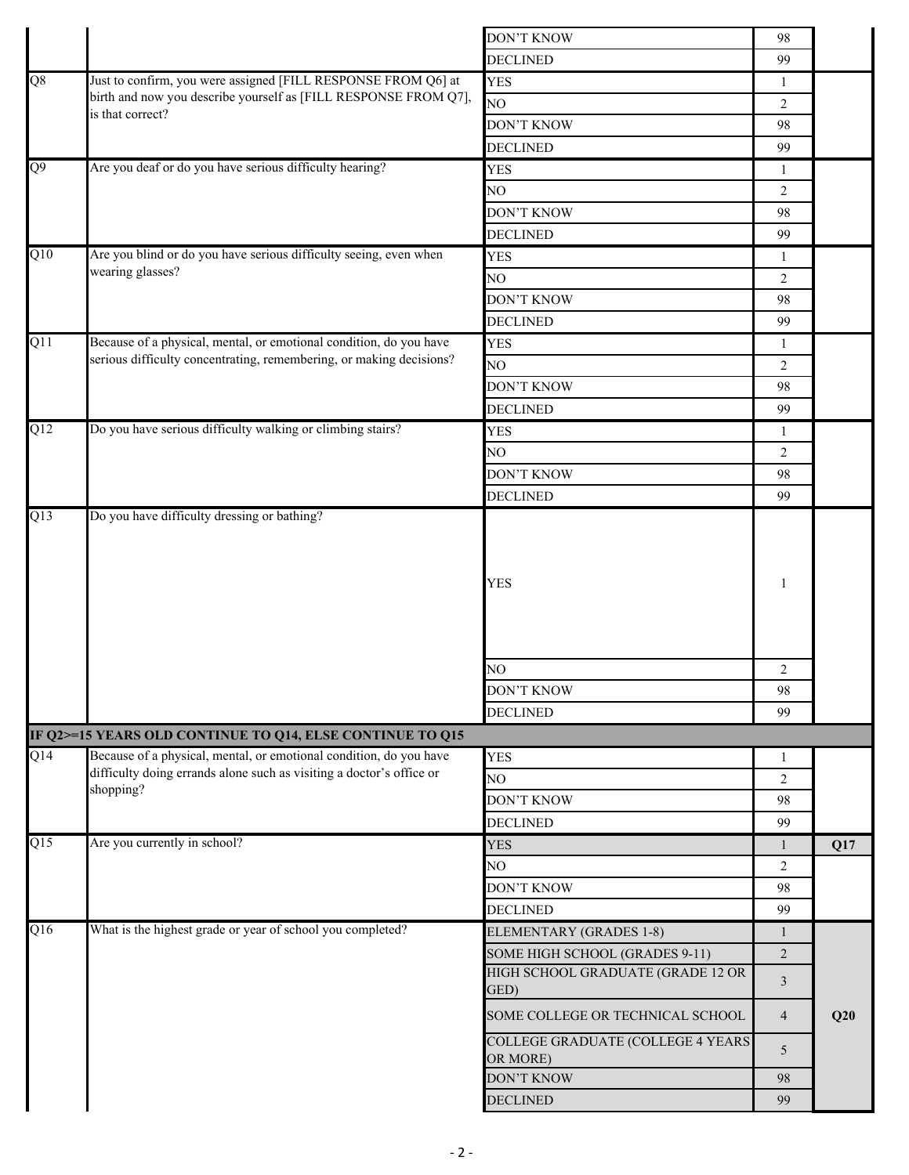|                |                                                                      | <b>DON'T KNOW</b>                                    | 98             |     |
|----------------|----------------------------------------------------------------------|------------------------------------------------------|----------------|-----|
|                |                                                                      | <b>DECLINED</b>                                      | 99             |     |
| Q8             | Just to confirm, you were assigned [FILL RESPONSE FROM Q6] at        | <b>YES</b>                                           | 1              |     |
|                | birth and now you describe yourself as [FILL RESPONSE FROM Q7],      | NO <sub>1</sub>                                      | $\overline{2}$ |     |
|                | is that correct?                                                     | DON'T KNOW                                           | 98             |     |
|                |                                                                      | <b>DECLINED</b>                                      | 99             |     |
| $\overline{6}$ | Are you deaf or do you have serious difficulty hearing?              | <b>YES</b>                                           | 1              |     |
|                |                                                                      | NO                                                   | $\overline{2}$ |     |
|                |                                                                      | <b>DON'T KNOW</b>                                    | 98             |     |
|                |                                                                      | <b>DECLINED</b>                                      | 99             |     |
| Q10            | Are you blind or do you have serious difficulty seeing, even when    | <b>YES</b>                                           | 1              |     |
|                | wearing glasses?                                                     | NO                                                   | 2              |     |
|                |                                                                      | <b>DON'T KNOW</b>                                    | 98             |     |
|                |                                                                      | <b>DECLINED</b>                                      | 99             |     |
| Q11            | Because of a physical, mental, or emotional condition, do you have   | <b>YES</b>                                           | 1              |     |
|                | serious difficulty concentrating, remembering, or making decisions?  | NO                                                   | $\overline{2}$ |     |
|                |                                                                      | <b>DON'T KNOW</b>                                    | 98             |     |
|                |                                                                      | <b>DECLINED</b>                                      | 99             |     |
| Q12            | Do you have serious difficulty walking or climbing stairs?           | <b>YES</b>                                           | $\mathbf{1}$   |     |
|                |                                                                      | NO                                                   | $\overline{2}$ |     |
|                |                                                                      | <b>DON'T KNOW</b>                                    | 98             |     |
|                |                                                                      | <b>DECLINED</b>                                      | 99             |     |
|                |                                                                      | <b>YES</b>                                           | 1              |     |
|                |                                                                      | NO                                                   | 2              |     |
|                |                                                                      | <b>DON'T KNOW</b>                                    | 98             |     |
|                |                                                                      | <b>DECLINED</b>                                      | 99             |     |
|                | IF Q2>=15 YEARS OLD CONTINUE TO Q14, ELSE CONTINUE TO Q15            |                                                      |                |     |
| Q14            | Because of a physical, mental, or emotional condition, do you have   | <b>YES</b>                                           | 1              |     |
|                | difficulty doing errands alone such as visiting a doctor's office or | NO <sub>1</sub>                                      | $\overline{2}$ |     |
|                | shopping?                                                            | <b>DON'T KNOW</b>                                    | 98             |     |
|                |                                                                      | <b>DECLINED</b>                                      | 99             |     |
| Q15            | Are you currently in school?                                         | <b>YES</b>                                           | 1              | Q17 |
|                |                                                                      | NO                                                   | 2              |     |
|                |                                                                      | <b>DON'T KNOW</b>                                    | 98             |     |
|                |                                                                      | <b>DECLINED</b>                                      | 99             |     |
| Q16            | What is the highest grade or year of school you completed?           | ELEMENTARY (GRADES 1-8)                              | $\mathbf{1}$   |     |
|                |                                                                      | SOME HIGH SCHOOL (GRADES 9-11)                       | 2              |     |
|                |                                                                      | HIGH SCHOOL GRADUATE (GRADE 12 OR<br>GED)            | 3              |     |
|                |                                                                      | SOME COLLEGE OR TECHNICAL SCHOOL                     | $\overline{4}$ | Q20 |
|                |                                                                      | <b>COLLEGE GRADUATE (COLLEGE 4 YEARS</b><br>OR MORE) | 5              |     |
|                |                                                                      | DON'T KNOW                                           | 98             |     |
|                |                                                                      | <b>DECLINED</b>                                      | 99             |     |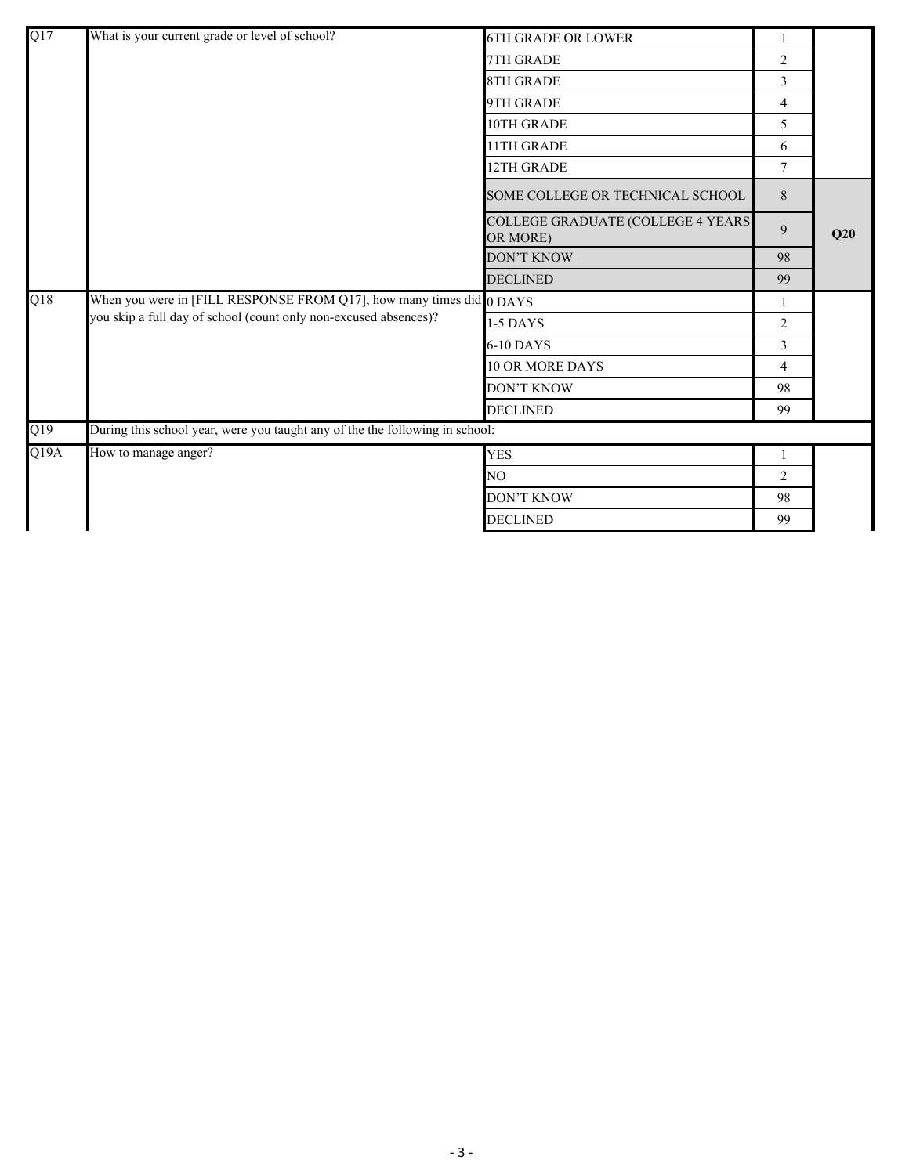| Q17  | What is your current grade or level of school?                               | <b>6TH GRADE OR LOWER</b>                             | 1              |     |
|------|------------------------------------------------------------------------------|-------------------------------------------------------|----------------|-----|
|      |                                                                              | 7TH GRADE                                             | $\overline{c}$ |     |
|      |                                                                              | <b>8TH GRADE</b>                                      | $\overline{3}$ |     |
|      |                                                                              | 9TH GRADE                                             | 4              |     |
|      |                                                                              | 10TH GRADE                                            | 5              |     |
|      |                                                                              | 11TH GRADE                                            | 6              |     |
|      |                                                                              | 12TH GRADE                                            | $\tau$         |     |
|      |                                                                              | SOME COLLEGE OR TECHNICAL SCHOOL                      | 8              |     |
|      |                                                                              | <b>COLLEGE GRADUATE (COLLEGE 4 YEARS)</b><br>OR MORE) | 9              | Q20 |
|      |                                                                              | <b>DON'T KNOW</b>                                     | 98             |     |
|      |                                                                              | <b>DECLINED</b>                                       | 99             |     |
| Q18  | When you were in [FILL RESPONSE FROM Q17], how many times did 0 DAYS         |                                                       | 1              |     |
|      | you skip a full day of school (count only non-excused absences)?             | 1-5 DAYS                                              | 2              |     |
|      |                                                                              | 6-10 DAYS                                             | 3              |     |
|      |                                                                              | <b>10 OR MORE DAYS</b>                                | $\overline{4}$ |     |
|      |                                                                              | <b>DON'T KNOW</b>                                     | 98             |     |
|      |                                                                              | <b>DECLINED</b>                                       | 99             |     |
| Q19  | During this school year, were you taught any of the the following in school: |                                                       |                |     |
| Q19A | How to manage anger?                                                         | <b>YES</b>                                            | 1              |     |
|      |                                                                              | NO.                                                   | 2              |     |
|      |                                                                              | <b>DON'T KNOW</b>                                     | 98             |     |
|      |                                                                              | <b>DECLINED</b>                                       | 99             |     |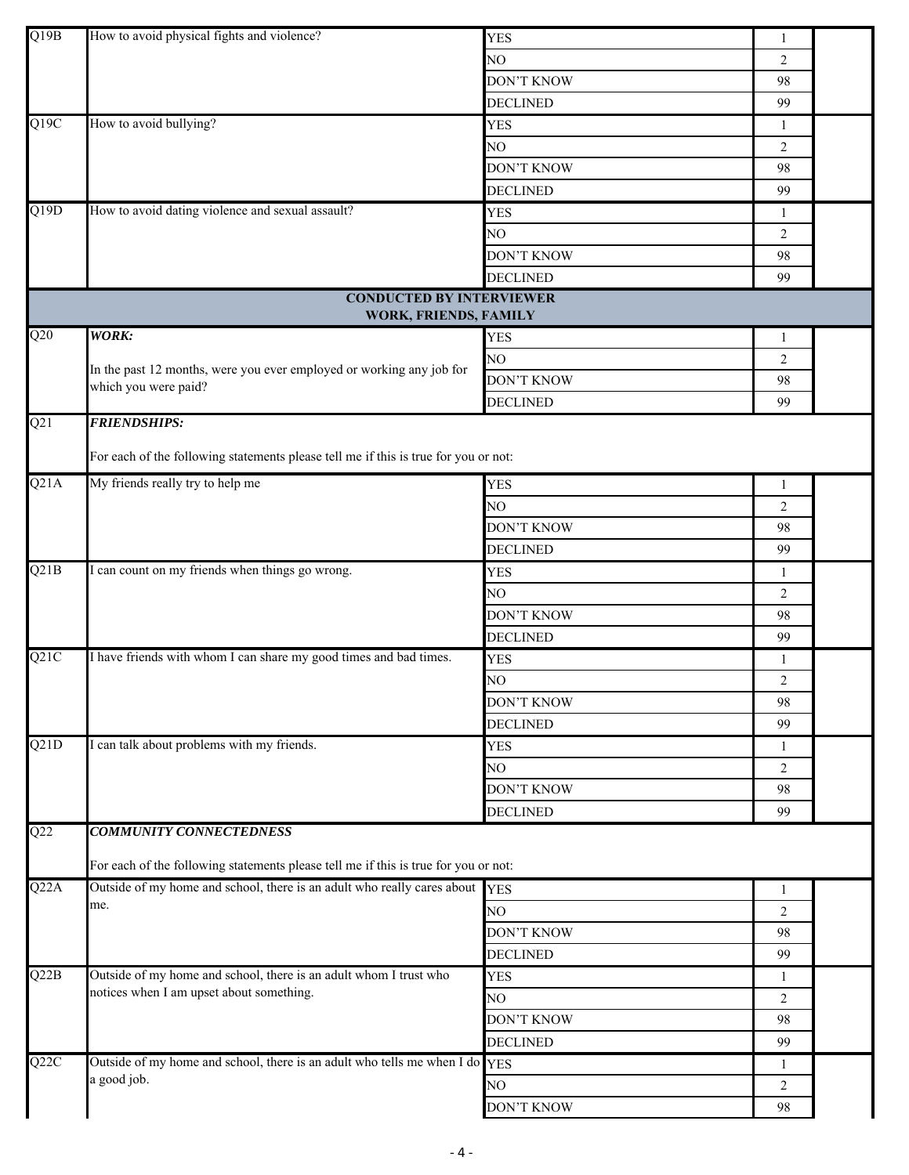| Q19B              | How to avoid physical fights and violence?                                          |                   |                |  |
|-------------------|-------------------------------------------------------------------------------------|-------------------|----------------|--|
|                   |                                                                                     | <b>YES</b>        | $\mathbf{1}$   |  |
|                   |                                                                                     | NO                | 2              |  |
|                   |                                                                                     | <b>DON'T KNOW</b> | 98             |  |
|                   |                                                                                     | <b>DECLINED</b>   | 99             |  |
| $\overline{Q19C}$ | How to avoid bullying?                                                              | <b>YES</b>        | 1              |  |
|                   |                                                                                     | NO                | $\overline{2}$ |  |
|                   |                                                                                     | <b>DON'T KNOW</b> | 98             |  |
|                   |                                                                                     | <b>DECLINED</b>   | 99             |  |
| $\overline{Q19D}$ | How to avoid dating violence and sexual assault?                                    | <b>YES</b>        | 1              |  |
|                   |                                                                                     | NO                | 2              |  |
|                   |                                                                                     | <b>DON'T KNOW</b> | 98             |  |
|                   |                                                                                     | <b>DECLINED</b>   | 99             |  |
|                   | <b>CONDUCTED BY INTERVIEWER</b>                                                     |                   |                |  |
|                   | WORK, FRIENDS, FAMILY                                                               |                   |                |  |
| Q20               | <b>WORK:</b>                                                                        | <b>YES</b>        | $\mathbf{1}$   |  |
|                   |                                                                                     | NO                | 2              |  |
|                   | In the past 12 months, were you ever employed or working any job for                | <b>DON'T KNOW</b> | 98             |  |
|                   | which you were paid?                                                                | <b>DECLINED</b>   | 99             |  |
| Q21               | <b>FRIENDSHIPS:</b>                                                                 |                   |                |  |
|                   |                                                                                     |                   |                |  |
|                   | For each of the following statements please tell me if this is true for you or not: |                   |                |  |
| Q21A              | My friends really try to help me                                                    | <b>YES</b>        | 1              |  |
|                   |                                                                                     | NO                | $\overline{2}$ |  |
|                   |                                                                                     | <b>DON'T KNOW</b> | 98             |  |
|                   |                                                                                     | <b>DECLINED</b>   | 99             |  |
| Q21B              | I can count on my friends when things go wrong.                                     | <b>YES</b>        | 1              |  |
|                   |                                                                                     | NO                | $\overline{2}$ |  |
|                   |                                                                                     | <b>DON'T KNOW</b> |                |  |
|                   |                                                                                     |                   | 98             |  |
|                   |                                                                                     | <b>DECLINED</b>   | 99             |  |
| Q21C              | I have friends with whom I can share my good times and bad times.                   | <b>YES</b>        | -1             |  |
|                   |                                                                                     | NO                | $\overline{2}$ |  |
|                   |                                                                                     | <b>DON'T KNOW</b> | 98             |  |
|                   |                                                                                     | <b>DECLINED</b>   | 99             |  |
| Q21D              | I can talk about problems with my friends.                                          | <b>YES</b>        | $\mathbf{1}$   |  |
|                   |                                                                                     | NO                | $\overline{2}$ |  |
|                   |                                                                                     | <b>DON'T KNOW</b> | 98             |  |
|                   |                                                                                     | <b>DECLINED</b>   | 99             |  |
| $\overline{Q22}$  | <b>COMMUNITY CONNECTEDNESS</b>                                                      |                   |                |  |
|                   |                                                                                     |                   |                |  |
|                   | For each of the following statements please tell me if this is true for you or not: |                   |                |  |
| Q22A              | Outside of my home and school, there is an adult who really cares about             | <b>YES</b>        | 1              |  |
|                   | me.                                                                                 | NO                | $\overline{2}$ |  |
|                   |                                                                                     | <b>DON'T KNOW</b> | 98             |  |
|                   |                                                                                     | <b>DECLINED</b>   | 99             |  |
| Q22B              | Outside of my home and school, there is an adult whom I trust who                   | <b>YES</b>        | 1              |  |
|                   | notices when I am upset about something.                                            | NO.               | $\overline{2}$ |  |
|                   |                                                                                     | <b>DON'T KNOW</b> | 98             |  |
|                   |                                                                                     | <b>DECLINED</b>   | 99             |  |
| Q22C              | Outside of my home and school, there is an adult who tells me when I do YES         |                   | 1              |  |
|                   | a good job.                                                                         | NO                | $\overline{2}$ |  |
|                   |                                                                                     | <b>DON'T KNOW</b> | 98             |  |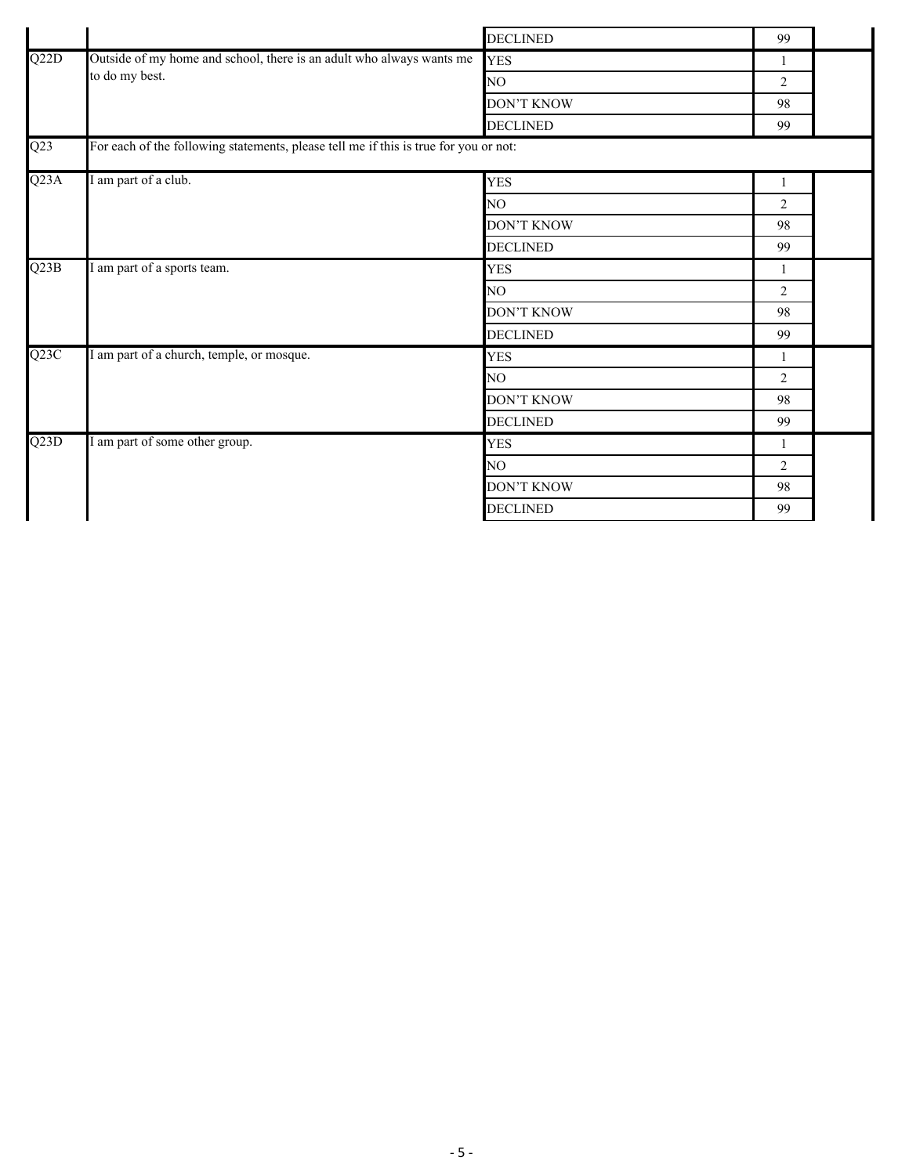|                   |                                                                                      | <b>DECLINED</b>   | 99             |  |
|-------------------|--------------------------------------------------------------------------------------|-------------------|----------------|--|
| Q22D              | Outside of my home and school, there is an adult who always wants me                 | <b>YES</b>        | 1              |  |
|                   | to do my best.                                                                       | NO                | 2              |  |
|                   |                                                                                      | <b>DON'T KNOW</b> | 98             |  |
|                   |                                                                                      | <b>DECLINED</b>   | 99             |  |
| Q23               | For each of the following statements, please tell me if this is true for you or not: |                   |                |  |
| Q <sub>23</sub> A | I am part of a club.                                                                 | <b>YES</b>        | $\mathbf{1}$   |  |
|                   |                                                                                      | NO.               | 2              |  |
|                   |                                                                                      | <b>DON'T KNOW</b> | 98             |  |
|                   |                                                                                      | <b>DECLINED</b>   | 99             |  |
| Q23B              | I am part of a sports team.                                                          | <b>YES</b>        | 1              |  |
|                   |                                                                                      | NO                | $\overline{2}$ |  |
|                   |                                                                                      | <b>DON'T KNOW</b> | 98             |  |
|                   |                                                                                      | <b>DECLINED</b>   | 99             |  |
| Q23C              | I am part of a church, temple, or mosque.                                            | <b>YES</b>        | 1              |  |
|                   |                                                                                      | NO                | $\overline{2}$ |  |
|                   |                                                                                      | DON'T KNOW        | 98             |  |
|                   |                                                                                      | <b>DECLINED</b>   | 99             |  |
| $\overline{Q23D}$ | I am part of some other group.                                                       | <b>YES</b>        | 1              |  |
|                   |                                                                                      | NO.               | $\overline{2}$ |  |
|                   |                                                                                      | <b>DON'T KNOW</b> | 98             |  |
|                   |                                                                                      | <b>DECLINED</b>   | 99             |  |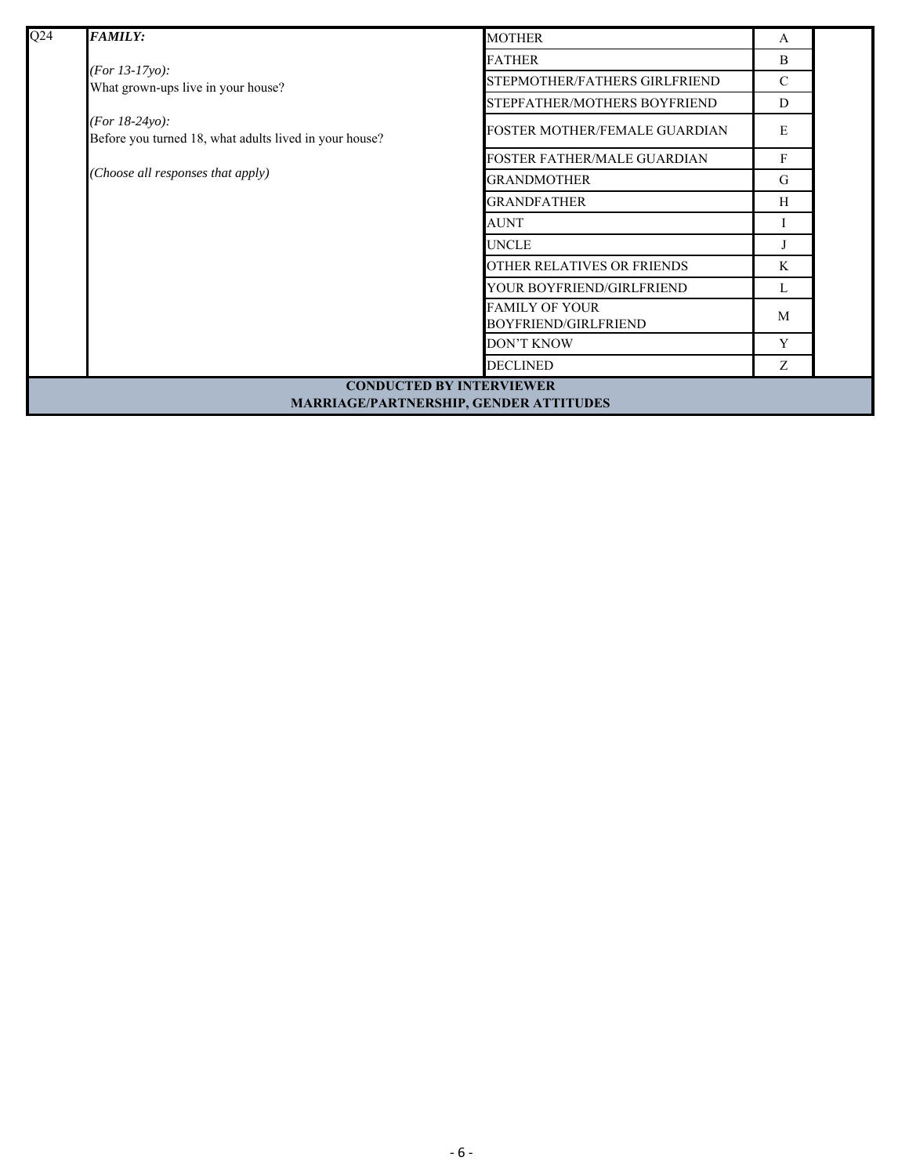| Q24 | <b>FAMILY:</b>                                                                    | <b>MOTHER</b>                                        | A             |  |
|-----|-----------------------------------------------------------------------------------|------------------------------------------------------|---------------|--|
|     |                                                                                   | <b>FATHER</b>                                        | B             |  |
|     | ( <i>For 13-17yo</i> ):<br>What grown-ups live in your house?                     | STEPMOTHER/FATHERS GIRLFRIEND                        | $\mathcal{C}$ |  |
|     |                                                                                   | STEPFATHER/MOTHERS BOYFRIEND                         | D             |  |
|     | ( <i>For 18-24yo</i> ):<br>Before you turned 18, what adults lived in your house? | FOSTER MOTHER/FEMALE GUARDIAN                        | E             |  |
|     |                                                                                   | <b>FOSTER FATHER/MALE GUARDIAN</b>                   | F             |  |
|     | (Choose all responses that apply)                                                 | <b>GRANDMOTHER</b>                                   | G             |  |
|     |                                                                                   | <b>GRANDFATHER</b>                                   | H             |  |
|     |                                                                                   | <b>AUNT</b>                                          |               |  |
|     |                                                                                   | <b>UNCLE</b>                                         |               |  |
|     |                                                                                   | OTHER RELATIVES OR FRIENDS                           | K             |  |
|     |                                                                                   | YOUR BOYFRIEND/GIRLFRIEND                            | L             |  |
|     |                                                                                   | <b>FAMILY OF YOUR</b><br><b>BOYFRIEND/GIRLFRIEND</b> | M             |  |
|     |                                                                                   | <b>DON'T KNOW</b>                                    | Y             |  |
|     |                                                                                   | <b>DECLINED</b>                                      | Z             |  |
|     | <b>CONDUCTED BY INTERVIEWER</b><br>MARRIAGE/PARTNERSHIP, GENDER ATTITUDES         |                                                      |               |  |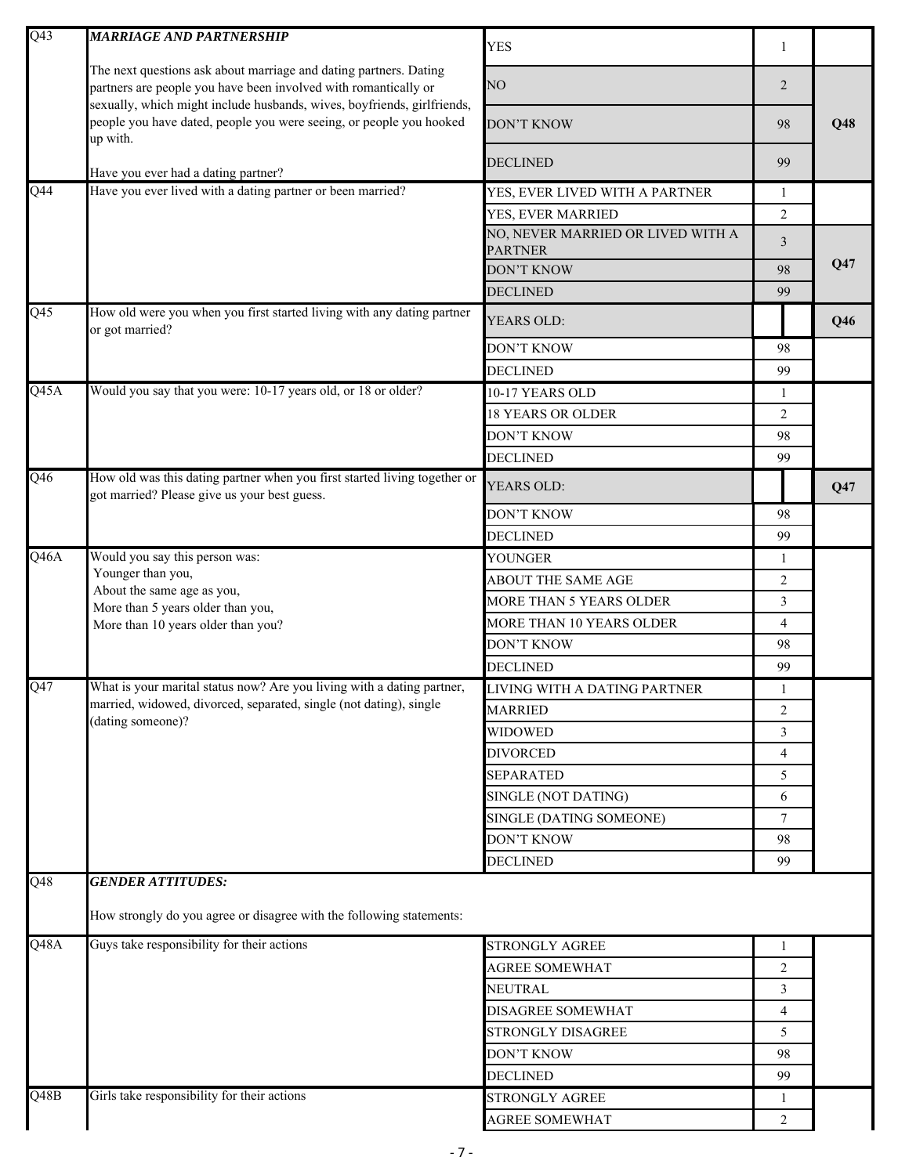| Q <sub>43</sub>          | <b>MARRIAGE AND PARTNERSHIP</b>                                                                                                                            | <b>YES</b>                                          | $\mathbf{1}$    |     |
|--------------------------|------------------------------------------------------------------------------------------------------------------------------------------------------------|-----------------------------------------------------|-----------------|-----|
|                          | The next questions ask about marriage and dating partners. Dating<br>partners are people you have been involved with romantically or                       | NO                                                  | 2               |     |
|                          | sexually, which might include husbands, wives, boyfriends, girlfriends,<br>people you have dated, people you were seeing, or people you hooked<br>up with. | <b>DON'T KNOW</b>                                   | 98              | Q48 |
|                          | Have you ever had a dating partner?                                                                                                                        | <b>DECLINED</b>                                     | 99              |     |
| Q44                      | Have you ever lived with a dating partner or been married?                                                                                                 | YES, EVER LIVED WITH A PARTNER                      | 1               |     |
|                          |                                                                                                                                                            | YES, EVER MARRIED                                   | $\overline{2}$  |     |
|                          |                                                                                                                                                            | NO, NEVER MARRIED OR LIVED WITH A<br><b>PARTNER</b> | 3               |     |
|                          |                                                                                                                                                            | <b>DON'T KNOW</b>                                   | 98              | Q47 |
|                          |                                                                                                                                                            | <b>DECLINED</b>                                     | 99              |     |
| $\overline{Q45}$         | How old were you when you first started living with any dating partner<br>or got married?                                                                  | YEARS OLD:                                          |                 | Q46 |
|                          |                                                                                                                                                            | <b>DON'T KNOW</b>                                   | 98              |     |
|                          |                                                                                                                                                            | <b>DECLINED</b>                                     | 99              |     |
| Q45A                     | Would you say that you were: 10-17 years old, or 18 or older?                                                                                              | 10-17 YEARS OLD                                     | 1               |     |
|                          |                                                                                                                                                            | <b>18 YEARS OR OLDER</b>                            | $\overline{2}$  |     |
|                          |                                                                                                                                                            | <b>DON'T KNOW</b>                                   | 98<br>99<br>Q47 |     |
|                          |                                                                                                                                                            | <b>DECLINED</b>                                     |                 |     |
| $\overline{Q46}$         | How old was this dating partner when you first started living together or<br>got married? Please give us your best guess.                                  | YEARS OLD:                                          |                 |     |
|                          |                                                                                                                                                            | <b>DON'T KNOW</b>                                   | 98              |     |
|                          |                                                                                                                                                            | <b>DECLINED</b>                                     | 99              |     |
| Q46A                     | Would you say this person was:                                                                                                                             | YOUNGER                                             | 1               |     |
|                          | Younger than you,<br>About the same age as you,<br>More than 5 years older than you,<br>More than 10 years older than you?                                 | <b>ABOUT THE SAME AGE</b>                           | $\overline{2}$  |     |
|                          |                                                                                                                                                            | <b>MORE THAN 5 YEARS OLDER</b>                      | 3               |     |
|                          |                                                                                                                                                            | MORE THAN 10 YEARS OLDER                            | 4               |     |
|                          |                                                                                                                                                            | DON'T KNOW                                          | 98              |     |
|                          |                                                                                                                                                            | <b>DECLINED</b>                                     | 99              |     |
| Q47                      | What is your marital status now? Are you living with a dating partner,                                                                                     | LIVING WITH A DATING PARTNER                        | $\mathbf{I}$    |     |
|                          | married, widowed, divorced, separated, single (not dating), single                                                                                         | <b>MARRIED</b>                                      | $\overline{2}$  |     |
|                          | (dating someone)?                                                                                                                                          | <b>WIDOWED</b>                                      | 3               |     |
|                          |                                                                                                                                                            | <b>DIVORCED</b>                                     | 4               |     |
|                          |                                                                                                                                                            | <b>SEPARATED</b>                                    | 5               |     |
|                          |                                                                                                                                                            | SINGLE (NOT DATING)                                 | 6               |     |
|                          |                                                                                                                                                            | SINGLE (DATING SOMEONE)                             | 7               |     |
|                          |                                                                                                                                                            | DON'T KNOW                                          | 98              |     |
|                          |                                                                                                                                                            | <b>DECLINED</b>                                     | 99              |     |
| Q48                      | <b>GENDER ATTITUDES:</b>                                                                                                                                   |                                                     |                 |     |
|                          | How strongly do you agree or disagree with the following statements:                                                                                       |                                                     |                 |     |
| Q48A                     | Guys take responsibility for their actions                                                                                                                 | STRONGLY AGREE                                      | 1               |     |
|                          |                                                                                                                                                            | <b>AGREE SOMEWHAT</b>                               | 2               |     |
|                          |                                                                                                                                                            | <b>NEUTRAL</b>                                      | 3               |     |
|                          |                                                                                                                                                            | DISAGREE SOMEWHAT                                   | 4               |     |
|                          |                                                                                                                                                            | STRONGLY DISAGREE                                   | 5               |     |
|                          |                                                                                                                                                            | DON'T KNOW                                          | 98              |     |
|                          |                                                                                                                                                            | <b>DECLINED</b>                                     | 99              |     |
| $\overline{\text{Q48B}}$ | Girls take responsibility for their actions                                                                                                                | STRONGLY AGREE                                      | 1               |     |
|                          |                                                                                                                                                            | <b>AGREE SOMEWHAT</b>                               | 2               |     |
|                          |                                                                                                                                                            |                                                     |                 |     |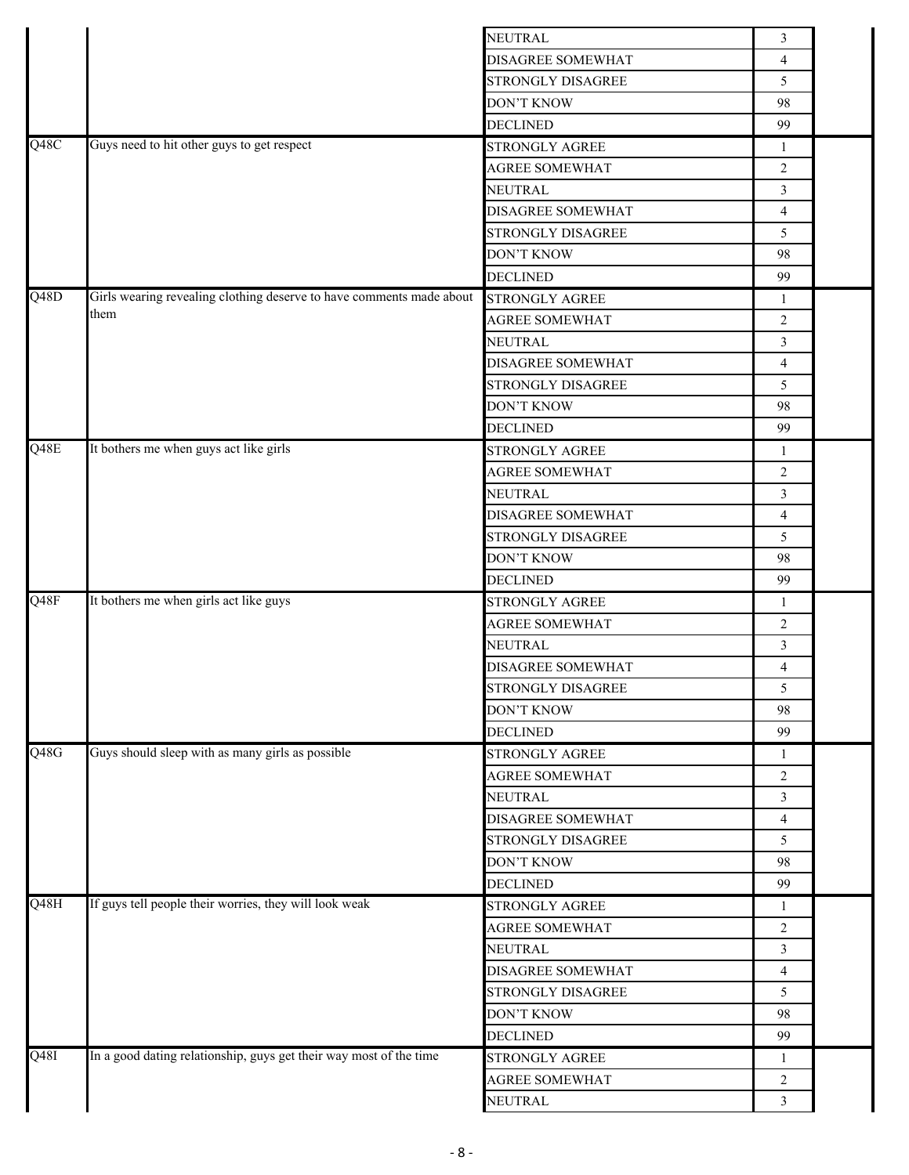|                          |                                                                      | <b>NEUTRAL</b>           | 3              |  |
|--------------------------|----------------------------------------------------------------------|--------------------------|----------------|--|
|                          |                                                                      | <b>DISAGREE SOMEWHAT</b> | $\overline{4}$ |  |
|                          |                                                                      | STRONGLY DISAGREE        | 5              |  |
|                          |                                                                      | <b>DON'T KNOW</b>        | 98             |  |
|                          |                                                                      | <b>DECLINED</b>          | 99             |  |
| Q48C                     | Guys need to hit other guys to get respect                           | <b>STRONGLY AGREE</b>    | 1              |  |
|                          |                                                                      | <b>AGREE SOMEWHAT</b>    | $\mathfrak{2}$ |  |
|                          |                                                                      | <b>NEUTRAL</b>           | 3              |  |
|                          |                                                                      | DISAGREE SOMEWHAT        | $\overline{4}$ |  |
|                          |                                                                      | STRONGLY DISAGREE        | 5              |  |
|                          |                                                                      | <b>DON'T KNOW</b>        | 98             |  |
|                          |                                                                      | <b>DECLINED</b>          | 99             |  |
| $\overline{Q48D}$        | Girls wearing revealing clothing deserve to have comments made about | <b>STRONGLY AGREE</b>    | 1              |  |
|                          | them                                                                 | <b>AGREE SOMEWHAT</b>    | 2              |  |
|                          |                                                                      | <b>NEUTRAL</b>           | $\mathfrak{Z}$ |  |
|                          |                                                                      | DISAGREE SOMEWHAT        | $\overline{4}$ |  |
|                          |                                                                      | STRONGLY DISAGREE        | 5              |  |
|                          |                                                                      |                          |                |  |
|                          |                                                                      | DON'T KNOW               | 98             |  |
|                          |                                                                      | <b>DECLINED</b>          | 99             |  |
| Q48E                     | It bothers me when guys act like girls                               | <b>STRONGLY AGREE</b>    | $\mathbf{1}$   |  |
|                          |                                                                      | <b>AGREE SOMEWHAT</b>    | 2              |  |
|                          |                                                                      | <b>NEUTRAL</b>           | $\overline{3}$ |  |
|                          |                                                                      | <b>DISAGREE SOMEWHAT</b> | $\overline{4}$ |  |
|                          |                                                                      | STRONGLY DISAGREE        | 5              |  |
|                          |                                                                      | <b>DON'T KNOW</b>        | 98             |  |
|                          |                                                                      | <b>DECLINED</b>          | 99             |  |
| $\overline{\text{Q48F}}$ | It bothers me when girls act like guys                               | <b>STRONGLY AGREE</b>    | 1              |  |
|                          |                                                                      | <b>AGREE SOMEWHAT</b>    | $\overline{2}$ |  |
|                          |                                                                      | <b>NEUTRAL</b>           | 3              |  |
|                          |                                                                      | DISAGREE SOMEWHAT        | 4              |  |
|                          |                                                                      | STRONGLY DISAGREE        | 5              |  |
|                          |                                                                      | DON'T KNOW               | 98             |  |
|                          |                                                                      | <b>DECLINED</b>          | 99             |  |
| Q48G                     | Guys should sleep with as many girls as possible                     | <b>STRONGLY AGREE</b>    | 1              |  |
|                          |                                                                      | <b>AGREE SOMEWHAT</b>    | 2              |  |
|                          |                                                                      | <b>NEUTRAL</b>           | 3              |  |
|                          |                                                                      | <b>DISAGREE SOMEWHAT</b> |                |  |
|                          |                                                                      |                          | 4              |  |
|                          |                                                                      | STRONGLY DISAGREE        | 5              |  |
|                          |                                                                      | <b>DON'T KNOW</b>        | 98             |  |
|                          |                                                                      | <b>DECLINED</b>          | 99             |  |
| Q48H                     | If guys tell people their worries, they will look weak               | <b>STRONGLY AGREE</b>    | 1              |  |
|                          |                                                                      | <b>AGREE SOMEWHAT</b>    | 2              |  |
|                          |                                                                      | <b>NEUTRAL</b>           | $\mathfrak{Z}$ |  |
|                          |                                                                      | DISAGREE SOMEWHAT        | 4              |  |
|                          |                                                                      | STRONGLY DISAGREE        | 5              |  |
|                          |                                                                      | <b>DON'T KNOW</b>        | 98             |  |
|                          |                                                                      | <b>DECLINED</b>          | 99             |  |
| $\overline{Q48I}$        | In a good dating relationship, guys get their way most of the time   | STRONGLY AGREE           | 1              |  |
|                          |                                                                      | <b>AGREE SOMEWHAT</b>    | $\overline{2}$ |  |
|                          |                                                                      | <b>NEUTRAL</b>           | 3              |  |
|                          |                                                                      |                          |                |  |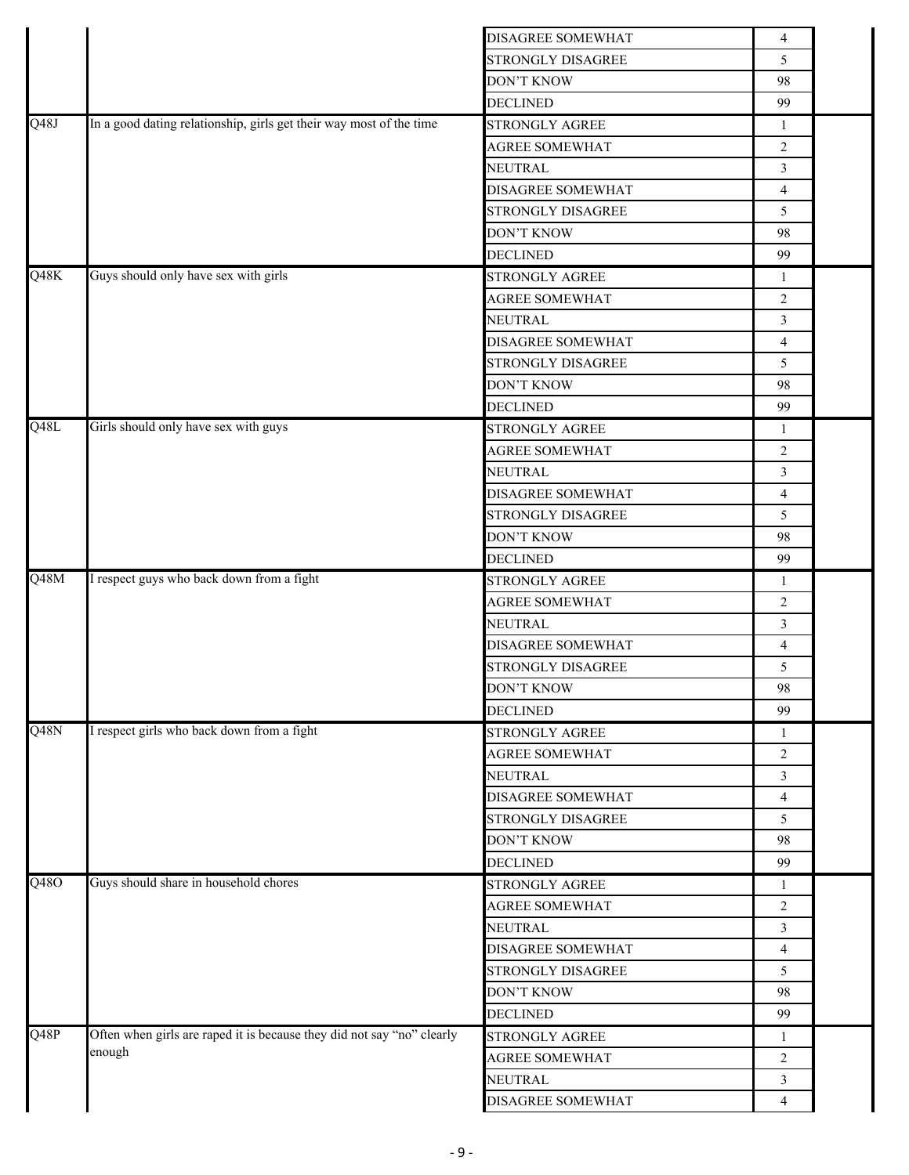|                   |                                                                        | <b>DISAGREE SOMEWHAT</b> | $\overline{4}$ |  |
|-------------------|------------------------------------------------------------------------|--------------------------|----------------|--|
|                   |                                                                        | STRONGLY DISAGREE        | 5              |  |
|                   |                                                                        | <b>DON'T KNOW</b>        | 98             |  |
|                   |                                                                        | <b>DECLINED</b>          | 99             |  |
| $\overline{Q48J}$ | In a good dating relationship, girls get their way most of the time    | <b>STRONGLY AGREE</b>    | $\mathbf{1}$   |  |
|                   |                                                                        | <b>AGREE SOMEWHAT</b>    | 2              |  |
|                   |                                                                        | NEUTRAL                  | $\mathfrak{Z}$ |  |
|                   |                                                                        | DISAGREE SOMEWHAT        | $\overline{4}$ |  |
|                   |                                                                        | STRONGLY DISAGREE        | 5              |  |
|                   |                                                                        | <b>DON'T KNOW</b>        | 98             |  |
|                   |                                                                        | <b>DECLINED</b>          | 99             |  |
| Q48K              | Guys should only have sex with girls                                   | STRONGLY AGREE           | -1             |  |
|                   |                                                                        | <b>AGREE SOMEWHAT</b>    | $\overline{2}$ |  |
|                   |                                                                        | NEUTRAL                  | 3              |  |
|                   |                                                                        | <b>DISAGREE SOMEWHAT</b> | $\overline{4}$ |  |
|                   |                                                                        | STRONGLY DISAGREE        | 5              |  |
|                   |                                                                        | <b>DON'T KNOW</b>        | 98             |  |
|                   |                                                                        | <b>DECLINED</b>          | 99             |  |
| $Q\overline{48L}$ | Girls should only have sex with guys                                   | STRONGLY AGREE           | 1              |  |
|                   |                                                                        | <b>AGREE SOMEWHAT</b>    | 2              |  |
|                   |                                                                        | NEUTRAL                  | $\mathfrak{Z}$ |  |
|                   |                                                                        | DISAGREE SOMEWHAT        | $\overline{4}$ |  |
|                   |                                                                        | STRONGLY DISAGREE        | 5              |  |
|                   |                                                                        | <b>DON'T KNOW</b>        | 98             |  |
|                   |                                                                        | <b>DECLINED</b>          | 99             |  |
| Q48M              | I respect guys who back down from a fight                              | STRONGLY AGREE           |                |  |
|                   |                                                                        | AGREE SOMEWHAT           | 1              |  |
|                   |                                                                        | NEUTRAL                  | $\overline{2}$ |  |
|                   |                                                                        |                          | $\mathfrak{Z}$ |  |
|                   |                                                                        | DISAGREE SOMEWHAT        | $\overline{4}$ |  |
|                   |                                                                        | STRONGLY DISAGREE        | 5              |  |
|                   |                                                                        | <b>DON'T KNOW</b>        | 98             |  |
|                   |                                                                        | <b>DECLINED</b>          | 99             |  |
| Q48N              | I respect girls who back down from a fight                             | STRONGLY AGREE           | -1             |  |
|                   |                                                                        | <b>AGREE SOMEWHAT</b>    | 2              |  |
|                   |                                                                        | NEUTRAL                  | $\mathfrak{Z}$ |  |
|                   |                                                                        | DISAGREE SOMEWHAT        | $\overline{4}$ |  |
|                   |                                                                        | STRONGLY DISAGREE        | 5              |  |
|                   |                                                                        | <b>DON'T KNOW</b>        | 98             |  |
|                   |                                                                        | <b>DECLINED</b>          | 99             |  |
| Q48O              | Guys should share in household chores                                  | <b>STRONGLY AGREE</b>    | 1              |  |
|                   |                                                                        | <b>AGREE SOMEWHAT</b>    | 2              |  |
|                   |                                                                        | NEUTRAL                  | 3              |  |
|                   |                                                                        | DISAGREE SOMEWHAT        | $\overline{4}$ |  |
|                   |                                                                        | STRONGLY DISAGREE        | 5              |  |
|                   |                                                                        |                          |                |  |
|                   |                                                                        | <b>DON'T KNOW</b>        | 98             |  |
|                   |                                                                        | <b>DECLINED</b>          | 99             |  |
|                   | Often when girls are raped it is because they did not say "no" clearly | STRONGLY AGREE           | 1              |  |
|                   | enough                                                                 | <b>AGREE SOMEWHAT</b>    | $\overline{2}$ |  |
| Q48P              |                                                                        | NEUTRAL                  | 3              |  |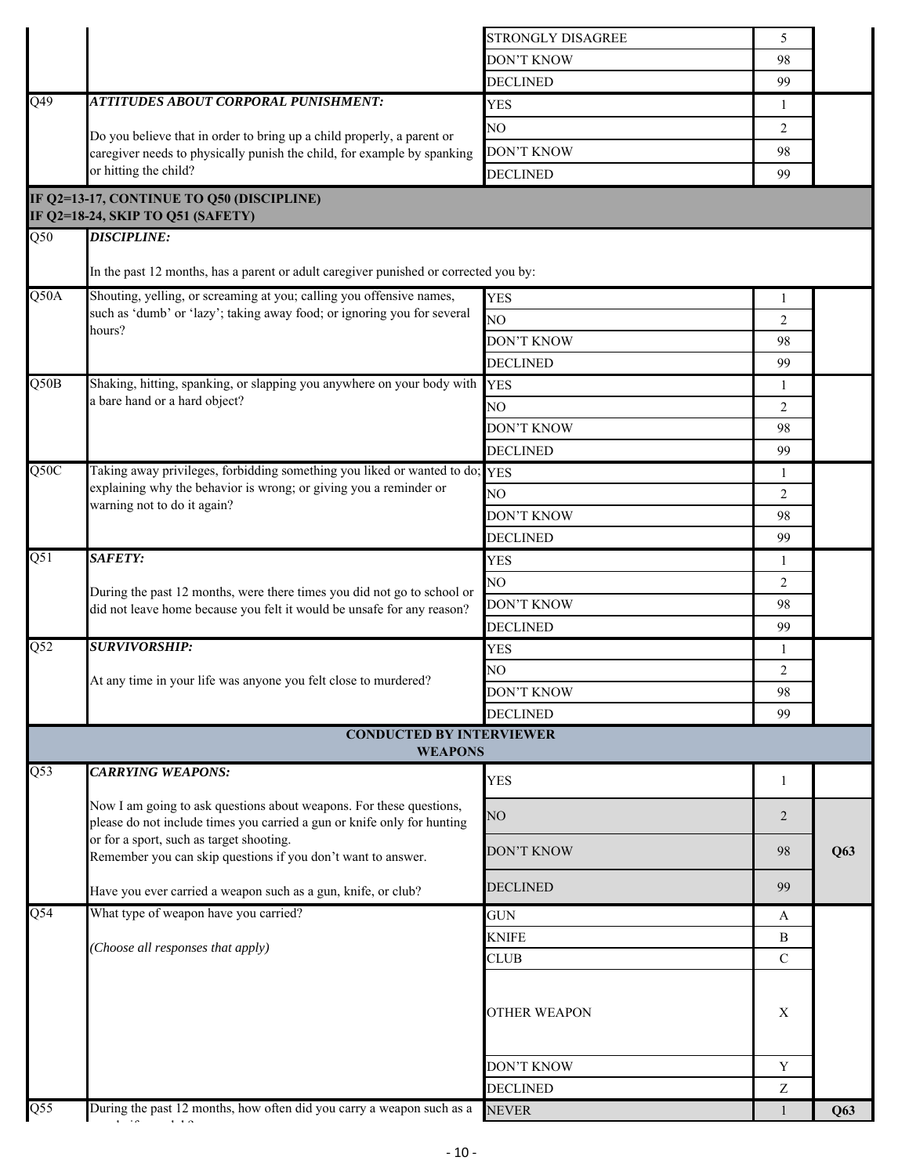|                  |                                                                                                                                                   | STRONGLY DISAGREE   | 5                |     |
|------------------|---------------------------------------------------------------------------------------------------------------------------------------------------|---------------------|------------------|-----|
|                  |                                                                                                                                                   | <b>DON'T KNOW</b>   | 98               |     |
|                  |                                                                                                                                                   | <b>DECLINED</b>     | 99               |     |
| $\overline{Q49}$ | ATTITUDES ABOUT CORPORAL PUNISHMENT:                                                                                                              | <b>YES</b>          | 1                |     |
|                  |                                                                                                                                                   | NO                  | 2                |     |
|                  | Do you believe that in order to bring up a child properly, a parent or<br>caregiver needs to physically punish the child, for example by spanking | <b>DON'T KNOW</b>   | 98               |     |
|                  | or hitting the child?                                                                                                                             | <b>DECLINED</b>     | 99               |     |
|                  |                                                                                                                                                   |                     |                  |     |
|                  | IF Q2=13-17, CONTINUE TO Q50 (DISCIPLINE)<br>IF Q2=18-24, SKIP TO Q51 (SAFETY)                                                                    |                     |                  |     |
| $\overline{Q50}$ | <b>DISCIPLINE:</b>                                                                                                                                |                     |                  |     |
|                  |                                                                                                                                                   |                     |                  |     |
|                  | In the past 12 months, has a parent or adult caregiver punished or corrected you by:                                                              |                     |                  |     |
| Q50A             | Shouting, yelling, or screaming at you; calling you offensive names,                                                                              | <b>YES</b>          | 1                |     |
|                  | such as 'dumb' or 'lazy'; taking away food; or ignoring you for several<br>hours?                                                                 | NO <sub>1</sub>     | $\overline{2}$   |     |
|                  |                                                                                                                                                   | DON'T KNOW          | 98               |     |
|                  |                                                                                                                                                   | <b>DECLINED</b>     | 99               |     |
| Q50B             | Shaking, hitting, spanking, or slapping you anywhere on your body with                                                                            | <b>YES</b>          | 1                |     |
|                  | a bare hand or a hard object?                                                                                                                     | NO                  | 2                |     |
|                  |                                                                                                                                                   | DON'T KNOW          | 98               |     |
|                  |                                                                                                                                                   | <b>DECLINED</b>     | 99               |     |
| Q50C             | Taking away privileges, forbidding something you liked or wanted to do; YES                                                                       |                     | 1                |     |
|                  | explaining why the behavior is wrong; or giving you a reminder or                                                                                 | NO                  | 2                |     |
|                  | warning not to do it again?                                                                                                                       | DON'T KNOW          | 98               |     |
|                  |                                                                                                                                                   | <b>DECLINED</b>     | 99               |     |
| $\overline{Q51}$ | SAFETY:                                                                                                                                           | <b>YES</b>          | 1                |     |
|                  |                                                                                                                                                   | NO                  | 2                |     |
|                  | During the past 12 months, were there times you did not go to school or                                                                           | <b>DON'T KNOW</b>   | 98               |     |
|                  | did not leave home because you felt it would be unsafe for any reason?                                                                            | <b>DECLINED</b>     | 99               |     |
| $\overline{Q52}$ | <b>SURVIVORSHIP:</b>                                                                                                                              | <b>YES</b>          | 1                |     |
|                  |                                                                                                                                                   | NO                  | 2                |     |
|                  | At any time in your life was anyone you felt close to murdered?                                                                                   | <b>DON'T KNOW</b>   | 98               |     |
|                  |                                                                                                                                                   |                     |                  |     |
|                  | <b>CONDUCTED BY INTERVIEWER</b>                                                                                                                   | <b>DECLINED</b>     | 99               |     |
|                  | <b>WEAPONS</b>                                                                                                                                    |                     |                  |     |
| $\overline{Q53}$ | <b>CARRYING WEAPONS:</b>                                                                                                                          | <b>YES</b>          | 1                |     |
|                  | Now I am going to ask questions about weapons. For these questions,                                                                               |                     |                  |     |
|                  | please do not include times you carried a gun or knife only for hunting                                                                           | NO                  | 2                |     |
|                  | or for a sport, such as target shooting.                                                                                                          | <b>DON'T KNOW</b>   | 98               | Q63 |
|                  | Remember you can skip questions if you don't want to answer.                                                                                      |                     |                  |     |
|                  | Have you ever carried a weapon such as a gun, knife, or club?                                                                                     | <b>DECLINED</b>     | 99               |     |
| Q54              | What type of weapon have you carried?                                                                                                             | <b>GUN</b>          | A                |     |
|                  |                                                                                                                                                   | <b>KNIFE</b>        | B                |     |
|                  | (Choose all responses that apply)                                                                                                                 | <b>CLUB</b>         | $\mathbf C$      |     |
|                  |                                                                                                                                                   |                     |                  |     |
|                  |                                                                                                                                                   |                     |                  |     |
|                  |                                                                                                                                                   | <b>OTHER WEAPON</b> | Χ                |     |
|                  |                                                                                                                                                   |                     |                  |     |
|                  |                                                                                                                                                   | <b>DON'T KNOW</b>   | Y                |     |
|                  |                                                                                                                                                   | <b>DECLINED</b>     | $\boldsymbol{Z}$ |     |
| Q55              | During the past 12 months, how often did you carry a weapon such as a                                                                             | <b>NEVER</b>        |                  | Q63 |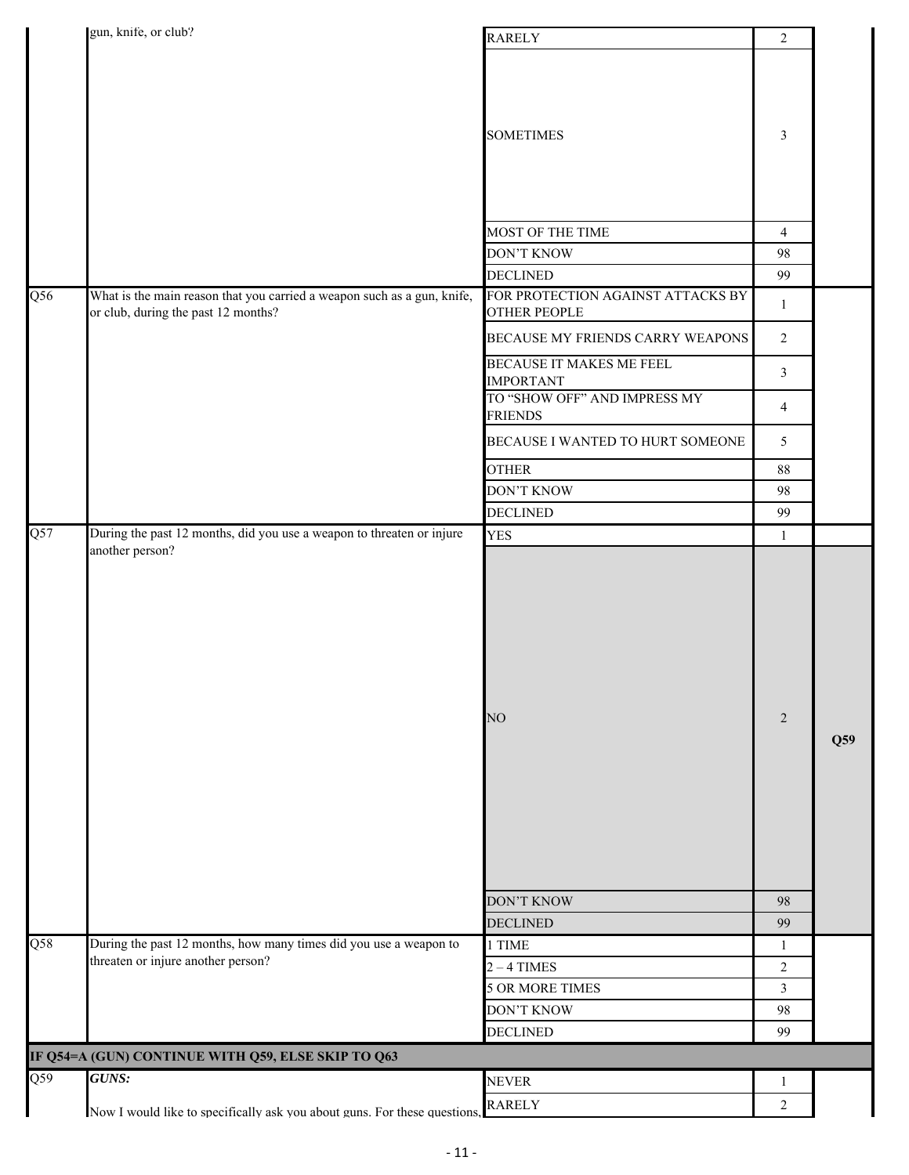|                  | gun, knife, or club?                                                                                           | <b>RARELY</b>                                            | $\overline{2}$  |     |
|------------------|----------------------------------------------------------------------------------------------------------------|----------------------------------------------------------|-----------------|-----|
|                  |                                                                                                                | <b>SOMETIMES</b>                                         | 3               |     |
|                  |                                                                                                                | MOST OF THE TIME                                         | $\overline{4}$  |     |
|                  |                                                                                                                | <b>DON'T KNOW</b>                                        | 98              |     |
|                  |                                                                                                                | <b>DECLINED</b>                                          | 99              |     |
| $\overline{Q56}$ | What is the main reason that you carried a weapon such as a gun, knife,<br>or club, during the past 12 months? | FOR PROTECTION AGAINST ATTACKS BY<br><b>OTHER PEOPLE</b> | $\mathbf{1}$    |     |
|                  |                                                                                                                | BECAUSE MY FRIENDS CARRY WEAPONS                         | $\overline{2}$  |     |
|                  |                                                                                                                | BECAUSE IT MAKES ME FEEL<br><b>IMPORTANT</b>             | $\mathfrak{Z}$  |     |
|                  |                                                                                                                | TO "SHOW OFF" AND IMPRESS MY<br><b>FRIENDS</b>           | $\overline{4}$  |     |
|                  |                                                                                                                | BECAUSE I WANTED TO HURT SOMEONE                         | $5\overline{)}$ |     |
|                  |                                                                                                                | <b>OTHER</b>                                             | $88\,$          |     |
|                  |                                                                                                                | <b>DON'T KNOW</b>                                        | 98              |     |
|                  |                                                                                                                | <b>DECLINED</b>                                          | 99              |     |
| $\overline{Q57}$ | During the past 12 months, did you use a weapon to threaten or injure<br>another person?                       | YES                                                      | $\mathbf{1}$    |     |
|                  |                                                                                                                |                                                          |                 |     |
|                  |                                                                                                                | NO                                                       | 2               | Q59 |
|                  |                                                                                                                | <b>DON'T KNOW</b>                                        | 98              |     |
|                  |                                                                                                                | <b>DECLINED</b>                                          | 99              |     |
| $\overline{Q58}$ | During the past 12 months, how many times did you use a weapon to                                              | 1 TIME                                                   | $\mathbf{1}$    |     |
|                  | threaten or injure another person?                                                                             | $2 - 4$ TIMES                                            | $\overline{c}$  |     |
|                  |                                                                                                                | <b>5 OR MORE TIMES</b>                                   | $\mathfrak{Z}$  |     |
|                  |                                                                                                                | <b>DON'T KNOW</b>                                        | 98              |     |
|                  |                                                                                                                | <b>DECLINED</b>                                          | 99              |     |
|                  | IF Q54=A (GUN) CONTINUE WITH Q59, ELSE SKIP TO Q63                                                             |                                                          |                 |     |
| $\overline{Q59}$ | GUNS:                                                                                                          | <b>NEVER</b><br><b>RARELY</b>                            | $\mathbf{1}$    |     |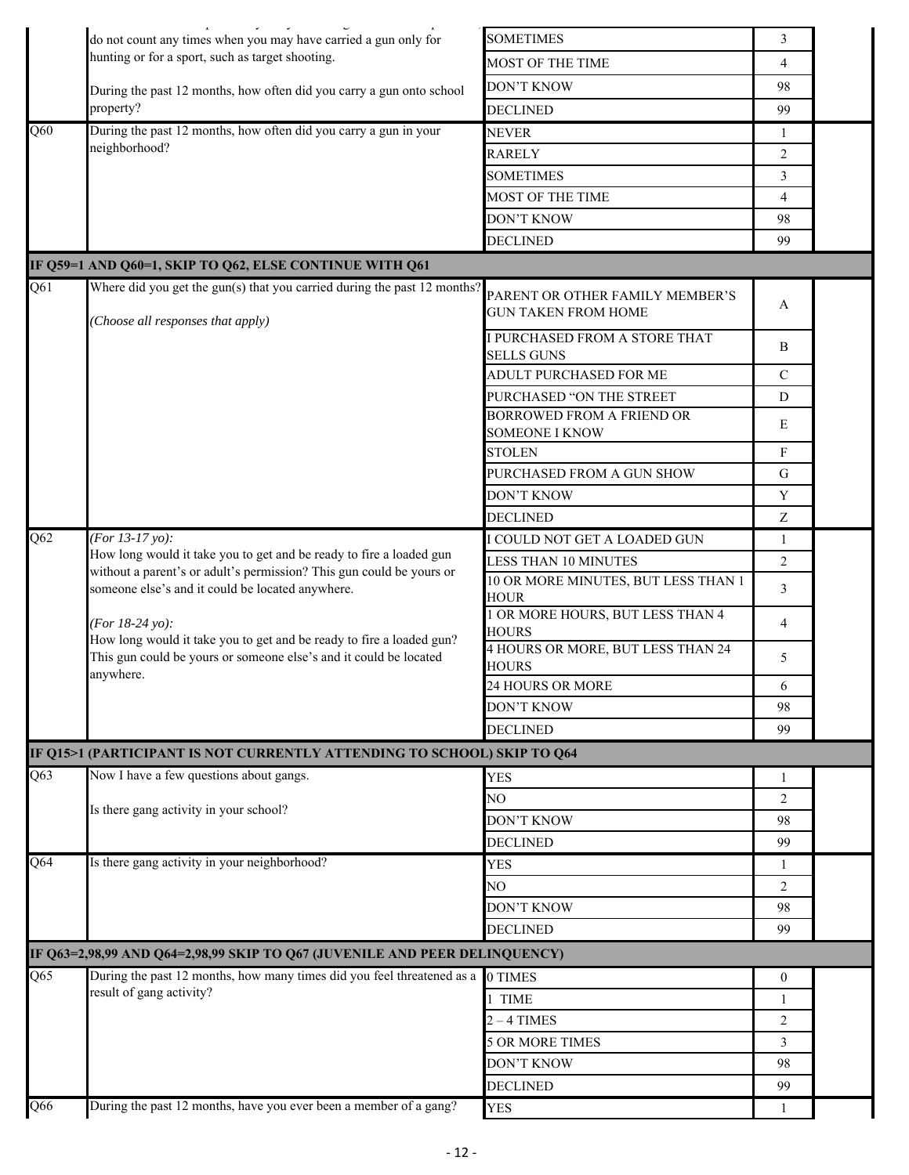|                  | do not count any times when you may have carried a gun only for                                                                             | <b>SOMETIMES</b>                                              | 3              |  |
|------------------|---------------------------------------------------------------------------------------------------------------------------------------------|---------------------------------------------------------------|----------------|--|
|                  | hunting or for a sport, such as target shooting.                                                                                            | MOST OF THE TIME                                              | $\overline{4}$ |  |
|                  | During the past 12 months, how often did you carry a gun onto school                                                                        | <b>DON'T KNOW</b>                                             | 98             |  |
|                  | property?                                                                                                                                   | <b>DECLINED</b>                                               | 99             |  |
| Q60              | During the past 12 months, how often did you carry a gun in your                                                                            | <b>NEVER</b>                                                  | 1              |  |
|                  | neighborhood?                                                                                                                               | <b>RARELY</b>                                                 | 2              |  |
|                  |                                                                                                                                             | <b>SOMETIMES</b>                                              | 3              |  |
|                  |                                                                                                                                             | MOST OF THE TIME                                              | 4              |  |
|                  |                                                                                                                                             | <b>DON'T KNOW</b>                                             | 98             |  |
|                  |                                                                                                                                             | <b>DECLINED</b>                                               | 99             |  |
|                  | IF Q59=1 AND Q60=1, SKIP TO Q62, ELSE CONTINUE WITH Q61                                                                                     |                                                               |                |  |
| Q61              | Where did you get the gun(s) that you carried during the past 12 months?                                                                    |                                                               |                |  |
|                  |                                                                                                                                             | PARENT OR OTHER FAMILY MEMBER'S<br><b>GUN TAKEN FROM HOME</b> | A              |  |
|                  | (Choose all responses that apply)                                                                                                           |                                                               |                |  |
|                  |                                                                                                                                             | I PURCHASED FROM A STORE THAT<br><b>SELLS GUNS</b>            | B              |  |
|                  |                                                                                                                                             | <b>ADULT PURCHASED FOR ME</b>                                 | $\mathcal{C}$  |  |
|                  |                                                                                                                                             | PURCHASED "ON THE STREET                                      | D              |  |
|                  |                                                                                                                                             | BORROWED FROM A FRIEND OR                                     |                |  |
|                  |                                                                                                                                             | <b>SOMEONE I KNOW</b>                                         | E              |  |
|                  |                                                                                                                                             | <b>STOLEN</b>                                                 | F              |  |
|                  |                                                                                                                                             | PURCHASED FROM A GUN SHOW                                     | G              |  |
|                  |                                                                                                                                             | DON'T KNOW                                                    | Y              |  |
|                  |                                                                                                                                             | DECLINED                                                      | Z              |  |
| Q62              | (For 13-17 yo):                                                                                                                             | I COULD NOT GET A LOADED GUN                                  | 1              |  |
|                  | How long would it take you to get and be ready to fire a loaded gun<br>without a parent's or adult's permission? This gun could be yours or | LESS THAN 10 MINUTES                                          | 2              |  |
|                  | someone else's and it could be located anywhere.                                                                                            | 10 OR MORE MINUTES, BUT LESS THAN 1<br><b>HOUR</b>            | 3              |  |
|                  | (For 18-24 yo):<br>How long would it take you to get and be ready to fire a loaded gun?                                                     | 1 OR MORE HOURS, BUT LESS THAN 4<br><b>HOURS</b>              | 4              |  |
|                  | This gun could be yours or someone else's and it could be located<br>anywhere.                                                              | 4 HOURS OR MORE, BUT LESS THAN 24<br><b>HOURS</b>             | 5              |  |
|                  |                                                                                                                                             | 24 HOURS OR MORE                                              | 6              |  |
|                  |                                                                                                                                             | <b>DON'T KNOW</b>                                             | 98             |  |
|                  |                                                                                                                                             | <b>DECLINED</b>                                               | 99             |  |
|                  | IF Q15>1 (PARTICIPANT IS NOT CURRENTLY ATTENDING TO SCHOOL) SKIP TO Q64                                                                     |                                                               |                |  |
| $\overline{Q63}$ | Now I have a few questions about gangs.                                                                                                     | <b>YES</b>                                                    | 1              |  |
|                  | Is there gang activity in your school?                                                                                                      | NO                                                            | $\overline{2}$ |  |
|                  |                                                                                                                                             | DON'T KNOW                                                    | 98             |  |
|                  |                                                                                                                                             | <b>DECLINED</b>                                               | 99             |  |
| Q64              | Is there gang activity in your neighborhood?                                                                                                | <b>YES</b>                                                    | 1              |  |
|                  |                                                                                                                                             | NO                                                            | 2              |  |
|                  |                                                                                                                                             | <b>DON'T KNOW</b>                                             | 98             |  |
|                  |                                                                                                                                             | <b>DECLINED</b>                                               | 99             |  |
|                  | IF Q63=2,98,99 AND Q64=2,98,99 SKIP TO Q67 (JUVENILE AND PEER DELINQUENCY)                                                                  |                                                               |                |  |
| $\overline{Q65}$ | During the past 12 months, how many times did you feel threatened as a                                                                      | 0 TIMES                                                       | $\mathbf{0}$   |  |
|                  | result of gang activity?                                                                                                                    | 1 TIME                                                        | 1              |  |
|                  |                                                                                                                                             | $2 - 4$ TIMES                                                 | $\overline{2}$ |  |
|                  |                                                                                                                                             | <b>5 OR MORE TIMES</b>                                        | 3              |  |
|                  |                                                                                                                                             | <b>DON'T KNOW</b>                                             | 98             |  |
|                  |                                                                                                                                             | <b>DECLINED</b>                                               | 99             |  |
| Q66              | During the past 12 months, have you ever been a member of a gang?                                                                           | <b>YES</b>                                                    |                |  |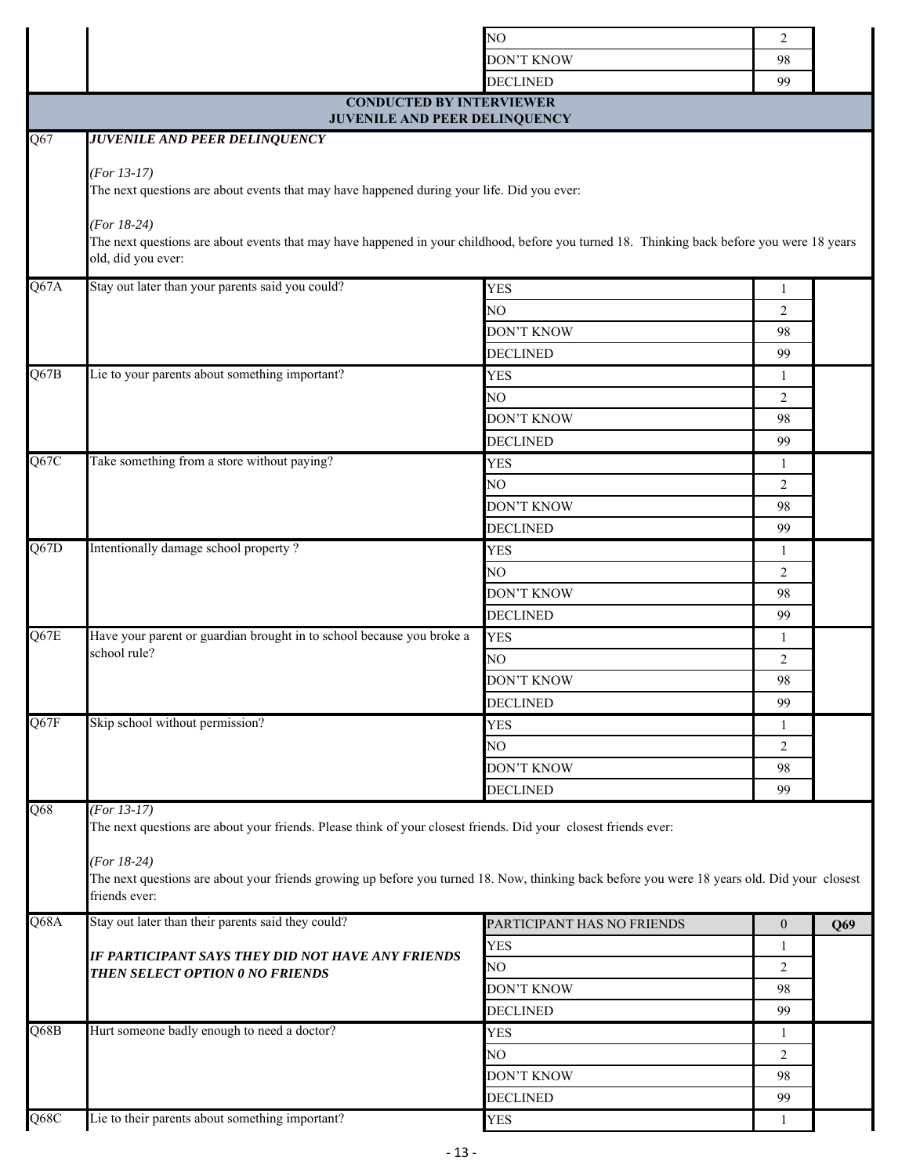|      |                                                                                                                                                                                   | NO                         | $\overline{2}$   |     |
|------|-----------------------------------------------------------------------------------------------------------------------------------------------------------------------------------|----------------------------|------------------|-----|
|      |                                                                                                                                                                                   | <b>DON'T KNOW</b>          | 98               |     |
|      |                                                                                                                                                                                   | <b>DECLINED</b>            | 99               |     |
|      | <b>CONDUCTED BY INTERVIEWER</b>                                                                                                                                                   |                            |                  |     |
|      | JUVENILE AND PEER DELINQUENCY                                                                                                                                                     |                            |                  |     |
| Q67  | <b>JUVENILE AND PEER DELINQUENCY</b>                                                                                                                                              |                            |                  |     |
|      | $(For 13-17)$<br>The next questions are about events that may have happened during your life. Did you ever:                                                                       |                            |                  |     |
|      | $(For 18-24)$<br>The next questions are about events that may have happened in your childhood, before you turned 18. Thinking back before you were 18 years<br>old, did you ever: |                            |                  |     |
| Q67A | Stay out later than your parents said you could?                                                                                                                                  | <b>YES</b>                 | 1                |     |
|      |                                                                                                                                                                                   | NO                         | 2                |     |
|      |                                                                                                                                                                                   | <b>DON'T KNOW</b>          | 98               |     |
|      |                                                                                                                                                                                   | <b>DECLINED</b>            | 99               |     |
| Q67B | Lie to your parents about something important?                                                                                                                                    | <b>YES</b>                 | -1               |     |
|      |                                                                                                                                                                                   | NO                         | $\overline{2}$   |     |
|      |                                                                                                                                                                                   | <b>DON'T KNOW</b>          | 98               |     |
|      |                                                                                                                                                                                   | <b>DECLINED</b>            | 99               |     |
| Q67C | Take something from a store without paying?                                                                                                                                       | <b>YES</b>                 | 1                |     |
|      |                                                                                                                                                                                   | NO                         | $\overline{2}$   |     |
|      |                                                                                                                                                                                   | <b>DON'T KNOW</b>          | 98               |     |
|      |                                                                                                                                                                                   | <b>DECLINED</b>            | 99               |     |
| Q67D | Intentionally damage school property?                                                                                                                                             | <b>YES</b>                 | 1                |     |
|      |                                                                                                                                                                                   | NO                         | $\overline{2}$   |     |
|      |                                                                                                                                                                                   | <b>DON'T KNOW</b>          | 98               |     |
|      |                                                                                                                                                                                   | <b>DECLINED</b>            | 99               |     |
| Q67E | Have your parent or guardian brought in to school because you broke a                                                                                                             | <b>YES</b>                 | 1                |     |
|      | school rule?                                                                                                                                                                      | NO                         | 2                |     |
|      |                                                                                                                                                                                   | <b>DON'T KNOW</b>          | 98               |     |
|      |                                                                                                                                                                                   | <b>DECLINED</b>            | 99               |     |
| Q67F | Skip school without permission?                                                                                                                                                   | <b>YES</b>                 | 1                |     |
|      |                                                                                                                                                                                   | NO                         | 2                |     |
|      |                                                                                                                                                                                   | <b>DON'T KNOW</b>          | 98               |     |
|      |                                                                                                                                                                                   | <b>DECLINED</b>            | 99               |     |
| Q68  | $(For 13-17)$<br>The next questions are about your friends. Please think of your closest friends. Did your closest friends ever:                                                  |                            |                  |     |
|      | $(For 18-24)$<br>The next questions are about your friends growing up before you turned 18. Now, thinking back before you were 18 years old. Did your closest<br>friends ever:    |                            |                  |     |
| Q68A | Stay out later than their parents said they could?                                                                                                                                | PARTICIPANT HAS NO FRIENDS | $\boldsymbol{0}$ | Q69 |
|      | IF PARTICIPANT SAYS THEY DID NOT HAVE ANY FRIENDS                                                                                                                                 | <b>YES</b>                 | $\mathbf{1}$     |     |
|      | THEN SELECT OPTION 0 NO FRIENDS                                                                                                                                                   | NO                         | 2                |     |
|      |                                                                                                                                                                                   | <b>DON'T KNOW</b>          | 98               |     |
|      |                                                                                                                                                                                   | <b>DECLINED</b>            | 99               |     |
| Q68B | Hurt someone badly enough to need a doctor?                                                                                                                                       | <b>YES</b>                 | 1                |     |
|      |                                                                                                                                                                                   | NO                         | $\overline{2}$   |     |
|      |                                                                                                                                                                                   | <b>DON'T KNOW</b>          | 98               |     |
|      |                                                                                                                                                                                   | <b>DECLINED</b>            | 99               |     |
| Q68C | Lie to their parents about something important?                                                                                                                                   | <b>YES</b>                 | 1                |     |
|      |                                                                                                                                                                                   |                            |                  |     |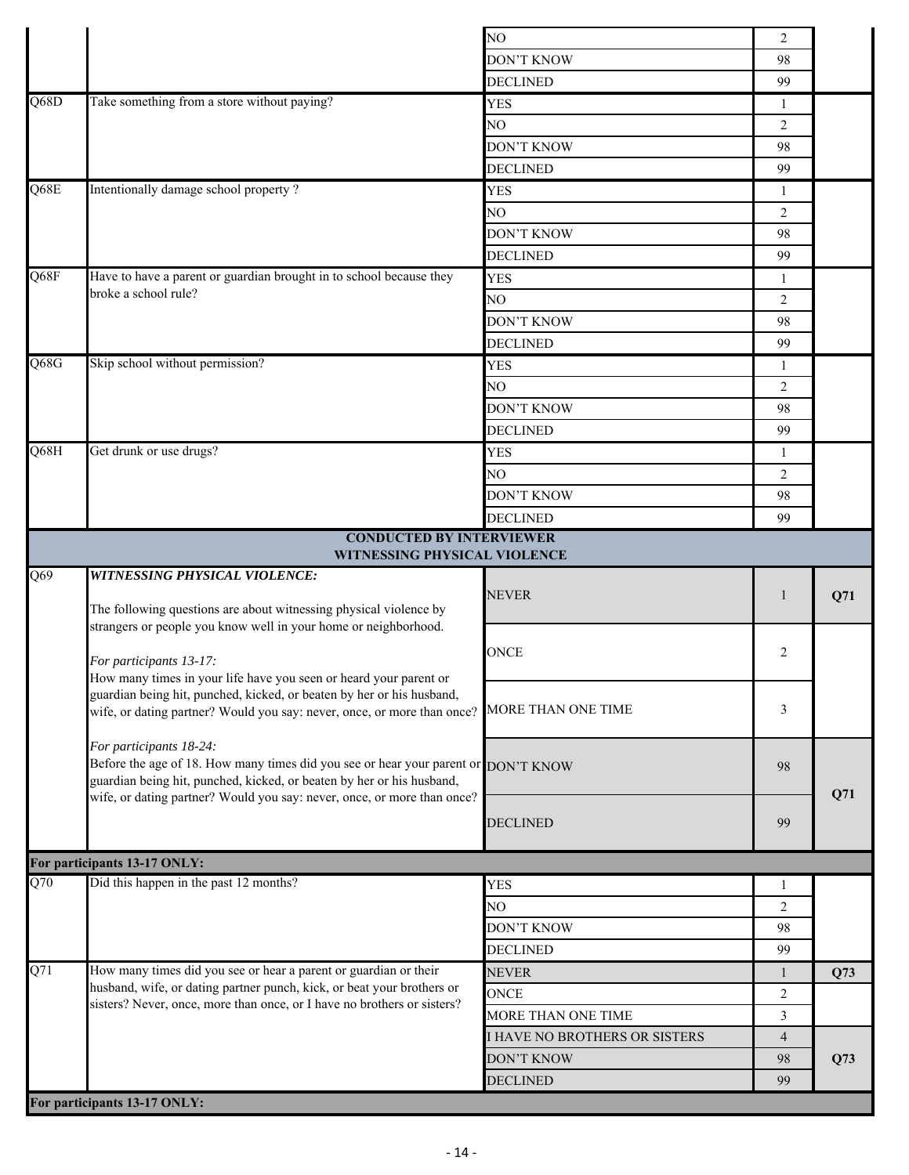|                   |                                                                                                               | NO                            | 2              |     |
|-------------------|---------------------------------------------------------------------------------------------------------------|-------------------------------|----------------|-----|
|                   |                                                                                                               | <b>DON'T KNOW</b>             | 98             |     |
|                   |                                                                                                               | <b>DECLINED</b>               | 99             |     |
| $\overline{Q68D}$ | Take something from a store without paying?                                                                   | <b>YES</b>                    | 1              |     |
|                   |                                                                                                               | NO                            | $\overline{2}$ |     |
|                   |                                                                                                               | <b>DON'T KNOW</b>             | 98             |     |
|                   |                                                                                                               | <b>DECLINED</b>               | 99             |     |
| Q68E              | Intentionally damage school property?                                                                         | <b>YES</b>                    | 1              |     |
|                   |                                                                                                               | NO                            | 2              |     |
|                   |                                                                                                               | <b>DON'T KNOW</b>             | 98             |     |
|                   |                                                                                                               | <b>DECLINED</b>               | 99             |     |
| Q68F              | Have to have a parent or guardian brought in to school because they                                           | <b>YES</b>                    | 1              |     |
|                   | broke a school rule?                                                                                          | NO                            | $\overline{2}$ |     |
|                   |                                                                                                               | DON'T KNOW                    | 98             |     |
|                   |                                                                                                               | <b>DECLINED</b>               | 99             |     |
| Q68G              | Skip school without permission?                                                                               | <b>YES</b>                    | 1              |     |
|                   |                                                                                                               | NO                            | 2              |     |
|                   |                                                                                                               | <b>DON'T KNOW</b>             | 98             |     |
|                   |                                                                                                               | <b>DECLINED</b>               | 99             |     |
| Q68H              | Get drunk or use drugs?                                                                                       | <b>YES</b>                    | $\mathbf{1}$   |     |
|                   |                                                                                                               | NO.                           | 2              |     |
|                   |                                                                                                               | <b>DON'T KNOW</b>             | 98             |     |
|                   |                                                                                                               | <b>DECLINED</b>               | 99             |     |
|                   | <b>CONDUCTED BY INTERVIEWER</b>                                                                               |                               |                |     |
|                   | WITNESSING PHYSICAL VIOLENCE                                                                                  |                               |                |     |
| Q69               | <b>WITNESSING PHYSICAL VIOLENCE:</b>                                                                          |                               |                |     |
|                   | The following questions are about witnessing physical violence by                                             | <b>NEVER</b>                  | 1              | Q71 |
|                   | strangers or people you know well in your home or neighborhood.                                               |                               |                |     |
|                   |                                                                                                               | <b>ONCE</b>                   | 2              |     |
|                   | For participants 13-17:<br>How many times in your life have you seen or heard your parent or                  |                               |                |     |
|                   | guardian being hit, punched, kicked, or beaten by her or his husband,                                         |                               |                |     |
|                   | wife, or dating partner? Would you say: never, once, or more than once?                                       | MORE THAN ONE TIME            | 3              |     |
|                   |                                                                                                               |                               |                |     |
|                   | For participants 18-24:<br>Before the age of 18. How many times did you see or hear your parent or DON'T KNOW |                               |                |     |
|                   | guardian being hit, punched, kicked, or beaten by her or his husband,                                         |                               | 98             |     |
|                   | wife, or dating partner? Would you say: never, once, or more than once?                                       |                               |                | Q71 |
|                   |                                                                                                               |                               |                |     |
|                   |                                                                                                               | <b>DECLINED</b>               | 99             |     |
|                   |                                                                                                               |                               |                |     |
|                   | For participants 13-17 ONLY:                                                                                  |                               |                |     |
| Q70               | Did this happen in the past 12 months?                                                                        | <b>YES</b>                    | -1             |     |
|                   |                                                                                                               | NO                            | 2              |     |
|                   |                                                                                                               | DON'T KNOW                    | 98             |     |
|                   |                                                                                                               | <b>DECLINED</b>               | 99             |     |
| Q71               | How many times did you see or hear a parent or guardian or their                                              | <b>NEVER</b>                  | 1              | Q73 |
|                   | husband, wife, or dating partner punch, kick, or beat your brothers or                                        | <b>ONCE</b>                   | $\overline{2}$ |     |
|                   | sisters? Never, once, more than once, or I have no brothers or sisters?                                       | MORE THAN ONE TIME            | $\mathfrak{Z}$ |     |
|                   |                                                                                                               | I HAVE NO BROTHERS OR SISTERS | $\overline{4}$ |     |
|                   |                                                                                                               | DON'T KNOW                    | 98             | Q73 |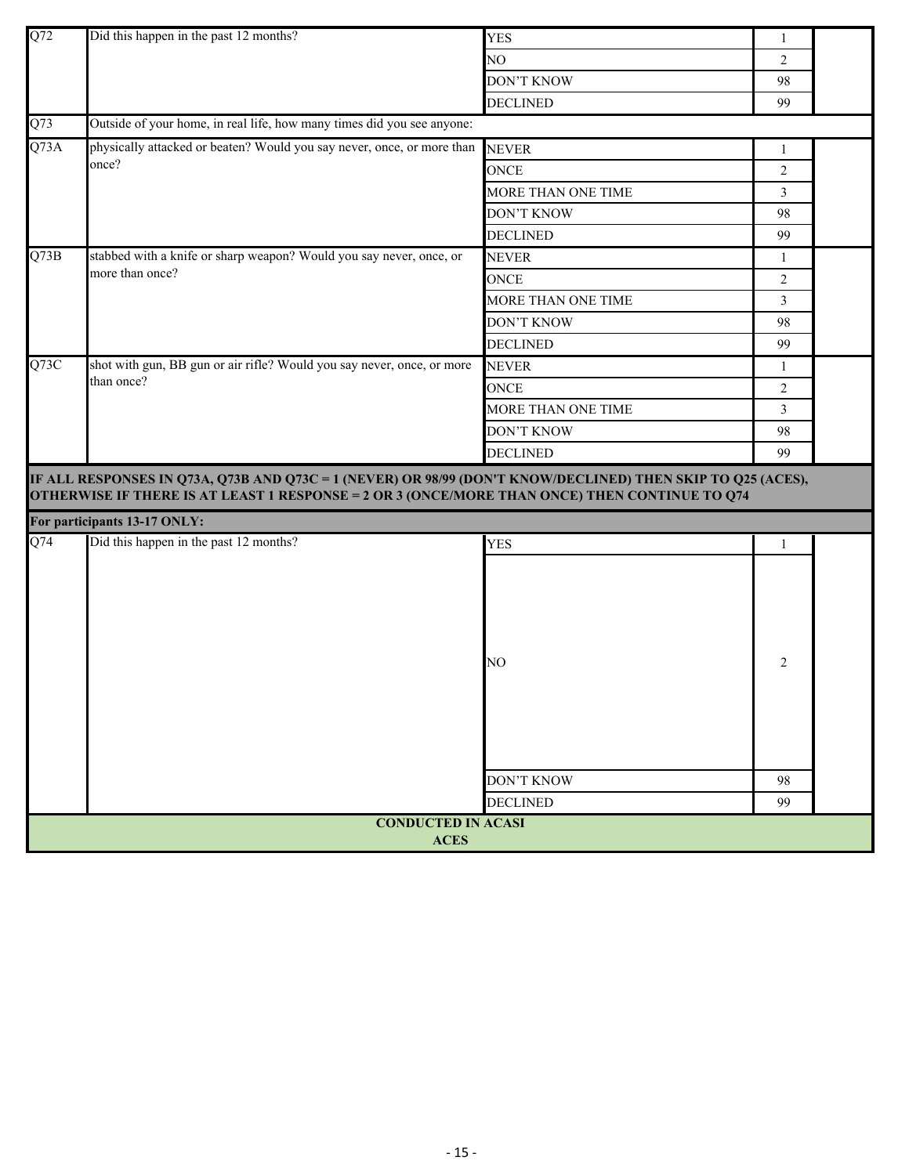| Q <sub>72</sub> | Did this happen in the past 12 months?                                                                                                                                                                       |                                     |                |  |
|-----------------|--------------------------------------------------------------------------------------------------------------------------------------------------------------------------------------------------------------|-------------------------------------|----------------|--|
|                 |                                                                                                                                                                                                              | <b>YES</b>                          | 1              |  |
|                 |                                                                                                                                                                                                              | NO                                  | 2              |  |
|                 |                                                                                                                                                                                                              | <b>DON'T KNOW</b>                   | 98             |  |
|                 |                                                                                                                                                                                                              | <b>DECLINED</b>                     | 99             |  |
| Q73             | Outside of your home, in real life, how many times did you see anyone:                                                                                                                                       |                                     |                |  |
| Q73A            | physically attacked or beaten? Would you say never, once, or more than<br>once?                                                                                                                              | <b>NEVER</b>                        | 1              |  |
|                 |                                                                                                                                                                                                              | ONCE                                | $\overline{2}$ |  |
|                 |                                                                                                                                                                                                              | MORE THAN ONE TIME                  | 3              |  |
|                 |                                                                                                                                                                                                              | <b>DON'T KNOW</b>                   | 98             |  |
|                 |                                                                                                                                                                                                              | <b>DECLINED</b>                     | 99             |  |
| Q73B            | stabbed with a knife or sharp weapon? Would you say never, once, or                                                                                                                                          | <b>NEVER</b>                        | 1              |  |
|                 | more than once?                                                                                                                                                                                              | <b>ONCE</b>                         | 2              |  |
|                 |                                                                                                                                                                                                              | MORE THAN ONE TIME                  | 3              |  |
|                 |                                                                                                                                                                                                              | <b>DON'T KNOW</b>                   | 98             |  |
|                 |                                                                                                                                                                                                              | <b>DECLINED</b>                     | 99             |  |
| Q73C            | shot with gun, BB gun or air rifle? Would you say never, once, or more                                                                                                                                       | <b>NEVER</b>                        | $\mathbf{1}$   |  |
|                 | than once?                                                                                                                                                                                                   | ONCE                                | $\overline{2}$ |  |
|                 |                                                                                                                                                                                                              | MORE THAN ONE TIME                  | 3              |  |
|                 |                                                                                                                                                                                                              | <b>DON'T KNOW</b>                   | 98             |  |
|                 |                                                                                                                                                                                                              | <b>DECLINED</b>                     | 99             |  |
|                 | IF ALL RESPONSES IN Q73A, Q73B AND Q73C = 1 (NEVER) OR 98/99 (DON'T KNOW/DECLINED) THEN SKIP TO Q25 (ACES),<br>OTHERWISE IF THERE IS AT LEAST 1 RESPONSE = 2 OR 3 (ONCE/MORE THAN ONCE) THEN CONTINUE TO Q74 |                                     |                |  |
|                 | For participants 13-17 ONLY:                                                                                                                                                                                 |                                     |                |  |
| Q74             | Did this happen in the past 12 months?                                                                                                                                                                       | <b>YES</b>                          | 1              |  |
|                 |                                                                                                                                                                                                              | NO<br>DON'T KNOW<br><b>DECLINED</b> | 2<br>98<br>99  |  |
|                 | <b>CONDUCTED IN ACASI</b>                                                                                                                                                                                    |                                     |                |  |
|                 | <b>ACES</b>                                                                                                                                                                                                  |                                     |                |  |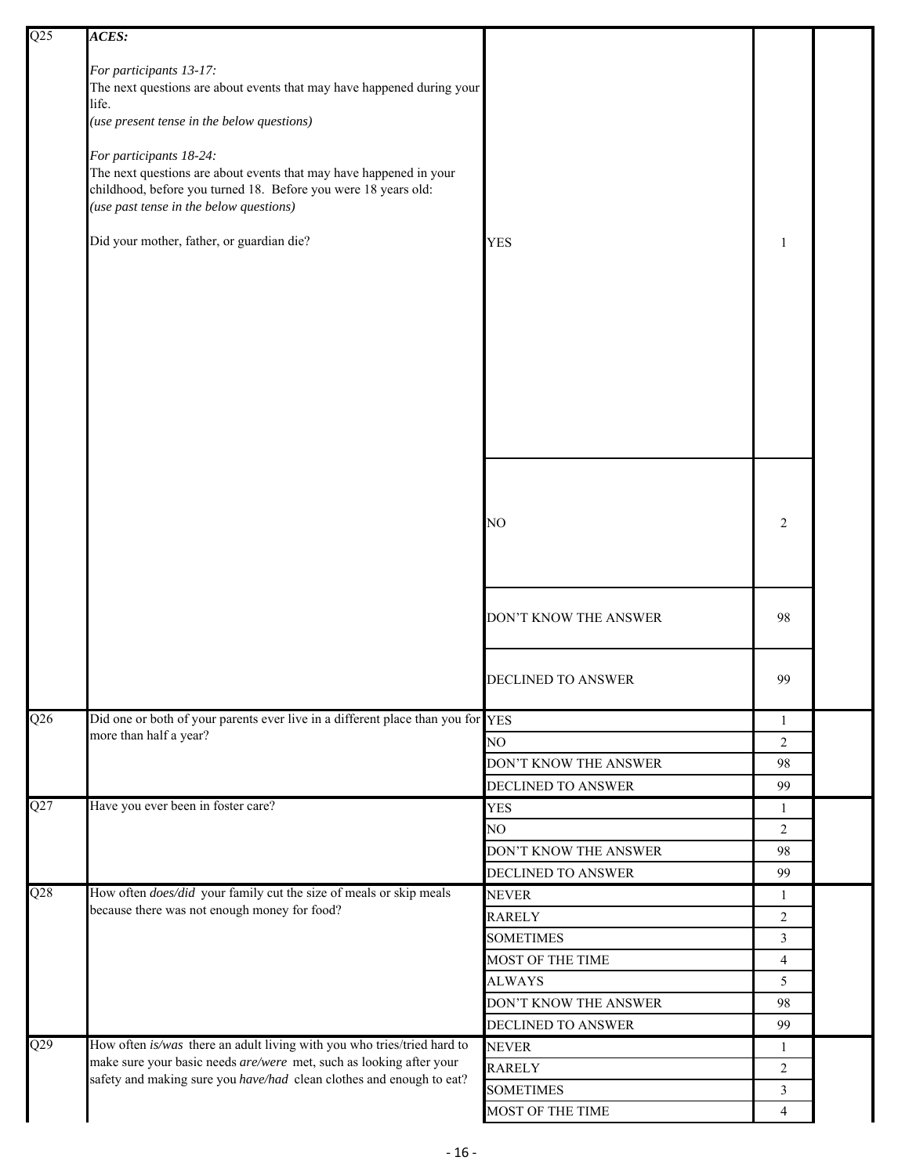| $\overline{Q25}$ | ACES:                                                                                                                                       |                           |                |  |
|------------------|---------------------------------------------------------------------------------------------------------------------------------------------|---------------------------|----------------|--|
|                  |                                                                                                                                             |                           |                |  |
|                  | For participants 13-17:                                                                                                                     |                           |                |  |
|                  | The next questions are about events that may have happened during your<br>life.                                                             |                           |                |  |
|                  | (use present tense in the below questions)                                                                                                  |                           |                |  |
|                  |                                                                                                                                             |                           |                |  |
|                  | For participants 18-24:                                                                                                                     |                           |                |  |
|                  | The next questions are about events that may have happened in your                                                                          |                           |                |  |
|                  | childhood, before you turned 18. Before you were 18 years old:                                                                              |                           |                |  |
|                  | (use past tense in the below questions)                                                                                                     |                           |                |  |
|                  | Did your mother, father, or guardian die?                                                                                                   | <b>YES</b>                | 1              |  |
|                  |                                                                                                                                             |                           |                |  |
|                  |                                                                                                                                             |                           |                |  |
|                  |                                                                                                                                             |                           |                |  |
|                  |                                                                                                                                             |                           |                |  |
|                  |                                                                                                                                             |                           |                |  |
|                  |                                                                                                                                             |                           |                |  |
|                  |                                                                                                                                             |                           |                |  |
|                  |                                                                                                                                             |                           |                |  |
|                  |                                                                                                                                             |                           |                |  |
|                  |                                                                                                                                             |                           |                |  |
|                  |                                                                                                                                             |                           |                |  |
|                  |                                                                                                                                             |                           |                |  |
|                  |                                                                                                                                             |                           |                |  |
|                  |                                                                                                                                             | NO                        | $\overline{2}$ |  |
|                  |                                                                                                                                             |                           |                |  |
|                  |                                                                                                                                             |                           |                |  |
|                  |                                                                                                                                             |                           |                |  |
|                  |                                                                                                                                             | DON'T KNOW THE ANSWER     | 98             |  |
|                  |                                                                                                                                             |                           |                |  |
|                  |                                                                                                                                             |                           |                |  |
|                  |                                                                                                                                             | <b>DECLINED TO ANSWER</b> | 99             |  |
|                  |                                                                                                                                             |                           |                |  |
| Q26              | Did one or both of your parents ever live in a different place than you for YES                                                             |                           | 1              |  |
|                  | more than half a year?                                                                                                                      | NO                        | 2              |  |
|                  |                                                                                                                                             | DON'T KNOW THE ANSWER     | 98             |  |
|                  |                                                                                                                                             | DECLINED TO ANSWER        | 99             |  |
| Q27              | Have you ever been in foster care?                                                                                                          | YES                       | 1              |  |
|                  |                                                                                                                                             | NO                        | 2              |  |
|                  |                                                                                                                                             | DON'T KNOW THE ANSWER     | 98             |  |
|                  |                                                                                                                                             |                           |                |  |
| $\overline{Q28}$ | How often <i>does/did</i> your family cut the size of meals or skip meals                                                                   | DECLINED TO ANSWER        | 99             |  |
|                  | because there was not enough money for food?                                                                                                | <b>NEVER</b>              | 1              |  |
|                  |                                                                                                                                             | RARELY                    | $\overline{2}$ |  |
|                  |                                                                                                                                             | <b>SOMETIMES</b>          | $\mathfrak{Z}$ |  |
|                  |                                                                                                                                             | MOST OF THE TIME          | 4              |  |
|                  |                                                                                                                                             | <b>ALWAYS</b>             | 5              |  |
|                  |                                                                                                                                             | DON'T KNOW THE ANSWER     | 98             |  |
|                  |                                                                                                                                             | DECLINED TO ANSWER        | 99             |  |
| Q29              | How often is/was there an adult living with you who tries/tried hard to                                                                     | <b>NEVER</b>              | $\mathbf{1}$   |  |
|                  | make sure your basic needs are/were met, such as looking after your<br>safety and making sure you have/had clean clothes and enough to eat? | <b>RARELY</b>             | 2              |  |
|                  |                                                                                                                                             | <b>SOMETIMES</b>          | 3              |  |
|                  |                                                                                                                                             | MOST OF THE TIME          | $\overline{4}$ |  |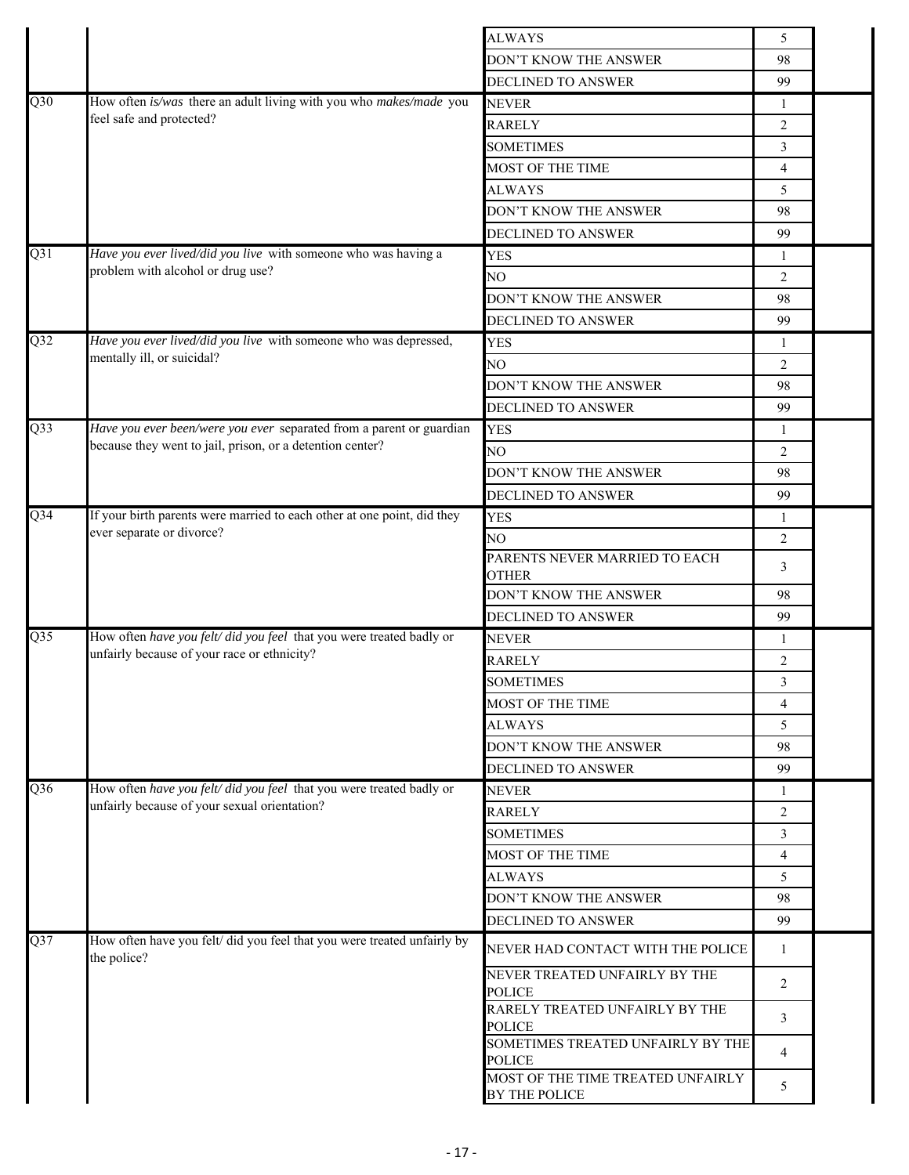|                  |                                                                                                                     | <b>ALWAYS</b>                                      | 5              |  |
|------------------|---------------------------------------------------------------------------------------------------------------------|----------------------------------------------------|----------------|--|
|                  |                                                                                                                     | DON'T KNOW THE ANSWER                              | 98             |  |
|                  |                                                                                                                     | <b>DECLINED TO ANSWER</b>                          | 99             |  |
| $\overline{Q30}$ | How often is/was there an adult living with you who makes/made you                                                  | <b>NEVER</b>                                       | 1              |  |
|                  | feel safe and protected?                                                                                            | <b>RARELY</b>                                      | 2              |  |
|                  |                                                                                                                     | <b>SOMETIMES</b>                                   | 3              |  |
|                  |                                                                                                                     | MOST OF THE TIME                                   | 4              |  |
|                  |                                                                                                                     | <b>ALWAYS</b>                                      | 5              |  |
|                  |                                                                                                                     |                                                    | 98             |  |
|                  |                                                                                                                     | DON'T KNOW THE ANSWER                              |                |  |
| Q31              | Have you ever lived/did you live with someone who was having a                                                      | DECLINED TO ANSWER                                 | 99             |  |
|                  | problem with alcohol or drug use?                                                                                   | <b>YES</b>                                         | 1              |  |
|                  |                                                                                                                     | NO                                                 | 2              |  |
|                  |                                                                                                                     | DON'T KNOW THE ANSWER                              | 98             |  |
|                  |                                                                                                                     | DECLINED TO ANSWER                                 | 99             |  |
| Q <sub>32</sub>  | Have you ever lived/did you live with someone who was depressed,<br>mentally ill, or suicidal?                      | <b>YES</b>                                         | 1              |  |
|                  |                                                                                                                     | NO.                                                | $\overline{2}$ |  |
|                  |                                                                                                                     | DON'T KNOW THE ANSWER                              | 98             |  |
|                  |                                                                                                                     | <b>DECLINED TO ANSWER</b>                          | 99             |  |
| $\overline{Q}33$ | Have you ever been/were you ever separated from a parent or guardian                                                | <b>YES</b>                                         | 1              |  |
|                  | because they went to jail, prison, or a detention center?                                                           | NO                                                 | 2              |  |
|                  |                                                                                                                     | DON'T KNOW THE ANSWER                              | 98             |  |
|                  |                                                                                                                     | DECLINED TO ANSWER                                 | 99             |  |
| $Q$ 34           | If your birth parents were married to each other at one point, did they                                             | <b>YES</b>                                         | 1              |  |
|                  | ever separate or divorce?                                                                                           | NO                                                 | $\overline{2}$ |  |
|                  |                                                                                                                     | PARENTS NEVER MARRIED TO EACH                      | 3              |  |
|                  |                                                                                                                     | <b>OTHER</b>                                       |                |  |
|                  |                                                                                                                     | DON'T KNOW THE ANSWER                              | 98             |  |
|                  |                                                                                                                     | DECLINED TO ANSWER                                 | 99             |  |
| Q <sub>35</sub>  | How often have you felt/ did you feel that you were treated badly or<br>unfairly because of your race or ethnicity? | <b>NEVER</b>                                       | $\mathbf{1}$   |  |
|                  |                                                                                                                     | <b>RARELY</b>                                      | 2              |  |
|                  |                                                                                                                     | <b>SOMETIMES</b>                                   | 3              |  |
|                  |                                                                                                                     | MOST OF THE TIME                                   | 4              |  |
|                  |                                                                                                                     | <b>ALWAYS</b>                                      | 5              |  |
|                  |                                                                                                                     | DON'T KNOW THE ANSWER                              | 98             |  |
|                  |                                                                                                                     | DECLINED TO ANSWER                                 | 99             |  |
| Q36              | How often have you felt/ did you feel that you were treated badly or                                                | <b>NEVER</b>                                       | 1              |  |
|                  | unfairly because of your sexual orientation?                                                                        | <b>RARELY</b>                                      | 2              |  |
|                  |                                                                                                                     | <b>SOMETIMES</b>                                   | 3              |  |
|                  |                                                                                                                     | MOST OF THE TIME                                   | 4              |  |
|                  |                                                                                                                     | <b>ALWAYS</b>                                      | 5              |  |
|                  |                                                                                                                     | DON'T KNOW THE ANSWER                              | 98             |  |
|                  |                                                                                                                     | DECLINED TO ANSWER                                 | 99             |  |
| Q37              | How often have you felt/ did you feel that you were treated unfairly by<br>the police?                              | NEVER HAD CONTACT WITH THE POLICE                  | $\mathbf{1}$   |  |
|                  |                                                                                                                     | NEVER TREATED UNFAIRLY BY THE<br><b>POLICE</b>     | 2              |  |
|                  |                                                                                                                     | RARELY TREATED UNFAIRLY BY THE<br><b>POLICE</b>    | 3              |  |
|                  |                                                                                                                     | SOMETIMES TREATED UNFAIRLY BY THE<br><b>POLICE</b> | 4              |  |
|                  |                                                                                                                     | MOST OF THE TIME TREATED UNFAIRLY<br>BY THE POLICE | 5              |  |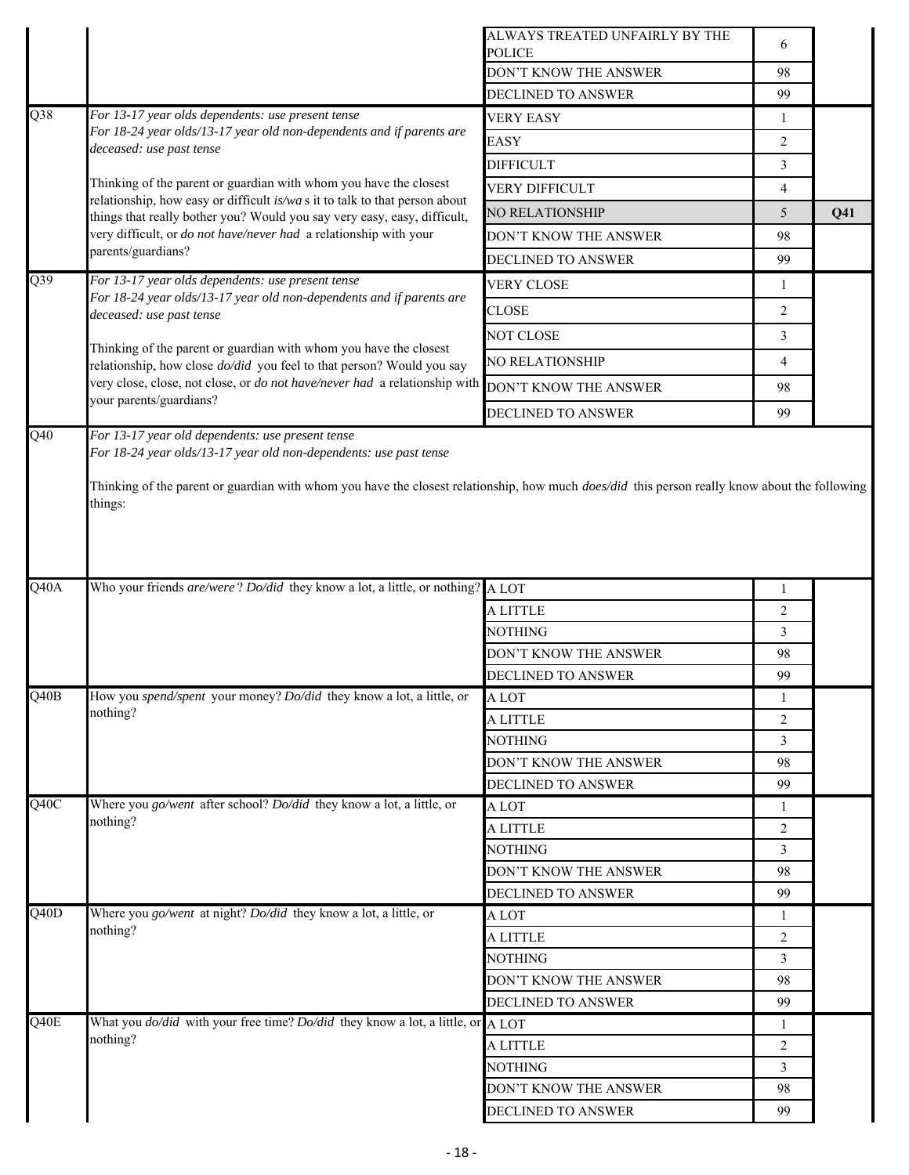|                   |                                                                                                                                                                 | ALWAYS TREATED UNFAIRLY BY THE<br><b>POLICE</b> | 6              |                 |
|-------------------|-----------------------------------------------------------------------------------------------------------------------------------------------------------------|-------------------------------------------------|----------------|-----------------|
|                   |                                                                                                                                                                 | DON'T KNOW THE ANSWER                           | 98             |                 |
|                   |                                                                                                                                                                 | DECLINED TO ANSWER                              | 99             |                 |
| Q38               | For 13-17 year olds dependents: use present tense                                                                                                               | <b>VERY EASY</b>                                | $\mathbf{1}$   |                 |
|                   | For 18-24 year olds/13-17 year old non-dependents and if parents are                                                                                            | <b>EASY</b>                                     | 2              |                 |
|                   | deceased: use past tense                                                                                                                                        | <b>DIFFICULT</b>                                | $\overline{3}$ |                 |
|                   | Thinking of the parent or guardian with whom you have the closest                                                                                               |                                                 |                |                 |
|                   | relationship, how easy or difficult is/was it to talk to that person about                                                                                      | VERY DIFFICULT                                  | $\overline{4}$ |                 |
|                   | things that really bother you? Would you say very easy, easy, difficult,                                                                                        | NO RELATIONSHIP                                 | 5              | Q <sub>41</sub> |
|                   | very difficult, or <i>do not have/never had</i> a relationship with your<br>parents/guardians?                                                                  | DON'T KNOW THE ANSWER                           | 98             |                 |
|                   |                                                                                                                                                                 | DECLINED TO ANSWER                              | 99             |                 |
| Q39               | For 13-17 year olds dependents: use present tense<br>For 18-24 year olds/13-17 year old non-dependents and if parents are                                       | <b>VERY CLOSE</b>                               | 1              |                 |
|                   | deceased: use past tense                                                                                                                                        | CLOSE                                           | 2              |                 |
|                   | Thinking of the parent or guardian with whom you have the closest                                                                                               | NOT CLOSE                                       | 3              |                 |
|                   | relationship, how close <i>do/did</i> you feel to that person? Would you say                                                                                    | NO RELATIONSHIP                                 | 4              |                 |
|                   | very close, close, not close, or do not have/never had a relationship with<br>your parents/guardians?                                                           | DON'T KNOW THE ANSWER                           | 98             |                 |
|                   |                                                                                                                                                                 | <b>DECLINED TO ANSWER</b>                       | 99             |                 |
|                   | Thinking of the parent or guardian with whom you have the closest relationship, how much <i>does/did</i> this person really know about the following<br>things: |                                                 |                |                 |
| $\overline{Q40A}$ | Who your friends are/were? Do/did they know a lot, a little, or nothing? A LOT                                                                                  |                                                 | 1              |                 |
|                   |                                                                                                                                                                 | A LITTLE                                        | $\overline{2}$ |                 |
|                   |                                                                                                                                                                 | NOTHING                                         | 3              |                 |
|                   |                                                                                                                                                                 | DON'T KNOW THE ANSWER                           | 98             |                 |
|                   |                                                                                                                                                                 | DECLINED TO ANSWER                              | 99             |                 |
| Q40B              | How you spend/spent your money? Do/did they know a lot, a little, or                                                                                            | A LOT                                           | 1              |                 |
|                   | nothing?                                                                                                                                                        | A LITTLE                                        | 2              |                 |
|                   |                                                                                                                                                                 | <b>NOTHING</b>                                  | 3              |                 |
|                   |                                                                                                                                                                 | DON'T KNOW THE ANSWER                           | 98             |                 |
|                   |                                                                                                                                                                 | DECLINED TO ANSWER                              | 99             |                 |
| $\overline{Q40C}$ | Where you go/went after school? Do/did they know a lot, a little, or                                                                                            | A LOT                                           | 1              |                 |
|                   | nothing?                                                                                                                                                        | A LITTLE                                        | $\overline{2}$ |                 |
|                   |                                                                                                                                                                 | NOTHING                                         | 3              |                 |
|                   |                                                                                                                                                                 | DON'T KNOW THE ANSWER                           | 98             |                 |
|                   |                                                                                                                                                                 | DECLINED TO ANSWER                              | 99             |                 |
| $\overline{Q40D}$ | Where you go/went at night? Do/did they know a lot, a little, or                                                                                                | A LOT                                           | 1              |                 |
|                   | nothing?                                                                                                                                                        | A LITTLE                                        | $\overline{2}$ |                 |
|                   |                                                                                                                                                                 | NOTHING                                         | $\mathfrak{Z}$ |                 |
|                   |                                                                                                                                                                 | DON'T KNOW THE ANSWER                           | 98             |                 |
|                   |                                                                                                                                                                 | DECLINED TO ANSWER                              | 99             |                 |
| Q40E              | What you $d\omega/did$ with your free time? $D\omega/did$ they know a lot, a little, or A LOT                                                                   |                                                 | $\mathbf{1}$   |                 |
|                   | nothing?                                                                                                                                                        | A LITTLE                                        | $\overline{2}$ |                 |
|                   |                                                                                                                                                                 | NOTHING                                         | 3              |                 |
|                   |                                                                                                                                                                 | DON'T KNOW THE ANSWER                           | 98             |                 |
|                   |                                                                                                                                                                 | DECLINED TO ANSWER                              | 99             |                 |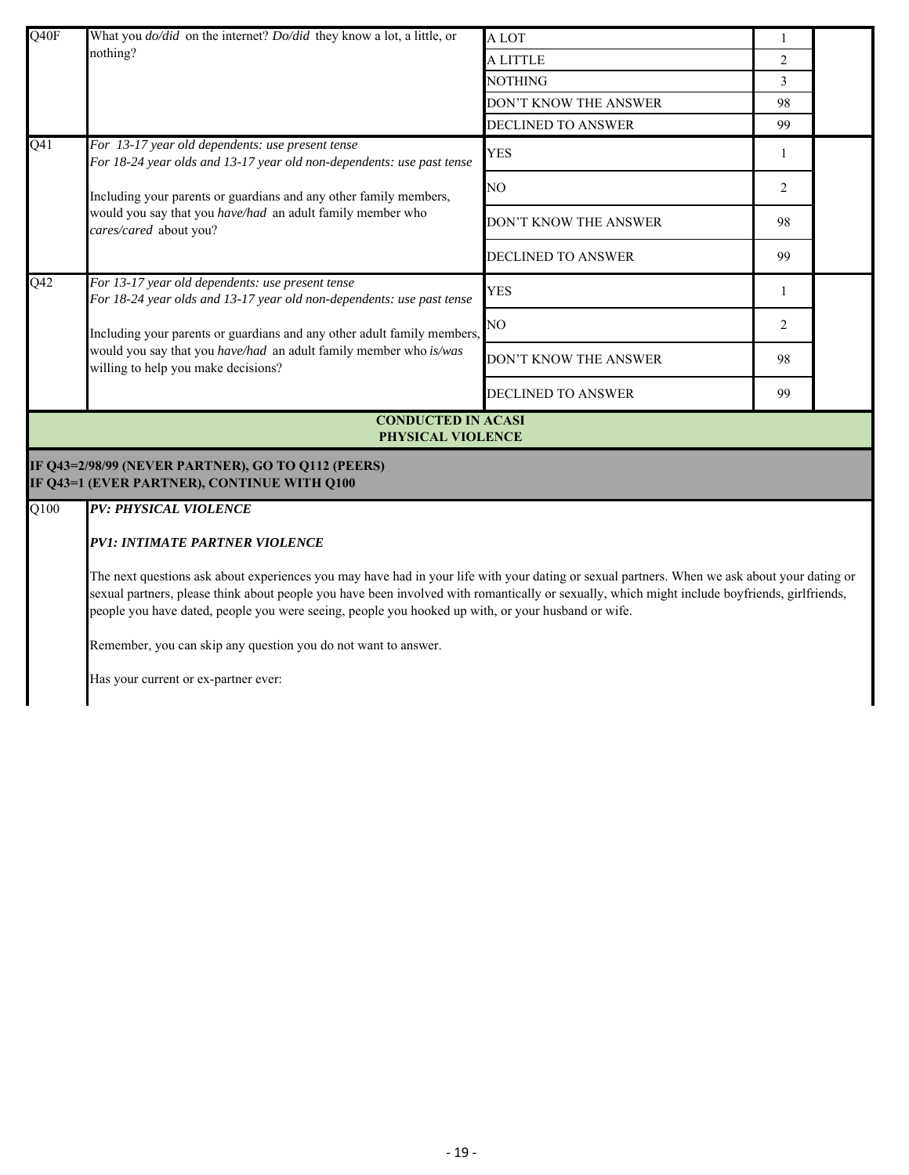| Q40F              | What you <i>do/did</i> on the internet? <i>Do/did</i> they know a lot, a little, or                                                                                                                                                                                                                                                                                                                 | A LOT                 | 1              |  |  |  |
|-------------------|-----------------------------------------------------------------------------------------------------------------------------------------------------------------------------------------------------------------------------------------------------------------------------------------------------------------------------------------------------------------------------------------------------|-----------------------|----------------|--|--|--|
|                   | nothing?                                                                                                                                                                                                                                                                                                                                                                                            | A LITTLE              | $\overline{c}$ |  |  |  |
|                   |                                                                                                                                                                                                                                                                                                                                                                                                     | <b>NOTHING</b>        | $\overline{3}$ |  |  |  |
|                   |                                                                                                                                                                                                                                                                                                                                                                                                     | DON'T KNOW THE ANSWER | 98             |  |  |  |
|                   |                                                                                                                                                                                                                                                                                                                                                                                                     | DECLINED TO ANSWER    | 99             |  |  |  |
| Q <sub>41</sub>   | For 13-17 year old dependents: use present tense<br>For 18-24 year olds and 13-17 year old non-dependents: use past tense                                                                                                                                                                                                                                                                           | <b>YES</b>            | 1              |  |  |  |
|                   | Including your parents or guardians and any other family members,<br>would you say that you have/had an adult family member who<br>cares/cared about you?                                                                                                                                                                                                                                           | NO                    | 2              |  |  |  |
|                   |                                                                                                                                                                                                                                                                                                                                                                                                     | DON'T KNOW THE ANSWER | 98             |  |  |  |
|                   |                                                                                                                                                                                                                                                                                                                                                                                                     | DECLINED TO ANSWER    | 99             |  |  |  |
| Q42               | For 13-17 year old dependents: use present tense<br>For 18-24 year olds and 13-17 year old non-dependents: use past tense                                                                                                                                                                                                                                                                           | <b>YES</b>            | -1             |  |  |  |
|                   | Including your parents or guardians and any other adult family members,<br>would you say that you have/had an adult family member who is/was<br>willing to help you make decisions?                                                                                                                                                                                                                 | NO                    | 2              |  |  |  |
|                   |                                                                                                                                                                                                                                                                                                                                                                                                     | DON'T KNOW THE ANSWER | 98             |  |  |  |
|                   |                                                                                                                                                                                                                                                                                                                                                                                                     | DECLINED TO ANSWER    | 99             |  |  |  |
|                   | <b>CONDUCTED IN ACASI</b><br>PHYSICAL VIOLENCE                                                                                                                                                                                                                                                                                                                                                      |                       |                |  |  |  |
|                   | IF Q43=2/98/99 (NEVER PARTNER), GO TO Q112 (PEERS)<br>IF Q43=1 (EVER PARTNER), CONTINUE WITH Q100                                                                                                                                                                                                                                                                                                   |                       |                |  |  |  |
| $\overline{Q100}$ | <b>PV: PHYSICAL VIOLENCE</b>                                                                                                                                                                                                                                                                                                                                                                        |                       |                |  |  |  |
|                   | <b>PV1: INTIMATE PARTNER VIOLENCE</b>                                                                                                                                                                                                                                                                                                                                                               |                       |                |  |  |  |
|                   | The next questions ask about experiences you may have had in your life with your dating or sexual partners. When we ask about your dating or<br>sexual partners, please think about people you have been involved with romantically or sexually, which might include boyfriends, girlfriends,<br>people you have dated, people you were seeing, people you hooked up with, or your husband or wife. |                       |                |  |  |  |
|                   | Remember, you can skip any question you do not want to answer.                                                                                                                                                                                                                                                                                                                                      |                       |                |  |  |  |
|                   | Has your current or ex-partner ever:                                                                                                                                                                                                                                                                                                                                                                |                       |                |  |  |  |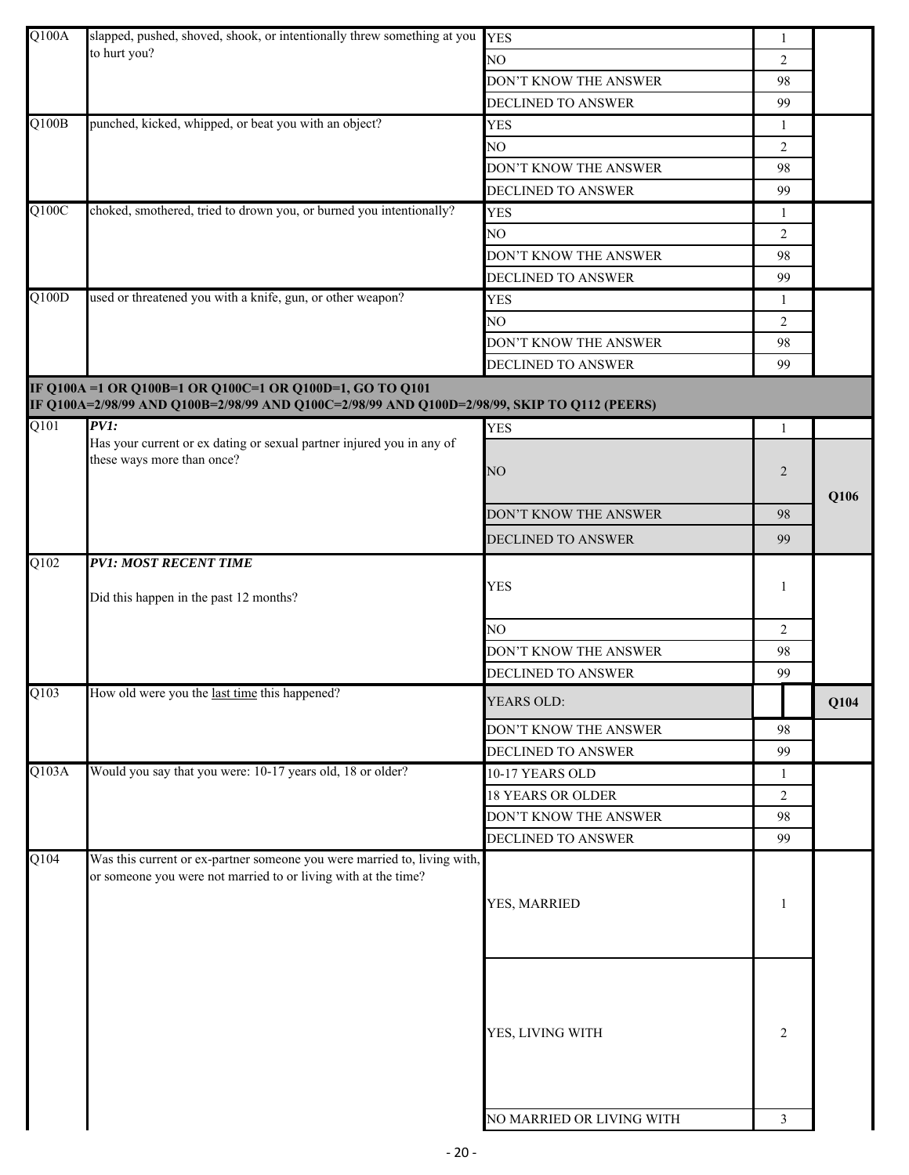| Q100A              | slapped, pushed, shoved, shook, or intentionally threw something at you                      | <b>YES</b>                | $\mathbf{1}$   |      |
|--------------------|----------------------------------------------------------------------------------------------|---------------------------|----------------|------|
|                    | to hurt you?                                                                                 | NO                        | $\overline{2}$ |      |
|                    |                                                                                              | DON'T KNOW THE ANSWER     | 98             |      |
|                    |                                                                                              | DECLINED TO ANSWER        | 99             |      |
| $\overline{Q100B}$ | punched, kicked, whipped, or beat you with an object?                                        | <b>YES</b>                | 1              |      |
|                    |                                                                                              | NO                        | 2              |      |
|                    |                                                                                              | DON'T KNOW THE ANSWER     | 98             |      |
|                    |                                                                                              | DECLINED TO ANSWER        | 99             |      |
| Q100C              | choked, smothered, tried to drown you, or burned you intentionally?                          | <b>YES</b>                | $\mathbf{1}$   |      |
|                    |                                                                                              | NO                        | 2              |      |
|                    |                                                                                              | DON'T KNOW THE ANSWER     | 98             |      |
|                    |                                                                                              | DECLINED TO ANSWER        | 99             |      |
| Q100D              | used or threatened you with a knife, gun, or other weapon?                                   | <b>YES</b>                | 1              |      |
|                    |                                                                                              | NO.                       | 2              |      |
|                    |                                                                                              | DON'T KNOW THE ANSWER     | 98             |      |
|                    |                                                                                              | DECLINED TO ANSWER        | 99             |      |
|                    | IF Q100A =1 OR Q100B=1 OR Q100C=1 OR Q100D=1, GO TO Q101                                     |                           |                |      |
|                    | IF Q100A=2/98/99 AND Q100B=2/98/99 AND Q100C=2/98/99 AND Q100D=2/98/99, SKIP TO Q112 (PEERS) |                           |                |      |
| Q101               | PVI:                                                                                         | <b>YES</b>                | 1              |      |
|                    | Has your current or ex dating or sexual partner injured you in any of                        |                           |                |      |
|                    | these ways more than once?                                                                   | NO                        | $\overline{2}$ |      |
|                    |                                                                                              |                           |                | Q106 |
|                    |                                                                                              | DON'T KNOW THE ANSWER     | 98             |      |
|                    |                                                                                              | DECLINED TO ANSWER        | 99             |      |
|                    |                                                                                              |                           |                |      |
| Q102               | <b>PV1: MOST RECENT TIME</b>                                                                 |                           |                |      |
|                    | Did this happen in the past 12 months?                                                       | <b>YES</b>                | 1              |      |
|                    |                                                                                              |                           |                |      |
|                    |                                                                                              | NO                        | 2              |      |
|                    |                                                                                              | DON'T KNOW THE ANSWER     | 98             |      |
|                    |                                                                                              | DECLINED TO ANSWER        | 99             |      |
| Q103               | How old were you the last time this happened?                                                | YEARS OLD:                |                | Q104 |
|                    |                                                                                              | DON'T KNOW THE ANSWER     | 98             |      |
|                    |                                                                                              | DECLINED TO ANSWER        | 99             |      |
| Q103A              | Would you say that you were: 10-17 years old, 18 or older?                                   | 10-17 YEARS OLD           | $\mathbf{1}$   |      |
|                    |                                                                                              | <b>18 YEARS OR OLDER</b>  | 2              |      |
|                    |                                                                                              | DON'T KNOW THE ANSWER     | 98             |      |
|                    |                                                                                              | DECLINED TO ANSWER        | 99             |      |
| Q104               | Was this current or ex-partner someone you were married to, living with,                     |                           |                |      |
|                    | or someone you were not married to or living with at the time?                               |                           |                |      |
|                    |                                                                                              | YES, MARRIED              | -1             |      |
|                    |                                                                                              |                           |                |      |
|                    |                                                                                              |                           |                |      |
|                    |                                                                                              |                           |                |      |
|                    |                                                                                              |                           |                |      |
|                    |                                                                                              |                           |                |      |
|                    |                                                                                              |                           |                |      |
|                    |                                                                                              | YES, LIVING WITH          | 2              |      |
|                    |                                                                                              |                           |                |      |
|                    |                                                                                              |                           |                |      |
|                    |                                                                                              |                           |                |      |
|                    |                                                                                              | NO MARRIED OR LIVING WITH | 3              |      |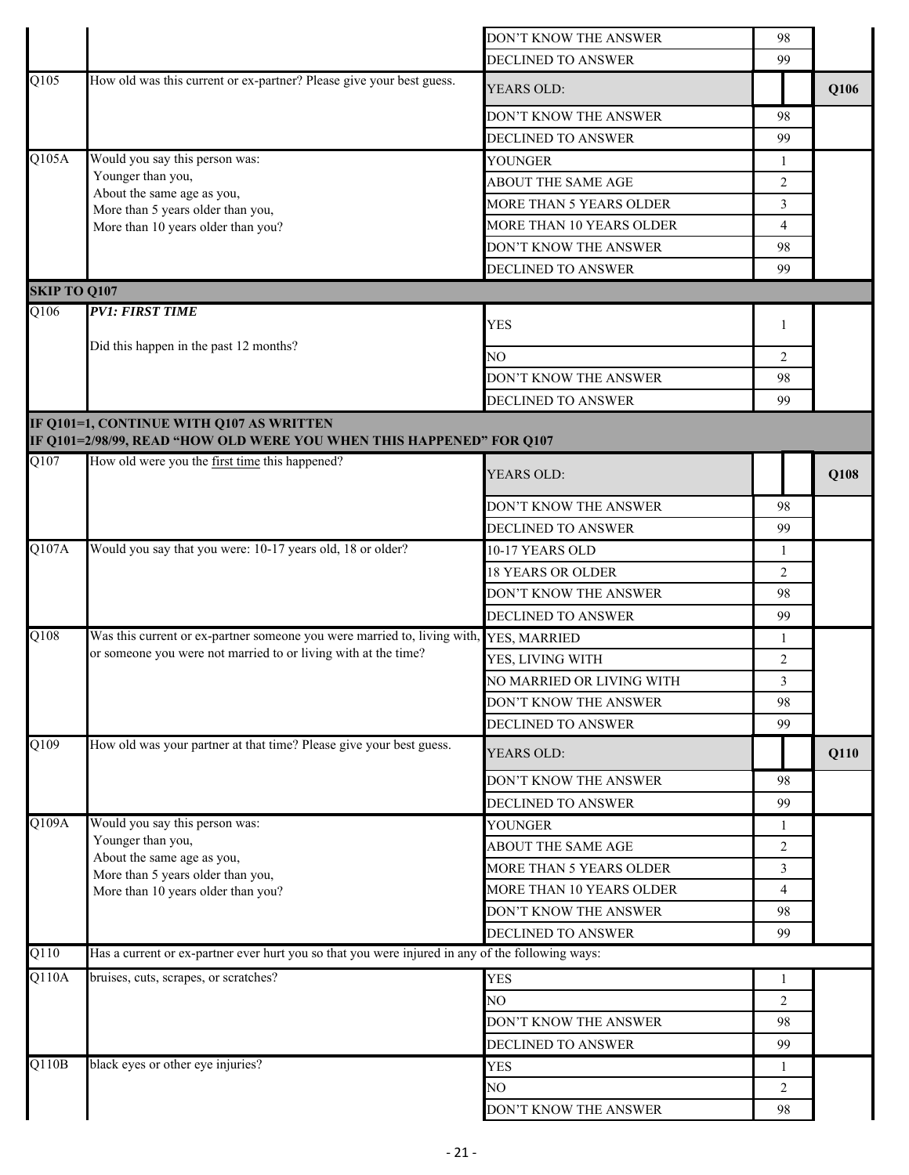|                     |                                                                                                                  | DON'T KNOW THE ANSWER     | 98             |      |
|---------------------|------------------------------------------------------------------------------------------------------------------|---------------------------|----------------|------|
|                     |                                                                                                                  | DECLINED TO ANSWER        | 99             |      |
| $\overline{Q105}$   | How old was this current or ex-partner? Please give your best guess.                                             | YEARS OLD:                |                | Q106 |
|                     |                                                                                                                  | DON'T KNOW THE ANSWER     | 98             |      |
|                     |                                                                                                                  | <b>DECLINED TO ANSWER</b> | 99             |      |
| Q105A               | Would you say this person was:                                                                                   | YOUNGER                   | 1              |      |
|                     | Younger than you,                                                                                                | ABOUT THE SAME AGE        | 2              |      |
|                     | About the same age as you,<br>More than 5 years older than you,                                                  | MORE THAN 5 YEARS OLDER   | $\overline{3}$ |      |
|                     | More than 10 years older than you?                                                                               | MORE THAN 10 YEARS OLDER  | 4              |      |
|                     |                                                                                                                  | DON'T KNOW THE ANSWER     | 98             |      |
|                     |                                                                                                                  | DECLINED TO ANSWER        | 99             |      |
| <b>SKIP TO Q107</b> |                                                                                                                  |                           |                |      |
| Q106                | <b>PV1: FIRST TIME</b>                                                                                           | <b>YES</b>                | 1              |      |
|                     | Did this happen in the past 12 months?                                                                           |                           |                |      |
|                     |                                                                                                                  | N <sub>O</sub>            | $\overline{2}$ |      |
|                     |                                                                                                                  | DON'T KNOW THE ANSWER     | 98             |      |
|                     |                                                                                                                  | <b>DECLINED TO ANSWER</b> | 99             |      |
|                     | IF Q101=1, CONTINUE WITH Q107 AS WRITTEN<br>IF Q101=2/98/99, READ "HOW OLD WERE YOU WHEN THIS HAPPENED" FOR Q107 |                           |                |      |
| Q107                | How old were you the first time this happened?                                                                   | YEARS OLD:                |                | Q108 |
|                     |                                                                                                                  | DON'T KNOW THE ANSWER     | 98             |      |
|                     |                                                                                                                  | DECLINED TO ANSWER        | 99             |      |
| Q107A               | Would you say that you were: 10-17 years old, 18 or older?                                                       | 10-17 YEARS OLD           | 1              |      |
|                     |                                                                                                                  | <b>18 YEARS OR OLDER</b>  | 2              |      |
|                     |                                                                                                                  | DON'T KNOW THE ANSWER     | 98             |      |
|                     |                                                                                                                  | <b>DECLINED TO ANSWER</b> | 99             |      |
| Q108                | Was this current or ex-partner someone you were married to, living with,                                         | YES, MARRIED              | 1              |      |
|                     | or someone you were not married to or living with at the time?                                                   | YES, LIVING WITH          | 2              |      |
|                     |                                                                                                                  | NO MARRIED OR LIVING WITH | $\mathfrak{Z}$ |      |
|                     |                                                                                                                  | DON'T KNOW THE ANSWER     | 98             |      |
|                     |                                                                                                                  | DECLINED TO ANSWER        | 99             |      |
| $\overline{Q109}$   | How old was your partner at that time? Please give your best guess.                                              | YEARS OLD:                |                | Q110 |
|                     |                                                                                                                  | DON'T KNOW THE ANSWER     | 98             |      |
|                     |                                                                                                                  | DECLINED TO ANSWER        | 99             |      |
| Q109A               | Would you say this person was:                                                                                   | YOUNGER                   | $\mathbf{1}$   |      |
|                     | Younger than you,                                                                                                | ABOUT THE SAME AGE        | $\overline{c}$ |      |
|                     | About the same age as you,<br>More than 5 years older than you,                                                  | MORE THAN 5 YEARS OLDER   | 3              |      |
|                     | More than 10 years older than you?                                                                               | MORE THAN 10 YEARS OLDER  | 4              |      |
|                     |                                                                                                                  | DON'T KNOW THE ANSWER     | 98             |      |
|                     |                                                                                                                  | DECLINED TO ANSWER        | 99             |      |
| Q110                | Has a current or ex-partner ever hurt you so that you were injured in any of the following ways:                 |                           |                |      |
| Q110A               | bruises, cuts, scrapes, or scratches?                                                                            | <b>YES</b>                | 1              |      |
|                     |                                                                                                                  | NO.                       | $\overline{2}$ |      |
|                     |                                                                                                                  | DON'T KNOW THE ANSWER     | 98             |      |
|                     |                                                                                                                  | <b>DECLINED TO ANSWER</b> | 99             |      |
| Q110B               | black eyes or other eye injuries?                                                                                | YES                       | $\mathbf{1}$   |      |
|                     |                                                                                                                  | NO                        | $\overline{2}$ |      |
|                     |                                                                                                                  | DON'T KNOW THE ANSWER     | 98             |      |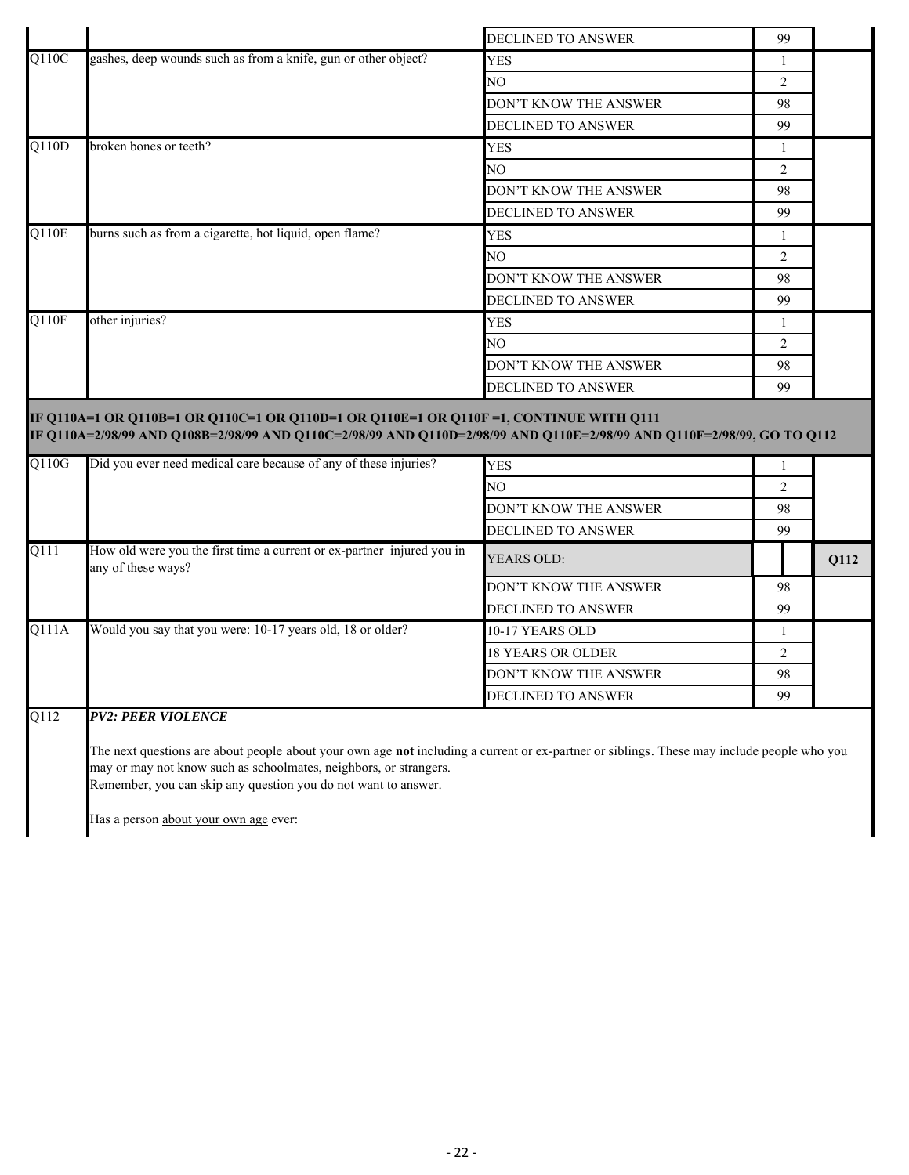|       |                                                                                                                                                                                                                 | DECLINED TO ANSWER        | 99             |      |
|-------|-----------------------------------------------------------------------------------------------------------------------------------------------------------------------------------------------------------------|---------------------------|----------------|------|
| Q110C | gashes, deep wounds such as from a knife, gun or other object?                                                                                                                                                  | <b>YES</b>                | $\mathbf{1}$   |      |
|       |                                                                                                                                                                                                                 | NO.                       | $\overline{2}$ |      |
|       |                                                                                                                                                                                                                 | DON'T KNOW THE ANSWER     | 98             |      |
|       |                                                                                                                                                                                                                 | <b>DECLINED TO ANSWER</b> | 99             |      |
| Q110D | broken bones or teeth?                                                                                                                                                                                          | <b>YES</b>                | $\mathbf{1}$   |      |
|       |                                                                                                                                                                                                                 | NO.                       | $\overline{2}$ |      |
|       |                                                                                                                                                                                                                 | DON'T KNOW THE ANSWER     | 98             |      |
|       |                                                                                                                                                                                                                 | <b>DECLINED TO ANSWER</b> | 99             |      |
| Q110E | burns such as from a cigarette, hot liquid, open flame?                                                                                                                                                         | <b>YES</b>                | $\mathbf{1}$   |      |
|       |                                                                                                                                                                                                                 | NO.                       | 2              |      |
|       |                                                                                                                                                                                                                 | DON'T KNOW THE ANSWER     | 98             |      |
|       |                                                                                                                                                                                                                 | DECLINED TO ANSWER        | 99             |      |
| Q110F | other injuries?                                                                                                                                                                                                 | <b>YES</b>                | $\mathbf{1}$   |      |
|       |                                                                                                                                                                                                                 | NO.                       | $\overline{2}$ |      |
|       |                                                                                                                                                                                                                 |                           |                |      |
|       |                                                                                                                                                                                                                 | DON'T KNOW THE ANSWER     | 98             |      |
|       |                                                                                                                                                                                                                 | DECLINED TO ANSWER        | 99             |      |
|       | IF Q110A=1 OR Q110B=1 OR Q110C=1 OR Q110D=1 OR Q110E=1 OR Q110F=1, CONTINUE WITH Q111<br>IF Q110A=2/98/99 AND Q108B=2/98/99 AND Q110C=2/98/99 AND Q110D=2/98/99 AND Q110E=2/98/99 AND Q110F=2/98/99, GO TO Q112 |                           |                |      |
| Q110G | Did you ever need medical care because of any of these injuries?                                                                                                                                                | <b>YES</b>                | 1              |      |
|       |                                                                                                                                                                                                                 | NО                        | $\overline{2}$ |      |
|       |                                                                                                                                                                                                                 | DON'T KNOW THE ANSWER     | 98             |      |
|       |                                                                                                                                                                                                                 | DECLINED TO ANSWER        | 99             |      |
| Q111  | How old were you the first time a current or ex-partner injured you in<br>any of these ways?                                                                                                                    | YEARS OLD:                |                | Q112 |
|       |                                                                                                                                                                                                                 | DON'T KNOW THE ANSWER     | 98             |      |
|       |                                                                                                                                                                                                                 | DECLINED TO ANSWER        | 99             |      |
| Q111A | Would you say that you were: 10-17 years old, 18 or older?                                                                                                                                                      | 10-17 YEARS OLD           | 1              |      |
|       |                                                                                                                                                                                                                 | <b>18 YEARS OR OLDER</b>  | $\overline{2}$ |      |
|       |                                                                                                                                                                                                                 | DON'T KNOW THE ANSWER     | 98             |      |
|       |                                                                                                                                                                                                                 |                           |                |      |
|       |                                                                                                                                                                                                                 |                           |                |      |
|       |                                                                                                                                                                                                                 |                           |                |      |
| Q112  | <b>PV2: PEER VIOLENCE</b>                                                                                                                                                                                       | DECLINED TO ANSWER        | 99             |      |

Has a person about your own age ever:

may or may not know such as schoolmates, neighbors, or strangers. Remember, you can skip any question you do not want to answer.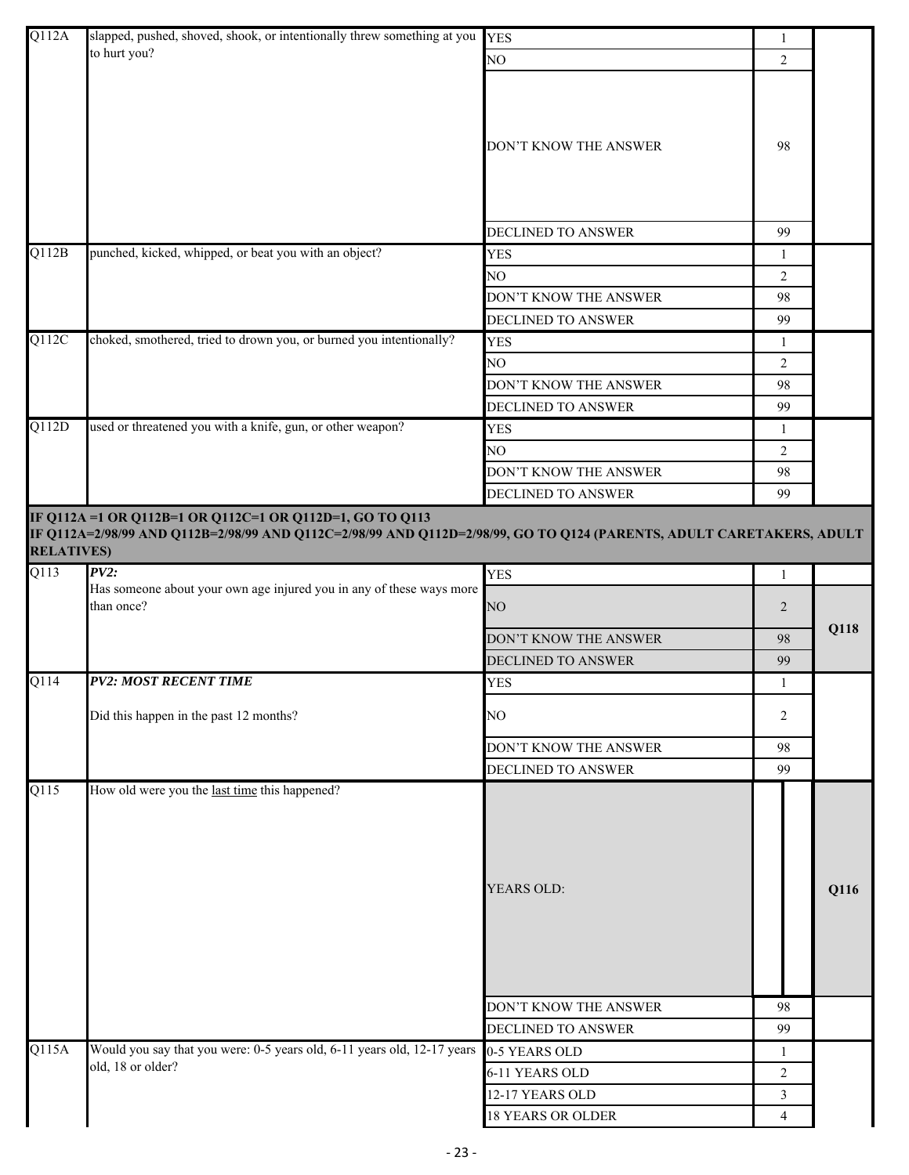| Q112A             | slapped, pushed, shoved, shook, or intentionally threw something at you                                              | <b>YES</b>                | 1              |      |
|-------------------|----------------------------------------------------------------------------------------------------------------------|---------------------------|----------------|------|
|                   | to hurt you?                                                                                                         | NO                        | $\overline{2}$ |      |
|                   |                                                                                                                      | DON'T KNOW THE ANSWER     | 98             |      |
|                   |                                                                                                                      | DECLINED TO ANSWER        | 99             |      |
| Q112B             | punched, kicked, whipped, or beat you with an object?                                                                | <b>YES</b>                | $\mathbf{1}$   |      |
|                   |                                                                                                                      | NO                        | $\overline{2}$ |      |
|                   |                                                                                                                      | DON'T KNOW THE ANSWER     | 98             |      |
|                   |                                                                                                                      | <b>DECLINED TO ANSWER</b> | 99             |      |
| Q112C             | choked, smothered, tried to drown you, or burned you intentionally?                                                  | <b>YES</b>                | 1              |      |
|                   |                                                                                                                      | NO                        | 2              |      |
|                   |                                                                                                                      | DON'T KNOW THE ANSWER     | 98             |      |
|                   |                                                                                                                      | <b>DECLINED TO ANSWER</b> | 99             |      |
| Q112D             | used or threatened you with a knife, gun, or other weapon?                                                           | <b>YES</b>                | -1             |      |
|                   |                                                                                                                      | NO                        | $\overline{2}$ |      |
|                   |                                                                                                                      | DON'T KNOW THE ANSWER     | 98             |      |
|                   |                                                                                                                      | DECLINED TO ANSWER        | 99             |      |
|                   | IF Q112A = 1 OR Q112B=1 OR Q112C=1 OR Q112D=1, GO TO Q113                                                            |                           |                |      |
| <b>RELATIVES)</b> | IF Q112A=2/98/99 AND Q112B=2/98/99 AND Q112C=2/98/99 AND Q112D=2/98/99, GO TO Q124 (PARENTS, ADULT CARETAKERS, ADULT |                           |                |      |
| $\overline{Q113}$ | $PV2$ :                                                                                                              | <b>YES</b>                | -1             |      |
|                   | Has someone about your own age injured you in any of these ways more<br>than once?                                   | NO                        | $\overline{2}$ |      |
|                   |                                                                                                                      | DON'T KNOW THE ANSWER     | 98             | Q118 |
|                   |                                                                                                                      | <b>DECLINED TO ANSWER</b> | 99             |      |
| Q114              | <b>PV2: MOST RECENT TIME</b>                                                                                         | <b>YES</b>                | $\mathbf{1}$   |      |
|                   | Did this happen in the past 12 months?                                                                               | NO                        | 2              |      |
|                   |                                                                                                                      | DON'T KNOW THE ANSWER     | 98             |      |
|                   |                                                                                                                      | DECLINED TO ANSWER        | 99             |      |
| Q115              | How old were you the last time this happened?                                                                        |                           |                |      |
|                   |                                                                                                                      | <b>YEARS OLD:</b>         |                | Q116 |
|                   |                                                                                                                      | DON'T KNOW THE ANSWER     | 98             |      |
|                   |                                                                                                                      | DECLINED TO ANSWER        | 99             |      |
| Q115A             | Would you say that you were: 0-5 years old, 6-11 years old, 12-17 years<br>old, 18 or older?                         | 0-5 YEARS OLD             | 1              |      |
|                   |                                                                                                                      | 6-11 YEARS OLD            | $\overline{2}$ |      |
|                   |                                                                                                                      | 12-17 YEARS OLD           | $\mathfrak{Z}$ |      |
|                   |                                                                                                                      | <b>18 YEARS OR OLDER</b>  | $\overline{4}$ |      |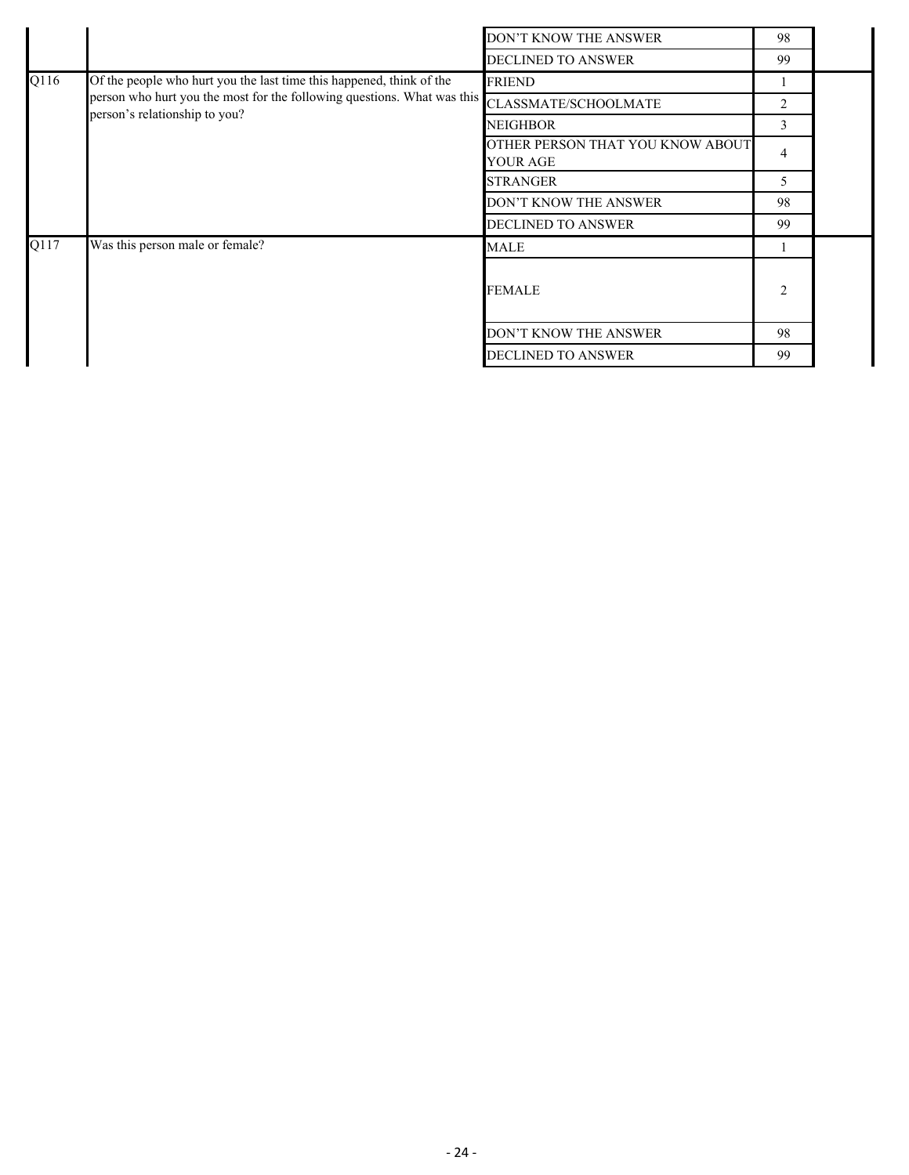|      |                                                                         | DON'T KNOW THE ANSWER     | 98             |  |
|------|-------------------------------------------------------------------------|---------------------------|----------------|--|
|      |                                                                         | <b>DECLINED TO ANSWER</b> | 99             |  |
| Q116 | Of the people who hurt you the last time this happened, think of the    | <b>FRIEND</b>             |                |  |
|      | person who hurt you the most for the following questions. What was this | CLASSMATE/SCHOOLMATE      | 2              |  |
|      | person's relationship to you?                                           | <b>NEIGHBOR</b>           | 3              |  |
|      | OTHER PERSON THAT YOU KNOW ABOUT<br><b>YOUR AGE</b>                     | $\overline{4}$            |                |  |
|      |                                                                         | <b>STRANGER</b>           | 5              |  |
|      |                                                                         | DON'T KNOW THE ANSWER     | 98             |  |
|      |                                                                         | <b>DECLINED TO ANSWER</b> | 99             |  |
| Q117 | Was this person male or female?                                         | MALE                      |                |  |
|      |                                                                         | <b>FEMALE</b>             | $\overline{c}$ |  |
|      |                                                                         | DON'T KNOW THE ANSWER     | 98             |  |
|      |                                                                         | <b>DECLINED TO ANSWER</b> | 99             |  |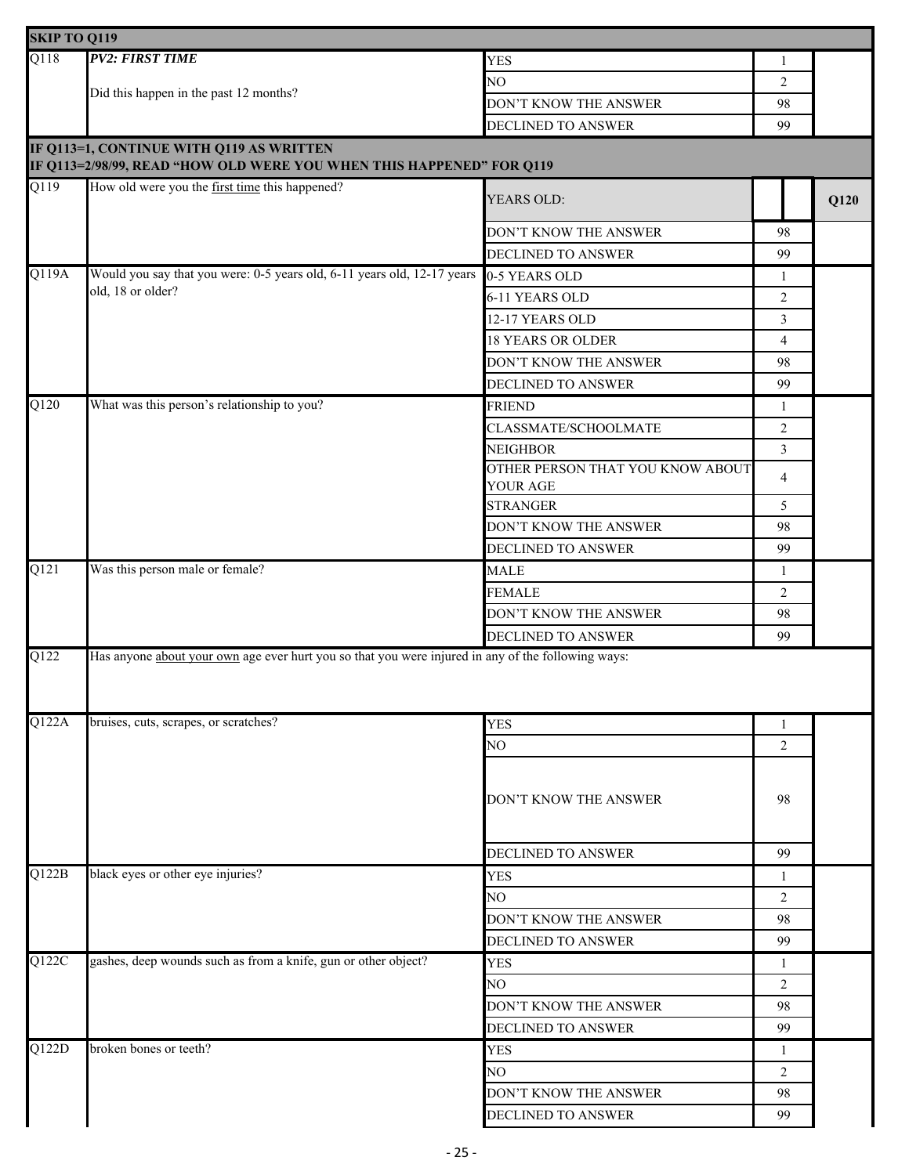| <b>SKIP TO Q119</b> |                                                                                                    |                                                     |                |      |
|---------------------|----------------------------------------------------------------------------------------------------|-----------------------------------------------------|----------------|------|
| Q118                | <b>PV2: FIRST TIME</b>                                                                             | <b>YES</b>                                          | 1              |      |
|                     |                                                                                                    | NO                                                  | 2              |      |
|                     | Did this happen in the past 12 months?                                                             | DON'T KNOW THE ANSWER                               | 98             |      |
|                     |                                                                                                    | DECLINED TO ANSWER                                  | 99             |      |
|                     | IF Q113=1, CONTINUE WITH Q119 AS WRITTEN                                                           |                                                     |                |      |
|                     | IF Q113=2/98/99, READ "HOW OLD WERE YOU WHEN THIS HAPPENED" FOR Q119                               |                                                     |                |      |
| $\overline{Q119}$   | How old were you the first time this happened?                                                     | YEARS OLD:                                          |                | Q120 |
|                     |                                                                                                    | DON'T KNOW THE ANSWER                               | 98             |      |
|                     |                                                                                                    | DECLINED TO ANSWER                                  | 99             |      |
| Q119A               | Would you say that you were: 0-5 years old, 6-11 years old, 12-17 years                            | 0-5 YEARS OLD                                       | 1              |      |
|                     | old, 18 or older?                                                                                  | 6-11 YEARS OLD                                      | $\overline{2}$ |      |
|                     |                                                                                                    | 12-17 YEARS OLD                                     | $\overline{3}$ |      |
|                     |                                                                                                    | <b>18 YEARS OR OLDER</b>                            | $\overline{4}$ |      |
|                     |                                                                                                    | DON'T KNOW THE ANSWER                               | 98             |      |
|                     |                                                                                                    | DECLINED TO ANSWER                                  | 99             |      |
| Q120                | What was this person's relationship to you?                                                        | <b>FRIEND</b>                                       | 1              |      |
|                     |                                                                                                    | CLASSMATE/SCHOOLMATE                                | $\sqrt{2}$     |      |
|                     |                                                                                                    | <b>NEIGHBOR</b>                                     | $\overline{3}$ |      |
|                     |                                                                                                    | OTHER PERSON THAT YOU KNOW ABOUT<br><b>YOUR AGE</b> | $\overline{4}$ |      |
|                     |                                                                                                    | <b>STRANGER</b>                                     | 5              |      |
|                     |                                                                                                    | DON'T KNOW THE ANSWER                               | 98             |      |
|                     |                                                                                                    | <b>DECLINED TO ANSWER</b>                           | 99             |      |
| Q121                | Was this person male or female?                                                                    | <b>MALE</b>                                         | 1              |      |
|                     |                                                                                                    | <b>FEMALE</b>                                       | 2              |      |
|                     |                                                                                                    | DON'T KNOW THE ANSWER                               | 98             |      |
|                     |                                                                                                    | DECLINED TO ANSWER                                  | 99             |      |
| Q122                | Has anyone about your own age ever hurt you so that you were injured in any of the following ways: |                                                     |                |      |
| Q122A               | bruises, cuts, scrapes, or scratches?                                                              | <b>YES</b>                                          | 1              |      |
|                     |                                                                                                    | NO                                                  | 2              |      |
|                     |                                                                                                    | DON'T KNOW THE ANSWER                               | 98             |      |
|                     |                                                                                                    | DECLINED TO ANSWER                                  | 99             |      |
| Q122B               | black eyes or other eye injuries?                                                                  | <b>YES</b>                                          | 1              |      |
|                     |                                                                                                    | NO                                                  | 2              |      |
|                     |                                                                                                    | DON'T KNOW THE ANSWER                               | 98             |      |
|                     |                                                                                                    | DECLINED TO ANSWER                                  | 99             |      |
| Q122C               | gashes, deep wounds such as from a knife, gun or other object?                                     | <b>YES</b>                                          | 1              |      |
|                     |                                                                                                    | NO                                                  | 2              |      |
|                     |                                                                                                    | DON'T KNOW THE ANSWER                               | 98             |      |
|                     |                                                                                                    | DECLINED TO ANSWER                                  | 99             |      |
| Q122D               | broken bones or teeth?                                                                             | <b>YES</b>                                          | 1              |      |
|                     |                                                                                                    | NO                                                  | 2              |      |
|                     |                                                                                                    | DON'T KNOW THE ANSWER                               | 98             |      |
|                     |                                                                                                    | DECLINED TO ANSWER                                  | 99             |      |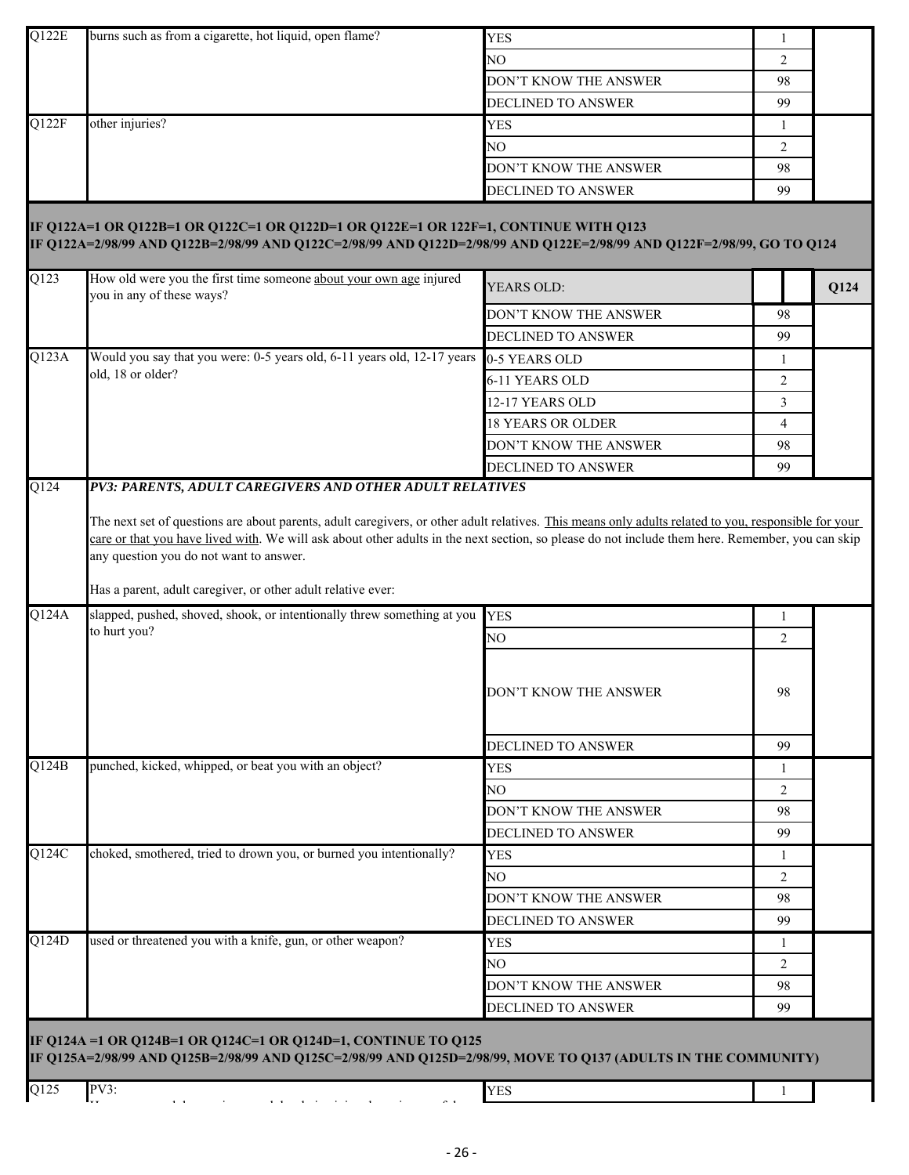|       |                                                                                                                                                                                                                |                           | 1              |      |
|-------|----------------------------------------------------------------------------------------------------------------------------------------------------------------------------------------------------------------|---------------------------|----------------|------|
|       |                                                                                                                                                                                                                | NO                        | 2              |      |
|       |                                                                                                                                                                                                                | DON'T KNOW THE ANSWER     | 98             |      |
|       |                                                                                                                                                                                                                | <b>DECLINED TO ANSWER</b> | 99             |      |
| Q122F | other injuries?                                                                                                                                                                                                | <b>YES</b>                | 1              |      |
|       |                                                                                                                                                                                                                | NO.                       | 2              |      |
|       |                                                                                                                                                                                                                | DON'T KNOW THE ANSWER     | 98             |      |
|       |                                                                                                                                                                                                                | DECLINED TO ANSWER        | 99             |      |
|       | IF Q122A=1 OR Q122B=1 OR Q122C=1 OR Q122D=1 OR Q122E=1 OR 122F=1, CONTINUE WITH Q123<br>IF Q122A=2/98/99 AND Q122B=2/98/99 AND Q122C=2/98/99 AND Q122D=2/98/99 AND Q122E=2/98/99 AND Q122F=2/98/99, GO TO Q124 |                           |                |      |
| Q123  | How old were you the first time someone about your own age injured<br>you in any of these ways?                                                                                                                | YEARS OLD:                |                | Q124 |
|       |                                                                                                                                                                                                                | DON'T KNOW THE ANSWER     | 98             |      |
|       |                                                                                                                                                                                                                | DECLINED TO ANSWER        | 99             |      |
| Q123A | Would you say that you were: 0-5 years old, 6-11 years old, 12-17 years                                                                                                                                        | 0-5 YEARS OLD             | 1              |      |
|       | old, 18 or older?                                                                                                                                                                                              | 6-11 YEARS OLD            | $\overline{2}$ |      |
|       |                                                                                                                                                                                                                | 12-17 YEARS OLD           | 3              |      |
|       |                                                                                                                                                                                                                | <b>18 YEARS OR OLDER</b>  | $\overline{4}$ |      |
|       |                                                                                                                                                                                                                | DON'T KNOW THE ANSWER     | 98             |      |
|       |                                                                                                                                                                                                                | DECLINED TO ANSWER        | 99             |      |
| Q124  | PV3: PARENTS, ADULT CAREGIVERS AND OTHER ADULT RELATIVES                                                                                                                                                       |                           |                |      |
| Q124A | Has a parent, adult caregiver, or other adult relative ever:<br>slapped, pushed, shoved, shook, or intentionally threw something at you                                                                        | <b>YES</b>                | 1              |      |
|       | to hurt you?                                                                                                                                                                                                   | NO                        | $\overline{2}$ |      |
|       |                                                                                                                                                                                                                | DON'T KNOW THE ANSWER     | 98             |      |
|       |                                                                                                                                                                                                                | <b>DECLINED TO ANSWER</b> | 99             |      |
| O124B | punched, kicked, whipped, or beat you with an object?                                                                                                                                                          | <b>YES</b>                | 1              |      |
|       |                                                                                                                                                                                                                | NO                        | 2              |      |
|       |                                                                                                                                                                                                                | DON'T KNOW THE ANSWER     | 98             |      |
|       |                                                                                                                                                                                                                | <b>DECLINED TO ANSWER</b> | 99             |      |
| Q124C | choked, smothered, tried to drown you, or burned you intentionally?                                                                                                                                            | <b>YES</b>                | 1              |      |
|       |                                                                                                                                                                                                                | NO.                       | 2              |      |
|       |                                                                                                                                                                                                                | DON'T KNOW THE ANSWER     | 98             |      |
|       |                                                                                                                                                                                                                | DECLINED TO ANSWER        | 99             |      |
| Q124D | used or threatened you with a knife, gun, or other weapon?                                                                                                                                                     | <b>YES</b>                | 1              |      |
|       |                                                                                                                                                                                                                | NO.                       | 2              |      |
|       |                                                                                                                                                                                                                | DON'T KNOW THE ANSWER     | 98             |      |
|       |                                                                                                                                                                                                                | DECLINED TO ANSWER        | 99             |      |
|       |                                                                                                                                                                                                                |                           |                |      |
|       | IF Q124A =1 OR Q124B=1 OR Q124C=1 OR Q124D=1, CONTINUE TO Q125<br>IF Q125A=2/98/99 AND Q125B=2/98/99 AND Q125C=2/98/99 AND Q125D=2/98/99, MOVE TO Q137 (ADULTS IN THE COMMUNITY)                               |                           |                |      |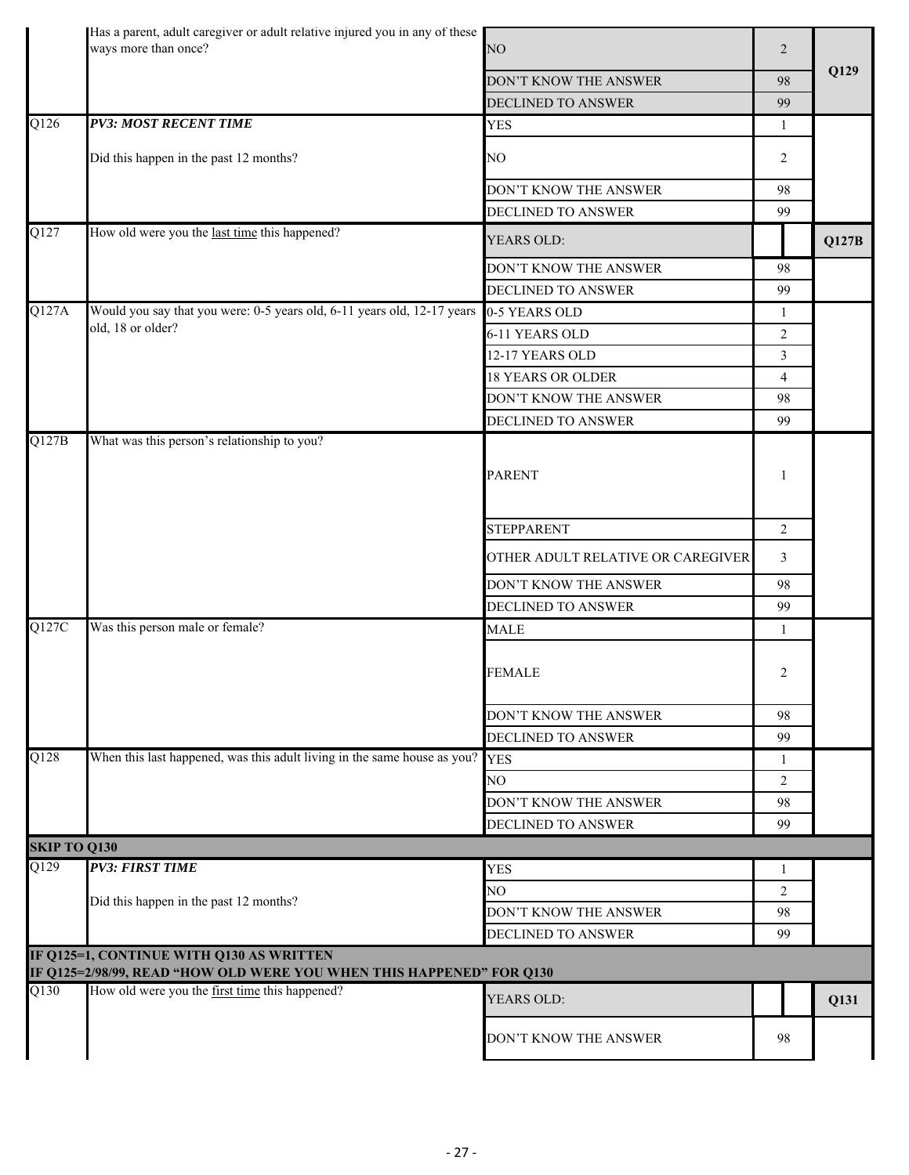|                     | Has a parent, adult caregiver or adult relative injured you in any of these<br>ways more than once?              | NO                                | $\overline{2}$ |       |
|---------------------|------------------------------------------------------------------------------------------------------------------|-----------------------------------|----------------|-------|
|                     |                                                                                                                  | DON'T KNOW THE ANSWER             | 98             | Q129  |
|                     |                                                                                                                  | DECLINED TO ANSWER                | 99             |       |
| $\overline{Q126}$   | <b>PV3: MOST RECENT TIME</b>                                                                                     | <b>YES</b>                        | 1              |       |
|                     | Did this happen in the past 12 months?                                                                           | NO                                | 2              |       |
|                     |                                                                                                                  | DON'T KNOW THE ANSWER             | 98             |       |
|                     |                                                                                                                  | <b>DECLINED TO ANSWER</b>         | 99             |       |
| Q127                | How old were you the last time this happened?                                                                    | YEARS OLD:                        |                | Q127B |
|                     |                                                                                                                  | DON'T KNOW THE ANSWER             | 98             |       |
|                     |                                                                                                                  | DECLINED TO ANSWER                | 99             |       |
| Q127A               | Would you say that you were: 0-5 years old, 6-11 years old, 12-17 years<br>old, 18 or older?                     | 0-5 YEARS OLD                     | 1              |       |
|                     |                                                                                                                  | 6-11 YEARS OLD                    | $\overline{2}$ |       |
|                     |                                                                                                                  | 12-17 YEARS OLD                   | $\overline{3}$ |       |
|                     |                                                                                                                  | <b>18 YEARS OR OLDER</b>          | $\overline{4}$ |       |
|                     |                                                                                                                  | DON'T KNOW THE ANSWER             | 98             |       |
|                     |                                                                                                                  | DECLINED TO ANSWER                | 99             |       |
| $\overline{Q127B}$  | What was this person's relationship to you?                                                                      | <b>PARENT</b>                     | 1              |       |
|                     |                                                                                                                  | <b>STEPPARENT</b>                 | 2              |       |
|                     |                                                                                                                  | OTHER ADULT RELATIVE OR CAREGIVER | 3              |       |
|                     |                                                                                                                  | DON'T KNOW THE ANSWER             | 98             |       |
|                     |                                                                                                                  | DECLINED TO ANSWER                | 99             |       |
| Q127C               | Was this person male or female?                                                                                  | <b>MALE</b>                       | 1              |       |
|                     |                                                                                                                  | <b>FEMALE</b>                     | 2              |       |
|                     |                                                                                                                  | DON'T KNOW THE ANSWER             | 98             |       |
|                     |                                                                                                                  | DECLINED TO ANSWER                | 99             |       |
| Q128                | When this last happened, was this adult living in the same house as you?                                         | <b>YES</b>                        | 1              |       |
|                     |                                                                                                                  | NO                                | 2              |       |
|                     |                                                                                                                  | DON'T KNOW THE ANSWER             | 98             |       |
|                     |                                                                                                                  | DECLINED TO ANSWER                | 99             |       |
| <b>SKIP TO Q130</b> |                                                                                                                  |                                   |                |       |
| $\overline{Q129}$   | <b>PV3: FIRST TIME</b>                                                                                           | <b>YES</b>                        | 1              |       |
|                     |                                                                                                                  | NO.                               | 2              |       |
|                     | Did this happen in the past 12 months?                                                                           | DON'T KNOW THE ANSWER             | 98             |       |
|                     |                                                                                                                  | DECLINED TO ANSWER                | 99             |       |
|                     | IF Q125=1, CONTINUE WITH Q130 AS WRITTEN<br>IF Q125=2/98/99, READ "HOW OLD WERE YOU WHEN THIS HAPPENED" FOR Q130 |                                   |                |       |
| Q130                | How old were you the first time this happened?                                                                   | YEARS OLD:                        |                | Q131  |
|                     |                                                                                                                  | DON'T KNOW THE ANSWER             | 98             |       |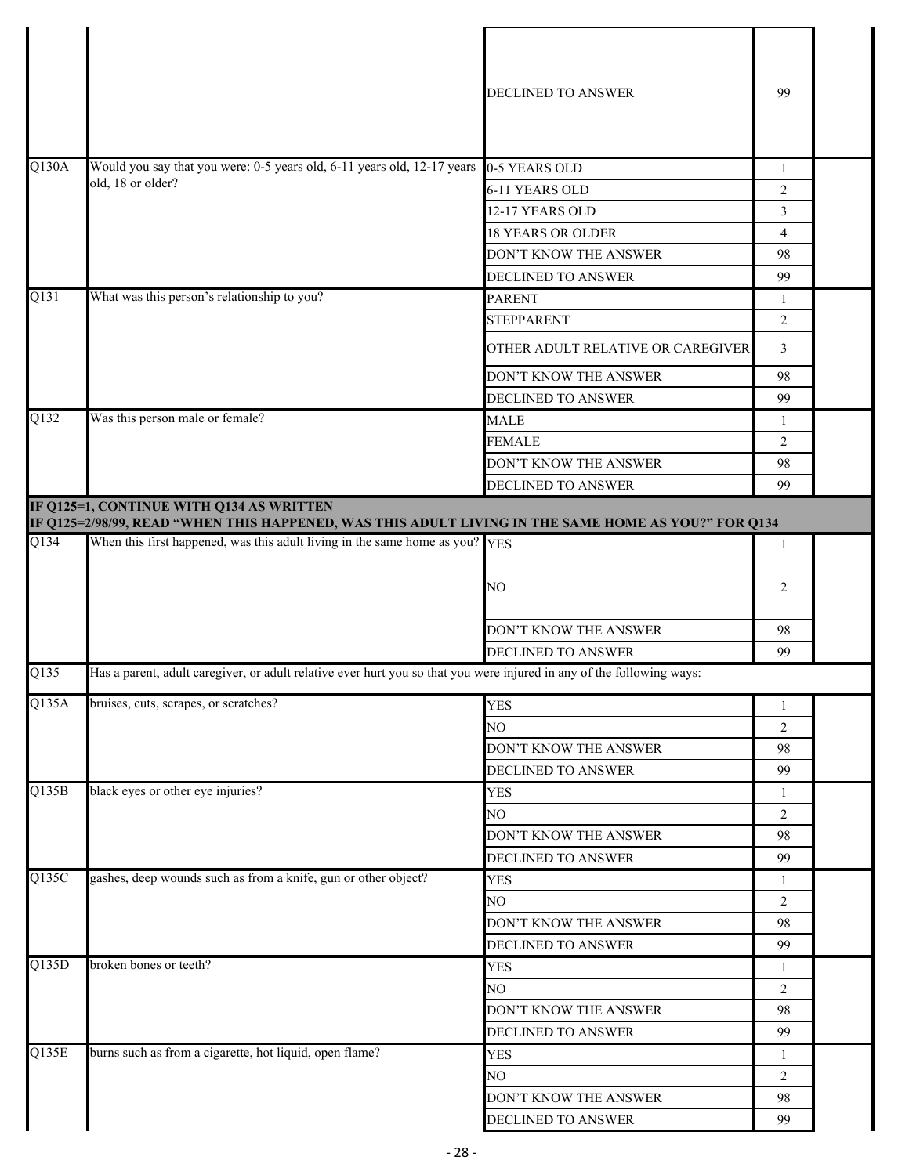|                    |                                                                                                                                                 | <b>DECLINED TO ANSWER</b>         | 99             |  |
|--------------------|-------------------------------------------------------------------------------------------------------------------------------------------------|-----------------------------------|----------------|--|
| Q130A              | Would you say that you were: 0-5 years old, 6-11 years old, 12-17 years                                                                         | 0-5 YEARS OLD                     | 1              |  |
|                    | old, 18 or older?                                                                                                                               | 6-11 YEARS OLD                    | 2              |  |
|                    |                                                                                                                                                 | 12-17 YEARS OLD                   | 3              |  |
|                    |                                                                                                                                                 | <b>18 YEARS OR OLDER</b>          | $\overline{4}$ |  |
|                    |                                                                                                                                                 | DON'T KNOW THE ANSWER             | 98             |  |
|                    |                                                                                                                                                 | <b>DECLINED TO ANSWER</b>         | 99             |  |
| Q131               | What was this person's relationship to you?                                                                                                     | <b>PARENT</b>                     | 1              |  |
|                    |                                                                                                                                                 | <b>STEPPARENT</b>                 | 2              |  |
|                    |                                                                                                                                                 | OTHER ADULT RELATIVE OR CAREGIVER | 3              |  |
|                    |                                                                                                                                                 | DON'T KNOW THE ANSWER             | 98             |  |
|                    |                                                                                                                                                 | <b>DECLINED TO ANSWER</b>         | 99             |  |
| Q132               | Was this person male or female?                                                                                                                 | <b>MALE</b>                       | 1              |  |
|                    |                                                                                                                                                 | <b>FEMALE</b>                     | 2              |  |
|                    |                                                                                                                                                 | DON'T KNOW THE ANSWER             | 98             |  |
|                    |                                                                                                                                                 | DECLINED TO ANSWER                | 99             |  |
|                    | IF Q125=1, CONTINUE WITH Q134 AS WRITTEN<br>IF Q125=2/98/99, READ "WHEN THIS HAPPENED, WAS THIS ADULT LIVING IN THE SAME HOME AS YOU?" FOR Q134 |                                   |                |  |
| Q134               | When this first happened, was this adult living in the same home as you?                                                                        | <b>YES</b>                        | $\mathbf{1}$   |  |
|                    |                                                                                                                                                 | NO                                | 2              |  |
|                    |                                                                                                                                                 | DON'T KNOW THE ANSWER             | 98             |  |
|                    |                                                                                                                                                 | DECLINED TO ANSWER                | 99             |  |
| Q135               | Has a parent, adult caregiver, or adult relative ever hurt you so that you were injured in any of the following ways:                           |                                   |                |  |
| Q135A              | bruises, cuts, scrapes, or scratches?                                                                                                           | <b>YES</b>                        | 1              |  |
|                    |                                                                                                                                                 | NO                                | 2              |  |
|                    |                                                                                                                                                 | DON'T KNOW THE ANSWER             | 98             |  |
|                    |                                                                                                                                                 | <b>DECLINED TO ANSWER</b>         | 99             |  |
| Q135B              | black eyes or other eye injuries?                                                                                                               | <b>YES</b>                        | 1              |  |
|                    |                                                                                                                                                 | NO                                | 2              |  |
|                    |                                                                                                                                                 | DON'T KNOW THE ANSWER             | 98             |  |
|                    |                                                                                                                                                 | DECLINED TO ANSWER                | 99             |  |
| Q135C              | gashes, deep wounds such as from a knife, gun or other object?                                                                                  | <b>YES</b>                        | 1              |  |
|                    |                                                                                                                                                 | NO                                | 2              |  |
|                    |                                                                                                                                                 | DON'T KNOW THE ANSWER             | 98             |  |
|                    |                                                                                                                                                 | DECLINED TO ANSWER                | 99             |  |
| $\overline{Q135D}$ | broken bones or teeth?                                                                                                                          | <b>YES</b>                        | 1              |  |
|                    |                                                                                                                                                 | NO                                | $\overline{2}$ |  |
|                    |                                                                                                                                                 | DON'T KNOW THE ANSWER             | 98             |  |
|                    |                                                                                                                                                 | DECLINED TO ANSWER                | 99             |  |
| Q135E              | burns such as from a cigarette, hot liquid, open flame?                                                                                         | <b>YES</b>                        | 1              |  |
|                    |                                                                                                                                                 | NO                                | 2              |  |
|                    |                                                                                                                                                 | DON'T KNOW THE ANSWER             | 98             |  |
|                    |                                                                                                                                                 | DECLINED TO ANSWER                | 99             |  |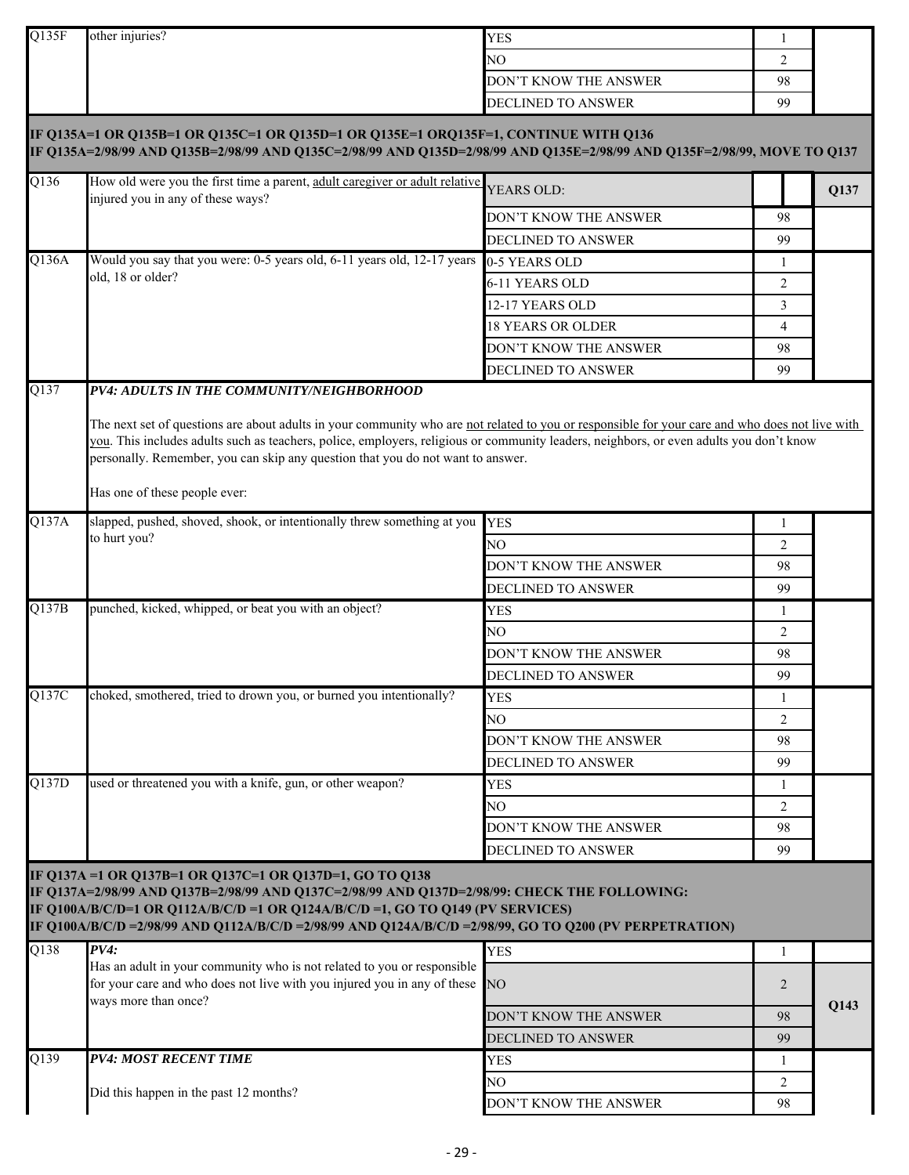| Q135F             | other injuries?                                                                                                                                                                                                                                                                                                                                                                                                                                             | <b>YES</b>                | 1              |      |
|-------------------|-------------------------------------------------------------------------------------------------------------------------------------------------------------------------------------------------------------------------------------------------------------------------------------------------------------------------------------------------------------------------------------------------------------------------------------------------------------|---------------------------|----------------|------|
|                   |                                                                                                                                                                                                                                                                                                                                                                                                                                                             | NO.                       | $\overline{2}$ |      |
|                   |                                                                                                                                                                                                                                                                                                                                                                                                                                                             | DON'T KNOW THE ANSWER     | 98             |      |
|                   |                                                                                                                                                                                                                                                                                                                                                                                                                                                             | DECLINED TO ANSWER        | 99             |      |
|                   | IF Q135A=1 OR Q135B=1 OR Q135C=1 OR Q135D=1 OR Q135E=1 ORQ135F=1, CONTINUE WITH Q136<br>IF Q135A=2/98/99 AND Q135B=2/98/99 AND Q135C=2/98/99 AND Q135D=2/98/99 AND Q135E=2/98/99 AND Q135F=2/98/99, MOVE TO Q137                                                                                                                                                                                                                                            |                           |                |      |
| Q136              | How old were you the first time a parent, adult caregiver or adult relative<br>injured you in any of these ways?                                                                                                                                                                                                                                                                                                                                            | YEARS OLD:                |                | Q137 |
|                   |                                                                                                                                                                                                                                                                                                                                                                                                                                                             | DON'T KNOW THE ANSWER     | 98             |      |
|                   |                                                                                                                                                                                                                                                                                                                                                                                                                                                             | <b>DECLINED TO ANSWER</b> | 99             |      |
| Q136A             | Would you say that you were: 0-5 years old, 6-11 years old, 12-17 years                                                                                                                                                                                                                                                                                                                                                                                     | 0-5 YEARS OLD             | 1              |      |
|                   | old, 18 or older?                                                                                                                                                                                                                                                                                                                                                                                                                                           | 6-11 YEARS OLD            | $\overline{2}$ |      |
|                   |                                                                                                                                                                                                                                                                                                                                                                                                                                                             | 12-17 YEARS OLD           | 3              |      |
|                   |                                                                                                                                                                                                                                                                                                                                                                                                                                                             | <b>18 YEARS OR OLDER</b>  | 4              |      |
|                   |                                                                                                                                                                                                                                                                                                                                                                                                                                                             | DON'T KNOW THE ANSWER     | 98             |      |
|                   |                                                                                                                                                                                                                                                                                                                                                                                                                                                             | DECLINED TO ANSWER        | 99             |      |
| $\overline{Q137}$ | PV4: ADULTS IN THE COMMUNITY/NEIGHBORHOOD<br>The next set of questions are about adults in your community who are not related to you or responsible for your care and who does not live with<br>you. This includes adults such as teachers, police, employers, religious or community leaders, neighbors, or even adults you don't know<br>personally. Remember, you can skip any question that you do not want to answer.<br>Has one of these people ever: |                           |                |      |
| Q137A             | slapped, pushed, shoved, shook, or intentionally threw something at you                                                                                                                                                                                                                                                                                                                                                                                     | <b>YES</b>                | 1              |      |
|                   | to hurt you?                                                                                                                                                                                                                                                                                                                                                                                                                                                | NO                        | $\overline{2}$ |      |
|                   |                                                                                                                                                                                                                                                                                                                                                                                                                                                             | DON'T KNOW THE ANSWER     | 98             |      |
|                   |                                                                                                                                                                                                                                                                                                                                                                                                                                                             | DECLINED TO ANSWER        | 99             |      |
| Q137B             | punched, kicked, whipped, or beat you with an object?                                                                                                                                                                                                                                                                                                                                                                                                       | <b>YES</b>                | 1              |      |
|                   |                                                                                                                                                                                                                                                                                                                                                                                                                                                             | NO.                       | $\overline{2}$ |      |
|                   |                                                                                                                                                                                                                                                                                                                                                                                                                                                             | DON'T KNOW THE ANSWER     | 98             |      |
|                   |                                                                                                                                                                                                                                                                                                                                                                                                                                                             | <b>DECLINED TO ANSWER</b> | 99             |      |
| Q137C             | choked, smothered, tried to drown you, or burned you intentionally?                                                                                                                                                                                                                                                                                                                                                                                         | YES                       | 1              |      |
|                   |                                                                                                                                                                                                                                                                                                                                                                                                                                                             | NO                        | $\overline{2}$ |      |
|                   |                                                                                                                                                                                                                                                                                                                                                                                                                                                             | DON'T KNOW THE ANSWER     | 98             |      |
|                   |                                                                                                                                                                                                                                                                                                                                                                                                                                                             | DECLINED TO ANSWER        | 99             |      |
| Q137D             | used or threatened you with a knife, gun, or other weapon?                                                                                                                                                                                                                                                                                                                                                                                                  | <b>YES</b>                | 1              |      |
|                   |                                                                                                                                                                                                                                                                                                                                                                                                                                                             | NO                        | $\overline{2}$ |      |
|                   |                                                                                                                                                                                                                                                                                                                                                                                                                                                             | DON'T KNOW THE ANSWER     | 98             |      |
|                   |                                                                                                                                                                                                                                                                                                                                                                                                                                                             | <b>DECLINED TO ANSWER</b> | 99             |      |
| $\overline{Q138}$ | IF Q137A = 1 OR Q137B=1 OR Q137C=1 OR Q137D=1, GO TO Q138<br>IF Q137A=2/98/99 AND Q137B=2/98/99 AND Q137C=2/98/99 AND Q137D=2/98/99: CHECK THE FOLLOWING:<br>IF Q100A/B/C/D=1 OR Q112A/B/C/D =1 OR Q124A/B/C/D =1, GO TO Q149 (PV SERVICES)<br>IF Q100A/B/C/D =2/98/99 AND Q112A/B/C/D =2/98/99 AND Q124A/B/C/D =2/98/99, GO TO Q200 (PV PERPETRATION)<br>PV4:<br>Has an adult in your community who is not related to you or responsible                   | <b>YES</b>                | $\mathbf{1}$   |      |
|                   | for your care and who does not live with you injured you in any of these<br>ways more than once?                                                                                                                                                                                                                                                                                                                                                            | NO.                       | 2              | Q143 |
|                   |                                                                                                                                                                                                                                                                                                                                                                                                                                                             | DON'T KNOW THE ANSWER     | 98             |      |
|                   |                                                                                                                                                                                                                                                                                                                                                                                                                                                             | <b>DECLINED TO ANSWER</b> | 99             |      |
| $Q1\overline{39}$ | <b>PV4: MOST RECENT TIME</b>                                                                                                                                                                                                                                                                                                                                                                                                                                | <b>YES</b>                | 1              |      |
|                   | Did this happen in the past 12 months?                                                                                                                                                                                                                                                                                                                                                                                                                      | NO.                       | 2              |      |
|                   |                                                                                                                                                                                                                                                                                                                                                                                                                                                             | DON'T KNOW THE ANSWER     | 98             |      |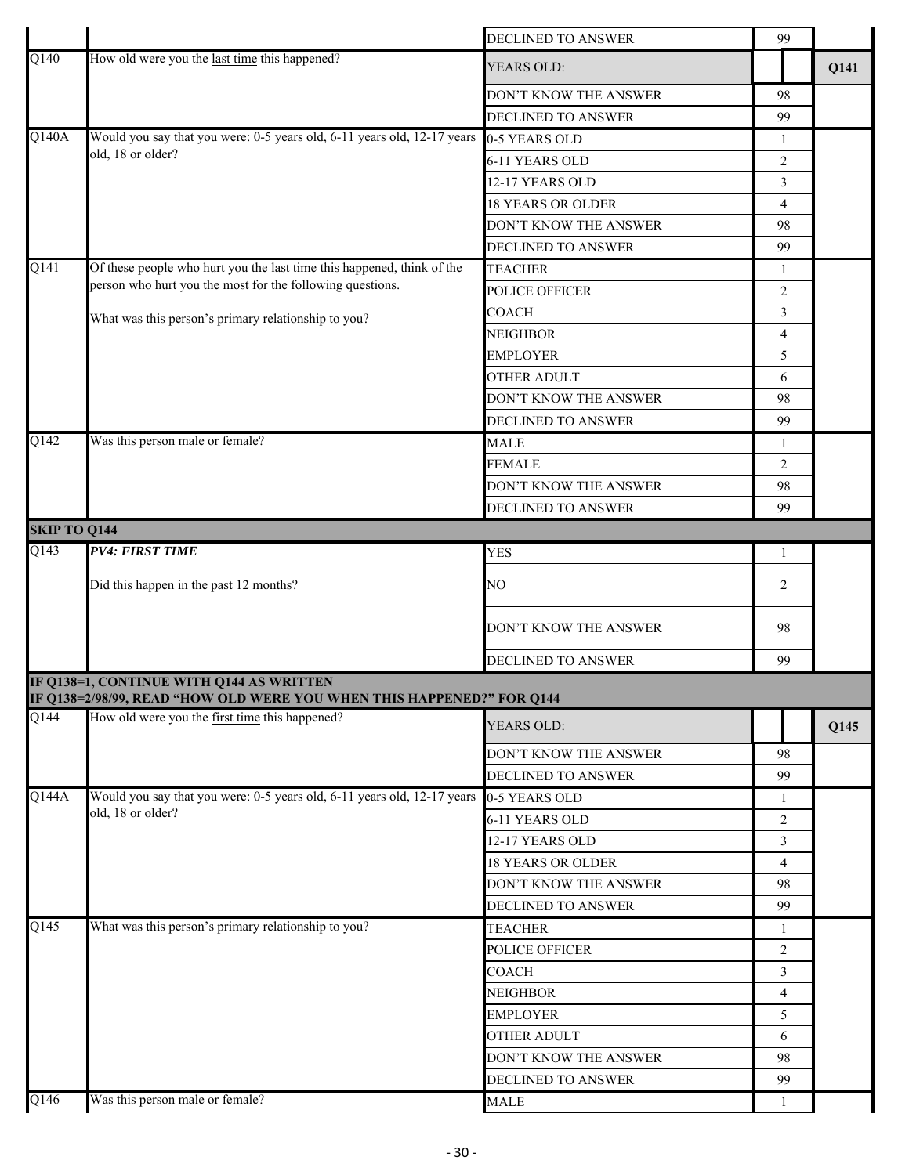|                             |                                                                                                                   | DECLINED TO ANSWER       | 99             |      |
|-----------------------------|-------------------------------------------------------------------------------------------------------------------|--------------------------|----------------|------|
| Q140                        | How old were you the last time this happened?                                                                     | YEARS OLD:               |                | Q141 |
|                             |                                                                                                                   | DON'T KNOW THE ANSWER    | 98             |      |
|                             |                                                                                                                   | DECLINED TO ANSWER       | 99             |      |
| Q140A                       | Would you say that you were: 0-5 years old, 6-11 years old, 12-17 years                                           | 0-5 YEARS OLD            | 1              |      |
|                             | old, 18 or older?                                                                                                 | 6-11 YEARS OLD           | $\overline{2}$ |      |
|                             |                                                                                                                   | 12-17 YEARS OLD          | 3              |      |
|                             |                                                                                                                   | <b>18 YEARS OR OLDER</b> | $\overline{4}$ |      |
|                             |                                                                                                                   | DON'T KNOW THE ANSWER    | 98             |      |
|                             |                                                                                                                   | DECLINED TO ANSWER       | 99             |      |
| Q141                        | Of these people who hurt you the last time this happened, think of the                                            | <b>TEACHER</b>           | -1             |      |
|                             | person who hurt you the most for the following questions.                                                         | POLICE OFFICER           | 2              |      |
|                             | What was this person's primary relationship to you?                                                               | COACH                    | 3              |      |
|                             |                                                                                                                   | NEIGHBOR                 | $\overline{4}$ |      |
|                             |                                                                                                                   | <b>EMPLOYER</b>          | 5              |      |
|                             |                                                                                                                   | OTHER ADULT              | 6              |      |
|                             |                                                                                                                   | DON'T KNOW THE ANSWER    | 98             |      |
|                             |                                                                                                                   | DECLINED TO ANSWER       | 99             |      |
| Q142                        | Was this person male or female?                                                                                   | <b>MALE</b>              | $\mathbf{1}$   |      |
|                             |                                                                                                                   | <b>FEMALE</b>            | $\overline{2}$ |      |
|                             |                                                                                                                   | DON'T KNOW THE ANSWER    | 98             |      |
|                             |                                                                                                                   |                          | 99             |      |
|                             |                                                                                                                   | DECLINED TO ANSWER       |                |      |
| <b>SKIP TO Q144</b><br>Q143 | <b>PV4: FIRST TIME</b>                                                                                            |                          |                |      |
|                             |                                                                                                                   | <b>YES</b>               | 1              |      |
|                             | Did this happen in the past 12 months?                                                                            | NO                       | 2              |      |
|                             |                                                                                                                   | DON'T KNOW THE ANSWER    | 98             |      |
|                             |                                                                                                                   | DECLINED TO ANSWER       | 99             |      |
|                             | IF Q138=1, CONTINUE WITH Q144 AS WRITTEN<br>IF Q138=2/98/99, READ "HOW OLD WERE YOU WHEN THIS HAPPENED?" FOR Q144 |                          |                |      |
| Q144                        | How old were you the first time this happened?                                                                    | YEARS OLD:               |                | Q145 |
|                             |                                                                                                                   | DON'T KNOW THE ANSWER    | 98             |      |
|                             |                                                                                                                   | DECLINED TO ANSWER       | 99             |      |
| Q144A                       | Would you say that you were: 0-5 years old, 6-11 years old, 12-17 years                                           | 0-5 YEARS OLD            | $\mathbf{1}$   |      |
|                             | old, 18 or older?                                                                                                 | 6-11 YEARS OLD           | $\overline{2}$ |      |
|                             |                                                                                                                   | 12-17 YEARS OLD          | 3              |      |
|                             |                                                                                                                   | <b>18 YEARS OR OLDER</b> | $\overline{4}$ |      |
|                             |                                                                                                                   | DON'T KNOW THE ANSWER    | 98             |      |
|                             |                                                                                                                   | DECLINED TO ANSWER       | 99             |      |
| $\overline{Q145}$           | What was this person's primary relationship to you?                                                               | <b>TEACHER</b>           | 1              |      |
|                             |                                                                                                                   | POLICE OFFICER           | $\overline{2}$ |      |
|                             |                                                                                                                   | COACH                    | 3              |      |
|                             |                                                                                                                   | NEIGHBOR                 | $\overline{4}$ |      |
|                             |                                                                                                                   | <b>EMPLOYER</b>          | 5              |      |
|                             |                                                                                                                   | OTHER ADULT              | 6              |      |
|                             |                                                                                                                   | DON'T KNOW THE ANSWER    | 98             |      |
|                             |                                                                                                                   |                          |                |      |
|                             |                                                                                                                   | DECLINED TO ANSWER       | 99             |      |
| Q146                        | Was this person male or female?                                                                                   | <b>MALE</b>              |                |      |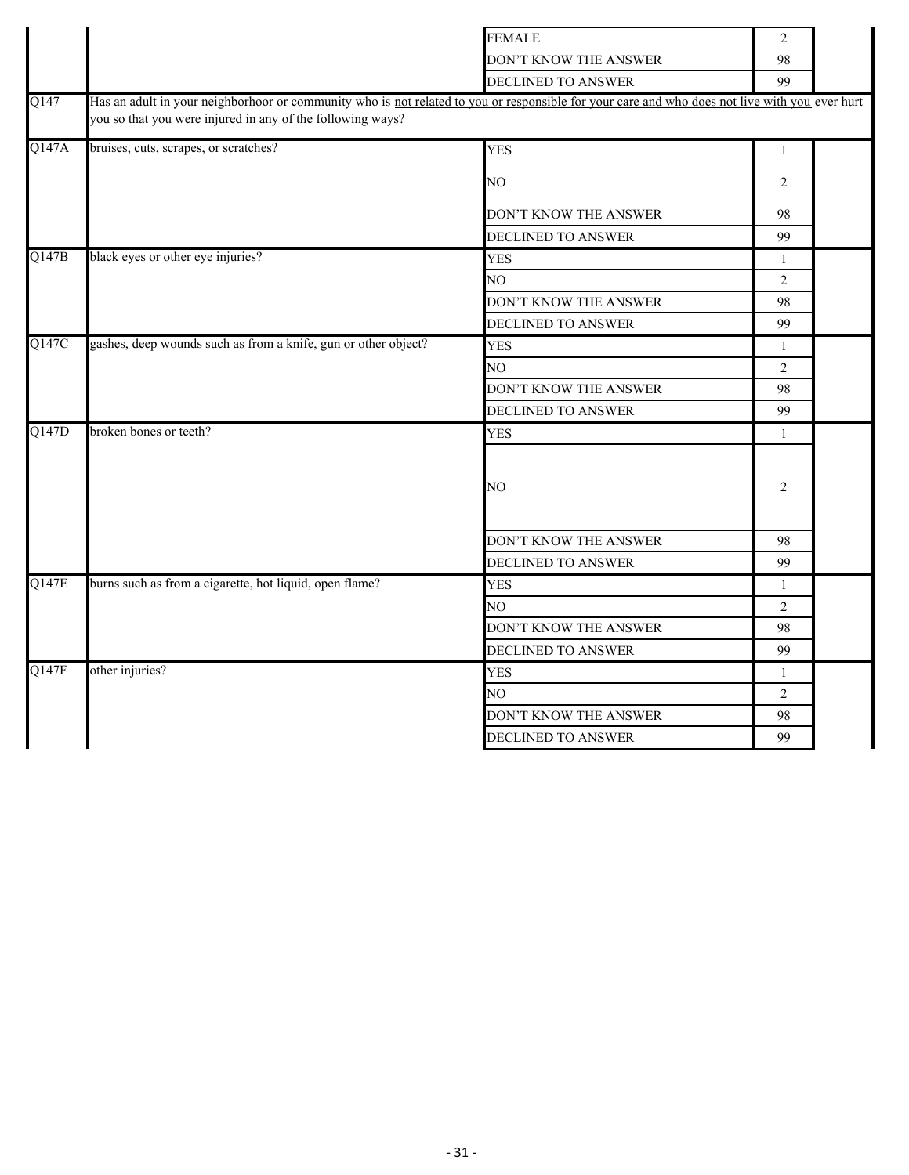|         |                                                                                                                                                | <b>FEMALE</b>             | $\overline{2}$ |  |
|---------|------------------------------------------------------------------------------------------------------------------------------------------------|---------------------------|----------------|--|
|         |                                                                                                                                                | DON'T KNOW THE ANSWER     | 98             |  |
|         |                                                                                                                                                | DECLINED TO ANSWER        | 99             |  |
| $Q$ 147 | Has an adult in your neighborhoor or community who is not related to you or responsible for your care and who does not live with you ever hurt |                           |                |  |
|         | you so that you were injured in any of the following ways?                                                                                     |                           |                |  |
| Q147A   | bruises, cuts, scrapes, or scratches?                                                                                                          | <b>YES</b>                | $\mathbf{1}$   |  |
|         |                                                                                                                                                | NO                        | 2              |  |
|         |                                                                                                                                                | DON'T KNOW THE ANSWER     | 98             |  |
|         |                                                                                                                                                | DECLINED TO ANSWER        | 99             |  |
| Q147B   | black eyes or other eye injuries?                                                                                                              | <b>YES</b>                | $\mathbf{1}$   |  |
|         |                                                                                                                                                | NO                        | $\overline{2}$ |  |
|         |                                                                                                                                                | DON'T KNOW THE ANSWER     | 98             |  |
|         |                                                                                                                                                | DECLINED TO ANSWER        | 99             |  |
| Q147C   | gashes, deep wounds such as from a knife, gun or other object?                                                                                 | <b>YES</b>                | $\mathbf{1}$   |  |
|         |                                                                                                                                                | NO                        | $\overline{2}$ |  |
|         |                                                                                                                                                | DON'T KNOW THE ANSWER     | 98             |  |
|         |                                                                                                                                                | DECLINED TO ANSWER        | 99             |  |
| Q147D   | broken bones or teeth?                                                                                                                         | <b>YES</b>                | $\mathbf{1}$   |  |
|         |                                                                                                                                                | NO                        | 2              |  |
|         |                                                                                                                                                | DON'T KNOW THE ANSWER     | 98             |  |
|         |                                                                                                                                                | <b>DECLINED TO ANSWER</b> | 99             |  |
| Q147E   | burns such as from a cigarette, hot liquid, open flame?                                                                                        | <b>YES</b>                | $\mathbf{1}$   |  |
|         |                                                                                                                                                | NO.                       | $\overline{2}$ |  |
|         |                                                                                                                                                | DON'T KNOW THE ANSWER     | 98             |  |
|         |                                                                                                                                                | DECLINED TO ANSWER        | 99             |  |
| Q147F   | other injuries?                                                                                                                                | <b>YES</b>                | $\mathbf{1}$   |  |
|         |                                                                                                                                                | NO.                       | $\overline{2}$ |  |
|         |                                                                                                                                                | DON'T KNOW THE ANSWER     | 98             |  |
|         |                                                                                                                                                | DECLINED TO ANSWER        | 99             |  |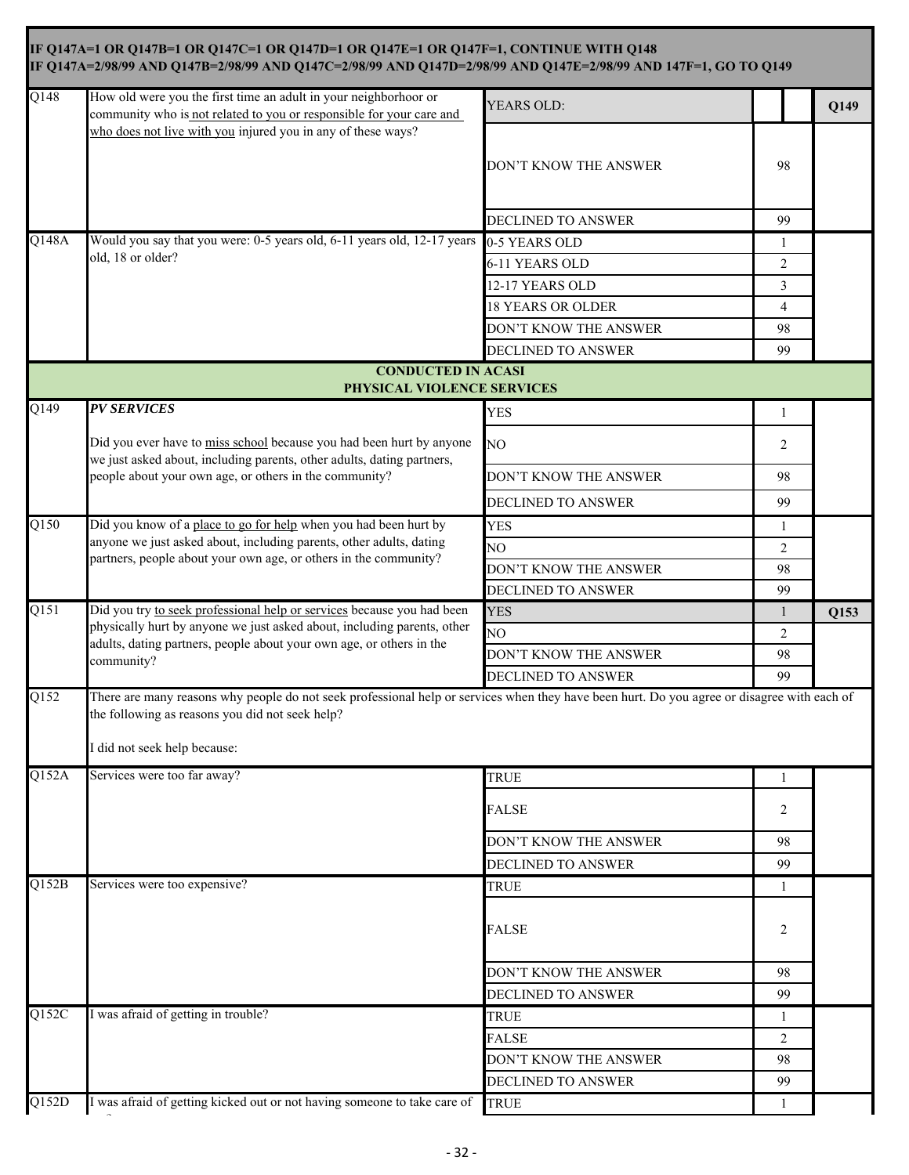|                    | IF Q147A=1 OR Q147B=1 OR Q147C=1 OR Q147D=1 OR Q147E=1 OR Q147F=1, CONTINUE WITH Q148<br>IF Q147A=2/98/99 AND Q147B=2/98/99 AND Q147C=2/98/99 AND Q147D=2/98/99 AND Q147E=2/98/99 AND 147F=1, GO TO Q149                       |                          |                |      |
|--------------------|--------------------------------------------------------------------------------------------------------------------------------------------------------------------------------------------------------------------------------|--------------------------|----------------|------|
| Q148               | How old were you the first time an adult in your neighborhoor or<br>community who is not related to you or responsible for your care and<br>who does not live with you injured you in any of these ways?                       | YEARS OLD:               |                | Q149 |
|                    |                                                                                                                                                                                                                                | DON'T KNOW THE ANSWER    | 98             |      |
|                    |                                                                                                                                                                                                                                | DECLINED TO ANSWER       | 99             |      |
| Q148A              | Would you say that you were: 0-5 years old, 6-11 years old, 12-17 years                                                                                                                                                        | 0-5 YEARS OLD            | 1              |      |
|                    | old, 18 or older?                                                                                                                                                                                                              | 6-11 YEARS OLD           | 2              |      |
|                    |                                                                                                                                                                                                                                | 12-17 YEARS OLD          | 3              |      |
|                    |                                                                                                                                                                                                                                | <b>18 YEARS OR OLDER</b> | $\overline{4}$ |      |
|                    |                                                                                                                                                                                                                                | DON'T KNOW THE ANSWER    | 98             |      |
|                    |                                                                                                                                                                                                                                | DECLINED TO ANSWER       | 99             |      |
|                    | <b>CONDUCTED IN ACASI</b><br>PHYSICAL VIOLENCE SERVICES                                                                                                                                                                        |                          |                |      |
| $\overline{Q149}$  | <b>PV SERVICES</b>                                                                                                                                                                                                             | <b>YES</b>               | $\mathbf{1}$   |      |
|                    | Did you ever have to miss school because you had been hurt by anyone<br>we just asked about, including parents, other adults, dating partners,                                                                                 | N <sub>O</sub>           | 2              |      |
|                    | people about your own age, or others in the community?                                                                                                                                                                         | DON'T KNOW THE ANSWER    | 98             |      |
|                    |                                                                                                                                                                                                                                | DECLINED TO ANSWER       | 99             |      |
| Q150               | Did you know of a place to go for help when you had been hurt by<br>anyone we just asked about, including parents, other adults, dating<br>partners, people about your own age, or others in the community?                    | <b>YES</b>               | $\mathbf{1}$   |      |
|                    |                                                                                                                                                                                                                                | N <sub>O</sub>           | 2              |      |
|                    |                                                                                                                                                                                                                                | DON'T KNOW THE ANSWER    | 98             |      |
|                    |                                                                                                                                                                                                                                | DECLINED TO ANSWER       | 99             |      |
| $\overline{Q151}$  | Did you try to seek professional help or services because you had been                                                                                                                                                         | <b>YES</b>               | -1             | Q153 |
|                    | physically hurt by anyone we just asked about, including parents, other                                                                                                                                                        | NO                       | 2              |      |
|                    | adults, dating partners, people about your own age, or others in the<br>community?                                                                                                                                             | DON'T KNOW THE ANSWER    | 98             |      |
|                    |                                                                                                                                                                                                                                | DECLINED TO ANSWER       | 99             |      |
| Q152               | There are many reasons why people do not seek professional help or services when they have been hurt. Do you agree or disagree with each of<br>the following as reasons you did not seek help?<br>I did not seek help because: |                          |                |      |
| $\overline{Q152A}$ | Services were too far away?                                                                                                                                                                                                    | <b>TRUE</b>              | $\mathbf{1}$   |      |
|                    |                                                                                                                                                                                                                                | <b>FALSE</b>             | 2              |      |
|                    |                                                                                                                                                                                                                                |                          |                |      |
|                    |                                                                                                                                                                                                                                | DON'T KNOW THE ANSWER    | 98             |      |
|                    |                                                                                                                                                                                                                                | DECLINED TO ANSWER       | 99             |      |
| Q152B              | Services were too expensive?                                                                                                                                                                                                   | <b>TRUE</b>              | 1              |      |
|                    |                                                                                                                                                                                                                                | <b>FALSE</b>             | 2              |      |
|                    |                                                                                                                                                                                                                                | DON'T KNOW THE ANSWER    | 98             |      |
|                    |                                                                                                                                                                                                                                | DECLINED TO ANSWER       | 99             |      |
|                    | I was afraid of getting in trouble?                                                                                                                                                                                            | TRUE                     | 1              |      |
|                    |                                                                                                                                                                                                                                | <b>FALSE</b>             | 2              |      |
|                    |                                                                                                                                                                                                                                | DON'T KNOW THE ANSWER    | 98             |      |
| Q152C              |                                                                                                                                                                                                                                | DECLINED TO ANSWER       | 99             |      |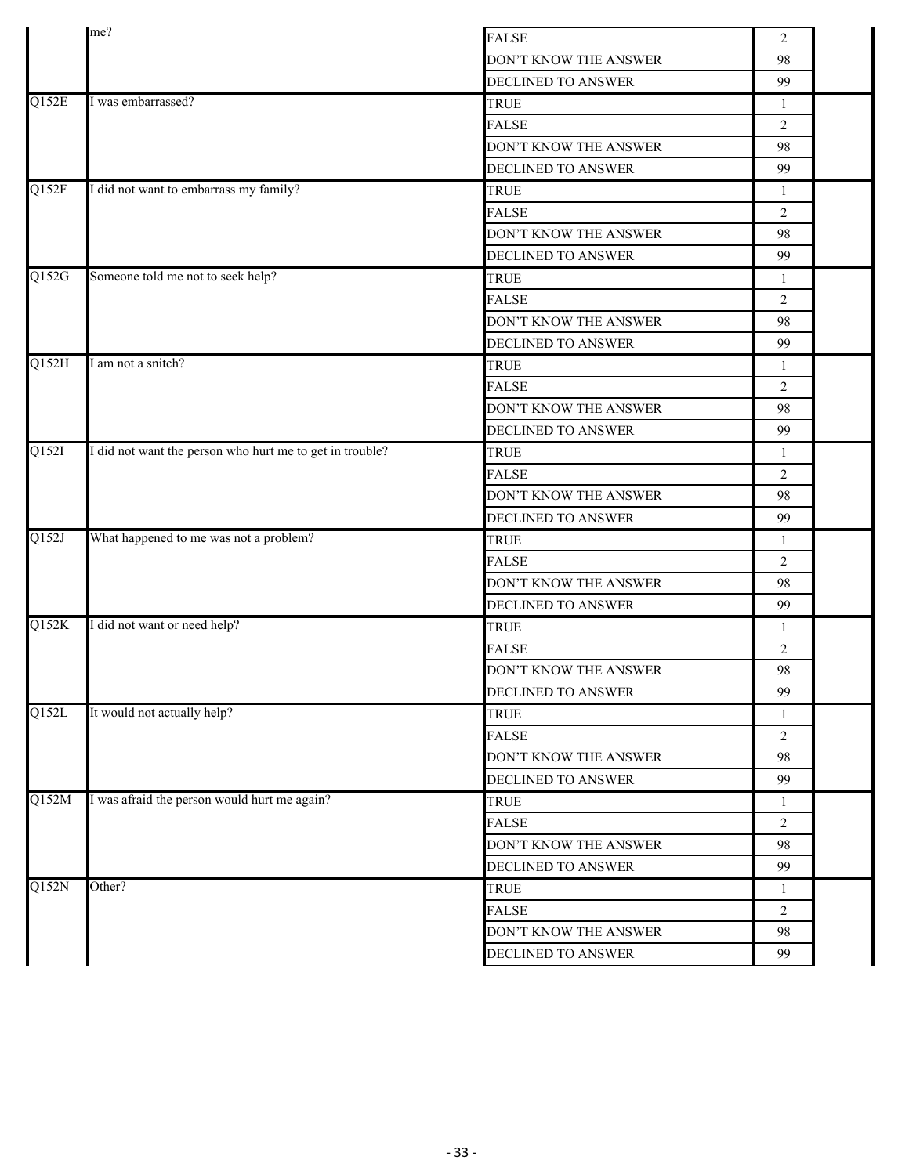|       | me?                                                      |                           |                |  |
|-------|----------------------------------------------------------|---------------------------|----------------|--|
|       |                                                          | <b>FALSE</b>              | 2              |  |
|       |                                                          | DON'T KNOW THE ANSWER     | 98             |  |
|       |                                                          | DECLINED TO ANSWER        | 99             |  |
| Q152E | I was embarrassed?                                       | <b>TRUE</b>               | 1              |  |
|       |                                                          | <b>FALSE</b>              | $\overline{2}$ |  |
|       |                                                          | DON'T KNOW THE ANSWER     | 98             |  |
|       |                                                          | DECLINED TO ANSWER        | 99             |  |
| Q152F | I did not want to embarrass my family?                   | <b>TRUE</b>               | $\mathbf{1}$   |  |
|       |                                                          | <b>FALSE</b>              | 2              |  |
|       |                                                          | DON'T KNOW THE ANSWER     | 98             |  |
|       |                                                          | DECLINED TO ANSWER        | 99             |  |
| Q152G | Someone told me not to seek help?                        | <b>TRUE</b>               | $\mathbf{1}$   |  |
|       |                                                          | <b>FALSE</b>              | 2              |  |
|       |                                                          | DON'T KNOW THE ANSWER     | 98             |  |
|       |                                                          | <b>DECLINED TO ANSWER</b> | 99             |  |
| Q152H | I am not a snitch?                                       | <b>TRUE</b>               | $\mathbf{1}$   |  |
|       |                                                          | <b>FALSE</b>              | $\overline{2}$ |  |
|       |                                                          | DON'T KNOW THE ANSWER     | 98             |  |
|       |                                                          | DECLINED TO ANSWER        | 99             |  |
| Q152I | I did not want the person who hurt me to get in trouble? | <b>TRUE</b>               | 1              |  |
|       |                                                          | <b>FALSE</b>              | $\overline{2}$ |  |
|       |                                                          | DON'T KNOW THE ANSWER     | 98             |  |
|       |                                                          | DECLINED TO ANSWER        | 99             |  |
| Q152J | What happened to me was not a problem?                   | <b>TRUE</b>               | 1              |  |
|       |                                                          | <b>FALSE</b>              | $\overline{2}$ |  |
|       |                                                          | DON'T KNOW THE ANSWER     | 98             |  |
|       |                                                          | DECLINED TO ANSWER        | 99             |  |
| Q152K | I did not want or need help?                             | <b>TRUE</b>               | $\mathbf{1}$   |  |
|       |                                                          | <b>FALSE</b>              | $\overline{2}$ |  |
|       |                                                          | DON'T KNOW THE ANSWER     | 98             |  |
|       |                                                          | DECLINED TO ANSWER        | 99             |  |
| Q152L | It would not actually help?                              | <b>TRUE</b>               | 1              |  |
|       |                                                          | <b>FALSE</b>              | $\overline{2}$ |  |
|       |                                                          | DON'T KNOW THE ANSWER     | 98             |  |
|       |                                                          | DECLINED TO ANSWER        | 99             |  |
| Q152M | I was afraid the person would hurt me again?             | <b>TRUE</b>               | $\mathbf{1}$   |  |
|       |                                                          | <b>FALSE</b>              | $\overline{2}$ |  |
|       |                                                          | DON'T KNOW THE ANSWER     | 98             |  |
|       |                                                          | DECLINED TO ANSWER        | 99             |  |
| Q152N | Other?                                                   | <b>TRUE</b>               | 1              |  |
|       |                                                          | <b>FALSE</b>              | $\overline{2}$ |  |
|       |                                                          | DON'T KNOW THE ANSWER     | 98             |  |
|       |                                                          | DECLINED TO ANSWER        | 99             |  |
|       |                                                          |                           |                |  |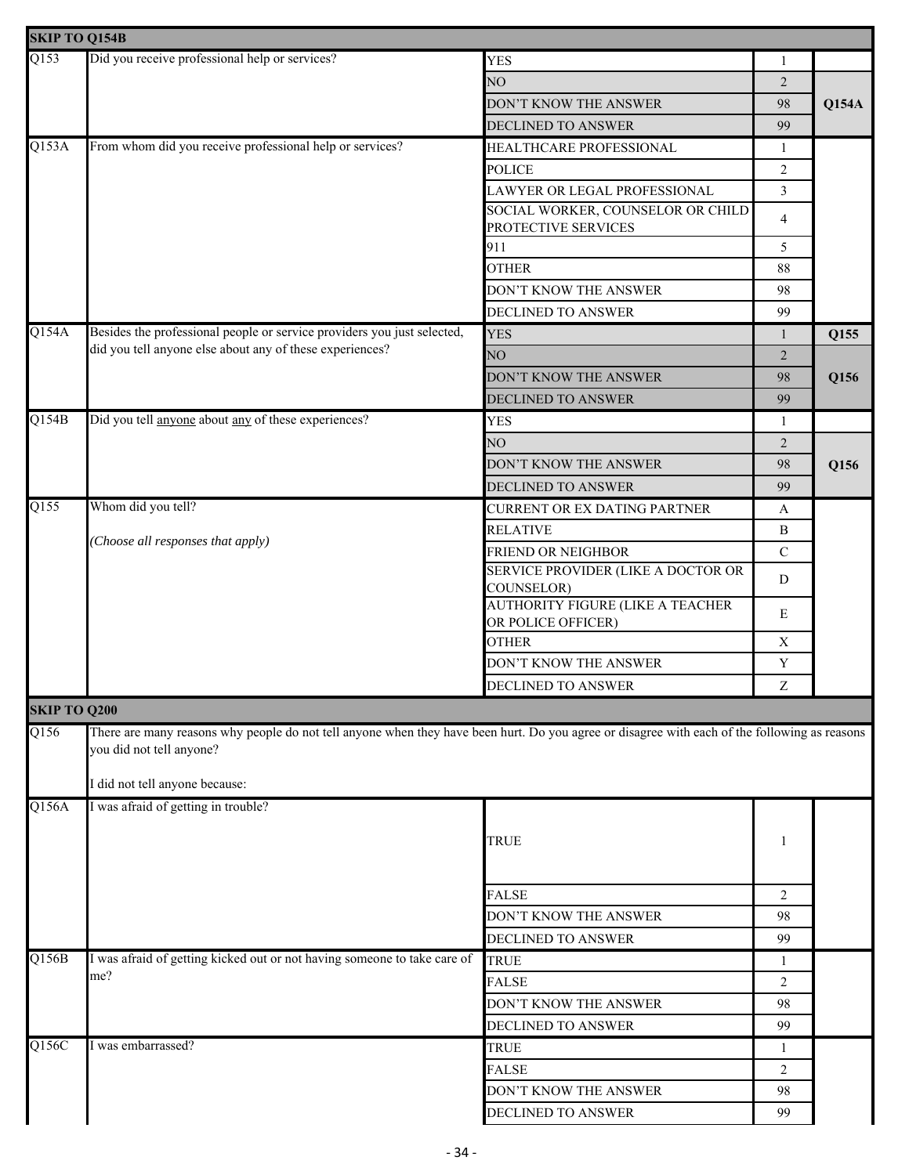| Did you receive professional help or services?<br><b>YES</b><br>1<br>NO<br>$\overline{2}$<br><b>Q154A</b><br>DON'T KNOW THE ANSWER<br>98<br>DECLINED TO ANSWER<br>99<br>From whom did you receive professional help or services?<br>HEALTHCARE PROFESSIONAL<br>1<br><b>POLICE</b><br>2<br>$\mathfrak{Z}$<br>LAWYER OR LEGAL PROFESSIONAL<br>SOCIAL WORKER, COUNSELOR OR CHILD<br>4<br>PROTECTIVE SERVICES<br>911<br>5<br><b>OTHER</b><br>88<br>DON'T KNOW THE ANSWER<br>98<br>99<br>DECLINED TO ANSWER<br>Besides the professional people or service providers you just selected,<br><b>YES</b><br>Q155<br>$\mathbf{1}$<br>did you tell anyone else about any of these experiences?<br>NO<br>$\overline{2}$<br>DON'T KNOW THE ANSWER<br>98<br>Q156<br>99<br>DECLINED TO ANSWER<br>Did you tell anyone about any of these experiences?<br><b>YES</b><br>$\mathbf{1}$<br>NO<br>2<br>DON'T KNOW THE ANSWER<br>Q156<br>98<br>DECLINED TO ANSWER<br>99<br>Whom did you tell?<br>CURRENT OR EX DATING PARTNER<br>$\boldsymbol{A}$<br><b>RELATIVE</b><br>B<br>Choose all responses that apply)<br>$\mathbf C$<br>FRIEND OR NEIGHBOR<br>SERVICE PROVIDER (LIKE A DOCTOR OR<br>D<br>COUNSELOR)<br><b>AUTHORITY FIGURE (LIKE A TEACHER</b><br>E<br>OR POLICE OFFICER)<br><b>OTHER</b><br>X<br>DON'T KNOW THE ANSWER<br>Y<br>Z<br>DECLINED TO ANSWER<br><b>SKIP TO Q200</b><br>$\overline{Q156}$<br>There are many reasons why people do not tell anyone when they have been hurt. Do you agree or disagree with each of the following as reasons<br>you did not tell anyone?<br>I did not tell anyone because:<br>I was afraid of getting in trouble?<br><b>TRUE</b><br>1<br><b>FALSE</b><br>$\overline{2}$<br>DON'T KNOW THE ANSWER<br>98<br>DECLINED TO ANSWER<br>99<br>I was afraid of getting kicked out or not having someone to take care of<br><b>TRUE</b><br>1<br>me?<br><b>FALSE</b><br>2<br>DON'T KNOW THE ANSWER<br>98<br>99<br>DECLINED TO ANSWER<br>I was embarrassed?<br><b>TRUE</b><br>1<br><b>FALSE</b><br>2<br>DON'T KNOW THE ANSWER<br>98 | <b>SKIP TO Q154B</b> |  |                    |    |  |
|---------------------------------------------------------------------------------------------------------------------------------------------------------------------------------------------------------------------------------------------------------------------------------------------------------------------------------------------------------------------------------------------------------------------------------------------------------------------------------------------------------------------------------------------------------------------------------------------------------------------------------------------------------------------------------------------------------------------------------------------------------------------------------------------------------------------------------------------------------------------------------------------------------------------------------------------------------------------------------------------------------------------------------------------------------------------------------------------------------------------------------------------------------------------------------------------------------------------------------------------------------------------------------------------------------------------------------------------------------------------------------------------------------------------------------------------------------------------------------------------------------------------------------------------------------------------------------------------------------------------------------------------------------------------------------------------------------------------------------------------------------------------------------------------------------------------------------------------------------------------------------------------------------------------------------------------------------------------------------------------------------------------------------------------------|----------------------|--|--------------------|----|--|
|                                                                                                                                                                                                                                                                                                                                                                                                                                                                                                                                                                                                                                                                                                                                                                                                                                                                                                                                                                                                                                                                                                                                                                                                                                                                                                                                                                                                                                                                                                                                                                                                                                                                                                                                                                                                                                                                                                                                                                                                                                                   | Q153                 |  |                    |    |  |
|                                                                                                                                                                                                                                                                                                                                                                                                                                                                                                                                                                                                                                                                                                                                                                                                                                                                                                                                                                                                                                                                                                                                                                                                                                                                                                                                                                                                                                                                                                                                                                                                                                                                                                                                                                                                                                                                                                                                                                                                                                                   |                      |  |                    |    |  |
|                                                                                                                                                                                                                                                                                                                                                                                                                                                                                                                                                                                                                                                                                                                                                                                                                                                                                                                                                                                                                                                                                                                                                                                                                                                                                                                                                                                                                                                                                                                                                                                                                                                                                                                                                                                                                                                                                                                                                                                                                                                   |                      |  |                    |    |  |
|                                                                                                                                                                                                                                                                                                                                                                                                                                                                                                                                                                                                                                                                                                                                                                                                                                                                                                                                                                                                                                                                                                                                                                                                                                                                                                                                                                                                                                                                                                                                                                                                                                                                                                                                                                                                                                                                                                                                                                                                                                                   |                      |  |                    |    |  |
|                                                                                                                                                                                                                                                                                                                                                                                                                                                                                                                                                                                                                                                                                                                                                                                                                                                                                                                                                                                                                                                                                                                                                                                                                                                                                                                                                                                                                                                                                                                                                                                                                                                                                                                                                                                                                                                                                                                                                                                                                                                   | Q153A                |  |                    |    |  |
|                                                                                                                                                                                                                                                                                                                                                                                                                                                                                                                                                                                                                                                                                                                                                                                                                                                                                                                                                                                                                                                                                                                                                                                                                                                                                                                                                                                                                                                                                                                                                                                                                                                                                                                                                                                                                                                                                                                                                                                                                                                   |                      |  |                    |    |  |
|                                                                                                                                                                                                                                                                                                                                                                                                                                                                                                                                                                                                                                                                                                                                                                                                                                                                                                                                                                                                                                                                                                                                                                                                                                                                                                                                                                                                                                                                                                                                                                                                                                                                                                                                                                                                                                                                                                                                                                                                                                                   |                      |  |                    |    |  |
|                                                                                                                                                                                                                                                                                                                                                                                                                                                                                                                                                                                                                                                                                                                                                                                                                                                                                                                                                                                                                                                                                                                                                                                                                                                                                                                                                                                                                                                                                                                                                                                                                                                                                                                                                                                                                                                                                                                                                                                                                                                   |                      |  |                    |    |  |
|                                                                                                                                                                                                                                                                                                                                                                                                                                                                                                                                                                                                                                                                                                                                                                                                                                                                                                                                                                                                                                                                                                                                                                                                                                                                                                                                                                                                                                                                                                                                                                                                                                                                                                                                                                                                                                                                                                                                                                                                                                                   |                      |  |                    |    |  |
|                                                                                                                                                                                                                                                                                                                                                                                                                                                                                                                                                                                                                                                                                                                                                                                                                                                                                                                                                                                                                                                                                                                                                                                                                                                                                                                                                                                                                                                                                                                                                                                                                                                                                                                                                                                                                                                                                                                                                                                                                                                   |                      |  |                    |    |  |
|                                                                                                                                                                                                                                                                                                                                                                                                                                                                                                                                                                                                                                                                                                                                                                                                                                                                                                                                                                                                                                                                                                                                                                                                                                                                                                                                                                                                                                                                                                                                                                                                                                                                                                                                                                                                                                                                                                                                                                                                                                                   |                      |  |                    |    |  |
|                                                                                                                                                                                                                                                                                                                                                                                                                                                                                                                                                                                                                                                                                                                                                                                                                                                                                                                                                                                                                                                                                                                                                                                                                                                                                                                                                                                                                                                                                                                                                                                                                                                                                                                                                                                                                                                                                                                                                                                                                                                   |                      |  |                    |    |  |
|                                                                                                                                                                                                                                                                                                                                                                                                                                                                                                                                                                                                                                                                                                                                                                                                                                                                                                                                                                                                                                                                                                                                                                                                                                                                                                                                                                                                                                                                                                                                                                                                                                                                                                                                                                                                                                                                                                                                                                                                                                                   | Q154A                |  |                    |    |  |
|                                                                                                                                                                                                                                                                                                                                                                                                                                                                                                                                                                                                                                                                                                                                                                                                                                                                                                                                                                                                                                                                                                                                                                                                                                                                                                                                                                                                                                                                                                                                                                                                                                                                                                                                                                                                                                                                                                                                                                                                                                                   |                      |  |                    |    |  |
|                                                                                                                                                                                                                                                                                                                                                                                                                                                                                                                                                                                                                                                                                                                                                                                                                                                                                                                                                                                                                                                                                                                                                                                                                                                                                                                                                                                                                                                                                                                                                                                                                                                                                                                                                                                                                                                                                                                                                                                                                                                   |                      |  |                    |    |  |
|                                                                                                                                                                                                                                                                                                                                                                                                                                                                                                                                                                                                                                                                                                                                                                                                                                                                                                                                                                                                                                                                                                                                                                                                                                                                                                                                                                                                                                                                                                                                                                                                                                                                                                                                                                                                                                                                                                                                                                                                                                                   |                      |  |                    |    |  |
|                                                                                                                                                                                                                                                                                                                                                                                                                                                                                                                                                                                                                                                                                                                                                                                                                                                                                                                                                                                                                                                                                                                                                                                                                                                                                                                                                                                                                                                                                                                                                                                                                                                                                                                                                                                                                                                                                                                                                                                                                                                   | Q154B                |  |                    |    |  |
|                                                                                                                                                                                                                                                                                                                                                                                                                                                                                                                                                                                                                                                                                                                                                                                                                                                                                                                                                                                                                                                                                                                                                                                                                                                                                                                                                                                                                                                                                                                                                                                                                                                                                                                                                                                                                                                                                                                                                                                                                                                   |                      |  |                    |    |  |
|                                                                                                                                                                                                                                                                                                                                                                                                                                                                                                                                                                                                                                                                                                                                                                                                                                                                                                                                                                                                                                                                                                                                                                                                                                                                                                                                                                                                                                                                                                                                                                                                                                                                                                                                                                                                                                                                                                                                                                                                                                                   |                      |  |                    |    |  |
|                                                                                                                                                                                                                                                                                                                                                                                                                                                                                                                                                                                                                                                                                                                                                                                                                                                                                                                                                                                                                                                                                                                                                                                                                                                                                                                                                                                                                                                                                                                                                                                                                                                                                                                                                                                                                                                                                                                                                                                                                                                   |                      |  |                    |    |  |
|                                                                                                                                                                                                                                                                                                                                                                                                                                                                                                                                                                                                                                                                                                                                                                                                                                                                                                                                                                                                                                                                                                                                                                                                                                                                                                                                                                                                                                                                                                                                                                                                                                                                                                                                                                                                                                                                                                                                                                                                                                                   | $\overline{Q155}$    |  |                    |    |  |
|                                                                                                                                                                                                                                                                                                                                                                                                                                                                                                                                                                                                                                                                                                                                                                                                                                                                                                                                                                                                                                                                                                                                                                                                                                                                                                                                                                                                                                                                                                                                                                                                                                                                                                                                                                                                                                                                                                                                                                                                                                                   |                      |  |                    |    |  |
|                                                                                                                                                                                                                                                                                                                                                                                                                                                                                                                                                                                                                                                                                                                                                                                                                                                                                                                                                                                                                                                                                                                                                                                                                                                                                                                                                                                                                                                                                                                                                                                                                                                                                                                                                                                                                                                                                                                                                                                                                                                   |                      |  |                    |    |  |
|                                                                                                                                                                                                                                                                                                                                                                                                                                                                                                                                                                                                                                                                                                                                                                                                                                                                                                                                                                                                                                                                                                                                                                                                                                                                                                                                                                                                                                                                                                                                                                                                                                                                                                                                                                                                                                                                                                                                                                                                                                                   |                      |  |                    |    |  |
|                                                                                                                                                                                                                                                                                                                                                                                                                                                                                                                                                                                                                                                                                                                                                                                                                                                                                                                                                                                                                                                                                                                                                                                                                                                                                                                                                                                                                                                                                                                                                                                                                                                                                                                                                                                                                                                                                                                                                                                                                                                   |                      |  |                    |    |  |
|                                                                                                                                                                                                                                                                                                                                                                                                                                                                                                                                                                                                                                                                                                                                                                                                                                                                                                                                                                                                                                                                                                                                                                                                                                                                                                                                                                                                                                                                                                                                                                                                                                                                                                                                                                                                                                                                                                                                                                                                                                                   |                      |  |                    |    |  |
|                                                                                                                                                                                                                                                                                                                                                                                                                                                                                                                                                                                                                                                                                                                                                                                                                                                                                                                                                                                                                                                                                                                                                                                                                                                                                                                                                                                                                                                                                                                                                                                                                                                                                                                                                                                                                                                                                                                                                                                                                                                   |                      |  |                    |    |  |
|                                                                                                                                                                                                                                                                                                                                                                                                                                                                                                                                                                                                                                                                                                                                                                                                                                                                                                                                                                                                                                                                                                                                                                                                                                                                                                                                                                                                                                                                                                                                                                                                                                                                                                                                                                                                                                                                                                                                                                                                                                                   |                      |  |                    |    |  |
|                                                                                                                                                                                                                                                                                                                                                                                                                                                                                                                                                                                                                                                                                                                                                                                                                                                                                                                                                                                                                                                                                                                                                                                                                                                                                                                                                                                                                                                                                                                                                                                                                                                                                                                                                                                                                                                                                                                                                                                                                                                   |                      |  |                    |    |  |
|                                                                                                                                                                                                                                                                                                                                                                                                                                                                                                                                                                                                                                                                                                                                                                                                                                                                                                                                                                                                                                                                                                                                                                                                                                                                                                                                                                                                                                                                                                                                                                                                                                                                                                                                                                                                                                                                                                                                                                                                                                                   |                      |  |                    |    |  |
|                                                                                                                                                                                                                                                                                                                                                                                                                                                                                                                                                                                                                                                                                                                                                                                                                                                                                                                                                                                                                                                                                                                                                                                                                                                                                                                                                                                                                                                                                                                                                                                                                                                                                                                                                                                                                                                                                                                                                                                                                                                   |                      |  |                    |    |  |
|                                                                                                                                                                                                                                                                                                                                                                                                                                                                                                                                                                                                                                                                                                                                                                                                                                                                                                                                                                                                                                                                                                                                                                                                                                                                                                                                                                                                                                                                                                                                                                                                                                                                                                                                                                                                                                                                                                                                                                                                                                                   |                      |  |                    |    |  |
|                                                                                                                                                                                                                                                                                                                                                                                                                                                                                                                                                                                                                                                                                                                                                                                                                                                                                                                                                                                                                                                                                                                                                                                                                                                                                                                                                                                                                                                                                                                                                                                                                                                                                                                                                                                                                                                                                                                                                                                                                                                   | Q156A                |  |                    |    |  |
|                                                                                                                                                                                                                                                                                                                                                                                                                                                                                                                                                                                                                                                                                                                                                                                                                                                                                                                                                                                                                                                                                                                                                                                                                                                                                                                                                                                                                                                                                                                                                                                                                                                                                                                                                                                                                                                                                                                                                                                                                                                   |                      |  |                    |    |  |
|                                                                                                                                                                                                                                                                                                                                                                                                                                                                                                                                                                                                                                                                                                                                                                                                                                                                                                                                                                                                                                                                                                                                                                                                                                                                                                                                                                                                                                                                                                                                                                                                                                                                                                                                                                                                                                                                                                                                                                                                                                                   |                      |  |                    |    |  |
|                                                                                                                                                                                                                                                                                                                                                                                                                                                                                                                                                                                                                                                                                                                                                                                                                                                                                                                                                                                                                                                                                                                                                                                                                                                                                                                                                                                                                                                                                                                                                                                                                                                                                                                                                                                                                                                                                                                                                                                                                                                   |                      |  |                    |    |  |
|                                                                                                                                                                                                                                                                                                                                                                                                                                                                                                                                                                                                                                                                                                                                                                                                                                                                                                                                                                                                                                                                                                                                                                                                                                                                                                                                                                                                                                                                                                                                                                                                                                                                                                                                                                                                                                                                                                                                                                                                                                                   |                      |  |                    |    |  |
|                                                                                                                                                                                                                                                                                                                                                                                                                                                                                                                                                                                                                                                                                                                                                                                                                                                                                                                                                                                                                                                                                                                                                                                                                                                                                                                                                                                                                                                                                                                                                                                                                                                                                                                                                                                                                                                                                                                                                                                                                                                   |                      |  |                    |    |  |
|                                                                                                                                                                                                                                                                                                                                                                                                                                                                                                                                                                                                                                                                                                                                                                                                                                                                                                                                                                                                                                                                                                                                                                                                                                                                                                                                                                                                                                                                                                                                                                                                                                                                                                                                                                                                                                                                                                                                                                                                                                                   |                      |  |                    |    |  |
|                                                                                                                                                                                                                                                                                                                                                                                                                                                                                                                                                                                                                                                                                                                                                                                                                                                                                                                                                                                                                                                                                                                                                                                                                                                                                                                                                                                                                                                                                                                                                                                                                                                                                                                                                                                                                                                                                                                                                                                                                                                   | Q156B                |  |                    |    |  |
|                                                                                                                                                                                                                                                                                                                                                                                                                                                                                                                                                                                                                                                                                                                                                                                                                                                                                                                                                                                                                                                                                                                                                                                                                                                                                                                                                                                                                                                                                                                                                                                                                                                                                                                                                                                                                                                                                                                                                                                                                                                   |                      |  |                    |    |  |
|                                                                                                                                                                                                                                                                                                                                                                                                                                                                                                                                                                                                                                                                                                                                                                                                                                                                                                                                                                                                                                                                                                                                                                                                                                                                                                                                                                                                                                                                                                                                                                                                                                                                                                                                                                                                                                                                                                                                                                                                                                                   |                      |  |                    |    |  |
|                                                                                                                                                                                                                                                                                                                                                                                                                                                                                                                                                                                                                                                                                                                                                                                                                                                                                                                                                                                                                                                                                                                                                                                                                                                                                                                                                                                                                                                                                                                                                                                                                                                                                                                                                                                                                                                                                                                                                                                                                                                   |                      |  |                    |    |  |
|                                                                                                                                                                                                                                                                                                                                                                                                                                                                                                                                                                                                                                                                                                                                                                                                                                                                                                                                                                                                                                                                                                                                                                                                                                                                                                                                                                                                                                                                                                                                                                                                                                                                                                                                                                                                                                                                                                                                                                                                                                                   | Q156C                |  |                    |    |  |
|                                                                                                                                                                                                                                                                                                                                                                                                                                                                                                                                                                                                                                                                                                                                                                                                                                                                                                                                                                                                                                                                                                                                                                                                                                                                                                                                                                                                                                                                                                                                                                                                                                                                                                                                                                                                                                                                                                                                                                                                                                                   |                      |  |                    |    |  |
|                                                                                                                                                                                                                                                                                                                                                                                                                                                                                                                                                                                                                                                                                                                                                                                                                                                                                                                                                                                                                                                                                                                                                                                                                                                                                                                                                                                                                                                                                                                                                                                                                                                                                                                                                                                                                                                                                                                                                                                                                                                   |                      |  |                    |    |  |
|                                                                                                                                                                                                                                                                                                                                                                                                                                                                                                                                                                                                                                                                                                                                                                                                                                                                                                                                                                                                                                                                                                                                                                                                                                                                                                                                                                                                                                                                                                                                                                                                                                                                                                                                                                                                                                                                                                                                                                                                                                                   |                      |  | DECLINED TO ANSWER | 99 |  |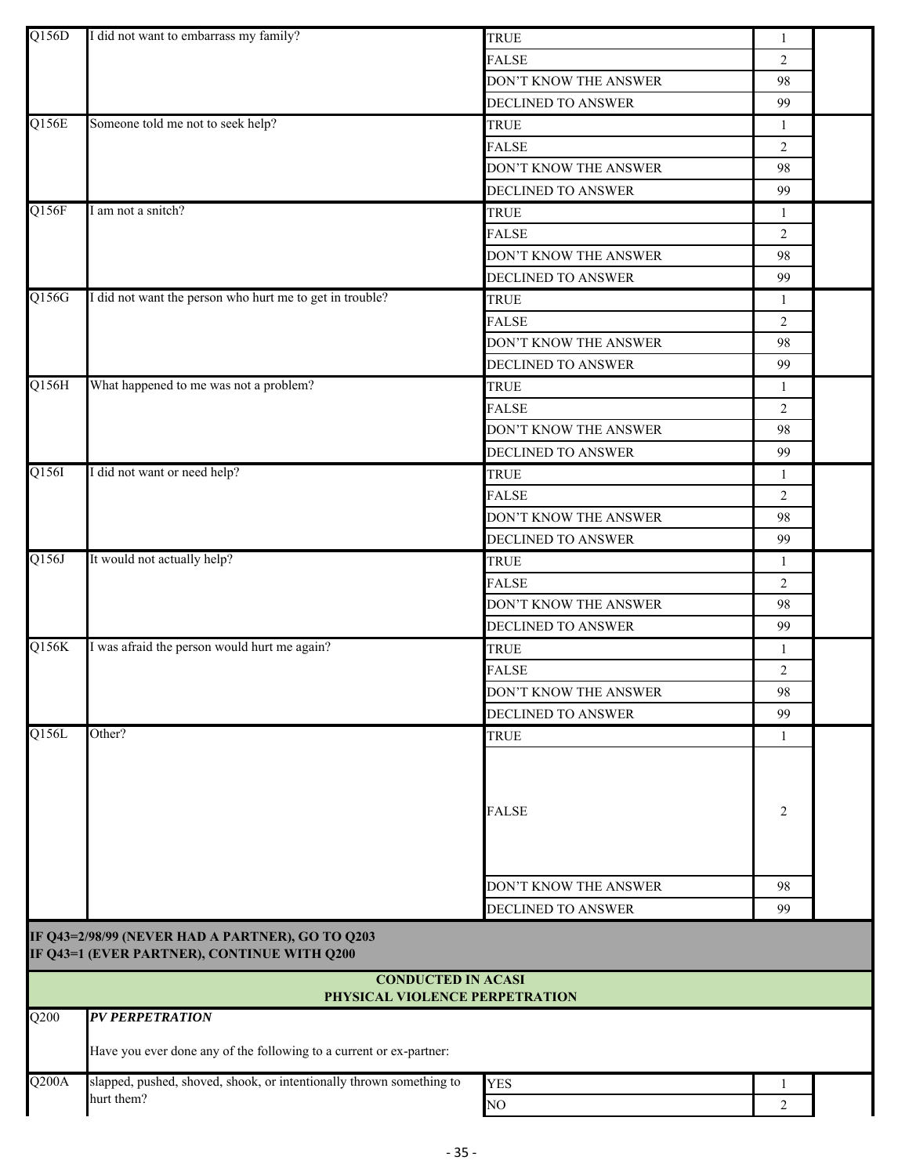| Q156D | I did not want to embarrass my family?                                                          | <b>TRUE</b>               | $\mathbf{1}$   |  |
|-------|-------------------------------------------------------------------------------------------------|---------------------------|----------------|--|
|       |                                                                                                 | <b>FALSE</b>              | $\overline{2}$ |  |
|       |                                                                                                 | DON'T KNOW THE ANSWER     | 98             |  |
|       |                                                                                                 | DECLINED TO ANSWER        | 99             |  |
| Q156E | Someone told me not to seek help?                                                               | <b>TRUE</b>               | $\mathbf{1}$   |  |
|       |                                                                                                 | <b>FALSE</b>              | $\overline{2}$ |  |
|       |                                                                                                 | DON'T KNOW THE ANSWER     | 98             |  |
|       |                                                                                                 | <b>DECLINED TO ANSWER</b> | 99             |  |
| Q156F | I am not a snitch?                                                                              | <b>TRUE</b>               | 1              |  |
|       |                                                                                                 | <b>FALSE</b>              | $\overline{2}$ |  |
|       |                                                                                                 | DON'T KNOW THE ANSWER     | 98             |  |
|       |                                                                                                 | DECLINED TO ANSWER        | 99             |  |
| Q156G | I did not want the person who hurt me to get in trouble?                                        | <b>TRUE</b>               | 1              |  |
|       |                                                                                                 | <b>FALSE</b>              | $\overline{2}$ |  |
|       |                                                                                                 | DON'T KNOW THE ANSWER     | 98             |  |
|       |                                                                                                 | DECLINED TO ANSWER        | 99             |  |
| Q156H | What happened to me was not a problem?                                                          | <b>TRUE</b>               | 1              |  |
|       |                                                                                                 | <b>FALSE</b>              | 2              |  |
|       |                                                                                                 | DON'T KNOW THE ANSWER     | 98             |  |
|       |                                                                                                 | DECLINED TO ANSWER        | 99             |  |
| Q156I | I did not want or need help?                                                                    | <b>TRUE</b>               | 1              |  |
|       |                                                                                                 | <b>FALSE</b>              | $\overline{2}$ |  |
|       |                                                                                                 | DON'T KNOW THE ANSWER     | 98             |  |
|       |                                                                                                 | DECLINED TO ANSWER        | 99             |  |
| Q156J | It would not actually help?                                                                     | TRUE                      | $\mathbf{1}$   |  |
|       |                                                                                                 | <b>FALSE</b>              | $\overline{2}$ |  |
|       |                                                                                                 | DON'T KNOW THE ANSWER     | 98             |  |
|       |                                                                                                 | DECLINED TO ANSWER        | 99             |  |
| Q156K | I was afraid the person would hurt me again?                                                    | <b>TRUE</b>               | 1              |  |
|       |                                                                                                 | <b>FALSE</b>              | $\overline{2}$ |  |
|       |                                                                                                 | DON'T KNOW THE ANSWER     | 98             |  |
|       |                                                                                                 | <b>DECLINED TO ANSWER</b> | 99             |  |
| Q156L | Other?                                                                                          | <b>TRUE</b>               | 1              |  |
|       |                                                                                                 | <b>FALSE</b>              | $\overline{2}$ |  |
|       |                                                                                                 | DON'T KNOW THE ANSWER     | 98             |  |
|       |                                                                                                 | DECLINED TO ANSWER        | 99             |  |
|       | IF Q43=2/98/99 (NEVER HAD A PARTNER), GO TO Q203<br>IF Q43=1 (EVER PARTNER), CONTINUE WITH Q200 |                           |                |  |
|       | <b>CONDUCTED IN ACASI</b><br>PHYSICAL VIOLENCE PERPETRATION                                     |                           |                |  |
| Q200  | <b>PV PERPETRATION</b>                                                                          |                           |                |  |
|       | Have you ever done any of the following to a current or ex-partner:                             |                           |                |  |
| Q200A | slapped, pushed, shoved, shook, or intentionally thrown something to                            | <b>YES</b>                | 1              |  |
|       | hurt them?                                                                                      | NO <sub>1</sub>           | $\overline{2}$ |  |
|       |                                                                                                 |                           |                |  |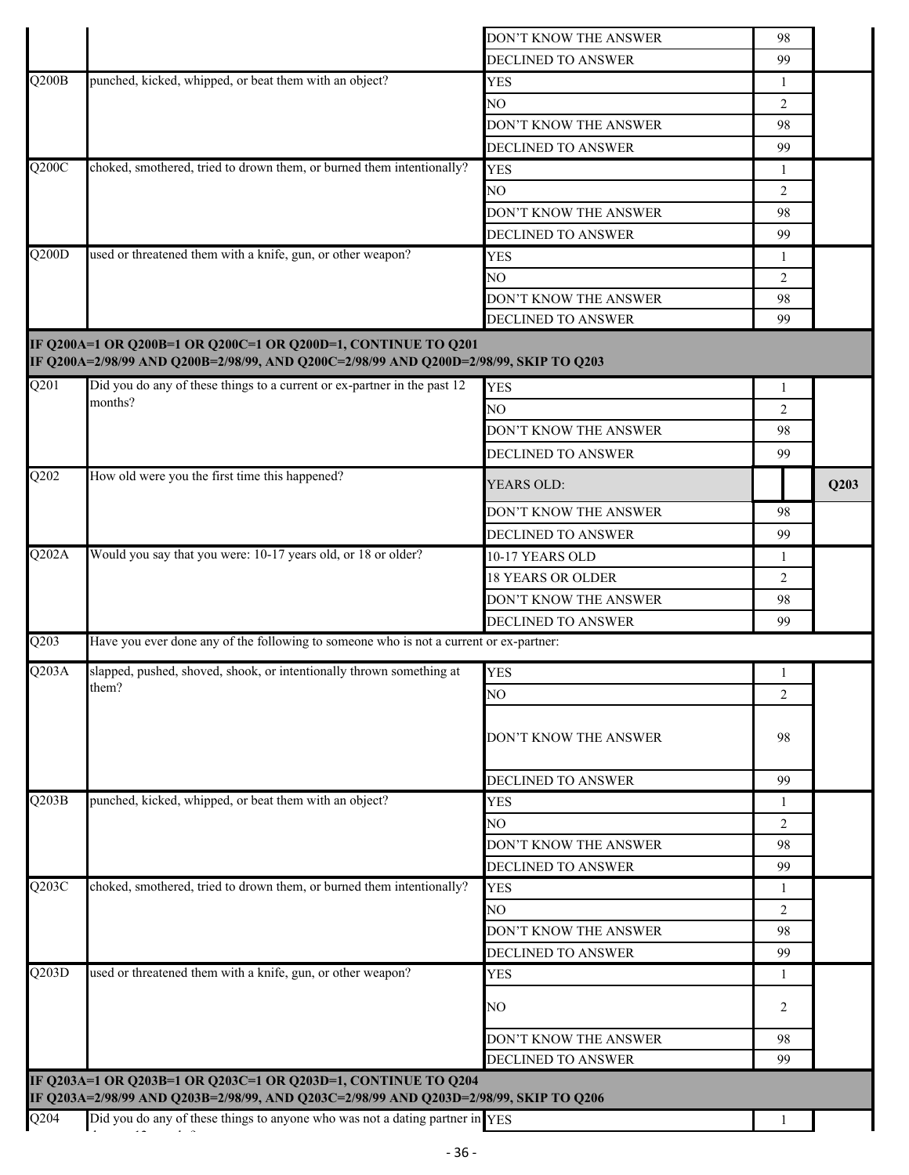|                           |                                                                                                                                                        | DON'T KNOW THE ANSWER     | 98             |      |
|---------------------------|--------------------------------------------------------------------------------------------------------------------------------------------------------|---------------------------|----------------|------|
|                           |                                                                                                                                                        | DECLINED TO ANSWER        | 99             |      |
| $\overline{\text{Q200B}}$ | punched, kicked, whipped, or beat them with an object?                                                                                                 | <b>YES</b>                | $\mathbf{1}$   |      |
|                           |                                                                                                                                                        | NO.                       | 2              |      |
|                           |                                                                                                                                                        | DON'T KNOW THE ANSWER     | 98             |      |
|                           |                                                                                                                                                        | DECLINED TO ANSWER        | 99             |      |
| Q200C                     | choked, smothered, tried to drown them, or burned them intentionally?                                                                                  | <b>YES</b>                | 1              |      |
|                           |                                                                                                                                                        | NО                        | 2              |      |
|                           |                                                                                                                                                        | DON'T KNOW THE ANSWER     | 98             |      |
|                           |                                                                                                                                                        |                           |                |      |
| $\overline{Q200D}$        | used or threatened them with a knife, gun, or other weapon?                                                                                            | DECLINED TO ANSWER        | 99             |      |
|                           |                                                                                                                                                        | <b>YES</b>                | 1              |      |
|                           |                                                                                                                                                        | NO.                       | $\overline{2}$ |      |
|                           |                                                                                                                                                        | DON'T KNOW THE ANSWER     | 98             |      |
|                           |                                                                                                                                                        | DECLINED TO ANSWER        | 99             |      |
|                           | IF Q200A=1 OR Q200B=1 OR Q200C=1 OR Q200D=1, CONTINUE TO Q201<br>IF Q200A=2/98/99 AND Q200B=2/98/99, AND Q200C=2/98/99 AND Q200D=2/98/99, SKIP TO Q203 |                           |                |      |
| $\overline{Q201}$         | Did you do any of these things to a current or ex-partner in the past 12                                                                               | <b>YES</b>                | 1              |      |
|                           | months?                                                                                                                                                | NO.                       | $\overline{2}$ |      |
|                           |                                                                                                                                                        | DON'T KNOW THE ANSWER     | 98             |      |
|                           |                                                                                                                                                        | <b>DECLINED TO ANSWER</b> | 99             |      |
| Q202                      | How old were you the first time this happened?                                                                                                         | YEARS OLD:                |                | Q203 |
|                           |                                                                                                                                                        | DON'T KNOW THE ANSWER     | 98             |      |
|                           |                                                                                                                                                        | DECLINED TO ANSWER        | 99             |      |
| Q202A                     | Would you say that you were: 10-17 years old, or 18 or older?                                                                                          | 10-17 YEARS OLD           | 1              |      |
|                           |                                                                                                                                                        | <b>18 YEARS OR OLDER</b>  | $\overline{2}$ |      |
|                           |                                                                                                                                                        | DON'T KNOW THE ANSWER     | 98             |      |
|                           |                                                                                                                                                        | DECLINED TO ANSWER        | 99             |      |
| Q203                      | Have you ever done any of the following to someone who is not a current or ex-partner:                                                                 |                           |                |      |
| Q203A                     | slapped, pushed, shoved, shook, or intentionally thrown something at                                                                                   |                           |                |      |
|                           | them?                                                                                                                                                  | <b>YES</b>                | 1              |      |
|                           |                                                                                                                                                        | NO                        | 2              |      |
|                           |                                                                                                                                                        | DON'T KNOW THE ANSWER     | 98             |      |
|                           |                                                                                                                                                        | DECLINED TO ANSWER        | 99             |      |
| Q203B                     | punched, kicked, whipped, or beat them with an object?                                                                                                 | <b>YES</b>                | 1              |      |
|                           |                                                                                                                                                        | NO                        | 2              |      |
|                           |                                                                                                                                                        | DON'T KNOW THE ANSWER     | 98             |      |
|                           |                                                                                                                                                        | DECLINED TO ANSWER        | 99             |      |
| Q203C                     | choked, smothered, tried to drown them, or burned them intentionally?                                                                                  | <b>YES</b>                | 1              |      |
|                           |                                                                                                                                                        | NO.                       | 2              |      |
|                           |                                                                                                                                                        | DON'T KNOW THE ANSWER     | 98             |      |
|                           |                                                                                                                                                        | DECLINED TO ANSWER        | 99             |      |
| Q203D                     | used or threatened them with a knife, gun, or other weapon?                                                                                            | <b>YES</b>                | 1              |      |
|                           |                                                                                                                                                        | NO.                       | 2              |      |
|                           |                                                                                                                                                        | DON'T KNOW THE ANSWER     | 98             |      |
|                           |                                                                                                                                                        | DECLINED TO ANSWER        | 99             |      |
|                           | IF Q203A=1 OR Q203B=1 OR Q203C=1 OR Q203D=1, CONTINUE TO Q204                                                                                          |                           |                |      |
|                           | IF Q203A=2/98/99 AND Q203B=2/98/99, AND Q203C=2/98/99 AND Q203D=2/98/99, SKIP TO Q206                                                                  |                           |                |      |
| Q204                      | Did you do any of these things to anyone who was not a dating partner in YES                                                                           |                           |                |      |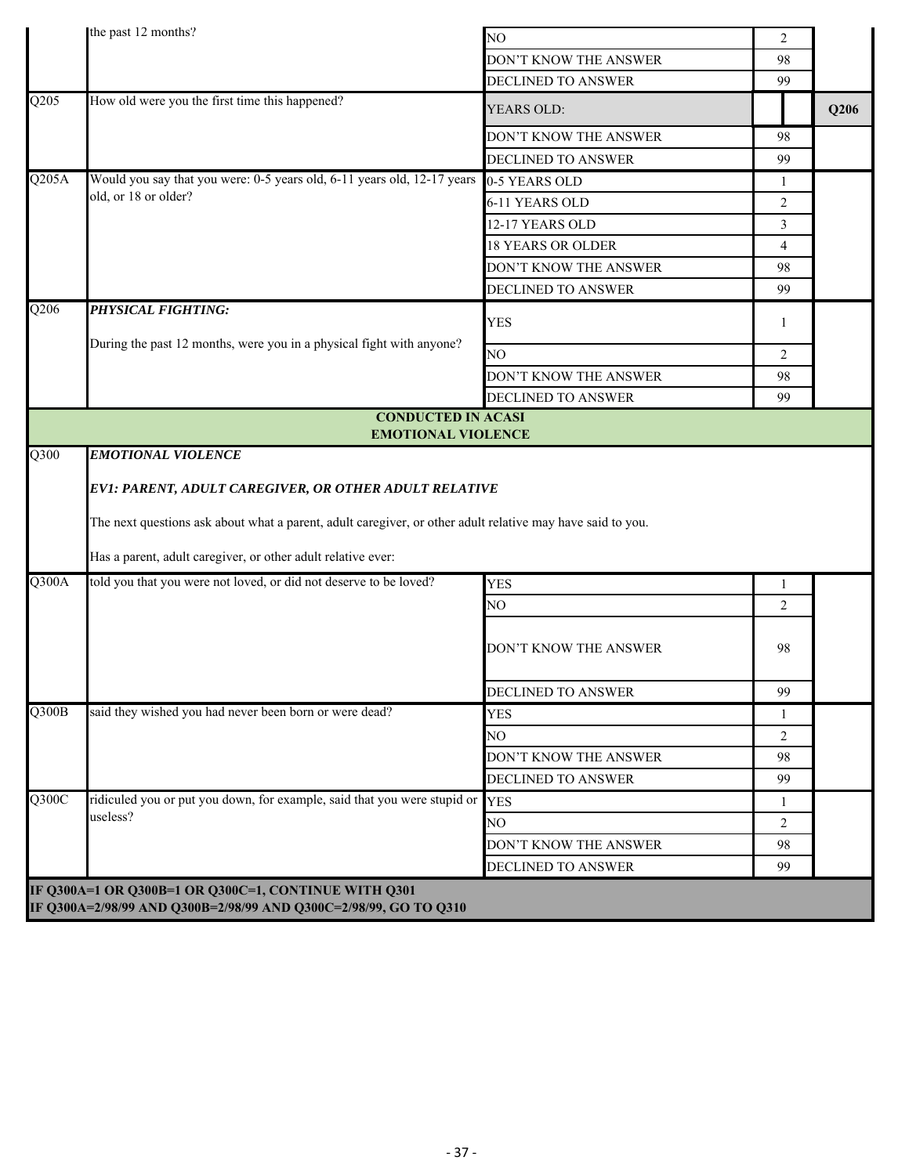|                                  | the past 12 months?                                                                                        | NO                       | 2              |      |
|----------------------------------|------------------------------------------------------------------------------------------------------------|--------------------------|----------------|------|
|                                  |                                                                                                            | DON'T KNOW THE ANSWER    | 98             |      |
|                                  |                                                                                                            | DECLINED TO ANSWER       | 99             |      |
| Q205                             | How old were you the first time this happened?                                                             | YEARS OLD:               |                | Q206 |
|                                  |                                                                                                            | DON'T KNOW THE ANSWER    | 98             |      |
|                                  |                                                                                                            | DECLINED TO ANSWER       | 99             |      |
| Q205A                            | Would you say that you were: 0-5 years old, 6-11 years old, 12-17 years                                    | 0-5 YEARS OLD            | $\mathbf{1}$   |      |
|                                  | old, or 18 or older?                                                                                       | 6-11 YEARS OLD           | $\overline{2}$ |      |
|                                  |                                                                                                            | 12-17 YEARS OLD          | 3              |      |
|                                  |                                                                                                            | <b>18 YEARS OR OLDER</b> | $\overline{4}$ |      |
|                                  |                                                                                                            | DON'T KNOW THE ANSWER    | 98             |      |
|                                  |                                                                                                            | DECLINED TO ANSWER       | 99             |      |
| Q206                             | <b>PHYSICAL FIGHTING:</b>                                                                                  | <b>YES</b>               | 1              |      |
|                                  | During the past 12 months, were you in a physical fight with anyone?                                       | NO.                      | $\overline{2}$ |      |
|                                  |                                                                                                            | DON'T KNOW THE ANSWER    | 98             |      |
|                                  |                                                                                                            | DECLINED TO ANSWER       | 99             |      |
|                                  | <b>CONDUCTED IN ACASI</b>                                                                                  |                          |                |      |
| Q300                             | <b>EMOTIONAL VIOLENCE</b><br><b>EMOTIONAL VIOLENCE</b>                                                     |                          |                |      |
|                                  | The next questions ask about what a parent, adult caregiver, or other adult relative may have said to you. |                          |                |      |
|                                  | Has a parent, adult caregiver, or other adult relative ever:                                               |                          |                |      |
| Q300A                            | told you that you were not loved, or did not deserve to be loved?                                          | <b>YES</b>               | $\mathbf{1}$   |      |
|                                  |                                                                                                            | NO.                      | $\overline{2}$ |      |
|                                  |                                                                                                            | DON'T KNOW THE ANSWER    | 98             |      |
|                                  |                                                                                                            | DECLINED TO ANSWER       | 99             |      |
| $\overline{\text{Q}300\text{B}}$ | said they wished you had never been born or were dead?                                                     | <b>YES</b>               | $\mathbf{1}$   |      |
|                                  |                                                                                                            | NO.                      | $\overline{2}$ |      |
|                                  |                                                                                                            | DON'T KNOW THE ANSWER    | 98             |      |
|                                  |                                                                                                            | DECLINED TO ANSWER       | 99             |      |
| Q300C                            | ridiculed you or put you down, for example, said that you were stupid or YES                               |                          | 1              |      |
|                                  | useless?                                                                                                   | NO                       | $\overline{2}$ |      |
|                                  |                                                                                                            | DON'T KNOW THE ANSWER    | 98             |      |
|                                  |                                                                                                            | DECLINED TO ANSWER       | 99             |      |
|                                  | IF Q300A=1 OR Q300B=1 OR Q300C=1, CONTINUE WITH Q301                                                       |                          |                |      |
|                                  | IF Q300A=2/98/99 AND Q300B=2/98/99 AND Q300C=2/98/99, GO TO Q310                                           |                          |                |      |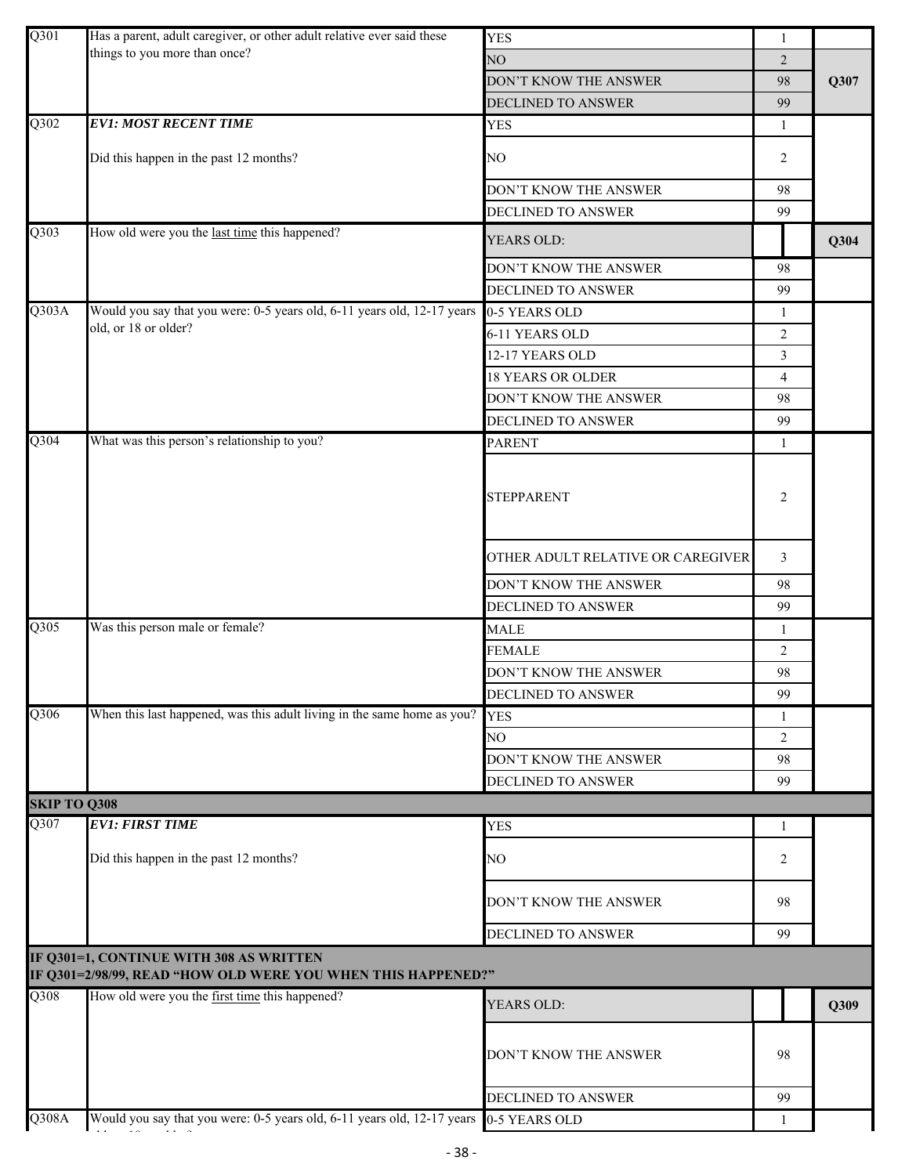| Q301                | Has a parent, adult caregiver, or other adult relative ever said these                                  | <b>YES</b>                        | $\mathbf{1}$   |      |
|---------------------|---------------------------------------------------------------------------------------------------------|-----------------------------------|----------------|------|
|                     | things to you more than once?                                                                           | NO                                | $\overline{2}$ |      |
|                     |                                                                                                         | DON'T KNOW THE ANSWER             | 98             | Q307 |
|                     |                                                                                                         | DECLINED TO ANSWER                | 99             |      |
| $\overline{Q302}$   | <b>EV1: MOST RECENT TIME</b>                                                                            | <b>YES</b>                        | 1              |      |
|                     | Did this happen in the past 12 months?                                                                  | NO                                | 2              |      |
|                     |                                                                                                         | DON'T KNOW THE ANSWER             | 98             |      |
|                     |                                                                                                         | DECLINED TO ANSWER                | 99             |      |
| $\overline{Q303}$   | How old were you the last time this happened?                                                           | YEARS OLD:                        |                | Q304 |
|                     |                                                                                                         | DON'T KNOW THE ANSWER             | 98             |      |
|                     |                                                                                                         | <b>DECLINED TO ANSWER</b>         | 99             |      |
| Q303A               | Would you say that you were: 0-5 years old, 6-11 years old, 12-17 years                                 | 0-5 YEARS OLD                     | 1              |      |
|                     | old, or 18 or older?                                                                                    | 6-11 YEARS OLD                    | 2              |      |
|                     |                                                                                                         | 12-17 YEARS OLD                   | 3              |      |
|                     |                                                                                                         | <b>18 YEARS OR OLDER</b>          | 4              |      |
|                     |                                                                                                         | DON'T KNOW THE ANSWER             | 98             |      |
|                     |                                                                                                         | DECLINED TO ANSWER                | 99             |      |
| Q304                | What was this person's relationship to you?                                                             | <b>PARENT</b>                     | 1              |      |
|                     |                                                                                                         | <b>STEPPARENT</b>                 | $\overline{2}$ |      |
|                     |                                                                                                         | OTHER ADULT RELATIVE OR CAREGIVER | 3              |      |
|                     |                                                                                                         | DON'T KNOW THE ANSWER             | 98             |      |
|                     |                                                                                                         | DECLINED TO ANSWER                | 99             |      |
| Q305                | Was this person male or female?                                                                         | <b>MALE</b>                       | 1              |      |
|                     |                                                                                                         | <b>FEMALE</b>                     | 2              |      |
|                     |                                                                                                         | DON'T KNOW THE ANSWER             | 98             |      |
|                     |                                                                                                         | DECLINED TO ANSWER                | 99             |      |
| Q306                | When this last happened, was this adult living in the same home as you?                                 | <b>YES</b>                        | 1              |      |
|                     |                                                                                                         | NO                                | 2              |      |
|                     |                                                                                                         | DON'T KNOW THE ANSWER             | 98             |      |
|                     |                                                                                                         | <b>DECLINED TO ANSWER</b>         | 99             |      |
| <b>SKIP TO Q308</b> |                                                                                                         |                                   |                |      |
| Q307                | <b>EV1: FIRST TIME</b>                                                                                  | <b>YES</b>                        | 1              |      |
|                     | Did this happen in the past 12 months?                                                                  | NO                                | 2              |      |
|                     |                                                                                                         | DON'T KNOW THE ANSWER             | 98             |      |
|                     |                                                                                                         | DECLINED TO ANSWER                | 99             |      |
|                     | IF Q301=1, CONTINUE WITH 308 AS WRITTEN<br>IF Q301=2/98/99, READ "HOW OLD WERE YOU WHEN THIS HAPPENED?" |                                   |                |      |
| $\overline{Q}$ 308  | How old were you the first time this happened?                                                          | YEARS OLD:                        |                | Q309 |
|                     |                                                                                                         | DON'T KNOW THE ANSWER             | 98             |      |
|                     |                                                                                                         | DECLINED TO ANSWER                | 99             |      |
| $\overline{Q308A}$  | Would you say that you were: 0-5 years old, 6-11 years old, 12-17 years                                 | 0-5 YEARS OLD                     |                |      |

ld 18 ld <mark>1</mark>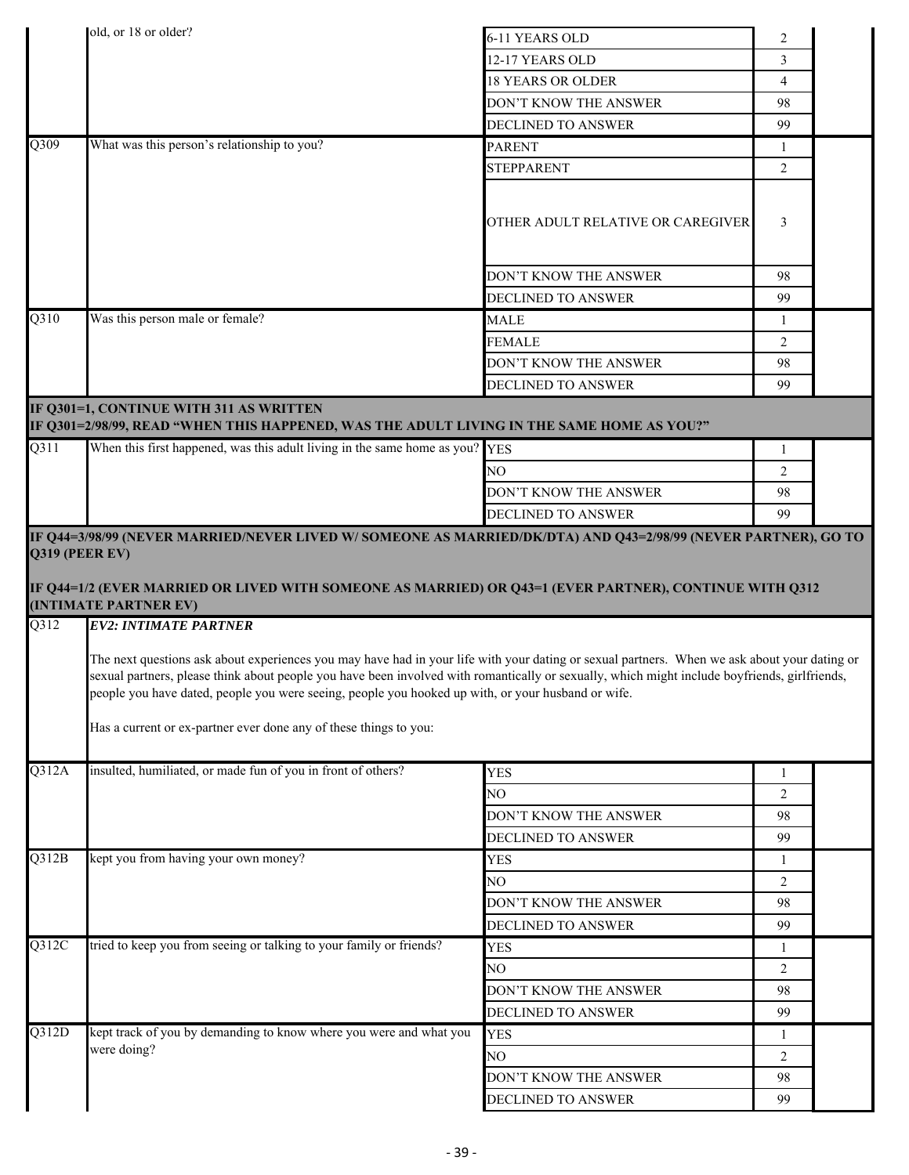|                         | old, or 18 or older?                                                                                                                                                                                  | 6-11 YEARS OLD                                                                                                                                | $\overline{2}$ |  |
|-------------------------|-------------------------------------------------------------------------------------------------------------------------------------------------------------------------------------------------------|-----------------------------------------------------------------------------------------------------------------------------------------------|----------------|--|
|                         |                                                                                                                                                                                                       | 12-17 YEARS OLD                                                                                                                               | 3              |  |
|                         |                                                                                                                                                                                                       | <b>18 YEARS OR OLDER</b>                                                                                                                      | $\overline{4}$ |  |
|                         |                                                                                                                                                                                                       | DON'T KNOW THE ANSWER                                                                                                                         | 98             |  |
|                         |                                                                                                                                                                                                       | DECLINED TO ANSWER                                                                                                                            | 99             |  |
| Q309                    | What was this person's relationship to you?                                                                                                                                                           | <b>PARENT</b>                                                                                                                                 | 1              |  |
|                         |                                                                                                                                                                                                       | <b>STEPPARENT</b>                                                                                                                             | 2              |  |
|                         |                                                                                                                                                                                                       | OTHER ADULT RELATIVE OR CAREGIVER                                                                                                             | 3              |  |
|                         |                                                                                                                                                                                                       | DON'T KNOW THE ANSWER                                                                                                                         | 98             |  |
|                         |                                                                                                                                                                                                       | <b>DECLINED TO ANSWER</b>                                                                                                                     | 99             |  |
| Q310                    | Was this person male or female?                                                                                                                                                                       | <b>MALE</b>                                                                                                                                   | $\mathbf{1}$   |  |
|                         |                                                                                                                                                                                                       | <b>FEMALE</b>                                                                                                                                 | 2              |  |
|                         |                                                                                                                                                                                                       | DON'T KNOW THE ANSWER                                                                                                                         | 98             |  |
|                         |                                                                                                                                                                                                       | DECLINED TO ANSWER                                                                                                                            | 99             |  |
|                         | IF Q301=1, CONTINUE WITH 311 AS WRITTEN<br>IF Q301=2/98/99, READ "WHEN THIS HAPPENED, WAS THE ADULT LIVING IN THE SAME HOME AS YOU?"                                                                  |                                                                                                                                               |                |  |
| Q311                    | When this first happened, was this adult living in the same home as you? YES                                                                                                                          |                                                                                                                                               | 1              |  |
|                         |                                                                                                                                                                                                       | NO.                                                                                                                                           | 2              |  |
|                         |                                                                                                                                                                                                       | DON'T KNOW THE ANSWER                                                                                                                         | 98             |  |
|                         | IF Q44=3/98/99 (NEVER MARRIED/NEVER LIVED W/ SOMEONE AS MARRIED/DK/DTA) AND Q43=2/98/99 (NEVER PARTNER), GO TO                                                                                        | <b>DECLINED TO ANSWER</b>                                                                                                                     | 99             |  |
| $\overline{Q312}$       | (INTIMATE PARTNER EV)<br><b>EV2: INTIMATE PARTNER</b><br>The next questions ask about experiences you may have had in your life with your dating or sexual partners. When we ask about your dating or |                                                                                                                                               |                |  |
|                         |                                                                                                                                                                                                       |                                                                                                                                               |                |  |
|                         | people you have dated, people you were seeing, people you hooked up with, or your husband or wife.                                                                                                    | sexual partners, please think about people you have been involved with romantically or sexually, which might include boyfriends, girlfriends, |                |  |
|                         | Has a current or ex-partner ever done any of these things to you:                                                                                                                                     |                                                                                                                                               |                |  |
| Q312A                   | insulted, humiliated, or made fun of you in front of others?                                                                                                                                          | <b>YES</b>                                                                                                                                    | 1              |  |
|                         |                                                                                                                                                                                                       | NO                                                                                                                                            | $\overline{2}$ |  |
|                         |                                                                                                                                                                                                       | DON'T KNOW THE ANSWER                                                                                                                         | 98             |  |
|                         |                                                                                                                                                                                                       | DECLINED TO ANSWER                                                                                                                            | 99             |  |
|                         | kept you from having your own money?                                                                                                                                                                  | <b>YES</b>                                                                                                                                    | 1              |  |
|                         |                                                                                                                                                                                                       | NO.                                                                                                                                           | $\overline{2}$ |  |
|                         |                                                                                                                                                                                                       | DON'T KNOW THE ANSWER                                                                                                                         | 98             |  |
|                         |                                                                                                                                                                                                       | DECLINED TO ANSWER                                                                                                                            | 99             |  |
|                         | tried to keep you from seeing or talking to your family or friends?                                                                                                                                   | <b>YES</b>                                                                                                                                    | $\mathbf{1}$   |  |
|                         |                                                                                                                                                                                                       | NO.                                                                                                                                           | $\overline{2}$ |  |
|                         |                                                                                                                                                                                                       | DON'T KNOW THE ANSWER                                                                                                                         | 98             |  |
|                         |                                                                                                                                                                                                       | DECLINED TO ANSWER                                                                                                                            | 99             |  |
| Q312B<br>Q312C<br>Q312D | kept track of you by demanding to know where you were and what you                                                                                                                                    | <b>YES</b>                                                                                                                                    | 1              |  |
|                         | were doing?                                                                                                                                                                                           | NO.                                                                                                                                           | $\overline{2}$ |  |
|                         |                                                                                                                                                                                                       | DON'T KNOW THE ANSWER<br>DECLINED TO ANSWER                                                                                                   | 98<br>99       |  |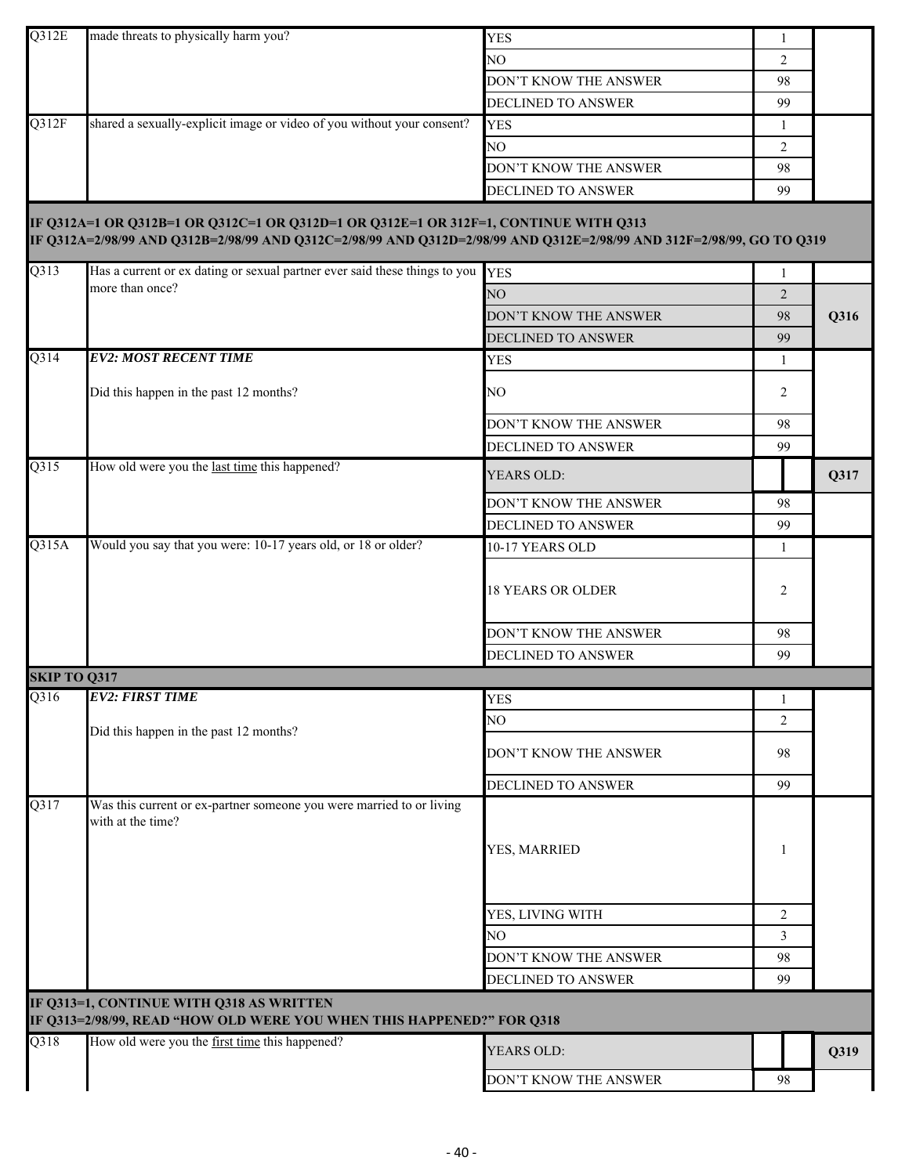| Q312E               | made threats to physically harm you?                                                                                                                                                                          | <b>YES</b>                | 1              |      |
|---------------------|---------------------------------------------------------------------------------------------------------------------------------------------------------------------------------------------------------------|---------------------------|----------------|------|
|                     |                                                                                                                                                                                                               | NO                        | $\overline{2}$ |      |
|                     |                                                                                                                                                                                                               | DON'T KNOW THE ANSWER     | 98             |      |
|                     |                                                                                                                                                                                                               | <b>DECLINED TO ANSWER</b> | 99             |      |
| Q312F               | shared a sexually-explicit image or video of you without your consent?                                                                                                                                        | <b>YES</b>                | 1              |      |
|                     |                                                                                                                                                                                                               | NO                        | $\overline{2}$ |      |
|                     |                                                                                                                                                                                                               | DON'T KNOW THE ANSWER     | 98             |      |
|                     |                                                                                                                                                                                                               | DECLINED TO ANSWER        | 99             |      |
|                     | IF Q312A=1 OR Q312B=1 OR Q312C=1 OR Q312D=1 OR Q312E=1 OR 312F=1, CONTINUE WITH Q313<br>IF Q312A=2/98/99 AND Q312B=2/98/99 AND Q312C=2/98/99 AND Q312D=2/98/99 AND Q312E=2/98/99 AND 312F=2/98/99, GO TO Q319 |                           |                |      |
| Q313                | Has a current or ex dating or sexual partner ever said these things to you YES                                                                                                                                |                           | 1              |      |
|                     | more than once?                                                                                                                                                                                               | NO <sub>1</sub>           | $\overline{2}$ |      |
|                     |                                                                                                                                                                                                               | DON'T KNOW THE ANSWER     | 98             | Q316 |
|                     |                                                                                                                                                                                                               | DECLINED TO ANSWER        | 99             |      |
| Q314                | <b>EV2: MOST RECENT TIME</b>                                                                                                                                                                                  | <b>YES</b>                | 1              |      |
|                     | Did this happen in the past 12 months?                                                                                                                                                                        | NO.                       | 2              |      |
|                     |                                                                                                                                                                                                               | DON'T KNOW THE ANSWER     | 98             |      |
|                     |                                                                                                                                                                                                               | DECLINED TO ANSWER        | 99             |      |
| Q315                | How old were you the last time this happened?                                                                                                                                                                 | YEARS OLD:                |                | Q317 |
|                     |                                                                                                                                                                                                               | DON'T KNOW THE ANSWER     | 98             |      |
|                     |                                                                                                                                                                                                               | <b>DECLINED TO ANSWER</b> | 99             |      |
| Q315A               | Would you say that you were: 10-17 years old, or 18 or older?                                                                                                                                                 | 10-17 YEARS OLD           | 1              |      |
|                     |                                                                                                                                                                                                               | <b>18 YEARS OR OLDER</b>  | $\overline{2}$ |      |
|                     |                                                                                                                                                                                                               | DON'T KNOW THE ANSWER     | 98             |      |
|                     |                                                                                                                                                                                                               | <b>DECLINED TO ANSWER</b> | 99             |      |
| <b>SKIP TO Q317</b> |                                                                                                                                                                                                               |                           |                |      |
| Q316                | <b>EV2: FIRST TIME</b>                                                                                                                                                                                        | YES                       | 1              |      |
|                     |                                                                                                                                                                                                               | NO                        | $\overline{2}$ |      |
|                     | Did this happen in the past 12 months?                                                                                                                                                                        | DON'T KNOW THE ANSWER     | 98             |      |
|                     |                                                                                                                                                                                                               | DECLINED TO ANSWER        | 99             |      |
| Q317                | Was this current or ex-partner someone you were married to or living<br>with at the time?                                                                                                                     | YES, MARRIED              | 1              |      |
|                     |                                                                                                                                                                                                               | YES, LIVING WITH          | $\overline{2}$ |      |
|                     |                                                                                                                                                                                                               | NO                        | 3              |      |
|                     |                                                                                                                                                                                                               | DON'T KNOW THE ANSWER     | 98             |      |
|                     |                                                                                                                                                                                                               | DECLINED TO ANSWER        | 99             |      |
|                     | IF Q313=1, CONTINUE WITH Q318 AS WRITTEN<br>IF Q313=2/98/99, READ "HOW OLD WERE YOU WHEN THIS HAPPENED?" FOR Q318                                                                                             |                           |                |      |
| Q318                | How old were you the first time this happened?                                                                                                                                                                | YEARS OLD:                |                | Q319 |
|                     |                                                                                                                                                                                                               | DON'T KNOW THE ANSWER     | 98             |      |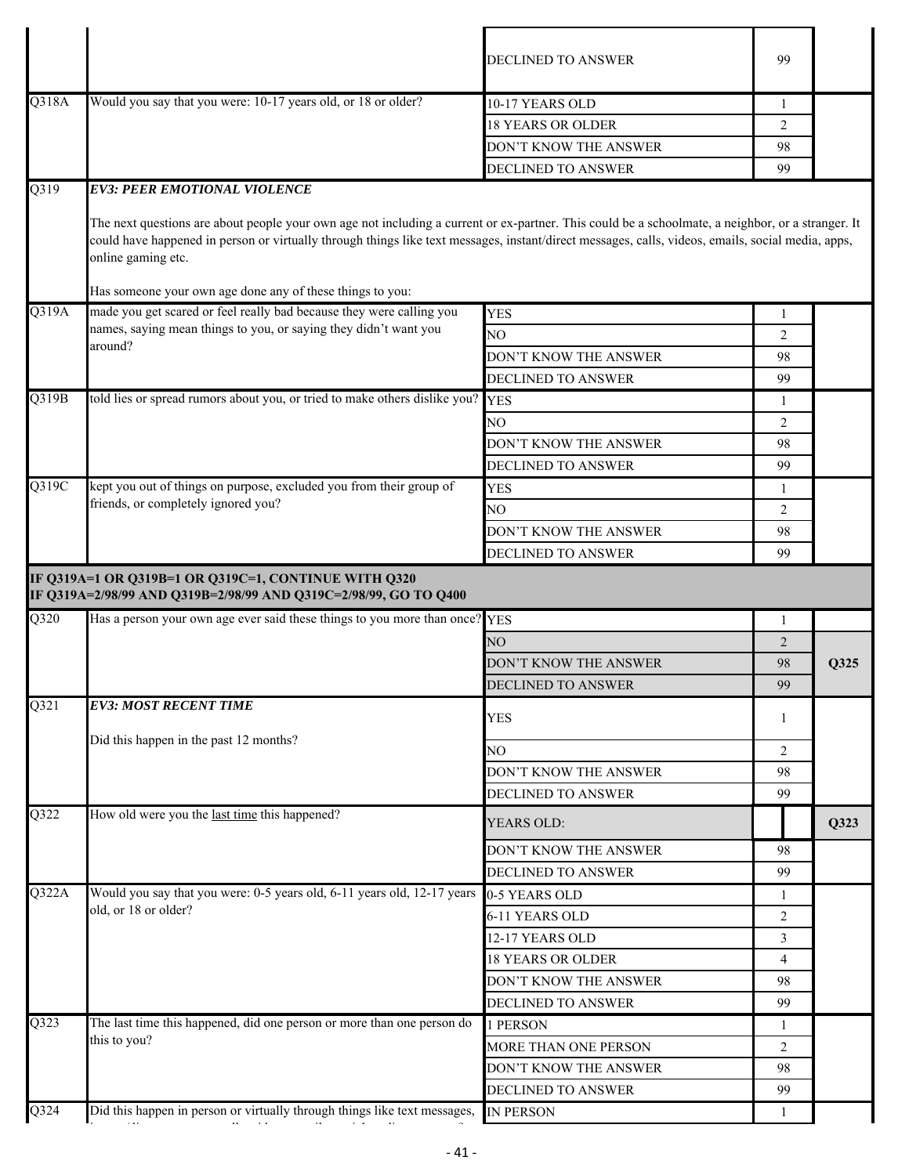|       |                                                                                                                                                                                                                                                                                                                              | DECLINED TO ANSWER                          | 99             |      |
|-------|------------------------------------------------------------------------------------------------------------------------------------------------------------------------------------------------------------------------------------------------------------------------------------------------------------------------------|---------------------------------------------|----------------|------|
| Q318A | Would you say that you were: 10-17 years old, or 18 or older?                                                                                                                                                                                                                                                                | 10-17 YEARS OLD                             | -1             |      |
|       |                                                                                                                                                                                                                                                                                                                              | <b>18 YEARS OR OLDER</b>                    | 2              |      |
|       |                                                                                                                                                                                                                                                                                                                              | DON'T KNOW THE ANSWER                       | 98             |      |
|       |                                                                                                                                                                                                                                                                                                                              | DECLINED TO ANSWER                          | 99             |      |
| Q319  | <b>EV3: PEER EMOTIONAL VIOLENCE</b>                                                                                                                                                                                                                                                                                          |                                             |                |      |
|       | The next questions are about people your own age not including a current or ex-partner. This could be a schoolmate, a neighbor, or a stranger. It<br>could have happened in person or virtually through things like text messages, instant/direct messages, calls, videos, emails, social media, apps,<br>online gaming etc. |                                             |                |      |
|       | Has someone your own age done any of these things to you:                                                                                                                                                                                                                                                                    |                                             |                |      |
| Q319A | made you get scared or feel really bad because they were calling you<br>names, saying mean things to you, or saying they didn't want you                                                                                                                                                                                     | <b>YES</b>                                  | $\mathbf{1}$   |      |
|       | around?                                                                                                                                                                                                                                                                                                                      | NO                                          | 2              |      |
|       |                                                                                                                                                                                                                                                                                                                              | DON'T KNOW THE ANSWER                       | 98             |      |
|       |                                                                                                                                                                                                                                                                                                                              | DECLINED TO ANSWER                          | 99             |      |
| Q319B | told lies or spread rumors about you, or tried to make others dislike you?                                                                                                                                                                                                                                                   | <b>YES</b>                                  | 1              |      |
|       |                                                                                                                                                                                                                                                                                                                              | NО                                          | 2              |      |
|       |                                                                                                                                                                                                                                                                                                                              | DON'T KNOW THE ANSWER                       | 98             |      |
|       |                                                                                                                                                                                                                                                                                                                              | DECLINED TO ANSWER                          | 99             |      |
| Q319C | kept you out of things on purpose, excluded you from their group of                                                                                                                                                                                                                                                          | <b>YES</b>                                  | 1              |      |
|       | friends, or completely ignored you?                                                                                                                                                                                                                                                                                          | NO.                                         | 2              |      |
|       |                                                                                                                                                                                                                                                                                                                              |                                             | 98             |      |
|       |                                                                                                                                                                                                                                                                                                                              | DON'T KNOW THE ANSWER                       |                |      |
|       |                                                                                                                                                                                                                                                                                                                              | <b>DECLINED TO ANSWER</b>                   | 99             |      |
|       | IF Q319A=1 OR Q319B=1 OR Q319C=1, CONTINUE WITH Q320<br>IF Q319A=2/98/99 AND Q319B=2/98/99 AND Q319C=2/98/99, GO TO Q400                                                                                                                                                                                                     |                                             |                |      |
| Q320  | Has a person your own age ever said these things to you more than once? YES                                                                                                                                                                                                                                                  |                                             | -1             |      |
|       |                                                                                                                                                                                                                                                                                                                              | NO                                          | 2              |      |
|       |                                                                                                                                                                                                                                                                                                                              | DON'T KNOW THE ANSWER                       | 98             | Q325 |
|       |                                                                                                                                                                                                                                                                                                                              | DECLINED TO ANSWER                          | 99             |      |
| Q321  | <b>EV3: MOST RECENT TIME</b>                                                                                                                                                                                                                                                                                                 | <b>YES</b>                                  | 1              |      |
|       | Did this happen in the past 12 months?                                                                                                                                                                                                                                                                                       | NO                                          | 2              |      |
|       |                                                                                                                                                                                                                                                                                                                              | DON'T KNOW THE ANSWER                       | 98             |      |
|       |                                                                                                                                                                                                                                                                                                                              | DECLINED TO ANSWER                          | 99             |      |
| Q322  | How old were you the last time this happened?                                                                                                                                                                                                                                                                                | YEARS OLD:                                  |                | Q323 |
|       |                                                                                                                                                                                                                                                                                                                              | DON'T KNOW THE ANSWER                       | 98             |      |
|       |                                                                                                                                                                                                                                                                                                                              | DECLINED TO ANSWER                          | 99             |      |
| Q322A | Would you say that you were: 0-5 years old, 6-11 years old, 12-17 years                                                                                                                                                                                                                                                      | 0-5 YEARS OLD                               | 1              |      |
|       | old, or 18 or older?                                                                                                                                                                                                                                                                                                         | 6-11 YEARS OLD                              | 2              |      |
|       |                                                                                                                                                                                                                                                                                                                              | 12-17 YEARS OLD                             | 3              |      |
|       |                                                                                                                                                                                                                                                                                                                              | 18 YEARS OR OLDER                           | $\overline{4}$ |      |
|       |                                                                                                                                                                                                                                                                                                                              | DON'T KNOW THE ANSWER                       | 98             |      |
|       |                                                                                                                                                                                                                                                                                                                              |                                             | 99             |      |
| Q323  | The last time this happened, did one person or more than one person do                                                                                                                                                                                                                                                       | DECLINED TO ANSWER                          | 1              |      |
|       | this to you?                                                                                                                                                                                                                                                                                                                 | 1 PERSON                                    |                |      |
|       |                                                                                                                                                                                                                                                                                                                              | MORE THAN ONE PERSON                        | 2              |      |
|       |                                                                                                                                                                                                                                                                                                                              | DON'T KNOW THE ANSWER<br>DECLINED TO ANSWER | 98<br>99       |      |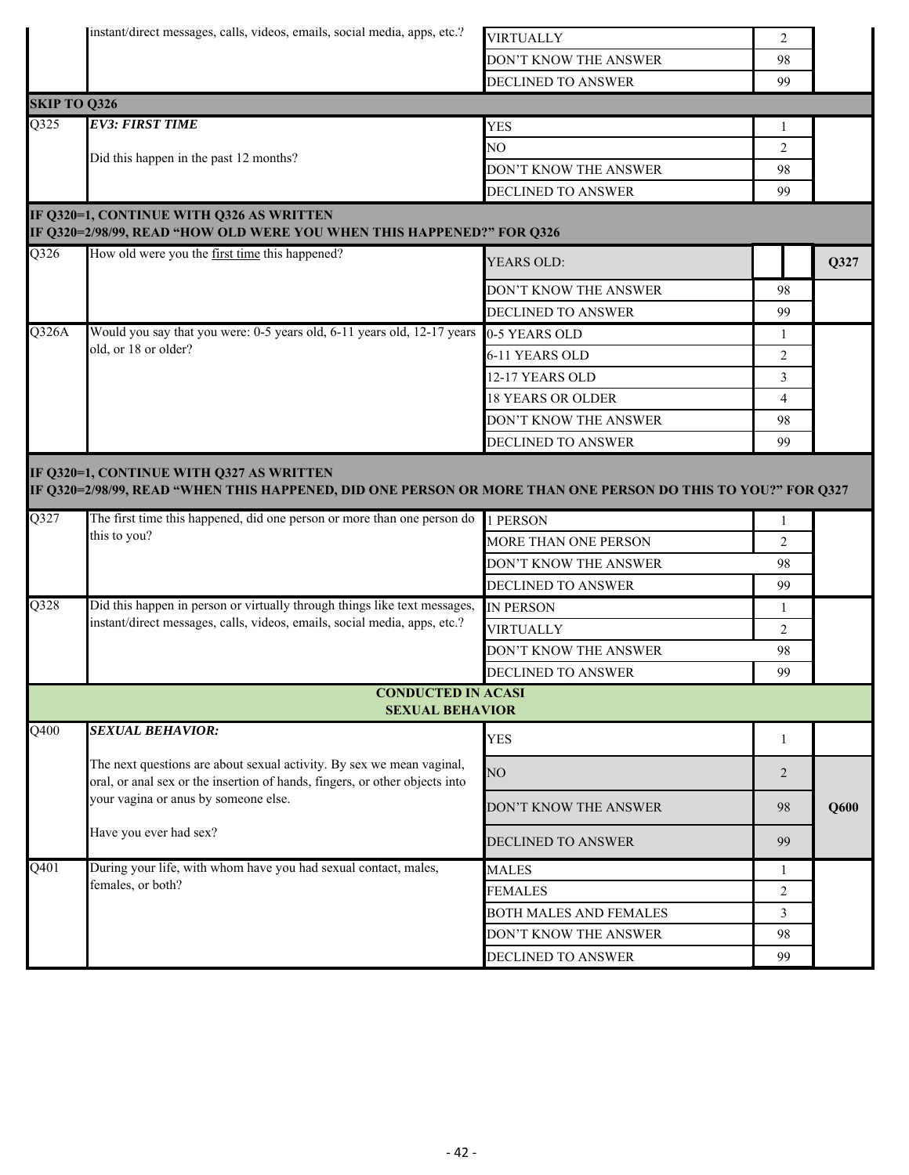| instant/direct messages, calls, videos, emails, social media, apps, etc.? |  |  |  |  |
|---------------------------------------------------------------------------|--|--|--|--|
|---------------------------------------------------------------------------|--|--|--|--|

| ٠. | <b>VIRTHALLY</b>      |    |
|----|-----------------------|----|
|    | DON'T KNOW THE ANSWER | 98 |
|    | DECLINED TO ANSWER    | gg |

|                   |                                                                                                                                                         | <b>DECLINED TO ANSWER</b>   | 99                   |      |
|-------------------|---------------------------------------------------------------------------------------------------------------------------------------------------------|-----------------------------|----------------------|------|
|                   | <b>SKIP TO Q326</b>                                                                                                                                     |                             |                      |      |
| Q325              | <b>EV3: FIRST TIME</b>                                                                                                                                  | <b>YES</b>                  |                      |      |
|                   | Did this happen in the past 12 months?                                                                                                                  | NO                          | $\overline{2}$       |      |
|                   |                                                                                                                                                         | DON'T KNOW THE ANSWER       | 98                   |      |
|                   |                                                                                                                                                         | DECLINED TO ANSWER          | 99                   |      |
|                   | IF Q320=1, CONTINUE WITH Q326 AS WRITTEN<br>IF Q320=2/98/99, READ "HOW OLD WERE YOU WHEN THIS HAPPENED?" FOR Q326                                       |                             |                      |      |
| Q326              | How old were you the first time this happened?                                                                                                          | YEARS OLD:                  |                      | Q327 |
|                   |                                                                                                                                                         | DON'T KNOW THE ANSWER       | 98                   |      |
|                   |                                                                                                                                                         | DECLINED TO ANSWER          | 99                   |      |
| Q326A             | Would you say that you were: 0-5 years old, 6-11 years old, 12-17 years                                                                                 | 0-5 YEARS OLD               | 1                    |      |
|                   | old, or 18 or older?                                                                                                                                    | 6-11 YEARS OLD              | $\overline{2}$       |      |
|                   |                                                                                                                                                         | 12-17 YEARS OLD             | $\overline{3}$       |      |
|                   |                                                                                                                                                         | <b>18 YEARS OR OLDER</b>    | 4                    |      |
|                   |                                                                                                                                                         | DON'T KNOW THE ANSWER       | 98                   |      |
|                   |                                                                                                                                                         | DECLINED TO ANSWER          | 99                   |      |
|                   | IF Q320=1, CONTINUE WITH Q327 AS WRITTEN<br>IF Q320=2/98/99, READ "WHEN THIS HAPPENED, DID ONE PERSON OR MORE THAN ONE PERSON DO THIS TO YOU?" FOR Q327 |                             |                      |      |
| $\overline{Q327}$ | The first time this happened, did one person or more than one person do<br>this to you?                                                                 | 1 PERSON                    | $\mathbf{1}$         |      |
|                   |                                                                                                                                                         | <b>MORE THAN ONE PERSON</b> | $\overline{2}$       |      |
|                   |                                                                                                                                                         | DON'T KNOW THE ANSWER       | 98                   |      |
| Q328              | Did this happen in person or virtually through things like text messages,                                                                               | DECLINED TO ANSWER          | 99                   |      |
|                   | instant/direct messages, calls, videos, emails, social media, apps, etc.?                                                                               | <b>IN PERSON</b>            | 1                    |      |
|                   |                                                                                                                                                         | <b>VIRTUALLY</b>            | $\overline{2}$<br>98 |      |
|                   |                                                                                                                                                         | DON'T KNOW THE ANSWER       |                      |      |
|                   | <b>CONDUCTED IN ACASI</b>                                                                                                                               | DECLINED TO ANSWER          | 99                   |      |
|                   | <b>SEXUAL BEHAVIOR</b>                                                                                                                                  |                             |                      |      |
| $\overline{Q400}$ | <b>SEXUAL BEHAVIOR:</b>                                                                                                                                 | <b>YES</b>                  |                      |      |
|                   | The next questions are about sexual activity. By sex we mean vaginal,<br>oral, or anal sex or the insertion of hands, fingers, or other objects into    | NO                          | $\overline{2}$       |      |
|                   | your vagina or anus by someone else.                                                                                                                    | DON'T KNOW THE ANSWER       | 98                   | Q600 |
|                   | Have you ever had sex?                                                                                                                                  | <b>DECLINED TO ANSWER</b>   | 99                   |      |
| $\overline{Q401}$ | During your life, with whom have you had sexual contact, males,                                                                                         | <b>MALES</b>                | $\mathbf{1}$         |      |
|                   | females, or both?                                                                                                                                       | <b>FEMALES</b>              | $\overline{2}$       |      |
|                   |                                                                                                                                                         | BOTH MALES AND FEMALES      | $\mathfrak{Z}$       |      |
|                   |                                                                                                                                                         |                             |                      |      |
|                   |                                                                                                                                                         | DON'T KNOW THE ANSWER       | 98                   |      |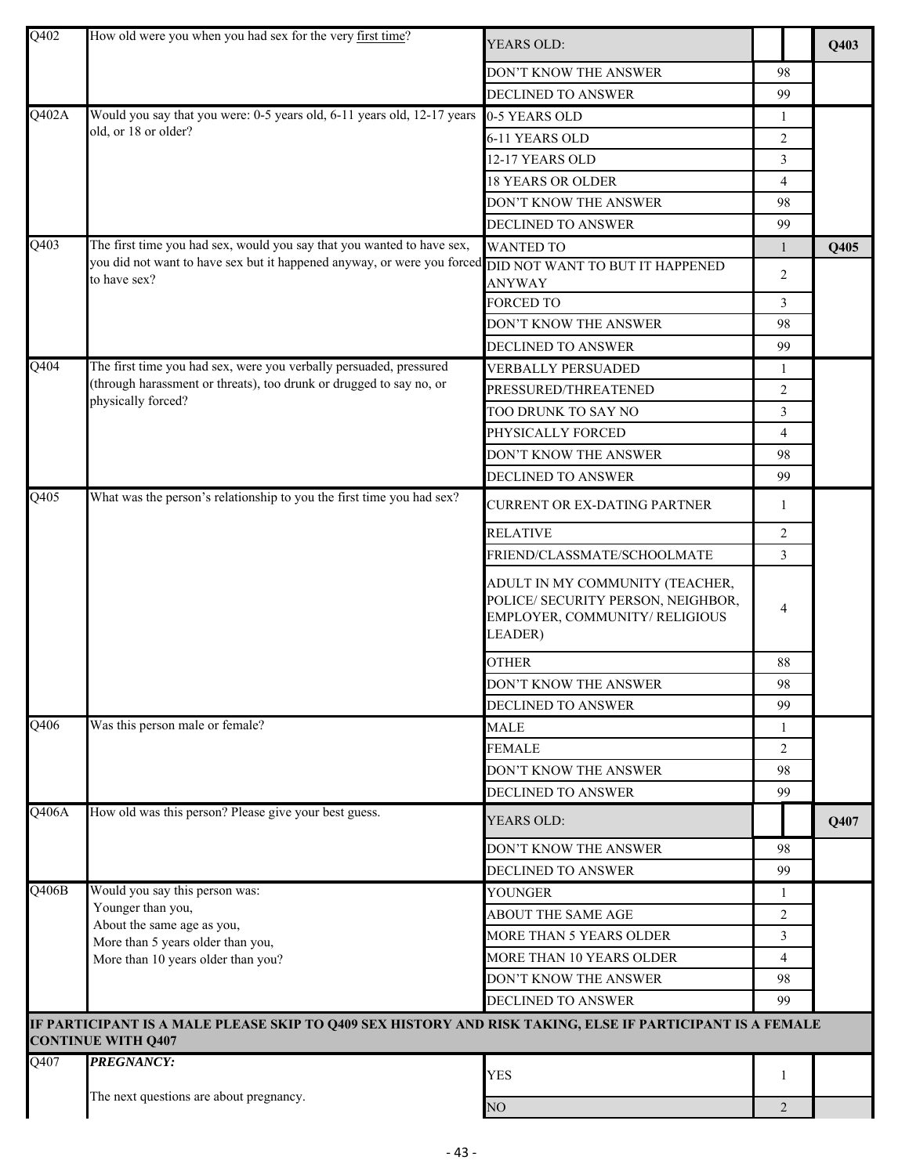| Q402<br>How old were you when you had sex for the very first time?<br>YEARS OLD:                                                       |                | Q403 |
|----------------------------------------------------------------------------------------------------------------------------------------|----------------|------|
| DON'T KNOW THE ANSWER                                                                                                                  | 98             |      |
| DECLINED TO ANSWER                                                                                                                     | 99             |      |
| Q402A<br>Would you say that you were: 0-5 years old, 6-11 years old, 12-17 years<br>0-5 YEARS OLD                                      | 1              |      |
| old, or 18 or older?<br>6-11 YEARS OLD                                                                                                 | 2              |      |
| 12-17 YEARS OLD                                                                                                                        | 3              |      |
| <b>18 YEARS OR OLDER</b>                                                                                                               | $\overline{4}$ |      |
| DON'T KNOW THE ANSWER                                                                                                                  | 98             |      |
| DECLINED TO ANSWER                                                                                                                     | 99             |      |
| The first time you had sex, would you say that you wanted to have sex,<br>Q403<br><b>WANTED TO</b>                                     | $\mathbf{1}$   | Q405 |
| you did not want to have sex but it happened anyway, or were you forced DID NOT WANT TO BUT IT HAPPENED                                | $\overline{2}$ |      |
| to have sex?<br><b>ANYWAY</b>                                                                                                          |                |      |
| <b>FORCED TO</b>                                                                                                                       | 3              |      |
| DON'T KNOW THE ANSWER                                                                                                                  | 98             |      |
| DECLINED TO ANSWER                                                                                                                     | 99             |      |
| The first time you had sex, were you verbally persuaded, pressured<br>Q404<br><b>VERBALLY PERSUADED</b>                                | 1              |      |
| (through harassment or threats), too drunk or drugged to say no, or<br>PRESSURED/THREATENED<br>physically forced?                      | $\overline{2}$ |      |
| TOO DRUNK TO SAY NO                                                                                                                    | 3              |      |
| PHYSICALLY FORCED                                                                                                                      | $\overline{4}$ |      |
| DON'T KNOW THE ANSWER                                                                                                                  | 98             |      |
| DECLINED TO ANSWER                                                                                                                     | 99             |      |
| What was the person's relationship to you the first time you had sex?<br>Q405<br>CURRENT OR EX-DATING PARTNER                          | 1              |      |
| <b>RELATIVE</b>                                                                                                                        | 2              |      |
| FRIEND/CLASSMATE/SCHOOLMATE                                                                                                            | $\mathfrak{Z}$ |      |
| ADULT IN MY COMMUNITY (TEACHER,<br>POLICE/ SECURITY PERSON, NEIGHBOR,<br>EMPLOYER, COMMUNITY/RELIGIOUS<br>LEADER)                      | 4              |      |
| <b>OTHER</b>                                                                                                                           | 88             |      |
| DON'T KNOW THE ANSWER                                                                                                                  | 98             |      |
| DECLINED TO ANSWER                                                                                                                     | 99             |      |
| Was this person male or female?<br>Q406<br><b>MALE</b>                                                                                 | 1              |      |
| <b>FEMALE</b>                                                                                                                          | 2              |      |
| DON'T KNOW THE ANSWER                                                                                                                  | 98             |      |
| DECLINED TO ANSWER                                                                                                                     | 99             |      |
| How old was this person? Please give your best guess.<br>Q406A<br>YEARS OLD:                                                           |                | Q407 |
| DON'T KNOW THE ANSWER                                                                                                                  | 98             |      |
| <b>DECLINED TO ANSWER</b>                                                                                                              | 99             |      |
| Would you say this person was:<br>Q406B<br><b>YOUNGER</b>                                                                              | -1             |      |
| Younger than you,<br><b>ABOUT THE SAME AGE</b><br>About the same age as you,                                                           | 2              |      |
| <b>MORE THAN 5 YEARS OLDER</b><br>More than 5 years older than you,                                                                    | $\mathfrak{Z}$ |      |
| MORE THAN 10 YEARS OLDER<br>More than 10 years older than you?                                                                         | $\overline{4}$ |      |
| DON'T KNOW THE ANSWER                                                                                                                  | 98             |      |
| DECLINED TO ANSWER                                                                                                                     | 99             |      |
| IF PARTICIPANT IS A MALE PLEASE SKIP TO Q409 SEX HISTORY AND RISK TAKING, ELSE IF PARTICIPANT IS A FEMALE<br><b>CONTINUE WITH Q407</b> |                |      |
| <b>PREGNANCY:</b><br>Q407<br><b>YES</b>                                                                                                | 1              |      |
| The next questions are about pregnancy.<br>NO                                                                                          | $\overline{2}$ |      |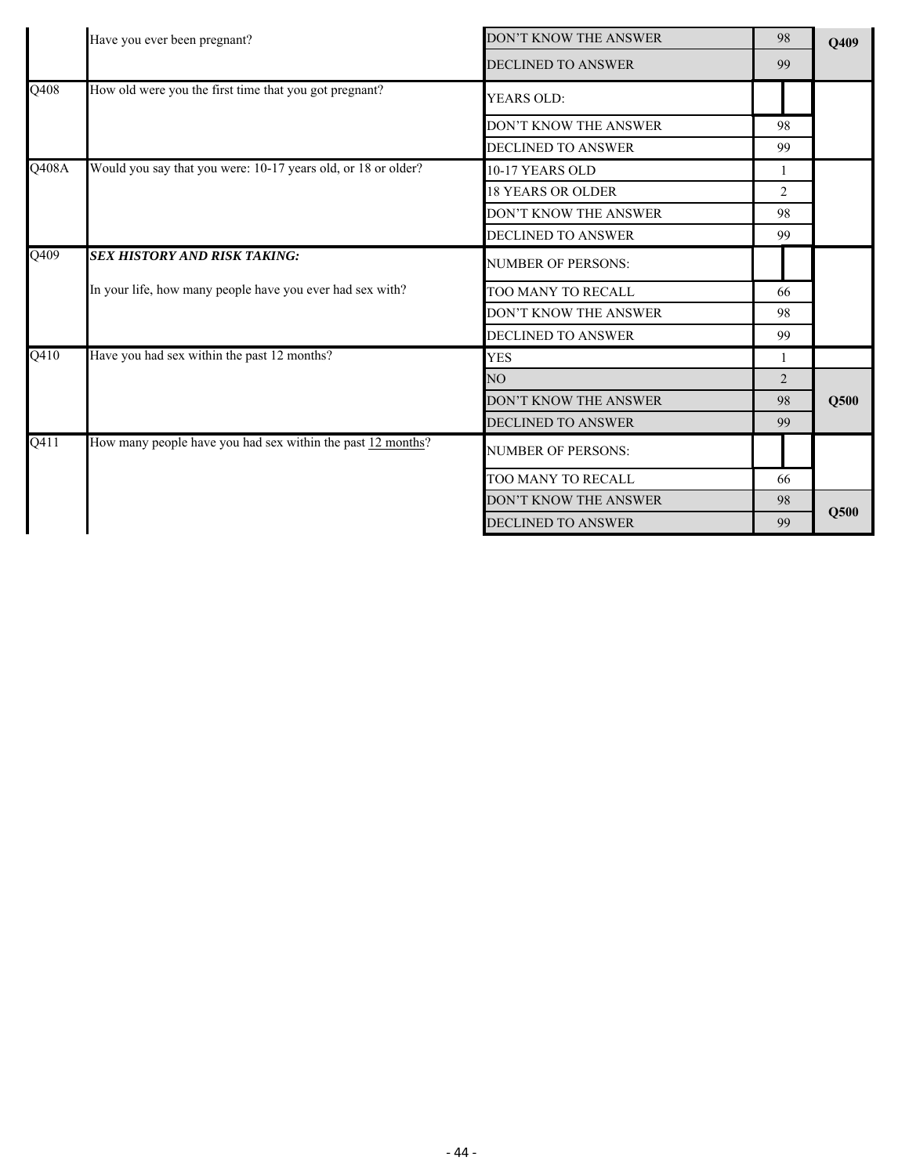|       | Have you ever been pregnant?                                  | DON'T KNOW THE ANSWER        | 98 | Q409 |
|-------|---------------------------------------------------------------|------------------------------|----|------|
|       |                                                               | <b>DECLINED TO ANSWER</b>    | 99 |      |
| Q408  | How old were you the first time that you got pregnant?        | <b>YEARS OLD:</b>            |    |      |
|       |                                                               | DON'T KNOW THE ANSWER        | 98 |      |
|       |                                                               | <b>DECLINED TO ANSWER</b>    | 99 |      |
| Q408A | Would you say that you were: 10-17 years old, or 18 or older? | 10-17 YEARS OLD              | -1 |      |
|       |                                                               | <b>18 YEARS OR OLDER</b>     | 2  |      |
|       |                                                               | <b>DON'T KNOW THE ANSWER</b> | 98 |      |
|       |                                                               | <b>DECLINED TO ANSWER</b>    | 99 |      |
| Q409  | SEX HISTORY AND RISK TAKING:                                  | <b>NUMBER OF PERSONS:</b>    |    |      |
|       | In your life, how many people have you ever had sex with?     | TOO MANY TO RECALL           | 66 |      |
|       |                                                               | DON'T KNOW THE ANSWER        | 98 |      |
|       |                                                               | <b>DECLINED TO ANSWER</b>    | 99 |      |
| Q410  | Have you had sex within the past 12 months?                   | <b>YES</b>                   | -1 |      |
|       |                                                               | NO <sub>1</sub>              | 2  |      |
|       |                                                               | DON'T KNOW THE ANSWER        | 98 | Q500 |
|       |                                                               | <b>DECLINED TO ANSWER</b>    | 99 |      |
| Q411  | How many people have you had sex within the past 12 months?   | <b>NUMBER OF PERSONS:</b>    |    |      |
|       |                                                               | TOO MANY TO RECALL           | 66 |      |
|       |                                                               | <b>DON'T KNOW THE ANSWER</b> | 98 |      |
|       |                                                               | <b>DECLINED TO ANSWER</b>    | 99 | Q500 |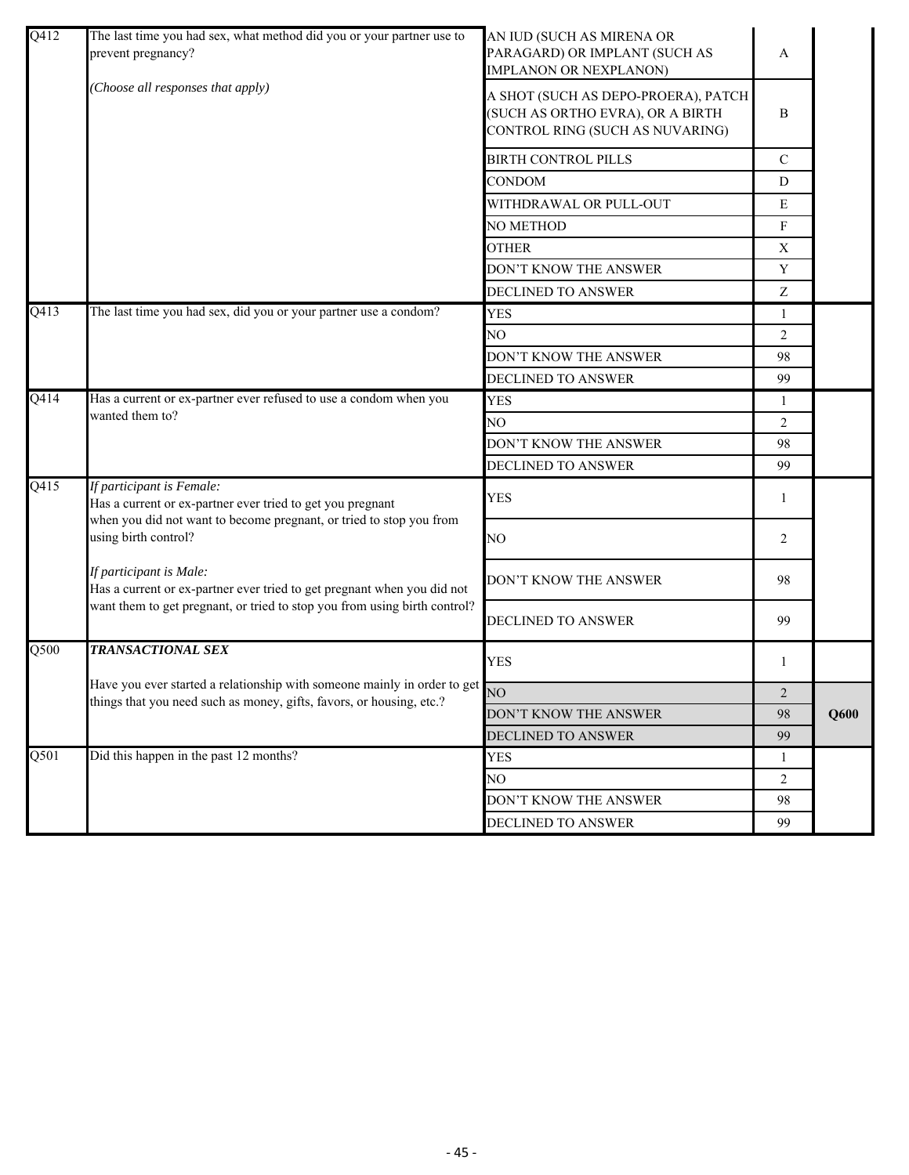| Q412 | The last time you had sex, what method did you or your partner use to<br>prevent pregnancy?                                                      | AN IUD (SUCH AS MIRENA OR<br>PARAGARD) OR IMPLANT (SUCH AS<br><b>IMPLANON OR NEXPLANON)</b>                | A            |      |
|------|--------------------------------------------------------------------------------------------------------------------------------------------------|------------------------------------------------------------------------------------------------------------|--------------|------|
|      | (Choose all responses that apply)                                                                                                                | A SHOT (SUCH AS DEPO-PROERA), PATCH<br>(SUCH AS ORTHO EVRA), OR A BIRTH<br>CONTROL RING (SUCH AS NUVARING) | B            |      |
|      |                                                                                                                                                  | <b>BIRTH CONTROL PILLS</b>                                                                                 | $\mathbf C$  |      |
|      |                                                                                                                                                  | <b>CONDOM</b>                                                                                              | D            |      |
|      |                                                                                                                                                  | WITHDRAWAL OR PULL-OUT                                                                                     | E            |      |
|      |                                                                                                                                                  | <b>NO METHOD</b>                                                                                           | F            |      |
|      |                                                                                                                                                  | <b>OTHER</b>                                                                                               | X            |      |
|      |                                                                                                                                                  | DON'T KNOW THE ANSWER                                                                                      | $\mathbf Y$  |      |
|      |                                                                                                                                                  | DECLINED TO ANSWER                                                                                         | Z            |      |
| Q413 | The last time you had sex, did you or your partner use a condom?                                                                                 | <b>YES</b>                                                                                                 | 1            |      |
|      |                                                                                                                                                  | NO.                                                                                                        | 2            |      |
|      |                                                                                                                                                  | DON'T KNOW THE ANSWER                                                                                      | 98           |      |
|      |                                                                                                                                                  | DECLINED TO ANSWER                                                                                         | 99           |      |
| Q414 | Has a current or ex-partner ever refused to use a condom when you<br>wanted them to?                                                             | <b>YES</b>                                                                                                 | $\mathbf{1}$ |      |
|      |                                                                                                                                                  | NO                                                                                                         | 2            |      |
|      |                                                                                                                                                  | DON'T KNOW THE ANSWER                                                                                      | 98           |      |
|      |                                                                                                                                                  | <b>DECLINED TO ANSWER</b>                                                                                  | 99           |      |
| Q415 | If participant is Female:<br>Has a current or ex-partner ever tried to get you pregnant                                                          | <b>YES</b>                                                                                                 | 1            |      |
|      | when you did not want to become pregnant, or tried to stop you from<br>using birth control?                                                      | NO                                                                                                         | 2            |      |
|      | If participant is Male:<br>Has a current or ex-partner ever tried to get pregnant when you did not                                               | DON'T KNOW THE ANSWER                                                                                      | 98           |      |
|      | want them to get pregnant, or tried to stop you from using birth control?                                                                        | DECLINED TO ANSWER                                                                                         | 99           |      |
| Q500 | <b>TRANSACTIONAL SEX</b>                                                                                                                         | <b>YES</b>                                                                                                 | 1            |      |
|      | Have you ever started a relationship with someone mainly in order to get<br>things that you need such as money, gifts, favors, or housing, etc.? | NO.                                                                                                        | 2            |      |
|      |                                                                                                                                                  | DON'T KNOW THE ANSWER                                                                                      | 98           | Q600 |
|      |                                                                                                                                                  | DECLINED TO ANSWER                                                                                         | 99           |      |
| Q501 | Did this happen in the past 12 months?                                                                                                           | <b>YES</b>                                                                                                 | 1            |      |
|      |                                                                                                                                                  | NO.                                                                                                        | 2            |      |
|      |                                                                                                                                                  | DON'T KNOW THE ANSWER                                                                                      | 98           |      |
|      |                                                                                                                                                  | DECLINED TO ANSWER                                                                                         | 99           |      |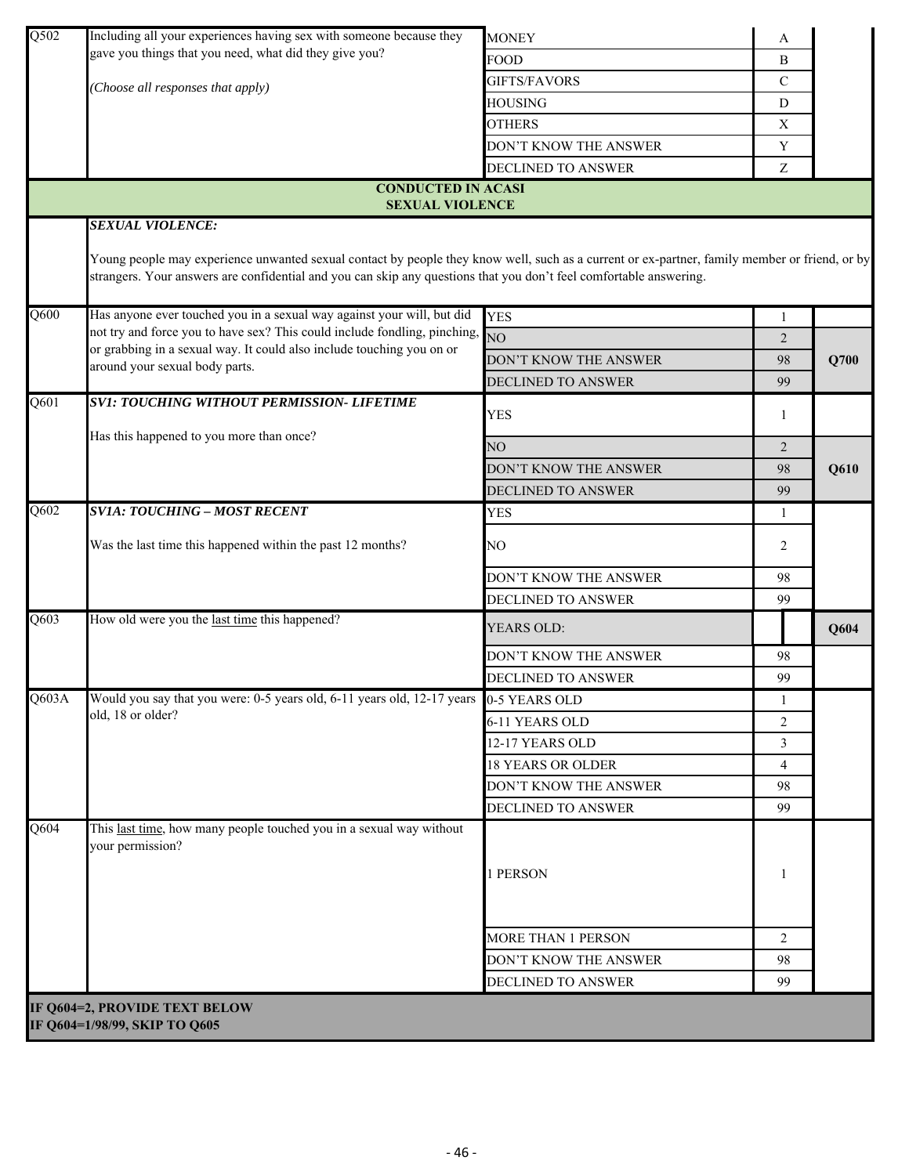| Q502              | Including all your experiences having sex with someone because they                                                                                                                                                                                                                            | <b>MONEY</b>              | A              |      |
|-------------------|------------------------------------------------------------------------------------------------------------------------------------------------------------------------------------------------------------------------------------------------------------------------------------------------|---------------------------|----------------|------|
|                   | gave you things that you need, what did they give you?                                                                                                                                                                                                                                         | <b>FOOD</b>               | B              |      |
|                   | (Choose all responses that apply)                                                                                                                                                                                                                                                              | <b>GIFTS/FAVORS</b>       | $\mathcal{C}$  |      |
|                   |                                                                                                                                                                                                                                                                                                | HOUSING                   | D              |      |
|                   |                                                                                                                                                                                                                                                                                                | <b>OTHERS</b>             | X              |      |
|                   |                                                                                                                                                                                                                                                                                                | DON'T KNOW THE ANSWER     | Y              |      |
|                   |                                                                                                                                                                                                                                                                                                | DECLINED TO ANSWER        | Z              |      |
|                   | <b>CONDUCTED IN ACASI</b>                                                                                                                                                                                                                                                                      |                           |                |      |
|                   | <b>SEXUAL VIOLENCE</b>                                                                                                                                                                                                                                                                         |                           |                |      |
|                   | <b>SEXUAL VIOLENCE:</b><br>Young people may experience unwanted sexual contact by people they know well, such as a current or ex-partner, family member or friend, or by<br>strangers. Your answers are confidential and you can skip any questions that you don't feel comfortable answering. |                           |                |      |
| Q600              | Has anyone ever touched you in a sexual way against your will, but did<br>not try and force you to have sex? This could include fondling, pinching,                                                                                                                                            | <b>YES</b>                | 1              |      |
|                   | or grabbing in a sexual way. It could also include touching you on or<br>around your sexual body parts.                                                                                                                                                                                        | $\overline{NO}$           | 2              |      |
|                   |                                                                                                                                                                                                                                                                                                | DON'T KNOW THE ANSWER     | 98             | Q700 |
|                   |                                                                                                                                                                                                                                                                                                | <b>DECLINED TO ANSWER</b> | 99             |      |
| Q601              | <b>SV1: TOUCHING WITHOUT PERMISSION- LIFETIME</b>                                                                                                                                                                                                                                              | <b>YES</b>                | 1              |      |
|                   | Has this happened to you more than once?                                                                                                                                                                                                                                                       | NO                        | 2              |      |
|                   |                                                                                                                                                                                                                                                                                                | DON'T KNOW THE ANSWER     | 98             | Q610 |
|                   |                                                                                                                                                                                                                                                                                                | <b>DECLINED TO ANSWER</b> | 99             |      |
| Q602              | <b>SVIA: TOUCHING - MOST RECENT</b>                                                                                                                                                                                                                                                            | <b>YES</b>                | 1              |      |
|                   |                                                                                                                                                                                                                                                                                                |                           |                |      |
|                   | Was the last time this happened within the past 12 months?                                                                                                                                                                                                                                     | NO                        | 2              |      |
|                   |                                                                                                                                                                                                                                                                                                | DON'T KNOW THE ANSWER     | 98             |      |
|                   |                                                                                                                                                                                                                                                                                                | DECLINED TO ANSWER        | 99             |      |
| Q603              | How old were you the last time this happened?                                                                                                                                                                                                                                                  | YEARS OLD:                |                | Q604 |
|                   |                                                                                                                                                                                                                                                                                                | DON'T KNOW THE ANSWER     | 98             |      |
|                   |                                                                                                                                                                                                                                                                                                | DECLINED TO ANSWER        | 99             |      |
| Q603A             | Would you say that you were: 0-5 years old, 6-11 years old, 12-17 years 0-5 YEARS OLD                                                                                                                                                                                                          |                           | 1              |      |
|                   | old, 18 or older?                                                                                                                                                                                                                                                                              | 6-11 YEARS OLD            | $\overline{2}$ |      |
|                   |                                                                                                                                                                                                                                                                                                | 12-17 YEARS OLD           | 3              |      |
|                   |                                                                                                                                                                                                                                                                                                | <b>18 YEARS OR OLDER</b>  | $\overline{4}$ |      |
|                   |                                                                                                                                                                                                                                                                                                | DON'T KNOW THE ANSWER     | 98             |      |
|                   |                                                                                                                                                                                                                                                                                                | <b>DECLINED TO ANSWER</b> | 99             |      |
| $\overline{Q604}$ | This last time, how many people touched you in a sexual way without<br>your permission?                                                                                                                                                                                                        | 1 PERSON                  | 1              |      |
|                   |                                                                                                                                                                                                                                                                                                | MORE THAN 1 PERSON        | 2              |      |
|                   |                                                                                                                                                                                                                                                                                                | DON'T KNOW THE ANSWER     | 98             |      |
|                   |                                                                                                                                                                                                                                                                                                | DECLINED TO ANSWER        | 99             |      |
|                   |                                                                                                                                                                                                                                                                                                |                           |                |      |
|                   | IF Q604=2, PROVIDE TEXT BELOW<br>IF Q604=1/98/99, SKIP TO Q605                                                                                                                                                                                                                                 |                           |                |      |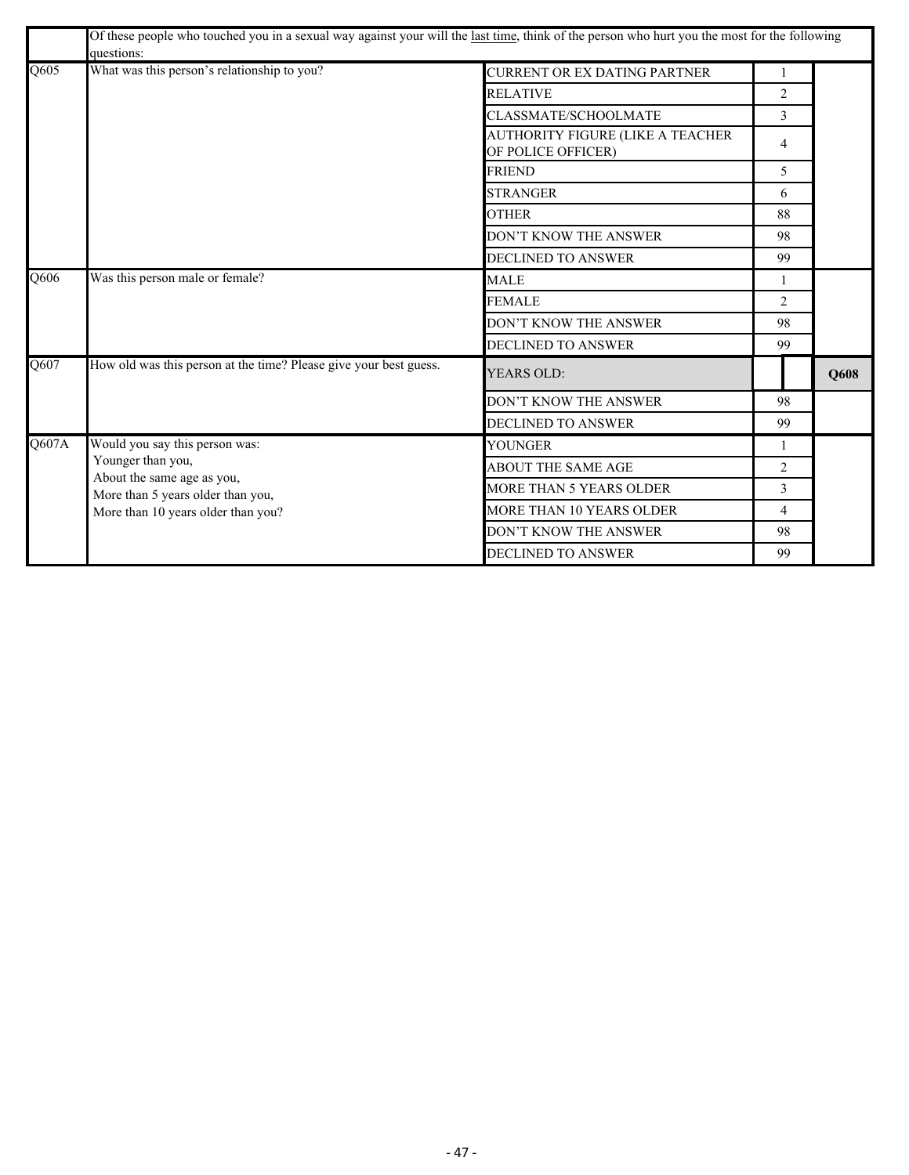|       | Of these people who touched you in a sexual way against your will the last time, think of the person who hurt you the most for the following<br>questions: |                                                               |                |      |
|-------|------------------------------------------------------------------------------------------------------------------------------------------------------------|---------------------------------------------------------------|----------------|------|
| Q605  | What was this person's relationship to you?                                                                                                                | <b>CURRENT OR EX DATING PARTNER</b>                           | 1              |      |
|       |                                                                                                                                                            | <b>RELATIVE</b>                                               | $\overline{c}$ |      |
|       |                                                                                                                                                            | CLASSMATE/SCHOOLMATE                                          | 3              |      |
|       |                                                                                                                                                            | <b>AUTHORITY FIGURE (LIKE A TEACHER</b><br>OF POLICE OFFICER) | $\overline{4}$ |      |
|       |                                                                                                                                                            | <b>FRIEND</b>                                                 | 5              |      |
|       |                                                                                                                                                            | <b>STRANGER</b>                                               | 6              |      |
|       |                                                                                                                                                            | <b>OTHER</b>                                                  | 88             |      |
|       |                                                                                                                                                            | DON'T KNOW THE ANSWER                                         | 98             |      |
|       |                                                                                                                                                            | DECLINED TO ANSWER                                            | 99             |      |
| Q606  | Was this person male or female?                                                                                                                            | <b>MALE</b>                                                   | 1              |      |
|       |                                                                                                                                                            | <b>FEMALE</b>                                                 | 2              |      |
|       |                                                                                                                                                            | DON'T KNOW THE ANSWER                                         | 98             |      |
|       |                                                                                                                                                            | <b>DECLINED TO ANSWER</b>                                     | 99             |      |
| Q607  | How old was this person at the time? Please give your best guess.                                                                                          | <b>YEARS OLD:</b>                                             |                | Q608 |
|       |                                                                                                                                                            | DON'T KNOW THE ANSWER                                         | 98             |      |
|       |                                                                                                                                                            | DECLINED TO ANSWER                                            | 99             |      |
| Q607A | Would you say this person was:                                                                                                                             | YOUNGER                                                       | 1              |      |
|       | Younger than you,<br>About the same age as you,                                                                                                            | <b>ABOUT THE SAME AGE</b>                                     | $\overline{2}$ |      |
|       | More than 5 years older than you,                                                                                                                          | MORE THAN 5 YEARS OLDER                                       | 3              |      |
|       | More than 10 years older than you?                                                                                                                         | <b>MORE THAN 10 YEARS OLDER</b>                               | $\overline{4}$ |      |
|       |                                                                                                                                                            | DON'T KNOW THE ANSWER                                         | 98             |      |
|       |                                                                                                                                                            | DECLINED TO ANSWER                                            | 99             |      |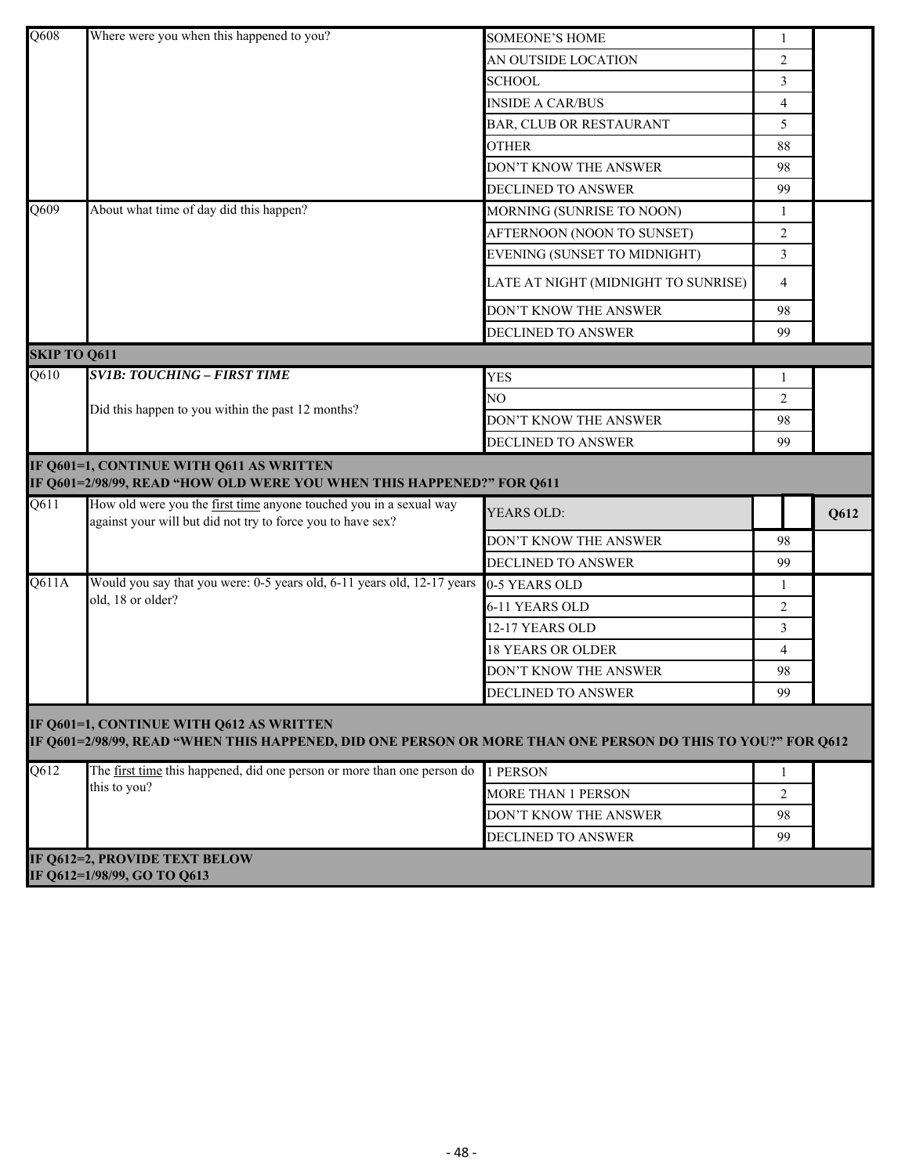| $\overline{Q608}$ | Where were you when this happened to you?                                                                                                               | <b>SOMEONE'S HOME</b>               | 1              |      |  |  |  |
|-------------------|---------------------------------------------------------------------------------------------------------------------------------------------------------|-------------------------------------|----------------|------|--|--|--|
|                   |                                                                                                                                                         | AN OUTSIDE LOCATION                 | 2              |      |  |  |  |
|                   |                                                                                                                                                         | <b>SCHOOL</b>                       | 3              |      |  |  |  |
|                   |                                                                                                                                                         | <b>INSIDE A CAR/BUS</b>             | $\overline{4}$ |      |  |  |  |
|                   |                                                                                                                                                         | BAR, CLUB OR RESTAURANT             | 5              |      |  |  |  |
|                   |                                                                                                                                                         | <b>OTHER</b>                        | 88             |      |  |  |  |
|                   |                                                                                                                                                         | DON'T KNOW THE ANSWER               | 98             |      |  |  |  |
|                   |                                                                                                                                                         | <b>DECLINED TO ANSWER</b>           | 99             |      |  |  |  |
| Q609              | About what time of day did this happen?                                                                                                                 | MORNING (SUNRISE TO NOON)           | 1              |      |  |  |  |
|                   |                                                                                                                                                         | AFTERNOON (NOON TO SUNSET)          | 2              |      |  |  |  |
|                   |                                                                                                                                                         | EVENING (SUNSET TO MIDNIGHT)        | 3              |      |  |  |  |
|                   |                                                                                                                                                         | LATE AT NIGHT (MIDNIGHT TO SUNRISE) | $\overline{4}$ |      |  |  |  |
|                   |                                                                                                                                                         | DON'T KNOW THE ANSWER               | 98             |      |  |  |  |
|                   |                                                                                                                                                         | DECLINED TO ANSWER                  | 99             |      |  |  |  |
|                   | <b>SKIP TO Q611</b>                                                                                                                                     |                                     |                |      |  |  |  |
| Q610              | <b>SV1B: TOUCHING - FIRST TIME</b>                                                                                                                      | <b>YES</b>                          | 1              |      |  |  |  |
|                   | Did this happen to you within the past 12 months?                                                                                                       | NO.                                 | 2              |      |  |  |  |
|                   |                                                                                                                                                         | DON'T KNOW THE ANSWER               | 98             |      |  |  |  |
|                   |                                                                                                                                                         | <b>DECLINED TO ANSWER</b>           | 99             |      |  |  |  |
|                   |                                                                                                                                                         |                                     |                |      |  |  |  |
|                   | IF Q601=1, CONTINUE WITH Q611 AS WRITTEN<br>IF Q601=2/98/99, READ "HOW OLD WERE YOU WHEN THIS HAPPENED?" FOR Q611                                       |                                     |                |      |  |  |  |
| $\overline{Q611}$ | How old were you the first time anyone touched you in a sexual way<br>against your will but did not try to force you to have sex?                       | YEARS OLD:                          |                | Q612 |  |  |  |
|                   |                                                                                                                                                         | DON'T KNOW THE ANSWER               | 98             |      |  |  |  |
|                   |                                                                                                                                                         | DECLINED TO ANSWER                  | 99             |      |  |  |  |
| Q611A             | Would you say that you were: 0-5 years old, 6-11 years old, 12-17 years                                                                                 | 0-5 YEARS OLD                       | 1              |      |  |  |  |
|                   | old, 18 or older?                                                                                                                                       | 6-11 YEARS OLD                      | 2              |      |  |  |  |
|                   |                                                                                                                                                         | 12-17 YEARS OLD                     | $\overline{3}$ |      |  |  |  |
|                   |                                                                                                                                                         | <b>18 YEARS OR OLDER</b>            | $\overline{4}$ |      |  |  |  |
|                   |                                                                                                                                                         | DON'T KNOW THE ANSWER               | 98             |      |  |  |  |
|                   |                                                                                                                                                         | DECLINED TO ANSWER                  | 99             |      |  |  |  |
|                   | IF Q601=1, CONTINUE WITH Q612 AS WRITTEN<br>IF Q601=2/98/99, READ "WHEN THIS HAPPENED, DID ONE PERSON OR MORE THAN ONE PERSON DO THIS TO YOU?" FOR Q612 |                                     |                |      |  |  |  |
| $\overline{Q612}$ | The first time this happened, did one person or more than one person do                                                                                 | 1 PERSON                            | 1              |      |  |  |  |
|                   | this to you?                                                                                                                                            | MORE THAN 1 PERSON                  | 2              |      |  |  |  |
|                   |                                                                                                                                                         | DON'T KNOW THE ANSWER               | 98             |      |  |  |  |
|                   |                                                                                                                                                         | <b>DECLINED TO ANSWER</b>           | 99             |      |  |  |  |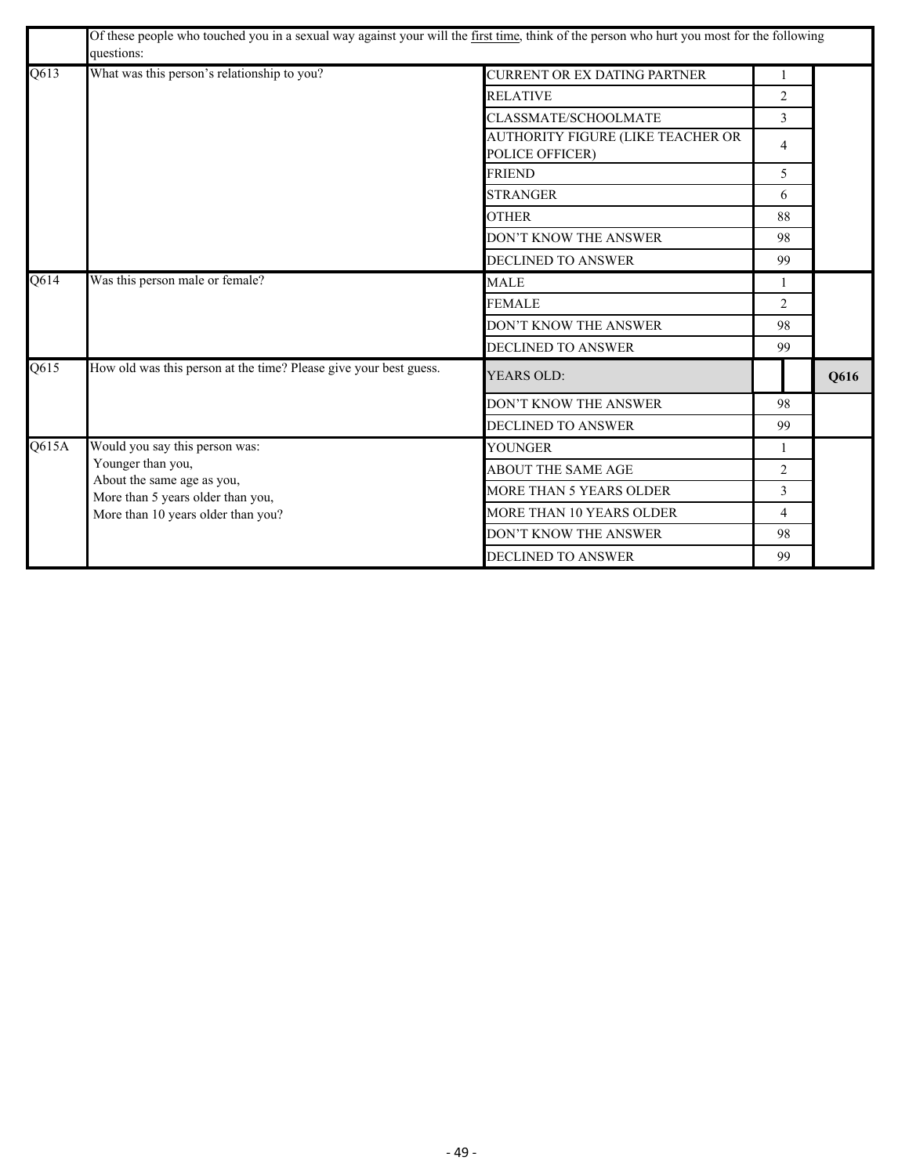|       | Of these people who touched you in a sexual way against your will the first time, think of the person who hurt you most for the following<br>questions: |                                                      |                             |      |  |
|-------|---------------------------------------------------------------------------------------------------------------------------------------------------------|------------------------------------------------------|-----------------------------|------|--|
| Q613  | What was this person's relationship to you?                                                                                                             | <b>CURRENT OR EX DATING PARTNER</b>                  | 1                           |      |  |
|       |                                                                                                                                                         | <b>RELATIVE</b>                                      | $\overline{2}$              |      |  |
|       |                                                                                                                                                         | CLASSMATE/SCHOOLMATE                                 | 3                           |      |  |
|       |                                                                                                                                                         | AUTHORITY FIGURE (LIKE TEACHER OR<br>POLICE OFFICER) | 4                           |      |  |
|       |                                                                                                                                                         | <b>FRIEND</b>                                        | 5                           |      |  |
|       |                                                                                                                                                         | <b>STRANGER</b>                                      | 6                           |      |  |
|       |                                                                                                                                                         | <b>OTHER</b>                                         | 88                          |      |  |
|       |                                                                                                                                                         | DON'T KNOW THE ANSWER                                | 98                          |      |  |
|       |                                                                                                                                                         | DECLINED TO ANSWER                                   | 99                          |      |  |
| Q614  | Was this person male or female?                                                                                                                         | <b>MALE</b>                                          | 1                           |      |  |
|       |                                                                                                                                                         | <b>FEMALE</b>                                        | $\mathcal{D}_{\mathcal{L}}$ |      |  |
|       |                                                                                                                                                         | DON'T KNOW THE ANSWER                                | 98                          |      |  |
|       |                                                                                                                                                         | DECLINED TO ANSWER                                   | 99                          |      |  |
| Q615  | How old was this person at the time? Please give your best guess.                                                                                       | <b>YEARS OLD:</b>                                    |                             | Q616 |  |
|       |                                                                                                                                                         | DON'T KNOW THE ANSWER                                | 98                          |      |  |
|       |                                                                                                                                                         | DECLINED TO ANSWER                                   | 99                          |      |  |
| Q615A | Would you say this person was:                                                                                                                          | YOUNGER                                              | 1                           |      |  |
|       | Younger than you,<br>About the same age as you,                                                                                                         | <b>ABOUT THE SAME AGE</b>                            | $\overline{2}$              |      |  |
|       | More than 5 years older than you,                                                                                                                       | MORE THAN 5 YEARS OLDER                              | 3                           |      |  |
|       | More than 10 years older than you?                                                                                                                      | MORE THAN 10 YEARS OLDER                             | $\overline{4}$              |      |  |
|       |                                                                                                                                                         | DON'T KNOW THE ANSWER                                | 98                          |      |  |
|       |                                                                                                                                                         | <b>DECLINED TO ANSWER</b>                            | 99                          |      |  |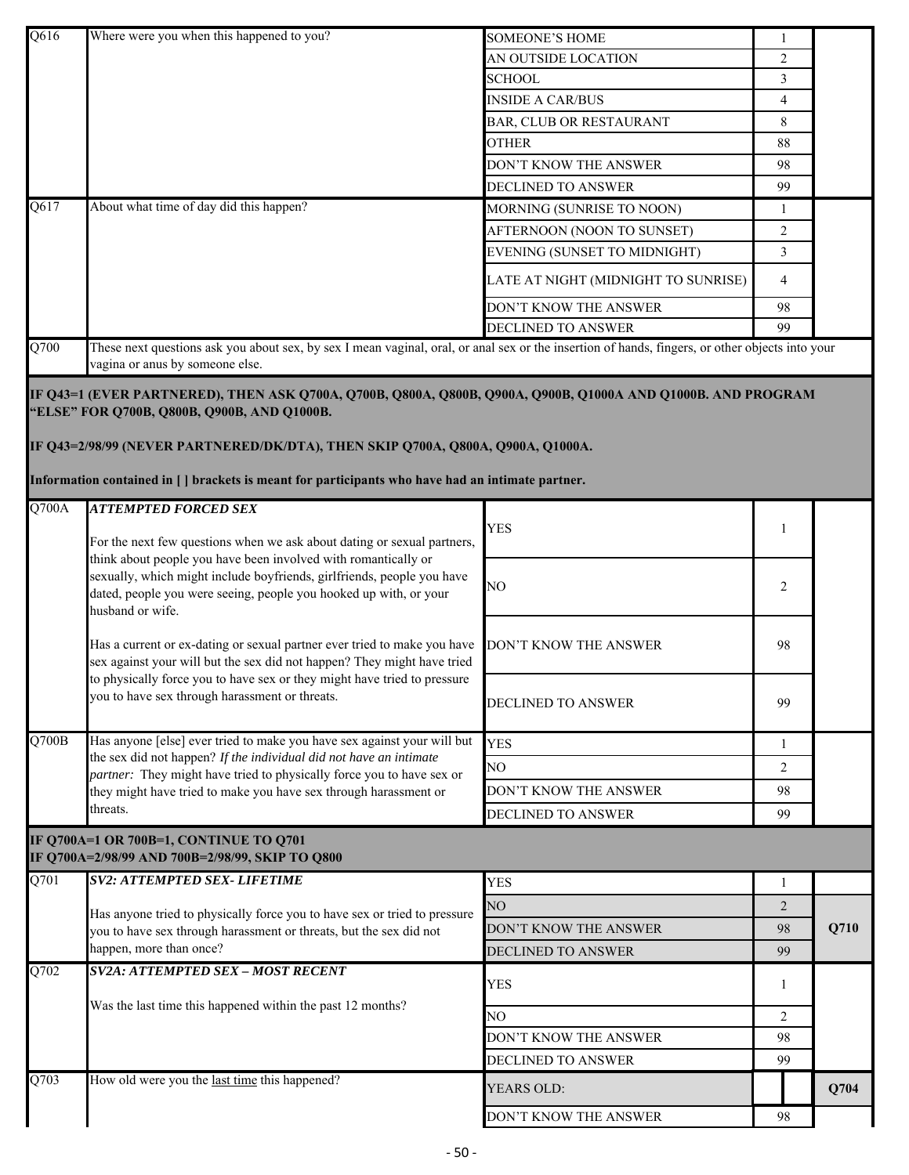| Q616               | Where were you when this happened to you?                                                                                                                                                                                                                                                                                                           | <b>SOMEONE'S HOME</b>               | 1              |      |
|--------------------|-----------------------------------------------------------------------------------------------------------------------------------------------------------------------------------------------------------------------------------------------------------------------------------------------------------------------------------------------------|-------------------------------------|----------------|------|
|                    |                                                                                                                                                                                                                                                                                                                                                     | AN OUTSIDE LOCATION                 | 2              |      |
|                    |                                                                                                                                                                                                                                                                                                                                                     | <b>SCHOOL</b>                       | 3              |      |
|                    |                                                                                                                                                                                                                                                                                                                                                     | <b>INSIDE A CAR/BUS</b>             | $\overline{4}$ |      |
|                    |                                                                                                                                                                                                                                                                                                                                                     | BAR, CLUB OR RESTAURANT             | 8              |      |
|                    |                                                                                                                                                                                                                                                                                                                                                     | <b>OTHER</b>                        | 88             |      |
|                    |                                                                                                                                                                                                                                                                                                                                                     | DON'T KNOW THE ANSWER               | 98             |      |
|                    |                                                                                                                                                                                                                                                                                                                                                     | DECLINED TO ANSWER                  | 99             |      |
| Q617               | About what time of day did this happen?                                                                                                                                                                                                                                                                                                             | MORNING (SUNRISE TO NOON)           | 1              |      |
|                    |                                                                                                                                                                                                                                                                                                                                                     | AFTERNOON (NOON TO SUNSET)          | $\overline{2}$ |      |
|                    |                                                                                                                                                                                                                                                                                                                                                     | EVENING (SUNSET TO MIDNIGHT)        | 3              |      |
|                    |                                                                                                                                                                                                                                                                                                                                                     | LATE AT NIGHT (MIDNIGHT TO SUNRISE) | $\overline{4}$ |      |
|                    |                                                                                                                                                                                                                                                                                                                                                     | DON'T KNOW THE ANSWER               | 98             |      |
|                    |                                                                                                                                                                                                                                                                                                                                                     | <b>DECLINED TO ANSWER</b>           | 99             |      |
| Q700               | These next questions ask you about sex, by sex I mean vaginal, oral, or anal sex or the insertion of hands, fingers, or other objects into your<br>vagina or anus by someone else.                                                                                                                                                                  |                                     |                |      |
|                    | IF Q43=1 (EVER PARTNERED), THEN ASK Q700A, Q700B, Q800A, Q800B, Q900A, Q900B, Q1000A AND Q1000B. AND PROGRAM<br>"ELSE" FOR Q700B, Q800B, Q900B, AND Q1000B.<br>IF Q43=2/98/99 (NEVER PARTNERED/DK/DTA), THEN SKIP Q700A, Q800A, Q900A, Q1000A.<br>Information contained in [ ] brackets is meant for participants who have had an intimate partner. |                                     |                |      |
| Q700A              | <b>ATTEMPTED FORCED SEX</b>                                                                                                                                                                                                                                                                                                                         |                                     |                |      |
|                    | For the next few questions when we ask about dating or sexual partners,<br>think about people you have been involved with romantically or<br>sexually, which might include boyfriends, girlfriends, people you have<br>dated, people you were seeing, people you hooked up with, or your<br>husband or wife.                                        | <b>YES</b>                          | 1              |      |
|                    |                                                                                                                                                                                                                                                                                                                                                     |                                     |                |      |
|                    |                                                                                                                                                                                                                                                                                                                                                     | NO                                  | 2              |      |
|                    | Has a current or ex-dating or sexual partner ever tried to make you have<br>sex against your will but the sex did not happen? They might have tried                                                                                                                                                                                                 | DON'T KNOW THE ANSWER               | 98             |      |
|                    | to physically force you to have sex or they might have tried to pressure<br>you to have sex through harassment or threats.                                                                                                                                                                                                                          | <b>DECLINED TO ANSWER</b>           | 99             |      |
| $\overline{Q700B}$ | Has anyone [else] ever tried to make you have sex against your will but                                                                                                                                                                                                                                                                             | <b>YES</b>                          | 1              |      |
|                    | the sex did not happen? If the individual did not have an intimate<br>partner: They might have tried to physically force you to have sex or                                                                                                                                                                                                         | NO                                  | 2              |      |
|                    | they might have tried to make you have sex through harassment or                                                                                                                                                                                                                                                                                    | DON'T KNOW THE ANSWER               | 98             |      |
|                    | threats.                                                                                                                                                                                                                                                                                                                                            | DECLINED TO ANSWER                  | 99             |      |
|                    | IF Q700A=1 OR 700B=1, CONTINUE TO Q701<br>IF Q700A=2/98/99 AND 700B=2/98/99, SKIP TO Q800                                                                                                                                                                                                                                                           |                                     |                |      |
| Q701               | <b>SV2: ATTEMPTED SEX- LIFETIME</b>                                                                                                                                                                                                                                                                                                                 | <b>YES</b>                          | 1              |      |
|                    |                                                                                                                                                                                                                                                                                                                                                     | NO                                  | 2              |      |
|                    | Has anyone tried to physically force you to have sex or tried to pressure                                                                                                                                                                                                                                                                           | DON'T KNOW THE ANSWER               |                | Q710 |
|                    | you to have sex through harassment or threats, but the sex did not<br>happen, more than once?                                                                                                                                                                                                                                                       |                                     | 98             |      |
| Q702               | <b>SV2A: ATTEMPTED SEX - MOST RECENT</b>                                                                                                                                                                                                                                                                                                            | DECLINED TO ANSWER                  | 99             |      |
|                    |                                                                                                                                                                                                                                                                                                                                                     | <b>YES</b>                          | -1             |      |
|                    | Was the last time this happened within the past 12 months?                                                                                                                                                                                                                                                                                          | NO                                  | 2              |      |
|                    |                                                                                                                                                                                                                                                                                                                                                     | DON'T KNOW THE ANSWER               | 98             |      |
|                    |                                                                                                                                                                                                                                                                                                                                                     | DECLINED TO ANSWER                  | 99             |      |
| Q703               | How old were you the last time this happened?                                                                                                                                                                                                                                                                                                       | YEARS OLD:                          |                | Q704 |
|                    |                                                                                                                                                                                                                                                                                                                                                     | DON'T KNOW THE ANSWER               | 98             |      |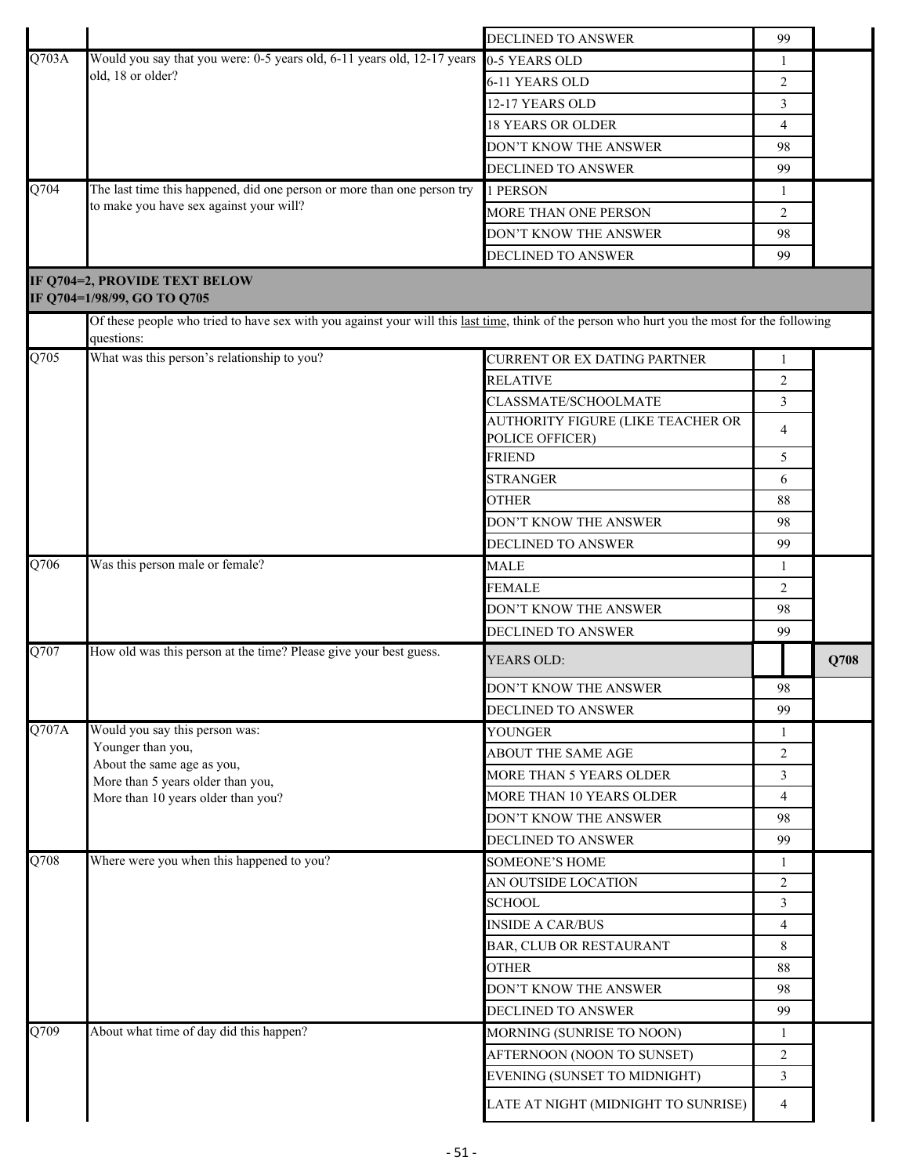|       |                                                                                                                                                            | DECLINED TO ANSWER                  | 99             |      |
|-------|------------------------------------------------------------------------------------------------------------------------------------------------------------|-------------------------------------|----------------|------|
| Q703A | Would you say that you were: 0-5 years old, 6-11 years old, 12-17 years                                                                                    | 0-5 YEARS OLD                       | 1              |      |
|       | old, 18 or older?                                                                                                                                          | 6-11 YEARS OLD                      | 2              |      |
|       |                                                                                                                                                            | 12-17 YEARS OLD                     | 3              |      |
|       |                                                                                                                                                            | <b>18 YEARS OR OLDER</b>            | 4              |      |
|       |                                                                                                                                                            | DON'T KNOW THE ANSWER               | 98             |      |
|       |                                                                                                                                                            | DECLINED TO ANSWER                  | 99             |      |
| Q704  | The last time this happened, did one person or more than one person try                                                                                    | 1 PERSON                            | 1              |      |
|       | to make you have sex against your will?                                                                                                                    | MORE THAN ONE PERSON                | 2              |      |
|       |                                                                                                                                                            | DON'T KNOW THE ANSWER               | 98             |      |
|       |                                                                                                                                                            | DECLINED TO ANSWER                  | 99             |      |
|       | IF Q704=2, PROVIDE TEXT BELOW<br>IF Q704=1/98/99, GO TO Q705                                                                                               |                                     |                |      |
|       | Of these people who tried to have sex with you against your will this last time, think of the person who hurt you the most for the following<br>questions: |                                     |                |      |
| Q705  | What was this person's relationship to you?                                                                                                                | CURRENT OR EX DATING PARTNER        | 1              |      |
|       |                                                                                                                                                            | RELATIVE                            | 2              |      |
|       |                                                                                                                                                            | CLASSMATE/SCHOOLMATE                | 3              |      |
|       |                                                                                                                                                            | AUTHORITY FIGURE (LIKE TEACHER OR   |                |      |
|       |                                                                                                                                                            | POLICE OFFICER)                     | 4              |      |
|       |                                                                                                                                                            | <b>FRIEND</b>                       | 5              |      |
|       |                                                                                                                                                            | <b>STRANGER</b>                     | 6              |      |
|       |                                                                                                                                                            | <b>OTHER</b>                        | 88             |      |
|       |                                                                                                                                                            | DON'T KNOW THE ANSWER               | 98             |      |
|       |                                                                                                                                                            | DECLINED TO ANSWER                  | 99             |      |
| Q706  | Was this person male or female?                                                                                                                            | <b>MALE</b>                         | 1              |      |
|       |                                                                                                                                                            | <b>FEMALE</b>                       | 2              |      |
|       |                                                                                                                                                            | DON'T KNOW THE ANSWER               | 98             |      |
|       |                                                                                                                                                            | DECLINED TO ANSWER                  | 99             |      |
| Q707  | How old was this person at the time? Please give your best guess.                                                                                          | YEARS OLD:                          |                | Q708 |
|       |                                                                                                                                                            | DON'T KNOW THE ANSWER               | 98             |      |
|       |                                                                                                                                                            | DECLINED TO ANSWER                  | 99             |      |
| Q707A | Would you say this person was:                                                                                                                             | <b>YOUNGER</b>                      | 1              |      |
|       | Younger than you,<br>About the same age as you,                                                                                                            | <b>ABOUT THE SAME AGE</b>           | $\overline{2}$ |      |
|       | More than 5 years older than you,                                                                                                                          | MORE THAN 5 YEARS OLDER             | 3              |      |
|       | More than 10 years older than you?                                                                                                                         | MORE THAN 10 YEARS OLDER            | $\overline{4}$ |      |
|       |                                                                                                                                                            | DON'T KNOW THE ANSWER               | 98             |      |
|       |                                                                                                                                                            | DECLINED TO ANSWER                  | 99             |      |
| Q708  | Where were you when this happened to you?                                                                                                                  | <b>SOMEONE'S HOME</b>               | 1              |      |
|       |                                                                                                                                                            | AN OUTSIDE LOCATION                 | 2              |      |
|       |                                                                                                                                                            | <b>SCHOOL</b>                       | 3              |      |
|       |                                                                                                                                                            | <b>INSIDE A CAR/BUS</b>             | 4              |      |
|       |                                                                                                                                                            | BAR, CLUB OR RESTAURANT             | 8              |      |
|       |                                                                                                                                                            | <b>OTHER</b>                        | 88             |      |
|       |                                                                                                                                                            | DON'T KNOW THE ANSWER               | 98             |      |
|       |                                                                                                                                                            | DECLINED TO ANSWER                  | 99             |      |
| Q709  | About what time of day did this happen?                                                                                                                    | MORNING (SUNRISE TO NOON)           | 1              |      |
|       |                                                                                                                                                            | AFTERNOON (NOON TO SUNSET)          | $\overline{2}$ |      |
|       |                                                                                                                                                            | EVENING (SUNSET TO MIDNIGHT)        | 3              |      |
|       |                                                                                                                                                            | LATE AT NIGHT (MIDNIGHT TO SUNRISE) | 4              |      |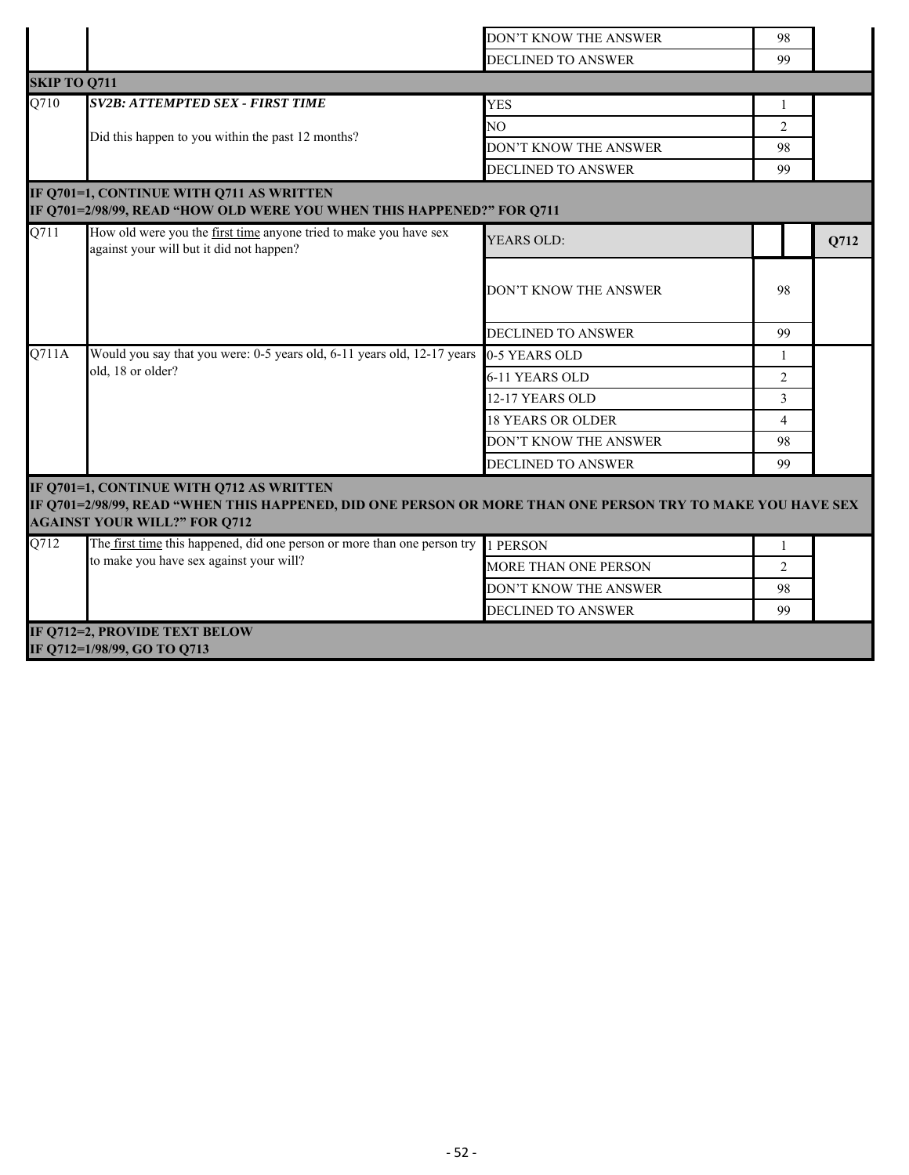|                     |                                                                                                                                                                                               | DON'T KNOW THE ANSWER       | 98             |      |
|---------------------|-----------------------------------------------------------------------------------------------------------------------------------------------------------------------------------------------|-----------------------------|----------------|------|
|                     |                                                                                                                                                                                               | DECLINED TO ANSWER          | 99             |      |
| <b>SKIP TO Q711</b> |                                                                                                                                                                                               |                             |                |      |
| Q710                | <b>SV2B: ATTEMPTED SEX - FIRST TIME</b>                                                                                                                                                       | <b>YES</b>                  | 1              |      |
|                     |                                                                                                                                                                                               | NO.                         | $\overline{c}$ |      |
|                     | Did this happen to you within the past 12 months?                                                                                                                                             | DON'T KNOW THE ANSWER       | 98             |      |
|                     |                                                                                                                                                                                               | <b>DECLINED TO ANSWER</b>   | 99             |      |
|                     | IF Q701=1, CONTINUE WITH Q711 AS WRITTEN<br>IF Q701=2/98/99, READ "HOW OLD WERE YOU WHEN THIS HAPPENED?" FOR Q711                                                                             |                             |                |      |
| Q711                | How old were you the first time anyone tried to make you have sex<br>against your will but it did not happen?                                                                                 | YEARS OLD:                  |                | Q712 |
|                     |                                                                                                                                                                                               | DON'T KNOW THE ANSWER       | 98             |      |
|                     |                                                                                                                                                                                               | <b>DECLINED TO ANSWER</b>   | 99             |      |
| Q711A               | Would you say that you were: 0-5 years old, 6-11 years old, 12-17 years                                                                                                                       | 0-5 YEARS OLD               | -1             |      |
|                     | old, 18 or older?                                                                                                                                                                             | 6-11 YEARS OLD              | $\overline{2}$ |      |
|                     |                                                                                                                                                                                               | 12-17 YEARS OLD             | 3              |      |
|                     |                                                                                                                                                                                               | <b>18 YEARS OR OLDER</b>    | $\overline{4}$ |      |
|                     |                                                                                                                                                                                               | DON'T KNOW THE ANSWER       | 98             |      |
|                     |                                                                                                                                                                                               | DECLINED TO ANSWER          | 99             |      |
|                     | IF Q701=1, CONTINUE WITH Q712 AS WRITTEN<br>IF Q701=2/98/99, READ "WHEN THIS HAPPENED, DID ONE PERSON OR MORE THAN ONE PERSON TRY TO MAKE YOU HAVE SEX<br><b>AGAINST YOUR WILL?" FOR Q712</b> |                             |                |      |
| Q712                | The first time this happened, did one person or more than one person try                                                                                                                      | 1 PERSON                    | -1             |      |
|                     | to make you have sex against your will?                                                                                                                                                       | <b>MORE THAN ONE PERSON</b> | 2              |      |
|                     |                                                                                                                                                                                               | DON'T KNOW THE ANSWER       | 98             |      |
|                     |                                                                                                                                                                                               | <b>DECLINED TO ANSWER</b>   | 99             |      |
|                     | IF Q712=2, PROVIDE TEXT BELOW                                                                                                                                                                 |                             |                |      |
|                     | IF Q712=1/98/99, GO TO Q713                                                                                                                                                                   |                             |                |      |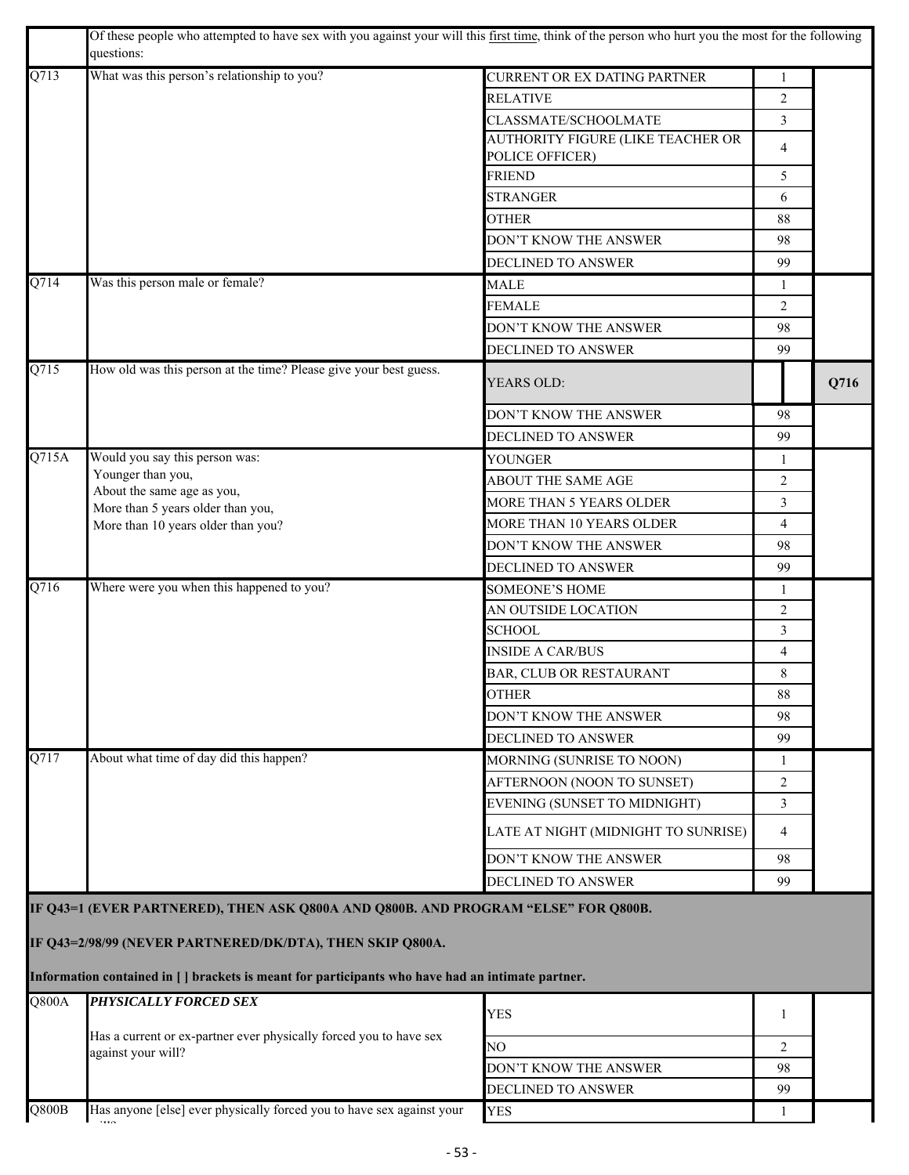|                           | Of these people who attempted to have sex with you against your will this first time, think of the person who hurt you the most for the following<br>questions:                                                                                      |                                     |                |      |
|---------------------------|------------------------------------------------------------------------------------------------------------------------------------------------------------------------------------------------------------------------------------------------------|-------------------------------------|----------------|------|
| Q713                      | What was this person's relationship to you?                                                                                                                                                                                                          | CURRENT OR EX DATING PARTNER        |                |      |
|                           |                                                                                                                                                                                                                                                      | <b>RELATIVE</b>                     | $\overline{c}$ |      |
|                           |                                                                                                                                                                                                                                                      | CLASSMATE/SCHOOLMATE                | 3              |      |
|                           |                                                                                                                                                                                                                                                      | AUTHORITY FIGURE (LIKE TEACHER OR   | 4              |      |
|                           |                                                                                                                                                                                                                                                      | POLICE OFFICER)<br><b>FRIEND</b>    | 5              |      |
|                           |                                                                                                                                                                                                                                                      | <b>STRANGER</b>                     | 6              |      |
|                           |                                                                                                                                                                                                                                                      | <b>OTHER</b>                        | 88             |      |
|                           |                                                                                                                                                                                                                                                      | DON'T KNOW THE ANSWER               | 98             |      |
|                           |                                                                                                                                                                                                                                                      | DECLINED TO ANSWER                  | 99             |      |
| Q714                      | Was this person male or female?                                                                                                                                                                                                                      | <b>MALE</b>                         | 1              |      |
|                           |                                                                                                                                                                                                                                                      | <b>FEMALE</b>                       | 2              |      |
|                           |                                                                                                                                                                                                                                                      | DON'T KNOW THE ANSWER               | 98             |      |
|                           |                                                                                                                                                                                                                                                      | DECLINED TO ANSWER                  | 99             |      |
| Q715                      | How old was this person at the time? Please give your best guess.                                                                                                                                                                                    |                                     |                |      |
|                           |                                                                                                                                                                                                                                                      | YEARS OLD:                          |                | Q716 |
|                           |                                                                                                                                                                                                                                                      | DON'T KNOW THE ANSWER               | 98             |      |
|                           |                                                                                                                                                                                                                                                      | <b>DECLINED TO ANSWER</b>           | 99             |      |
| Q715A                     | Would you say this person was:                                                                                                                                                                                                                       | <b>YOUNGER</b>                      | $\mathbf{1}$   |      |
|                           | Younger than you,<br>About the same age as you,                                                                                                                                                                                                      | ABOUT THE SAME AGE                  | $\overline{2}$ |      |
|                           | More than 5 years older than you,<br>More than 10 years older than you?                                                                                                                                                                              | MORE THAN 5 YEARS OLDER             | 3              |      |
|                           |                                                                                                                                                                                                                                                      | MORE THAN 10 YEARS OLDER            | $\overline{4}$ |      |
|                           |                                                                                                                                                                                                                                                      | DON'T KNOW THE ANSWER               | 98             |      |
|                           |                                                                                                                                                                                                                                                      | <b>DECLINED TO ANSWER</b>           | 99             |      |
| Q716                      | Where were you when this happened to you?                                                                                                                                                                                                            | <b>SOMEONE'S HOME</b>               | 1              |      |
|                           |                                                                                                                                                                                                                                                      | AN OUTSIDE LOCATION                 | $\overline{2}$ |      |
|                           |                                                                                                                                                                                                                                                      | <b>SCHOOL</b>                       | 3              |      |
|                           |                                                                                                                                                                                                                                                      | <b>INSIDE A CAR/BUS</b>             | $\overline{4}$ |      |
|                           |                                                                                                                                                                                                                                                      | BAR, CLUB OR RESTAURANT             | 8              |      |
|                           |                                                                                                                                                                                                                                                      | <b>OTHER</b>                        | $88\,$         |      |
|                           |                                                                                                                                                                                                                                                      | DON'T KNOW THE ANSWER               | 98             |      |
|                           |                                                                                                                                                                                                                                                      | DECLINED TO ANSWER                  | 99             |      |
| Q717                      | About what time of day did this happen?                                                                                                                                                                                                              | MORNING (SUNRISE TO NOON)           | 1              |      |
|                           |                                                                                                                                                                                                                                                      | AFTERNOON (NOON TO SUNSET)          | 2              |      |
|                           |                                                                                                                                                                                                                                                      | EVENING (SUNSET TO MIDNIGHT)        | 3              |      |
|                           |                                                                                                                                                                                                                                                      | LATE AT NIGHT (MIDNIGHT TO SUNRISE) | 4              |      |
|                           |                                                                                                                                                                                                                                                      | DON'T KNOW THE ANSWER               | 98             |      |
|                           |                                                                                                                                                                                                                                                      | DECLINED TO ANSWER                  | 99             |      |
|                           | IF Q43=1 (EVER PARTNERED), THEN ASK Q800A AND Q800B. AND PROGRAM "ELSE" FOR Q800B.<br>IF Q43=2/98/99 (NEVER PARTNERED/DK/DTA), THEN SKIP Q800A.<br>Information contained in [ ] brackets is meant for participants who have had an intimate partner. |                                     |                |      |
| Q800A                     | PHYSICALLY FORCED SEX                                                                                                                                                                                                                                |                                     |                |      |
|                           |                                                                                                                                                                                                                                                      | <b>YES</b>                          | 1              |      |
|                           | Has a current or ex-partner ever physically forced you to have sex                                                                                                                                                                                   | NO                                  | 2              |      |
|                           | against your will?                                                                                                                                                                                                                                   | DON'T KNOW THE ANSWER               | 98             |      |
|                           |                                                                                                                                                                                                                                                      | DECLINED TO ANSWER                  | 99             |      |
| $\overline{\text{Q800B}}$ | Has anyone [else] ever physically forced you to have sex against your                                                                                                                                                                                |                                     |                |      |
|                           |                                                                                                                                                                                                                                                      | <b>YES</b>                          | -1             |      |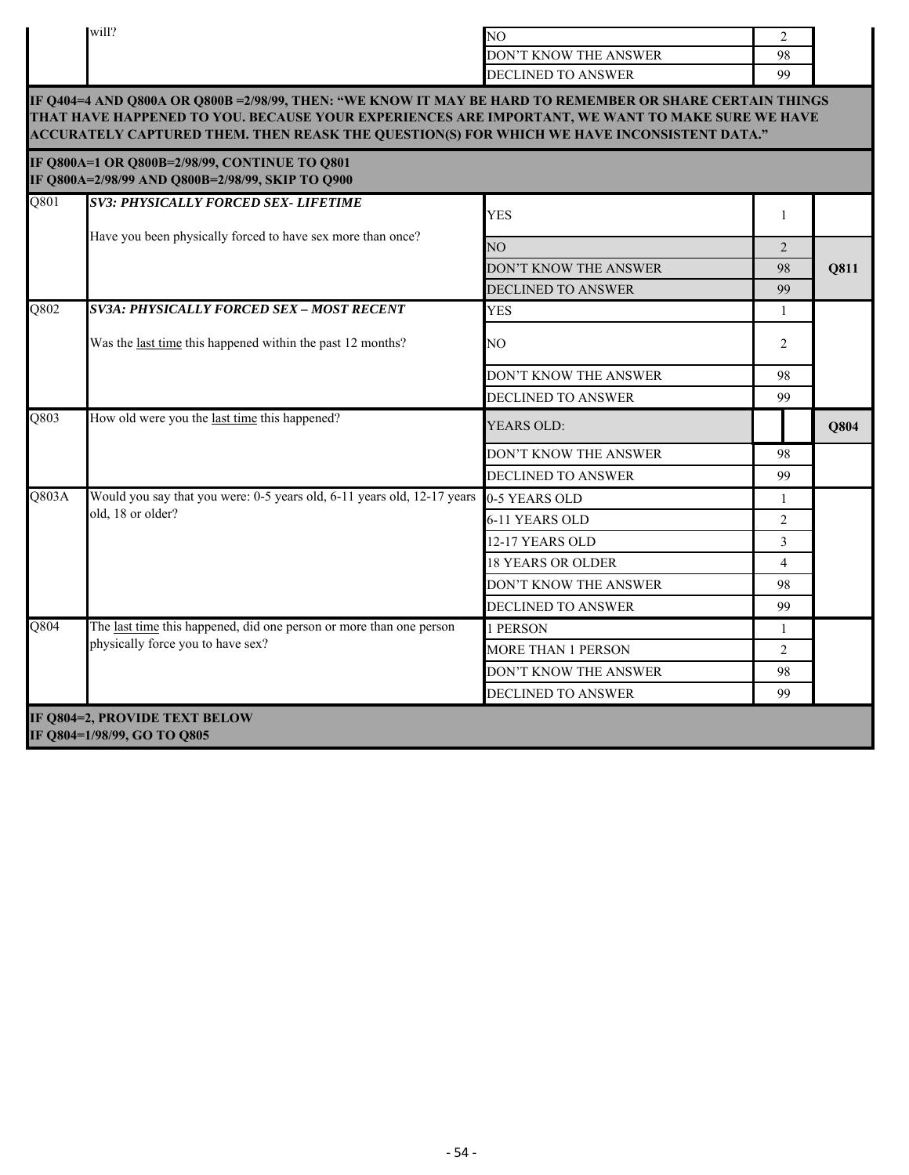|                   | will?                                                                                                                                                                                                                                                                                                      | NO.                       | $\overline{2}$ |      |
|-------------------|------------------------------------------------------------------------------------------------------------------------------------------------------------------------------------------------------------------------------------------------------------------------------------------------------------|---------------------------|----------------|------|
|                   |                                                                                                                                                                                                                                                                                                            | DON'T KNOW THE ANSWER     | 98             |      |
|                   |                                                                                                                                                                                                                                                                                                            | DECLINED TO ANSWER        | 99             |      |
|                   | IF Q404=4 AND Q800A OR Q800B = 2/98/99, THEN: "WE KNOW IT MAY BE HARD TO REMEMBER OR SHARE CERTAIN THINGS<br>THAT HAVE HAPPENED TO YOU. BECAUSE YOUR EXPERIENCES ARE IMPORTANT, WE WANT TO MAKE SURE WE HAVE<br>ACCURATELY CAPTURED THEM. THEN REASK THE QUESTION(S) FOR WHICH WE HAVE INCONSISTENT DATA." |                           |                |      |
|                   | IF Q800A=1 OR Q800B=2/98/99, CONTINUE TO Q801<br>IF Q800A=2/98/99 AND Q800B=2/98/99, SKIP TO Q900                                                                                                                                                                                                          |                           |                |      |
| $\overline{Q801}$ | <b>SV3: PHYSICALLY FORCED SEX- LIFETIME</b>                                                                                                                                                                                                                                                                | <b>YES</b>                | 1              |      |
|                   | Have you been physically forced to have sex more than once?                                                                                                                                                                                                                                                | NO.                       | 2              |      |
|                   |                                                                                                                                                                                                                                                                                                            | DON'T KNOW THE ANSWER     | 98             | Q811 |
|                   |                                                                                                                                                                                                                                                                                                            | DECLINED TO ANSWER        | 99             |      |
| Q802              | SV3A: PHYSICALLY FORCED SEX – MOST RECENT                                                                                                                                                                                                                                                                  | <b>YES</b>                | 1              |      |
|                   | Was the last time this happened within the past 12 months?                                                                                                                                                                                                                                                 | NO.                       | 2              |      |
|                   |                                                                                                                                                                                                                                                                                                            | DON'T KNOW THE ANSWER     | 98             |      |
|                   |                                                                                                                                                                                                                                                                                                            | DECLINED TO ANSWER        | 99             |      |
| Q803              | How old were you the last time this happened?                                                                                                                                                                                                                                                              | <b>YEARS OLD:</b>         |                | Q804 |
|                   |                                                                                                                                                                                                                                                                                                            | DON'T KNOW THE ANSWER     | 98             |      |
|                   |                                                                                                                                                                                                                                                                                                            | <b>DECLINED TO ANSWER</b> | 99             |      |
| Q803A             | Would you say that you were: 0-5 years old, 6-11 years old, 12-17 years                                                                                                                                                                                                                                    | 0-5 YEARS OLD             | 1              |      |
|                   | old, 18 or older?                                                                                                                                                                                                                                                                                          | 6-11 YEARS OLD            | $\overline{c}$ |      |
|                   |                                                                                                                                                                                                                                                                                                            | 12-17 YEARS OLD           | 3              |      |
|                   |                                                                                                                                                                                                                                                                                                            | <b>18 YEARS OR OLDER</b>  | $\overline{4}$ |      |
|                   |                                                                                                                                                                                                                                                                                                            | DON'T KNOW THE ANSWER     | 98             |      |
|                   |                                                                                                                                                                                                                                                                                                            | <b>DECLINED TO ANSWER</b> | 99             |      |
| Q804              | The last time this happened, did one person or more than one person                                                                                                                                                                                                                                        | 1 PERSON                  | 1              |      |
|                   | physically force you to have sex?                                                                                                                                                                                                                                                                          | MORE THAN 1 PERSON        | 2              |      |
|                   |                                                                                                                                                                                                                                                                                                            | DON'T KNOW THE ANSWER     | 98             |      |
|                   |                                                                                                                                                                                                                                                                                                            | DECLINED TO ANSWER        | 99             |      |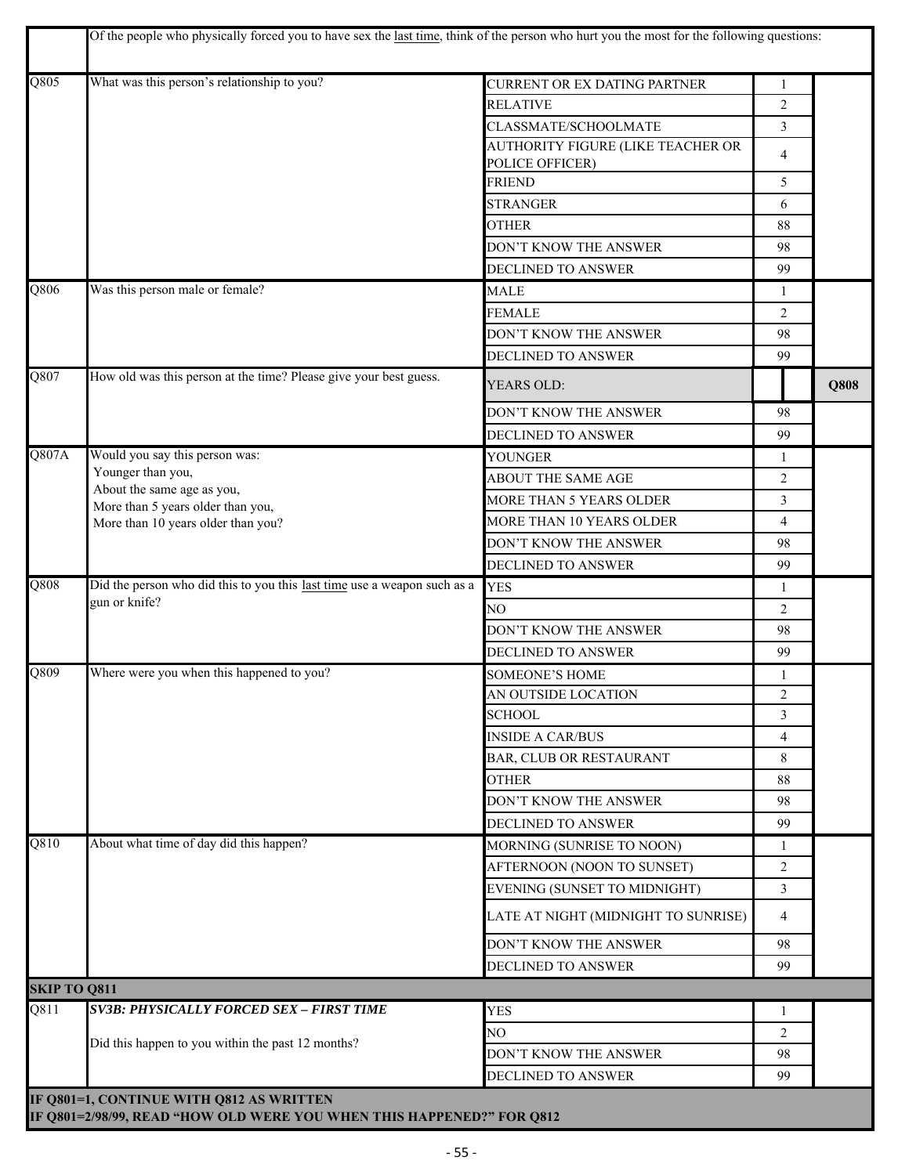|                     | Of the people who physically forced you to have sex the last time, think of the person who hurt you the most for the following questions: |                                                      |                |      |
|---------------------|-------------------------------------------------------------------------------------------------------------------------------------------|------------------------------------------------------|----------------|------|
| $\overline{Q805}$   | What was this person's relationship to you?                                                                                               | CURRENT OR EX DATING PARTNER                         | 1              |      |
|                     |                                                                                                                                           | <b>RELATIVE</b>                                      | 2              |      |
|                     |                                                                                                                                           | CLASSMATE/SCHOOLMATE                                 | 3              |      |
|                     |                                                                                                                                           | AUTHORITY FIGURE (LIKE TEACHER OR<br>POLICE OFFICER) | 4              |      |
|                     |                                                                                                                                           | <b>FRIEND</b>                                        | 5              |      |
|                     |                                                                                                                                           | <b>STRANGER</b>                                      | 6              |      |
|                     |                                                                                                                                           | <b>OTHER</b>                                         | 88             |      |
|                     |                                                                                                                                           | DON'T KNOW THE ANSWER                                | 98             |      |
|                     |                                                                                                                                           | DECLINED TO ANSWER                                   | 99             |      |
| Q806                | Was this person male or female?                                                                                                           | <b>MALE</b>                                          | 1              |      |
|                     |                                                                                                                                           | <b>FEMALE</b>                                        | $\overline{2}$ |      |
|                     |                                                                                                                                           | DON'T KNOW THE ANSWER                                | 98             |      |
|                     |                                                                                                                                           | DECLINED TO ANSWER                                   | 99             |      |
| Q807                | How old was this person at the time? Please give your best guess.                                                                         | YEARS OLD:                                           |                | Q808 |
|                     |                                                                                                                                           |                                                      |                |      |
|                     |                                                                                                                                           | DON'T KNOW THE ANSWER                                | 98             |      |
|                     |                                                                                                                                           | DECLINED TO ANSWER                                   | 99             |      |
| Q807A               | Would you say this person was:<br>Younger than you,                                                                                       | YOUNGER                                              | 1              |      |
|                     | About the same age as you,                                                                                                                | ABOUT THE SAME AGE                                   | 2              |      |
|                     | More than 5 years older than you,                                                                                                         | MORE THAN 5 YEARS OLDER                              | 3              |      |
|                     | More than 10 years older than you?                                                                                                        | MORE THAN 10 YEARS OLDER                             | 4              |      |
|                     |                                                                                                                                           | DON'T KNOW THE ANSWER                                | 98             |      |
|                     |                                                                                                                                           | DECLINED TO ANSWER                                   | 99             |      |
| Q808                | Did the person who did this to you this last time use a weapon such as a<br>gun or knife?                                                 | <b>YES</b>                                           | 1              |      |
|                     |                                                                                                                                           | NO.                                                  | 2              |      |
|                     |                                                                                                                                           | DON'T KNOW THE ANSWER                                | 98             |      |
|                     |                                                                                                                                           | DECLINED TO ANSWER                                   | 99             |      |
| Q809                | Where were you when this happened to you?                                                                                                 | <b>SOMEONE'S HOME</b>                                | 1              |      |
|                     |                                                                                                                                           | AN OUTSIDE LOCATION                                  | $\sqrt{2}$     |      |
|                     |                                                                                                                                           | <b>SCHOOL</b>                                        | 3              |      |
|                     |                                                                                                                                           | <b>INSIDE A CAR/BUS</b>                              | 4              |      |
|                     |                                                                                                                                           | BAR, CLUB OR RESTAURANT                              | 8              |      |
|                     |                                                                                                                                           | <b>OTHER</b>                                         | 88             |      |
|                     |                                                                                                                                           | DON'T KNOW THE ANSWER                                | 98             |      |
|                     |                                                                                                                                           | DECLINED TO ANSWER                                   | 99             |      |
| Q810                | About what time of day did this happen?                                                                                                   | MORNING (SUNRISE TO NOON)                            | 1              |      |
|                     |                                                                                                                                           | AFTERNOON (NOON TO SUNSET)                           | $\overline{2}$ |      |
|                     |                                                                                                                                           | EVENING (SUNSET TO MIDNIGHT)                         | 3              |      |
|                     |                                                                                                                                           | LATE AT NIGHT (MIDNIGHT TO SUNRISE)                  | 4              |      |
|                     |                                                                                                                                           | DON'T KNOW THE ANSWER                                | 98             |      |
|                     |                                                                                                                                           | DECLINED TO ANSWER                                   | 99             |      |
| <b>SKIP TO Q811</b> |                                                                                                                                           |                                                      |                |      |
| Q811                | <b>SV3B: PHYSICALLY FORCED SEX - FIRST TIME</b>                                                                                           | <b>YES</b>                                           | 1              |      |
|                     |                                                                                                                                           | NO.                                                  | 2              |      |
|                     | Did this happen to you within the past 12 months?                                                                                         | DON'T KNOW THE ANSWER                                | 98             |      |
|                     |                                                                                                                                           |                                                      |                |      |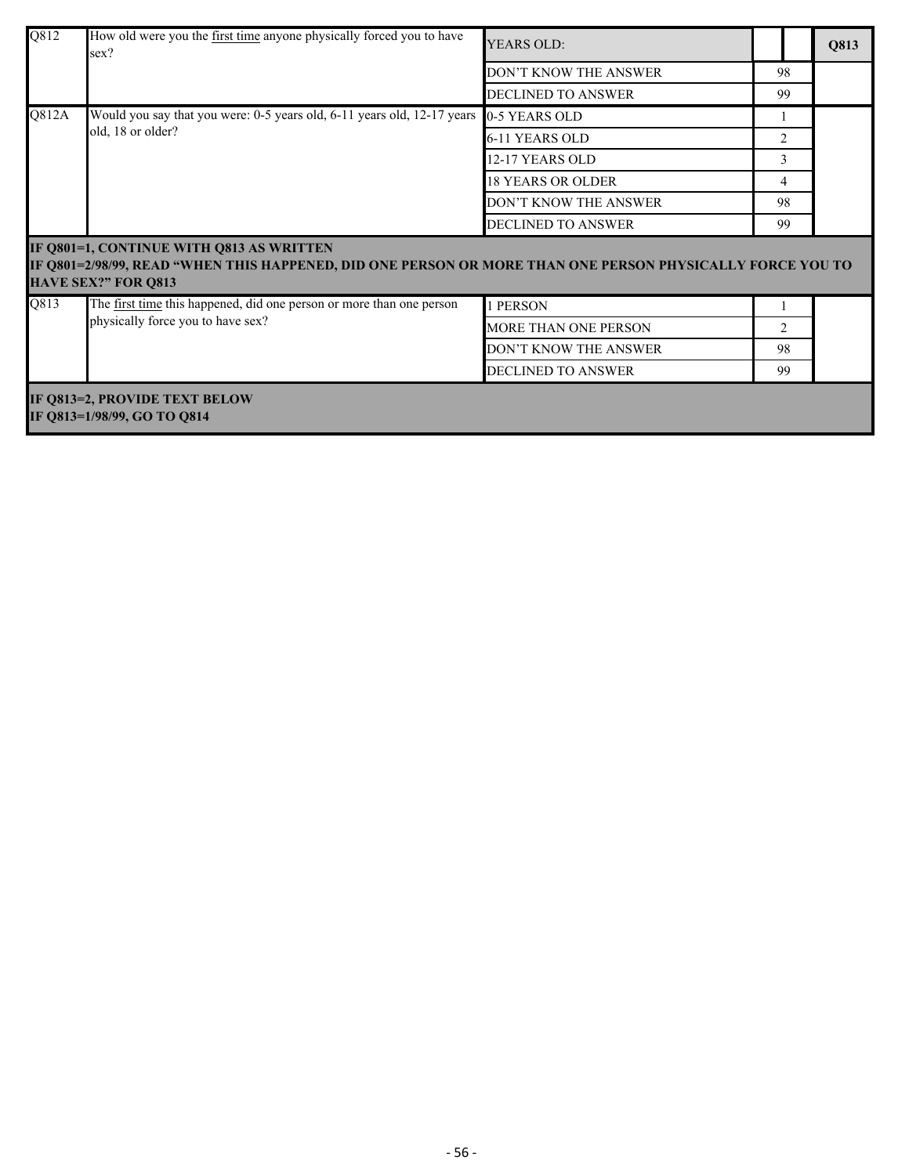| Q812                                                         | How old were you the first time anyone physically forced you to have<br>sex?                                                                                                        | <b>YEARS OLD:</b>         |                |  | Q813 |
|--------------------------------------------------------------|-------------------------------------------------------------------------------------------------------------------------------------------------------------------------------------|---------------------------|----------------|--|------|
|                                                              |                                                                                                                                                                                     | DON'T KNOW THE ANSWER     | 98             |  |      |
|                                                              |                                                                                                                                                                                     | <b>DECLINED TO ANSWER</b> | 99             |  |      |
| Q812A                                                        | Would you say that you were: 0-5 years old, 6-11 years old, 12-17 years                                                                                                             | 0-5 YEARS OLD             |                |  |      |
|                                                              | old, 18 or older?                                                                                                                                                                   | 6-11 YEARS OLD            | 2              |  |      |
|                                                              |                                                                                                                                                                                     | 12-17 YEARS OLD           | 3              |  |      |
|                                                              |                                                                                                                                                                                     | <b>18 YEARS OR OLDER</b>  | 4              |  |      |
|                                                              |                                                                                                                                                                                     | DON'T KNOW THE ANSWER     | 98             |  |      |
|                                                              |                                                                                                                                                                                     | DECLINED TO ANSWER        | 99             |  |      |
|                                                              | IF Q801=1, CONTINUE WITH Q813 AS WRITTEN<br>IF Q801=2/98/99, READ "WHEN THIS HAPPENED, DID ONE PERSON OR MORE THAN ONE PERSON PHYSICALLY FORCE YOU TO<br><b>HAVE SEX?" FOR Q813</b> |                           |                |  |      |
| Q813                                                         | The first time this happened, did one person or more than one person                                                                                                                | 1 PERSON                  |                |  |      |
|                                                              | physically force you to have sex?                                                                                                                                                   | MORE THAN ONE PERSON      | $\overline{2}$ |  |      |
|                                                              |                                                                                                                                                                                     | DON'T KNOW THE ANSWER     | 98             |  |      |
|                                                              |                                                                                                                                                                                     | <b>DECLINED TO ANSWER</b> | 99             |  |      |
| IF Q813=2, PROVIDE TEXT BELOW<br>IF Q813=1/98/99, GO TO Q814 |                                                                                                                                                                                     |                           |                |  |      |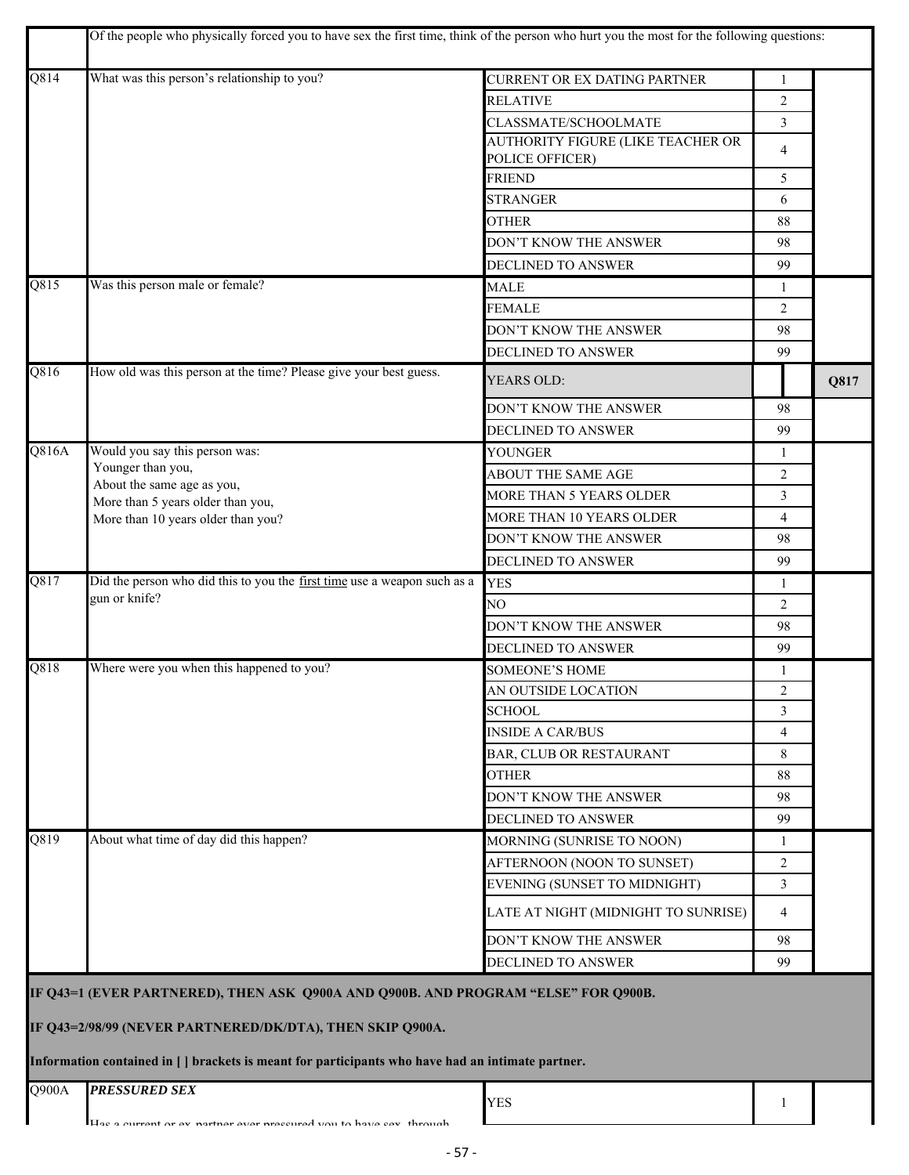|                   | Of the people who physically forced you to have sex the first time, think of the person who hurt you the most for the following questions:                                                                                                          |                                                      |                |      |
|-------------------|-----------------------------------------------------------------------------------------------------------------------------------------------------------------------------------------------------------------------------------------------------|------------------------------------------------------|----------------|------|
| Q814              | What was this person's relationship to you?                                                                                                                                                                                                         | CURRENT OR EX DATING PARTNER                         | 1              |      |
|                   |                                                                                                                                                                                                                                                     | <b>RELATIVE</b>                                      | $\overline{2}$ |      |
|                   |                                                                                                                                                                                                                                                     | CLASSMATE/SCHOOLMATE                                 | 3              |      |
|                   |                                                                                                                                                                                                                                                     | AUTHORITY FIGURE (LIKE TEACHER OR<br>POLICE OFFICER) | 4              |      |
|                   |                                                                                                                                                                                                                                                     | <b>FRIEND</b>                                        | 5              |      |
|                   |                                                                                                                                                                                                                                                     | <b>STRANGER</b>                                      | 6              |      |
|                   |                                                                                                                                                                                                                                                     | <b>OTHER</b>                                         | 88             |      |
|                   |                                                                                                                                                                                                                                                     | DON'T KNOW THE ANSWER                                | 98             |      |
|                   |                                                                                                                                                                                                                                                     | DECLINED TO ANSWER                                   | 99             |      |
| $\overline{Q815}$ | Was this person male or female?                                                                                                                                                                                                                     | <b>MALE</b>                                          | 1              |      |
|                   |                                                                                                                                                                                                                                                     | <b>FEMALE</b>                                        | 2              |      |
|                   |                                                                                                                                                                                                                                                     | DON'T KNOW THE ANSWER                                | 98             |      |
|                   |                                                                                                                                                                                                                                                     | DECLINED TO ANSWER                                   | 99             |      |
| Q816              | How old was this person at the time? Please give your best guess.                                                                                                                                                                                   | YEARS OLD:                                           |                | Q817 |
|                   |                                                                                                                                                                                                                                                     | DON'T KNOW THE ANSWER                                | 98             |      |
|                   |                                                                                                                                                                                                                                                     | DECLINED TO ANSWER                                   | 99             |      |
| Q816A             | Would you say this person was:                                                                                                                                                                                                                      | YOUNGER                                              | $\mathbf{1}$   |      |
|                   | Younger than you,                                                                                                                                                                                                                                   | ABOUT THE SAME AGE                                   | 2              |      |
|                   | About the same age as you,<br>More than 5 years older than you,                                                                                                                                                                                     | MORE THAN 5 YEARS OLDER                              | 3              |      |
|                   | More than 10 years older than you?                                                                                                                                                                                                                  | MORE THAN 10 YEARS OLDER                             | 4              |      |
|                   |                                                                                                                                                                                                                                                     | DON'T KNOW THE ANSWER                                | 98             |      |
|                   |                                                                                                                                                                                                                                                     | <b>DECLINED TO ANSWER</b>                            | 99             |      |
| $\overline{Q817}$ | Did the person who did this to you the first time use a weapon such as a                                                                                                                                                                            | <b>YES</b>                                           | 1              |      |
|                   | gun or knife?                                                                                                                                                                                                                                       | NO.                                                  | 2              |      |
|                   |                                                                                                                                                                                                                                                     | DON'T KNOW THE ANSWER                                | 98             |      |
|                   |                                                                                                                                                                                                                                                     | DECLINED TO ANSWER                                   | 99             |      |
| Q818              | Where were you when this happened to you?                                                                                                                                                                                                           | <b>SOMEONE'S HOME</b>                                | 1              |      |
|                   |                                                                                                                                                                                                                                                     | AN OUTSIDE LOCATION                                  | $\overline{c}$ |      |
|                   |                                                                                                                                                                                                                                                     | <b>SCHOOL</b>                                        | 3              |      |
|                   |                                                                                                                                                                                                                                                     | <b>INSIDE A CAR/BUS</b>                              | 4              |      |
|                   |                                                                                                                                                                                                                                                     | BAR, CLUB OR RESTAURANT                              | 8              |      |
|                   |                                                                                                                                                                                                                                                     | <b>OTHER</b>                                         | 88             |      |
|                   |                                                                                                                                                                                                                                                     | DON'T KNOW THE ANSWER                                | 98             |      |
|                   |                                                                                                                                                                                                                                                     | <b>DECLINED TO ANSWER</b>                            | 99             |      |
| $\overline{Q819}$ | About what time of day did this happen?                                                                                                                                                                                                             | MORNING (SUNRISE TO NOON)                            | -1             |      |
|                   |                                                                                                                                                                                                                                                     | AFTERNOON (NOON TO SUNSET)                           | 2              |      |
|                   |                                                                                                                                                                                                                                                     | EVENING (SUNSET TO MIDNIGHT)                         | 3              |      |
|                   |                                                                                                                                                                                                                                                     | LATE AT NIGHT (MIDNIGHT TO SUNRISE)                  | 4              |      |
|                   |                                                                                                                                                                                                                                                     | DON'T KNOW THE ANSWER                                | 98             |      |
|                   |                                                                                                                                                                                                                                                     | DECLINED TO ANSWER                                   | 99             |      |
|                   | IF Q43=1 (EVER PARTNERED), THEN ASK Q900A AND Q900B. AND PROGRAM "ELSE" FOR Q900B.<br>IF Q43=2/98/99 (NEVER PARTNERED/DK/DTA), THEN SKIP Q900A.<br>Information contained in [] brackets is meant for participants who have had an intimate partner. |                                                      |                |      |
| Q900A             | <b>PRESSURED SEX</b>                                                                                                                                                                                                                                | <b>YES</b>                                           | 1              |      |
|                   | Hac a current or av nartner ever preccured vou to have cav through                                                                                                                                                                                  |                                                      |                |      |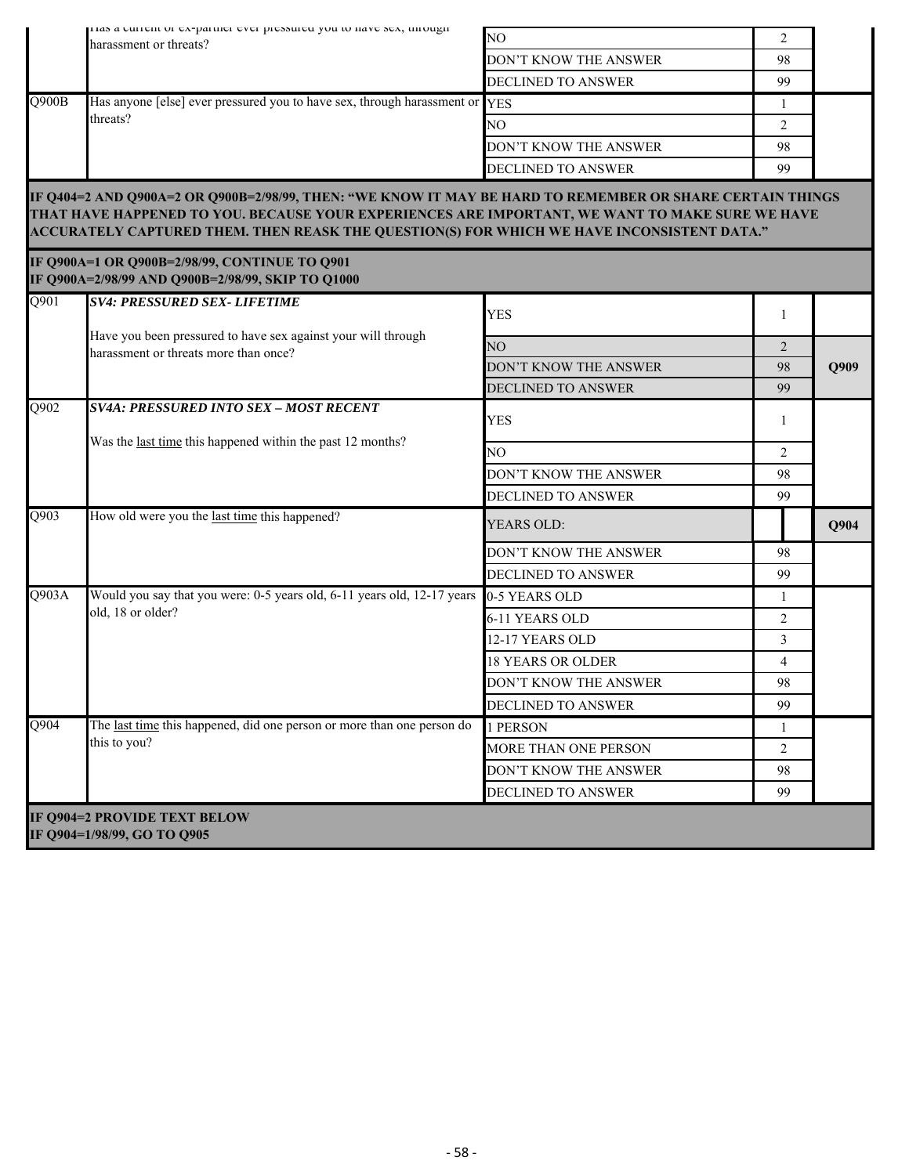|                   | rias a current or ex-partner ever pressured you to nave sex, unough<br>NO<br>harassment or threats?                                                                                                                                                                                                        |                           | 2              |             |
|-------------------|------------------------------------------------------------------------------------------------------------------------------------------------------------------------------------------------------------------------------------------------------------------------------------------------------------|---------------------------|----------------|-------------|
|                   |                                                                                                                                                                                                                                                                                                            | DON'T KNOW THE ANSWER     | 98             |             |
|                   |                                                                                                                                                                                                                                                                                                            | <b>DECLINED TO ANSWER</b> | 99             |             |
| Q900B             | Has anyone [else] ever pressured you to have sex, through harassment or YES                                                                                                                                                                                                                                |                           | 1              |             |
|                   | threats?                                                                                                                                                                                                                                                                                                   | NO.                       | 2              |             |
|                   |                                                                                                                                                                                                                                                                                                            | DON'T KNOW THE ANSWER     | 98             |             |
|                   |                                                                                                                                                                                                                                                                                                            | DECLINED TO ANSWER        | 99             |             |
|                   | IF Q404=2 AND Q900A=2 OR Q900B=2/98/99, THEN: "WE KNOW IT MAY BE HARD TO REMEMBER OR SHARE CERTAIN THINGS<br>THAT HAVE HAPPENED TO YOU. BECAUSE YOUR EXPERIENCES ARE IMPORTANT, WE WANT TO MAKE SURE WE HAVE<br>ACCURATELY CAPTURED THEM. THEN REASK THE QUESTION(S) FOR WHICH WE HAVE INCONSISTENT DATA." |                           |                |             |
|                   | IF Q900A=1 OR Q900B=2/98/99, CONTINUE TO Q901<br>IF Q900A=2/98/99 AND Q900B=2/98/99, SKIP TO Q1000                                                                                                                                                                                                         |                           |                |             |
| $\overline{Q901}$ | <b>SV4: PRESSURED SEX- LIFETIME</b>                                                                                                                                                                                                                                                                        | <b>YES</b>                | 1              |             |
|                   | Have you been pressured to have sex against your will through<br>harassment or threats more than once?                                                                                                                                                                                                     | NO                        | $\overline{2}$ |             |
|                   |                                                                                                                                                                                                                                                                                                            | DON'T KNOW THE ANSWER     | 98             | <b>O909</b> |
|                   |                                                                                                                                                                                                                                                                                                            | DECLINED TO ANSWER        | 99             |             |
| Q902              | <b>SV4A: PRESSURED INTO SEX - MOST RECENT</b><br>Was the last time this happened within the past 12 months?                                                                                                                                                                                                | <b>YES</b>                | 1              |             |
|                   |                                                                                                                                                                                                                                                                                                            | NO.                       | 2              |             |
|                   |                                                                                                                                                                                                                                                                                                            | DON'T KNOW THE ANSWER     | 98             |             |
|                   |                                                                                                                                                                                                                                                                                                            | DECLINED TO ANSWER        | 99             |             |
| Q903              | How old were you the last time this happened?                                                                                                                                                                                                                                                              | YEARS OLD:                |                | Q904        |
|                   |                                                                                                                                                                                                                                                                                                            | DON'T KNOW THE ANSWER     | 98             |             |
|                   |                                                                                                                                                                                                                                                                                                            | <b>DECLINED TO ANSWER</b> | 99             |             |
| Q903A             | Would you say that you were: 0-5 years old, 6-11 years old, 12-17 years                                                                                                                                                                                                                                    | 0-5 YEARS OLD             | 1              |             |
|                   | old, 18 or older?                                                                                                                                                                                                                                                                                          | 6-11 YEARS OLD            | $\overline{c}$ |             |
|                   |                                                                                                                                                                                                                                                                                                            | 12-17 YEARS OLD           | 3              |             |
|                   |                                                                                                                                                                                                                                                                                                            | <b>18 YEARS OR OLDER</b>  | $\overline{4}$ |             |
|                   |                                                                                                                                                                                                                                                                                                            | DON'T KNOW THE ANSWER     | 98             |             |
|                   |                                                                                                                                                                                                                                                                                                            | DECLINED TO ANSWER        | 99             |             |
| Q904              | The last time this happened, did one person or more than one person do                                                                                                                                                                                                                                     | 1 PERSON                  | $\mathbf{1}$   |             |
|                   | this to you?                                                                                                                                                                                                                                                                                               | MORE THAN ONE PERSON      | $\overline{2}$ |             |
|                   |                                                                                                                                                                                                                                                                                                            | DON'T KNOW THE ANSWER     | 98             |             |
|                   |                                                                                                                                                                                                                                                                                                            | DECLINED TO ANSWER        | 99             |             |
|                   | IF Q904=2 PROVIDE TEXT BELOW<br>IF Q904=1/98/99, GO TO Q905                                                                                                                                                                                                                                                |                           |                |             |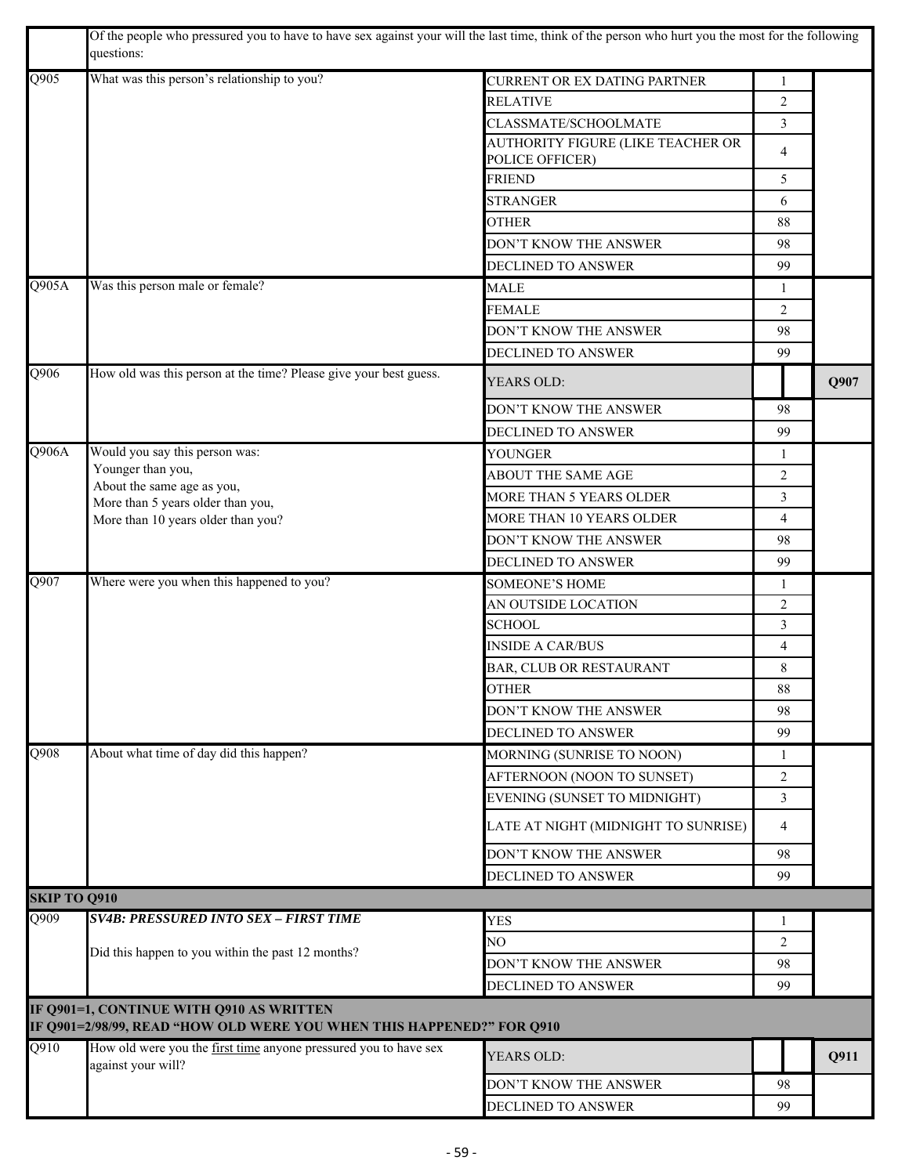|                     | Of the people who pressured you to have to have sex against your will the last time, think of the person who hurt you the most for the following<br>questions: |                                     |                |      |
|---------------------|----------------------------------------------------------------------------------------------------------------------------------------------------------------|-------------------------------------|----------------|------|
| $\overline{Q905}$   | What was this person's relationship to you?                                                                                                                    | <b>CURRENT OR EX DATING PARTNER</b> | 1              |      |
|                     |                                                                                                                                                                | <b>RELATIVE</b>                     | 2              |      |
|                     |                                                                                                                                                                | CLASSMATE/SCHOOLMATE                | 3              |      |
|                     |                                                                                                                                                                | AUTHORITY FIGURE (LIKE TEACHER OR   | 4              |      |
|                     |                                                                                                                                                                | POLICE OFFICER)                     |                |      |
|                     |                                                                                                                                                                | <b>FRIEND</b>                       | 5              |      |
|                     |                                                                                                                                                                | <b>STRANGER</b>                     | 6              |      |
|                     |                                                                                                                                                                | <b>OTHER</b>                        | 88             |      |
|                     |                                                                                                                                                                | <b>DON'T KNOW THE ANSWER</b>        | 98             |      |
|                     |                                                                                                                                                                | DECLINED TO ANSWER                  | 99             |      |
| Q905A               | Was this person male or female?                                                                                                                                | <b>MALE</b>                         | 1              |      |
|                     |                                                                                                                                                                | <b>FEMALE</b>                       | 2              |      |
|                     |                                                                                                                                                                | DON'T KNOW THE ANSWER               | 98             |      |
|                     |                                                                                                                                                                | DECLINED TO ANSWER                  | 99             |      |
| Q906                | How old was this person at the time? Please give your best guess.                                                                                              | YEARS OLD:                          |                | Q907 |
|                     |                                                                                                                                                                | DON'T KNOW THE ANSWER               | 98             |      |
|                     |                                                                                                                                                                | DECLINED TO ANSWER                  | 99             |      |
| Q906A               | Would you say this person was:                                                                                                                                 | <b>YOUNGER</b>                      | 1              |      |
|                     | Younger than you,                                                                                                                                              | ABOUT THE SAME AGE                  | 2              |      |
|                     | About the same age as you,<br>More than 5 years older than you,                                                                                                | MORE THAN 5 YEARS OLDER             | 3              |      |
|                     | More than 10 years older than you?                                                                                                                             | MORE THAN 10 YEARS OLDER            | 4              |      |
|                     |                                                                                                                                                                | DON'T KNOW THE ANSWER               | 98             |      |
|                     |                                                                                                                                                                | DECLINED TO ANSWER                  | 99             |      |
| $\overline{Q907}$   | Where were you when this happened to you?                                                                                                                      | <b>SOMEONE'S HOME</b>               | 1              |      |
|                     |                                                                                                                                                                | AN OUTSIDE LOCATION                 | $\overline{2}$ |      |
|                     |                                                                                                                                                                | <b>SCHOOL</b>                       | 3              |      |
|                     |                                                                                                                                                                | <b>INSIDE A CAR/BUS</b>             | $\overline{4}$ |      |
|                     |                                                                                                                                                                | BAR, CLUB OR RESTAURANT             | 8              |      |
|                     |                                                                                                                                                                | <b>OTHER</b>                        | 88             |      |
|                     |                                                                                                                                                                | DON'T KNOW THE ANSWER               | 98             |      |
|                     |                                                                                                                                                                | DECLINED TO ANSWER                  | 99             |      |
| $\overline{Q908}$   | About what time of day did this happen?                                                                                                                        | MORNING (SUNRISE TO NOON)           | 1              |      |
|                     |                                                                                                                                                                | AFTERNOON (NOON TO SUNSET)          | 2              |      |
|                     |                                                                                                                                                                | EVENING (SUNSET TO MIDNIGHT)        | 3              |      |
|                     |                                                                                                                                                                | LATE AT NIGHT (MIDNIGHT TO SUNRISE) | 4              |      |
|                     |                                                                                                                                                                | DON'T KNOW THE ANSWER               | 98             |      |
|                     |                                                                                                                                                                | DECLINED TO ANSWER                  | 99             |      |
| <b>SKIP TO Q910</b> |                                                                                                                                                                |                                     |                |      |
| Q909                | <b>SV4B: PRESSURED INTO SEX - FIRST TIME</b>                                                                                                                   | <b>YES</b>                          | 1              |      |
|                     |                                                                                                                                                                | NO                                  | 2              |      |
|                     | Did this happen to you within the past 12 months?                                                                                                              | DON'T KNOW THE ANSWER               | 98             |      |
|                     |                                                                                                                                                                | DECLINED TO ANSWER                  | 99             |      |
|                     | IF Q901=1, CONTINUE WITH Q910 AS WRITTEN<br>IF Q901=2/98/99, READ "HOW OLD WERE YOU WHEN THIS HAPPENED?" FOR Q910                                              |                                     |                |      |
| $\overline{Q910}$   |                                                                                                                                                                |                                     |                |      |
|                     | How old were you the first time anyone pressured you to have sex<br>against your will?                                                                         | YEARS OLD:                          |                | Q911 |
|                     |                                                                                                                                                                | DON'T KNOW THE ANSWER               | 98             |      |
|                     |                                                                                                                                                                | DECLINED TO ANSWER                  | 99             |      |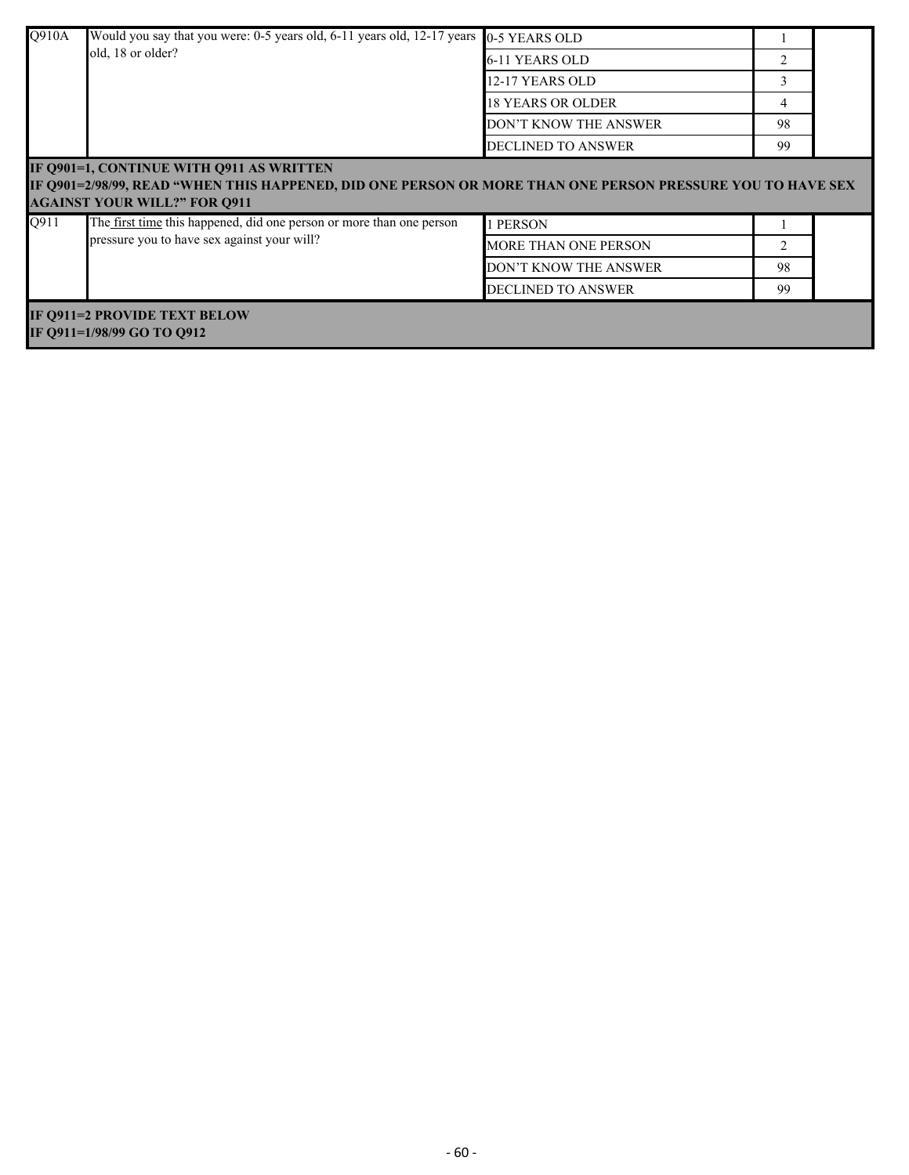| Q910A | Would you say that you were: 0-5 years old, 6-11 years old, 12-17 years 0-5 YEARS OLD                                                                                                         |                           |    |  |  |  |
|-------|-----------------------------------------------------------------------------------------------------------------------------------------------------------------------------------------------|---------------------------|----|--|--|--|
|       | old, 18 or older?                                                                                                                                                                             | 6-11 YEARS OLD            |    |  |  |  |
|       |                                                                                                                                                                                               | 12-17 YEARS OLD           | 3  |  |  |  |
|       |                                                                                                                                                                                               | <b>18 YEARS OR OLDER</b>  |    |  |  |  |
|       |                                                                                                                                                                                               | DON'T KNOW THE ANSWER     | 98 |  |  |  |
|       |                                                                                                                                                                                               | <b>DECLINED TO ANSWER</b> | 99 |  |  |  |
| Q911  | IF Q901=1, CONTINUE WITH Q911 AS WRITTEN<br>IF 0901=2/98/99, READ "WHEN THIS HAPPENED, DID ONE PERSON OR MORE THAN ONE PERSON PRESSURE YOU TO HAVE SEX<br><b>AGAINST YOUR WILL?" FOR Q911</b> |                           |    |  |  |  |
|       | The first time this happened, did one person or more than one person<br>pressure you to have sex against your will?                                                                           | 1 PERSON                  |    |  |  |  |
|       |                                                                                                                                                                                               | MORE THAN ONE PERSON      | 2  |  |  |  |
|       |                                                                                                                                                                                               | DON'T KNOW THE ANSWER     | 98 |  |  |  |
|       |                                                                                                                                                                                               | <b>DECLINED TO ANSWER</b> | 99 |  |  |  |
|       | IF Q911=2 PROVIDE TEXT BELOW<br>IF 0911=1/98/99 GO TO 0912                                                                                                                                    |                           |    |  |  |  |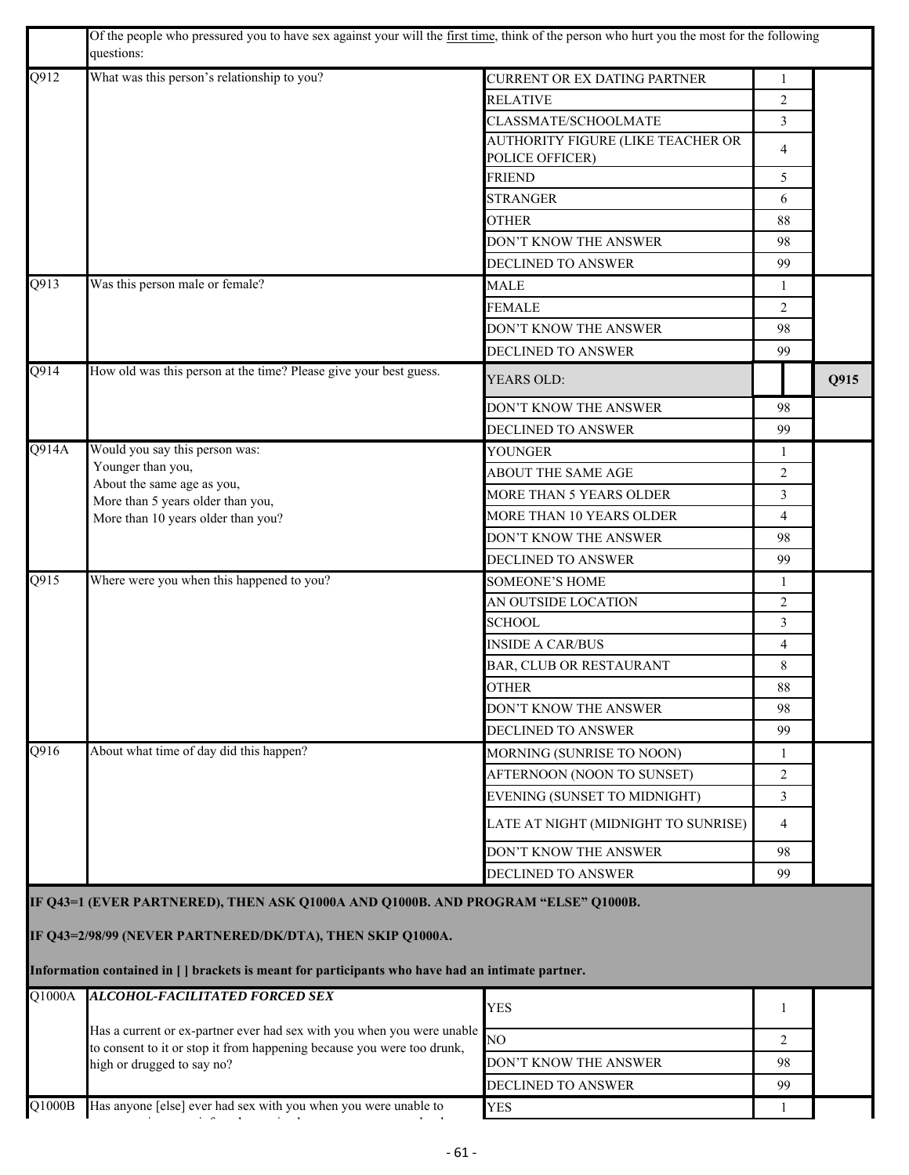|        | Of the people who pressured you to have sex against your will the first time, think of the person who hurt you the most for the following<br>questions:                                                                                              |                                                      |                |      |
|--------|------------------------------------------------------------------------------------------------------------------------------------------------------------------------------------------------------------------------------------------------------|------------------------------------------------------|----------------|------|
| Q912   | What was this person's relationship to you?                                                                                                                                                                                                          | CURRENT OR EX DATING PARTNER                         | 1              |      |
|        |                                                                                                                                                                                                                                                      | <b>RELATIVE</b>                                      | $\overline{2}$ |      |
|        |                                                                                                                                                                                                                                                      | CLASSMATE/SCHOOLMATE                                 | 3              |      |
|        |                                                                                                                                                                                                                                                      | AUTHORITY FIGURE (LIKE TEACHER OR<br>POLICE OFFICER) | $\overline{4}$ |      |
|        |                                                                                                                                                                                                                                                      | <b>FRIEND</b>                                        | 5              |      |
|        |                                                                                                                                                                                                                                                      | <b>STRANGER</b>                                      | 6              |      |
|        |                                                                                                                                                                                                                                                      | <b>OTHER</b>                                         | 88             |      |
|        |                                                                                                                                                                                                                                                      | DON'T KNOW THE ANSWER                                | 98             |      |
|        |                                                                                                                                                                                                                                                      | DECLINED TO ANSWER                                   | 99             |      |
| Q913   | Was this person male or female?                                                                                                                                                                                                                      | <b>MALE</b>                                          | $\mathbf{1}$   |      |
|        |                                                                                                                                                                                                                                                      | FEMALE                                               | 2              |      |
|        |                                                                                                                                                                                                                                                      | DON'T KNOW THE ANSWER                                | 98             |      |
|        |                                                                                                                                                                                                                                                      | DECLINED TO ANSWER                                   | 99             |      |
| Q914   | How old was this person at the time? Please give your best guess.                                                                                                                                                                                    | YEARS OLD:                                           |                | Q915 |
|        |                                                                                                                                                                                                                                                      | DON'T KNOW THE ANSWER                                | 98             |      |
|        |                                                                                                                                                                                                                                                      | DECLINED TO ANSWER                                   | 99             |      |
| Q914A  | Would you say this person was:                                                                                                                                                                                                                       | <b>YOUNGER</b>                                       | $\mathbf{1}$   |      |
|        | Younger than you,<br>About the same age as you,                                                                                                                                                                                                      | ABOUT THE SAME AGE                                   | 2              |      |
|        | More than 5 years older than you,                                                                                                                                                                                                                    | MORE THAN 5 YEARS OLDER                              | 3              |      |
|        | More than 10 years older than you?                                                                                                                                                                                                                   | MORE THAN 10 YEARS OLDER                             | $\overline{4}$ |      |
|        |                                                                                                                                                                                                                                                      | DON'T KNOW THE ANSWER                                | 98             |      |
|        |                                                                                                                                                                                                                                                      | DECLINED TO ANSWER                                   | 99             |      |
| Q915   | Where were you when this happened to you?                                                                                                                                                                                                            | <b>SOMEONE'S HOME</b>                                | 1              |      |
|        |                                                                                                                                                                                                                                                      | AN OUTSIDE LOCATION                                  | $\overline{2}$ |      |
|        |                                                                                                                                                                                                                                                      | <b>SCHOOL</b>                                        | 3              |      |
|        |                                                                                                                                                                                                                                                      | <b>INSIDE A CAR/BUS</b>                              | $\overline{4}$ |      |
|        |                                                                                                                                                                                                                                                      | BAR, CLUB OR RESTAURANT                              | 8              |      |
|        |                                                                                                                                                                                                                                                      | <b>OTHER</b>                                         | 88             |      |
|        |                                                                                                                                                                                                                                                      | DON'T KNOW THE ANSWER                                | 98             |      |
|        |                                                                                                                                                                                                                                                      | DECLINED TO ANSWER                                   | 99             |      |
| Q916   | About what time of day did this happen?                                                                                                                                                                                                              | MORNING (SUNRISE TO NOON)                            | 1              |      |
|        |                                                                                                                                                                                                                                                      | AFTERNOON (NOON TO SUNSET)                           | 2              |      |
|        |                                                                                                                                                                                                                                                      | EVENING (SUNSET TO MIDNIGHT)                         | 3              |      |
|        |                                                                                                                                                                                                                                                      | LATE AT NIGHT (MIDNIGHT TO SUNRISE)                  | 4              |      |
|        |                                                                                                                                                                                                                                                      | DON'T KNOW THE ANSWER                                | 98             |      |
|        |                                                                                                                                                                                                                                                      | DECLINED TO ANSWER                                   | 99             |      |
|        | IF Q43=1 (EVER PARTNERED), THEN ASK Q1000A AND Q1000B. AND PROGRAM "ELSE" Q1000B.<br>IF Q43=2/98/99 (NEVER PARTNERED/DK/DTA), THEN SKIP Q1000A.<br>Information contained in [ ] brackets is meant for participants who have had an intimate partner. |                                                      |                |      |
| Q1000A | <b>ALCOHOL-FACILITATED FORCED SEX</b>                                                                                                                                                                                                                |                                                      |                |      |
|        | Has a current or ex-partner ever had sex with you when you were unable                                                                                                                                                                               | <b>YES</b>                                           | 1              |      |
|        | to consent to it or stop it from happening because you were too drunk,                                                                                                                                                                               | NO                                                   | 2              |      |
|        | high or drugged to say no?                                                                                                                                                                                                                           | DON'T KNOW THE ANSWER                                | 98             |      |
|        |                                                                                                                                                                                                                                                      | DECLINED TO ANSWER                                   | 99             |      |
| Q1000B | Has anyone [else] ever had sex with you when you were unable to                                                                                                                                                                                      | <b>YES</b>                                           | 1              |      |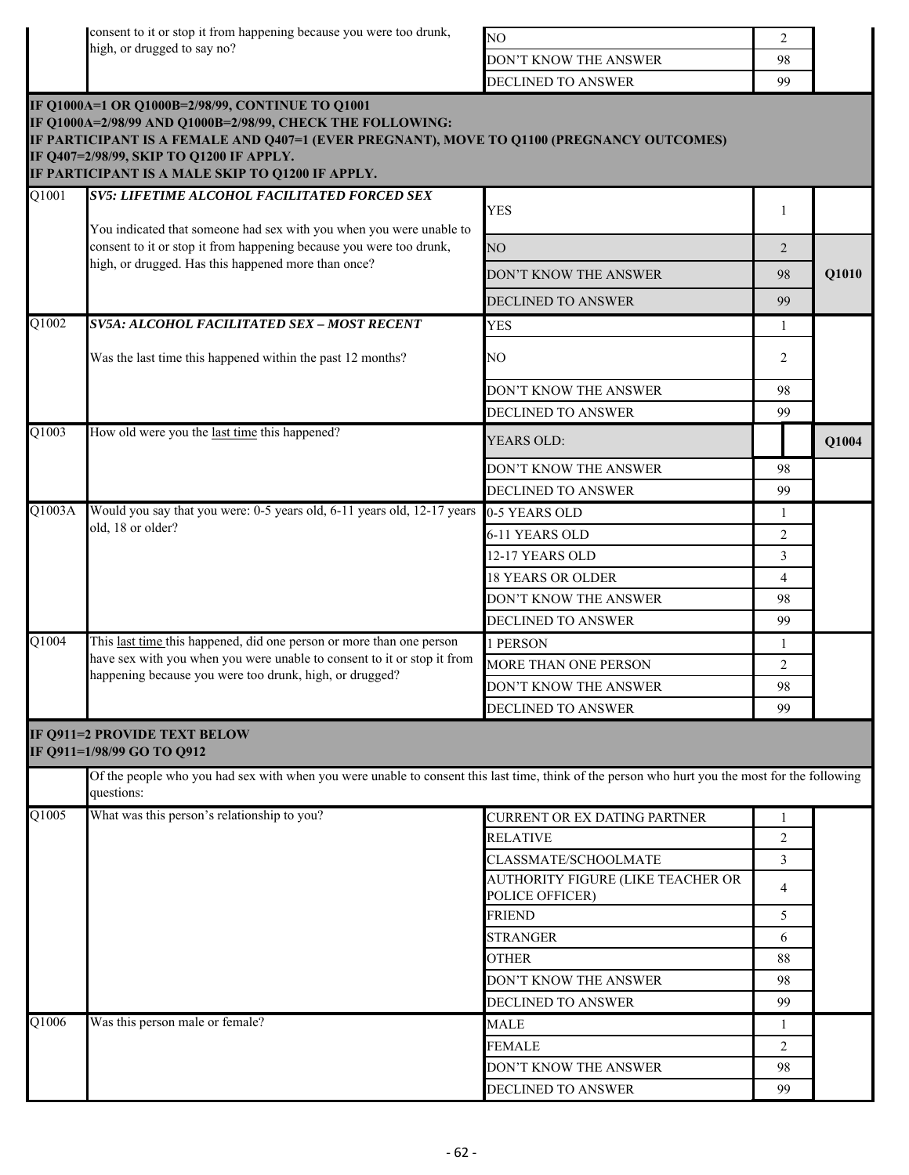consent to it or stop it from happening because you were too drunk, high, or drugged to say no?

| IΝO                           |    |
|-------------------------------|----|
| <b>IDON'T KNOW THE ANSWER</b> | 98 |
| DECLINED TO ANSWER            | ۵a |

|                       |                                                                                                                                                                                                             | DECLINED TO ANSWER                                   | 99             |       |
|-----------------------|-------------------------------------------------------------------------------------------------------------------------------------------------------------------------------------------------------------|------------------------------------------------------|----------------|-------|
|                       | IF Q1000A=1 OR Q1000B=2/98/99, CONTINUE TO Q1001<br>IF Q1000A=2/98/99 AND Q1000B=2/98/99, CHECK THE FOLLOWING:<br>IF PARTICIPANT IS A FEMALE AND Q407=1 (EVER PREGNANT), MOVE TO Q1100 (PREGNANCY OUTCOMES) |                                                      |                |       |
|                       | IF Q407=2/98/99, SKIP TO Q1200 IF APPLY.<br>IF PARTICIPANT IS A MALE SKIP TO Q1200 IF APPLY.                                                                                                                |                                                      |                |       |
| $\overline{Q1001}$    | <b>SV5: LIFETIME ALCOHOL FACILITATED FORCED SEX</b>                                                                                                                                                         |                                                      |                |       |
|                       | You indicated that someone had sex with you when you were unable to                                                                                                                                         | <b>YES</b>                                           | 1              |       |
|                       | consent to it or stop it from happening because you were too drunk,<br>high, or drugged. Has this happened more than once?                                                                                  | NO <sub>1</sub>                                      | 2              |       |
|                       |                                                                                                                                                                                                             | DON'T KNOW THE ANSWER                                | 98             | Q1010 |
|                       |                                                                                                                                                                                                             | <b>DECLINED TO ANSWER</b>                            | 99             |       |
| Q1002                 | SV5A: ALCOHOL FACILITATED SEX - MOST RECENT                                                                                                                                                                 | <b>YES</b>                                           | -1             |       |
|                       | Was the last time this happened within the past 12 months?                                                                                                                                                  | NO                                                   | 2              |       |
|                       |                                                                                                                                                                                                             | DON'T KNOW THE ANSWER                                | 98             |       |
|                       |                                                                                                                                                                                                             | DECLINED TO ANSWER                                   | 99             |       |
| Q1003                 | How old were you the last time this happened?                                                                                                                                                               | <b>YEARS OLD:</b>                                    |                | Q1004 |
|                       |                                                                                                                                                                                                             | DON'T KNOW THE ANSWER                                | 98             |       |
|                       |                                                                                                                                                                                                             | DECLINED TO ANSWER                                   | 99             |       |
| Q1003A                | Would you say that you were: 0-5 years old, 6-11 years old, 12-17 years                                                                                                                                     | 0-5 YEARS OLD                                        | 1              |       |
|                       | old, 18 or older?                                                                                                                                                                                           | 6-11 YEARS OLD                                       | 2              |       |
|                       |                                                                                                                                                                                                             | 12-17 YEARS OLD                                      | 3              |       |
|                       |                                                                                                                                                                                                             | <b>18 YEARS OR OLDER</b>                             | 4              |       |
|                       |                                                                                                                                                                                                             | DON'T KNOW THE ANSWER                                | 98             |       |
|                       |                                                                                                                                                                                                             | <b>DECLINED TO ANSWER</b>                            | 99             |       |
| $\overline{Q1004}$    | This last time this happened, did one person or more than one person                                                                                                                                        | 1 PERSON                                             | 1              |       |
|                       | have sex with you when you were unable to consent to it or stop it from<br>happening because you were too drunk, high, or drugged?                                                                          | MORE THAN ONE PERSON                                 | $\overline{2}$ |       |
|                       |                                                                                                                                                                                                             | DON'T KNOW THE ANSWER                                | 98             |       |
|                       |                                                                                                                                                                                                             | DECLINED TO ANSWER                                   | 99             |       |
|                       | <b>IF Q911=2 PROVIDE TEXT BELOW</b><br>IF Q911=1/98/99 GO TO Q912                                                                                                                                           |                                                      |                |       |
|                       | Of the people who you had sex with when you were unable to consent this last time, think of the person who hurt you the most for the following<br>questions:                                                |                                                      |                |       |
| $Q$ $\overline{1005}$ | What was this person's relationship to you?                                                                                                                                                                 | <b>CURRENT OR EX DATING PARTNER</b>                  | 1              |       |
|                       |                                                                                                                                                                                                             | <b>RELATIVE</b>                                      | $\overline{2}$ |       |
|                       |                                                                                                                                                                                                             | CLASSMATE/SCHOOLMATE                                 | $\mathfrak{Z}$ |       |
|                       |                                                                                                                                                                                                             | AUTHORITY FIGURE (LIKE TEACHER OR<br>POLICE OFFICER) | $\overline{4}$ |       |
|                       |                                                                                                                                                                                                             | <b>FRIEND</b>                                        | 5              |       |
|                       |                                                                                                                                                                                                             | <b>STRANGER</b>                                      | 6              |       |
|                       |                                                                                                                                                                                                             | <b>OTHER</b>                                         | 88             |       |
|                       |                                                                                                                                                                                                             | DON'T KNOW THE ANSWER                                | 98             |       |
|                       |                                                                                                                                                                                                             | DECLINED TO ANSWER                                   | 99             |       |
| Q1006                 | Was this person male or female?                                                                                                                                                                             | <b>MALE</b>                                          | 1              |       |
|                       |                                                                                                                                                                                                             | <b>FEMALE</b>                                        | 2              |       |
|                       |                                                                                                                                                                                                             | DON'T KNOW THE ANSWER                                | 98             |       |
|                       |                                                                                                                                                                                                             | DECLINED TO ANSWER                                   | 99             |       |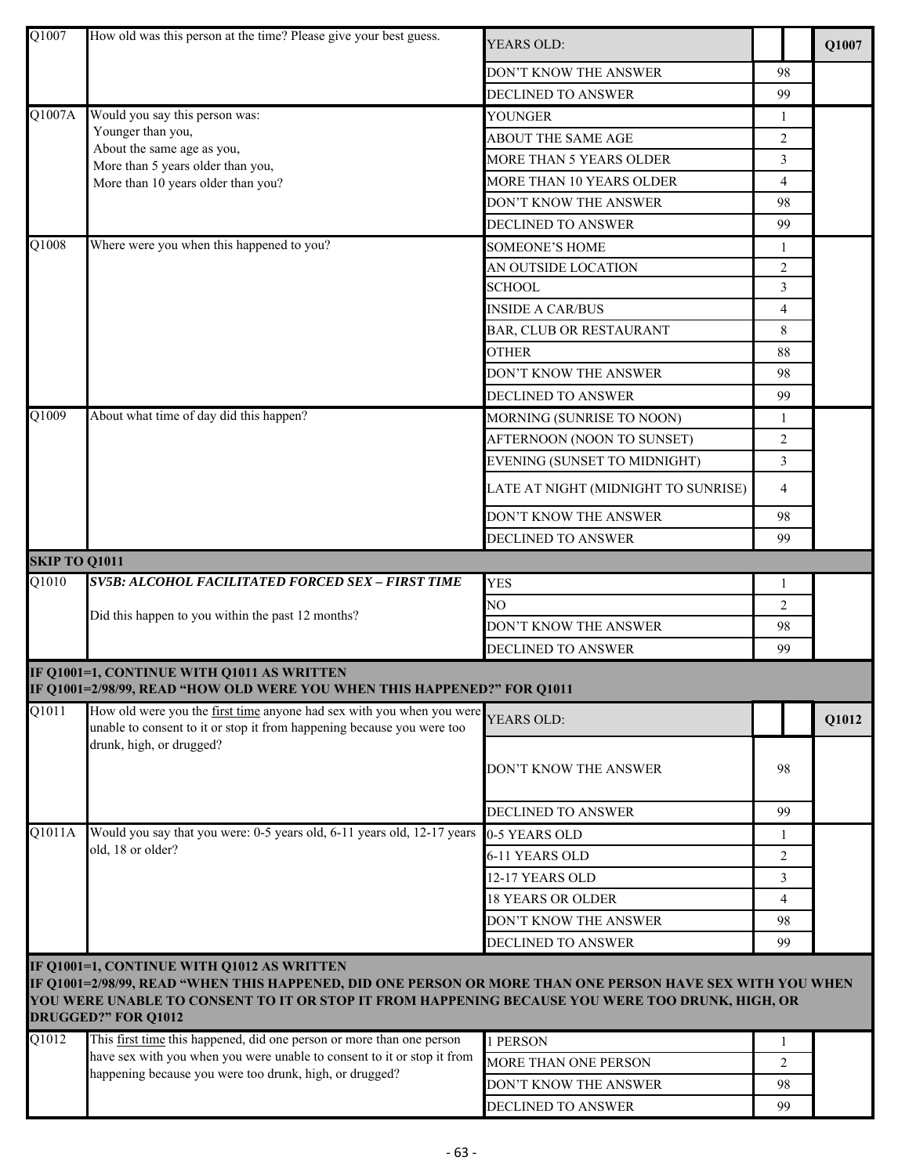| Q1007               | How old was this person at the time? Please give your best guess.                                                                                                                                            | <b>YEARS OLD:</b>                   |                | Q1007 |
|---------------------|--------------------------------------------------------------------------------------------------------------------------------------------------------------------------------------------------------------|-------------------------------------|----------------|-------|
|                     |                                                                                                                                                                                                              | DON'T KNOW THE ANSWER               | 98             |       |
|                     |                                                                                                                                                                                                              | DECLINED TO ANSWER                  | 99             |       |
| Q1007A              | Would you say this person was:                                                                                                                                                                               | YOUNGER                             | $\mathbf{1}$   |       |
|                     | Younger than you,                                                                                                                                                                                            | ABOUT THE SAME AGE                  | $\overline{2}$ |       |
|                     | About the same age as you,<br>More than 5 years older than you,                                                                                                                                              | MORE THAN 5 YEARS OLDER             | 3              |       |
|                     | More than 10 years older than you?                                                                                                                                                                           | MORE THAN 10 YEARS OLDER            | $\overline{4}$ |       |
|                     |                                                                                                                                                                                                              | DON'T KNOW THE ANSWER               | 98             |       |
|                     |                                                                                                                                                                                                              | DECLINED TO ANSWER                  | 99             |       |
| Q1008               | Where were you when this happened to you?                                                                                                                                                                    | <b>SOMEONE'S HOME</b>               | 1              |       |
|                     |                                                                                                                                                                                                              | AN OUTSIDE LOCATION                 | $\overline{2}$ |       |
|                     |                                                                                                                                                                                                              | <b>SCHOOL</b>                       | 3              |       |
|                     |                                                                                                                                                                                                              | <b>INSIDE A CAR/BUS</b>             | 4              |       |
|                     |                                                                                                                                                                                                              | BAR, CLUB OR RESTAURANT             | 8              |       |
|                     |                                                                                                                                                                                                              | <b>OTHER</b>                        | 88             |       |
|                     |                                                                                                                                                                                                              | DON'T KNOW THE ANSWER               | 98             |       |
|                     |                                                                                                                                                                                                              | DECLINED TO ANSWER                  | 99             |       |
| Q1009               | About what time of day did this happen?                                                                                                                                                                      | MORNING (SUNRISE TO NOON)           | 1              |       |
|                     |                                                                                                                                                                                                              | AFTERNOON (NOON TO SUNSET)          | $\overline{2}$ |       |
|                     |                                                                                                                                                                                                              | EVENING (SUNSET TO MIDNIGHT)        | 3              |       |
|                     |                                                                                                                                                                                                              | LATE AT NIGHT (MIDNIGHT TO SUNRISE) | 4              |       |
|                     |                                                                                                                                                                                                              | DON'T KNOW THE ANSWER               | 98             |       |
|                     |                                                                                                                                                                                                              | DECLINED TO ANSWER                  | 99             |       |
| SKIP TO Q1011       |                                                                                                                                                                                                              |                                     |                |       |
| Q1010               | SV5B: ALCOHOL FACILITATED FORCED SEX - FIRST TIME                                                                                                                                                            | <b>YES</b>                          | 1              |       |
|                     |                                                                                                                                                                                                              | NO                                  | $\overline{2}$ |       |
|                     | Did this happen to you within the past 12 months?                                                                                                                                                            | DON'T KNOW THE ANSWER               | 98             |       |
|                     |                                                                                                                                                                                                              | DECLINED TO ANSWER                  | 99             |       |
|                     | IF Q1001=1, CONTINUE WITH Q1011 AS WRITTEN                                                                                                                                                                   |                                     |                |       |
|                     | IF Q1001=2/98/99, READ "HOW OLD WERE YOU WHEN THIS HAPPENED?" FOR Q1011                                                                                                                                      |                                     |                |       |
| Q1011               | How old were you the first time anyone had sex with you when you were<br>unable to consent to it or stop it from happening because you were too                                                              | YEARS OLD:                          |                | Q1012 |
|                     | drunk, high, or drugged?                                                                                                                                                                                     |                                     |                |       |
|                     |                                                                                                                                                                                                              | DON'T KNOW THE ANSWER               | 98             |       |
|                     |                                                                                                                                                                                                              |                                     |                |       |
|                     |                                                                                                                                                                                                              | DECLINED TO ANSWER                  | 99             |       |
| $\overline{Q1011A}$ | Would you say that you were: 0-5 years old, 6-11 years old, 12-17 years                                                                                                                                      | 0-5 YEARS OLD                       | 1              |       |
|                     | old, 18 or older?                                                                                                                                                                                            | 6-11 YEARS OLD                      | $\overline{2}$ |       |
|                     |                                                                                                                                                                                                              | 12-17 YEARS OLD                     | 3              |       |
|                     |                                                                                                                                                                                                              | <b>18 YEARS OR OLDER</b>            | 4              |       |
|                     |                                                                                                                                                                                                              | DON'T KNOW THE ANSWER               | 98             |       |
|                     |                                                                                                                                                                                                              | <b>DECLINED TO ANSWER</b>           | 99             |       |
|                     | IF Q1001=1, CONTINUE WITH Q1012 AS WRITTEN                                                                                                                                                                   |                                     |                |       |
|                     | IF Q1001=2/98/99, READ "WHEN THIS HAPPENED, DID ONE PERSON OR MORE THAN ONE PERSON HAVE SEX WITH YOU WHEN<br>YOU WERE UNABLE TO CONSENT TO IT OR STOP IT FROM HAPPENING BECAUSE YOU WERE TOO DRUNK, HIGH, OR |                                     |                |       |
|                     | <b>DRUGGED?" FOR Q1012</b>                                                                                                                                                                                   |                                     |                |       |
| Q1012               | This first time this happened, did one person or more than one person<br>have sex with you when you were unable to consent to it or stop it from                                                             | 1 PERSON                            | 1              |       |
|                     | happening because you were too drunk, high, or drugged?                                                                                                                                                      | MORE THAN ONE PERSON                | 2              |       |
|                     |                                                                                                                                                                                                              | DON'T KNOW THE ANSWER               | 98             |       |
|                     |                                                                                                                                                                                                              | DECLINED TO ANSWER                  | 99             |       |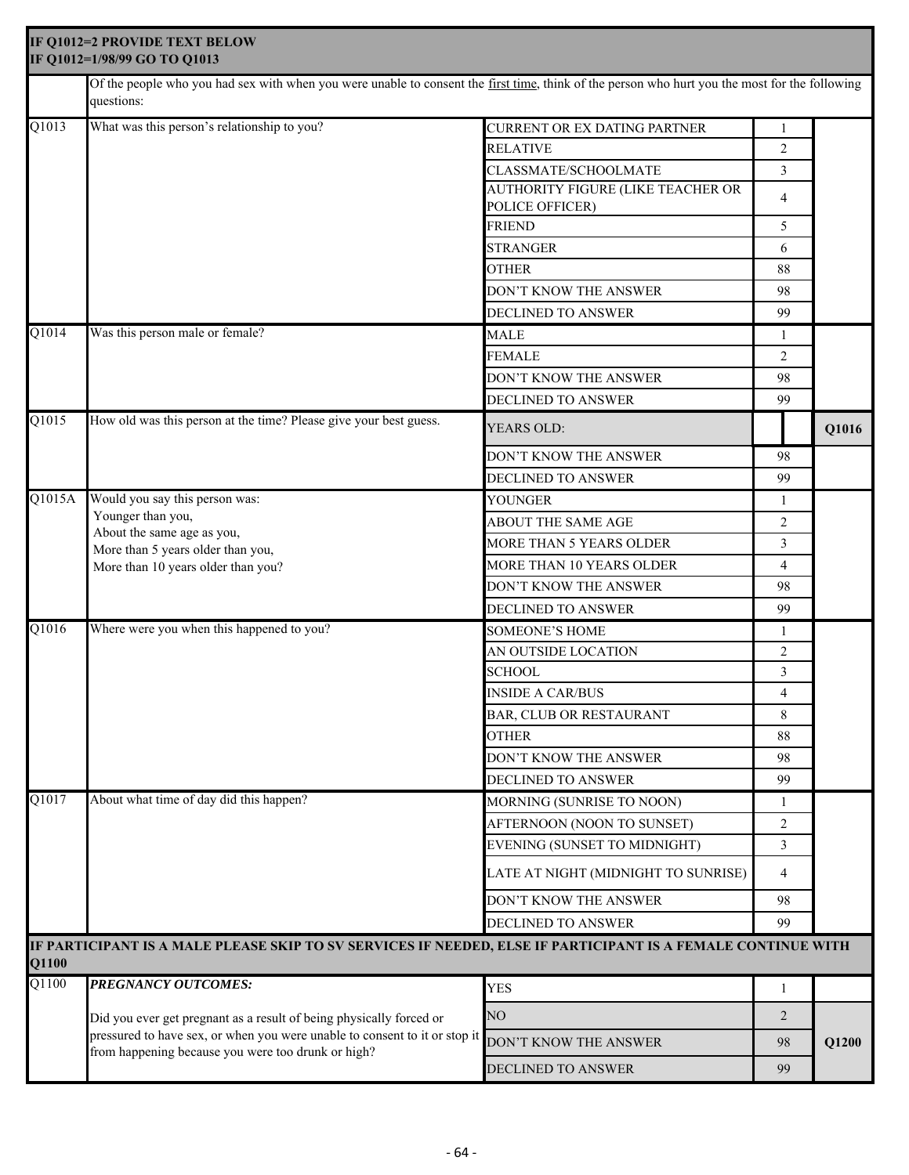|                    | IF Q1012=2 PROVIDE TEXT BELOW<br>IF Q1012=1/98/99 GO TO Q1013                                                                                                |                                                      |                |       |
|--------------------|--------------------------------------------------------------------------------------------------------------------------------------------------------------|------------------------------------------------------|----------------|-------|
|                    | Of the people who you had sex with when you were unable to consent the first time, think of the person who hurt you the most for the following<br>questions: |                                                      |                |       |
| Q1013              | What was this person's relationship to you?                                                                                                                  | CURRENT OR EX DATING PARTNER                         |                |       |
|                    |                                                                                                                                                              | <b>RELATIVE</b>                                      | 2              |       |
|                    |                                                                                                                                                              | CLASSMATE/SCHOOLMATE                                 | 3              |       |
|                    |                                                                                                                                                              | AUTHORITY FIGURE (LIKE TEACHER OR<br>POLICE OFFICER) | 4              |       |
|                    |                                                                                                                                                              | <b>FRIEND</b>                                        | 5              |       |
|                    |                                                                                                                                                              | <b>STRANGER</b>                                      | 6              |       |
|                    |                                                                                                                                                              | <b>OTHER</b>                                         | 88             |       |
|                    |                                                                                                                                                              | DON'T KNOW THE ANSWER                                | 98             |       |
|                    |                                                                                                                                                              | DECLINED TO ANSWER                                   | 99             |       |
| Q1014              | Was this person male or female?                                                                                                                              | <b>MALE</b>                                          | 1              |       |
|                    |                                                                                                                                                              | <b>FEMALE</b>                                        | $\overline{2}$ |       |
|                    |                                                                                                                                                              | DON'T KNOW THE ANSWER                                | 98             |       |
|                    |                                                                                                                                                              | <b>DECLINED TO ANSWER</b>                            | 99             |       |
| Q1015              | How old was this person at the time? Please give your best guess.                                                                                            | YEARS OLD:                                           |                | Q1016 |
|                    |                                                                                                                                                              | DON'T KNOW THE ANSWER                                | 98             |       |
|                    |                                                                                                                                                              | DECLINED TO ANSWER                                   | 99             |       |
| Q1015A             | Would you say this person was:                                                                                                                               | YOUNGER                                              | 1              |       |
|                    | Younger than you,                                                                                                                                            | ABOUT THE SAME AGE                                   | $\overline{2}$ |       |
|                    | About the same age as you,<br>More than 5 years older than you,                                                                                              | MORE THAN 5 YEARS OLDER                              | 3              |       |
|                    | More than 10 years older than you?                                                                                                                           | MORE THAN 10 YEARS OLDER                             | $\overline{4}$ |       |
|                    |                                                                                                                                                              | DON'T KNOW THE ANSWER                                | 98             |       |
|                    |                                                                                                                                                              | DECLINED TO ANSWER                                   | 99             |       |
| Q1016              | Where were you when this happened to you?                                                                                                                    | <b>SOMEONE'S HOME</b>                                | 1              |       |
|                    |                                                                                                                                                              | AN OUTSIDE LOCATION                                  | $\overline{2}$ |       |
|                    |                                                                                                                                                              | <b>SCHOOL</b>                                        | 3              |       |
|                    |                                                                                                                                                              | <b>INSIDE A CAR/BUS</b>                              | 4              |       |
|                    |                                                                                                                                                              | BAR, CLUB OR RESTAURANT                              | 8              |       |
|                    |                                                                                                                                                              | <b>OTHER</b>                                         | 88             |       |
|                    |                                                                                                                                                              | DON'T KNOW THE ANSWER                                | 98             |       |
|                    |                                                                                                                                                              | DECLINED TO ANSWER                                   | 99             |       |
| $\overline{Q1017}$ | About what time of day did this happen?                                                                                                                      | MORNING (SUNRISE TO NOON)                            | 1              |       |
|                    |                                                                                                                                                              | AFTERNOON (NOON TO SUNSET)                           | $\overline{2}$ |       |
|                    |                                                                                                                                                              | EVENING (SUNSET TO MIDNIGHT)                         | 3              |       |
|                    |                                                                                                                                                              | LATE AT NIGHT (MIDNIGHT TO SUNRISE)                  | $\overline{4}$ |       |
|                    |                                                                                                                                                              | DON'T KNOW THE ANSWER                                | 98             |       |
|                    |                                                                                                                                                              | DECLINED TO ANSWER                                   | 99             |       |
| Q1100              | IF PARTICIPANT IS A MALE PLEASE SKIP TO SV SERVICES IF NEEDED, ELSE IF PARTICIPANT IS A FEMALE CONTINUE WITH                                                 |                                                      |                |       |
| Q1100              | PREGNANCY OUTCOMES:                                                                                                                                          | <b>YES</b>                                           | 1              |       |
|                    | Did you ever get pregnant as a result of being physically forced or                                                                                          | NO                                                   | 2              |       |
|                    | pressured to have sex, or when you were unable to consent to it or stop it<br>from happening because you were too drunk or high?                             | DON'T KNOW THE ANSWER                                | 98             | Q1200 |
|                    |                                                                                                                                                              | DECLINED TO ANSWER                                   | 99             |       |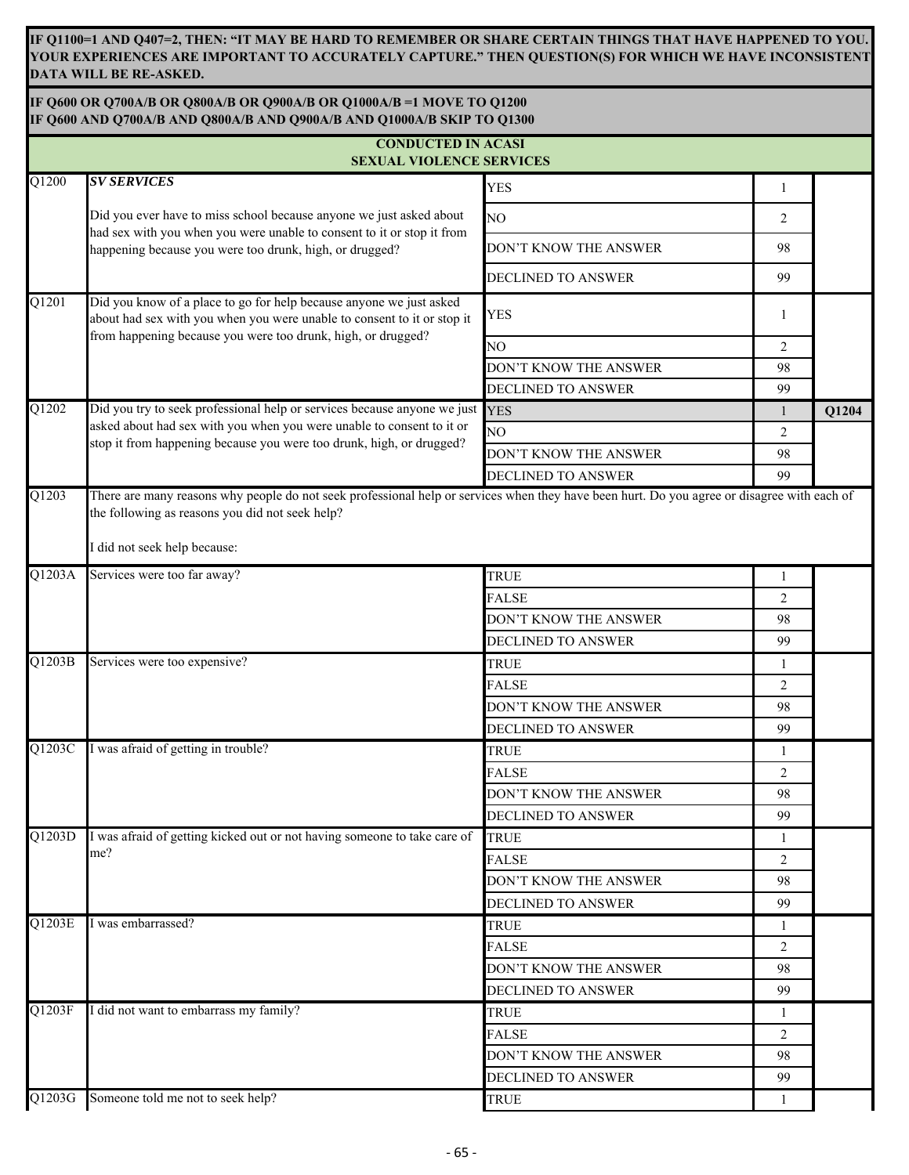**IF Q1100=1 AND Q407=2, THEN: "IT MAY BE HARD TO REMEMBER OR SHARE CERTAIN THINGS THAT HAVE HAPPENED TO YOU. YOUR EXPERIENCES ARE IMPORTANT TO ACCURATELY CAPTURE." THEN QUESTION(S) FOR WHICH WE HAVE INCONSISTENT DATA WILL BE RE-ASKED.**

|  | IF Q600 OR Q700A/B OR Q800A/B OR Q900A/B OR Q1000A/B =1 MOVE TO Q1200  |  |  |  |  |  |  |  |
|--|------------------------------------------------------------------------|--|--|--|--|--|--|--|
|  | IF O600 AND O700A/B AND O800A/B AND O900A/B AND O1000A/B SKIP TO 01300 |  |  |  |  |  |  |  |

|                     | <b>CONDUCTED IN ACASI</b>                                                                                                                                                                                      |                           |                |       |
|---------------------|----------------------------------------------------------------------------------------------------------------------------------------------------------------------------------------------------------------|---------------------------|----------------|-------|
| $\overline{Q1200}$  | <b>SEXUAL VIOLENCE SERVICES</b><br><b>SV SERVICES</b>                                                                                                                                                          |                           |                |       |
|                     |                                                                                                                                                                                                                | <b>YES</b>                | $\mathbf{1}$   |       |
|                     | Did you ever have to miss school because anyone we just asked about<br>had sex with you when you were unable to consent to it or stop it from                                                                  | NO                        | 2              |       |
|                     | happening because you were too drunk, high, or drugged?                                                                                                                                                        | DON'T KNOW THE ANSWER     | 98             |       |
|                     |                                                                                                                                                                                                                | DECLINED TO ANSWER        | 99             |       |
| $\overline{Q1201}$  | Did you know of a place to go for help because anyone we just asked<br>about had sex with you when you were unable to consent to it or stop it<br>from happening because you were too drunk, high, or drugged? | <b>YES</b>                | 1              |       |
|                     |                                                                                                                                                                                                                | NO                        | $\overline{2}$ |       |
|                     |                                                                                                                                                                                                                | DON'T KNOW THE ANSWER     | 98             |       |
|                     |                                                                                                                                                                                                                | DECLINED TO ANSWER        | 99             |       |
| Q1202               | Did you try to seek professional help or services because anyone we just YES                                                                                                                                   |                           | 1              | Q1204 |
|                     | asked about had sex with you when you were unable to consent to it or<br>stop it from happening because you were too drunk, high, or drugged?                                                                  | NO.                       | 2              |       |
|                     |                                                                                                                                                                                                                | DON'T KNOW THE ANSWER     | 98             |       |
|                     |                                                                                                                                                                                                                | <b>DECLINED TO ANSWER</b> | 99             |       |
| $\overline{Q1203}$  | the following as reasons you did not seek help?<br>I did not seek help because:                                                                                                                                |                           |                |       |
| Q1203A              | Services were too far away?                                                                                                                                                                                    | <b>TRUE</b>               | 1              |       |
|                     |                                                                                                                                                                                                                | <b>FALSE</b>              | $\overline{2}$ |       |
|                     |                                                                                                                                                                                                                | DON'T KNOW THE ANSWER     | 98             |       |
|                     |                                                                                                                                                                                                                | DECLINED TO ANSWER        | 99             |       |
| Q1203B              | Services were too expensive?                                                                                                                                                                                   | <b>TRUE</b>               | 1              |       |
|                     |                                                                                                                                                                                                                | <b>FALSE</b>              | $\overline{c}$ |       |
|                     |                                                                                                                                                                                                                | DON'T KNOW THE ANSWER     | 98             |       |
|                     |                                                                                                                                                                                                                | DECLINED TO ANSWER        | 99             |       |
| Q1203C              | was afraid of getting in trouble?                                                                                                                                                                              | <b>TRUE</b>               | 1              |       |
|                     |                                                                                                                                                                                                                | <b>FALSE</b>              | $\overline{2}$ |       |
|                     |                                                                                                                                                                                                                | DON'T KNOW THE ANSWER     | 98             |       |
|                     |                                                                                                                                                                                                                | DECLINED TO ANSWER        | 99             |       |
| $Q12\overline{03D}$ | I was afraid of getting kicked out or not having someone to take care of                                                                                                                                       | <b>TRUE</b>               | 1              |       |
|                     | me?                                                                                                                                                                                                            | <b>FALSE</b>              | 2              |       |
|                     |                                                                                                                                                                                                                | DON'T KNOW THE ANSWER     | 98             |       |
|                     |                                                                                                                                                                                                                | DECLINED TO ANSWER        | 99             |       |
| Q1203E              | I was embarrassed?                                                                                                                                                                                             | <b>TRUE</b>               | 1              |       |
|                     |                                                                                                                                                                                                                | <b>FALSE</b>              | $\overline{2}$ |       |
|                     |                                                                                                                                                                                                                | DON'T KNOW THE ANSWER     | 98             |       |
|                     |                                                                                                                                                                                                                | DECLINED TO ANSWER        | 99             |       |
| Q1203F              | I did not want to embarrass my family?                                                                                                                                                                         | <b>TRUE</b>               | 1              |       |
|                     |                                                                                                                                                                                                                | <b>FALSE</b>              | $\overline{2}$ |       |
|                     |                                                                                                                                                                                                                | DON'T KNOW THE ANSWER     | 98             |       |
|                     |                                                                                                                                                                                                                | DECLINED TO ANSWER        | 99             |       |
| $Q12\overline{03G}$ | Someone told me not to seek help?                                                                                                                                                                              | TRUE                      | 1              |       |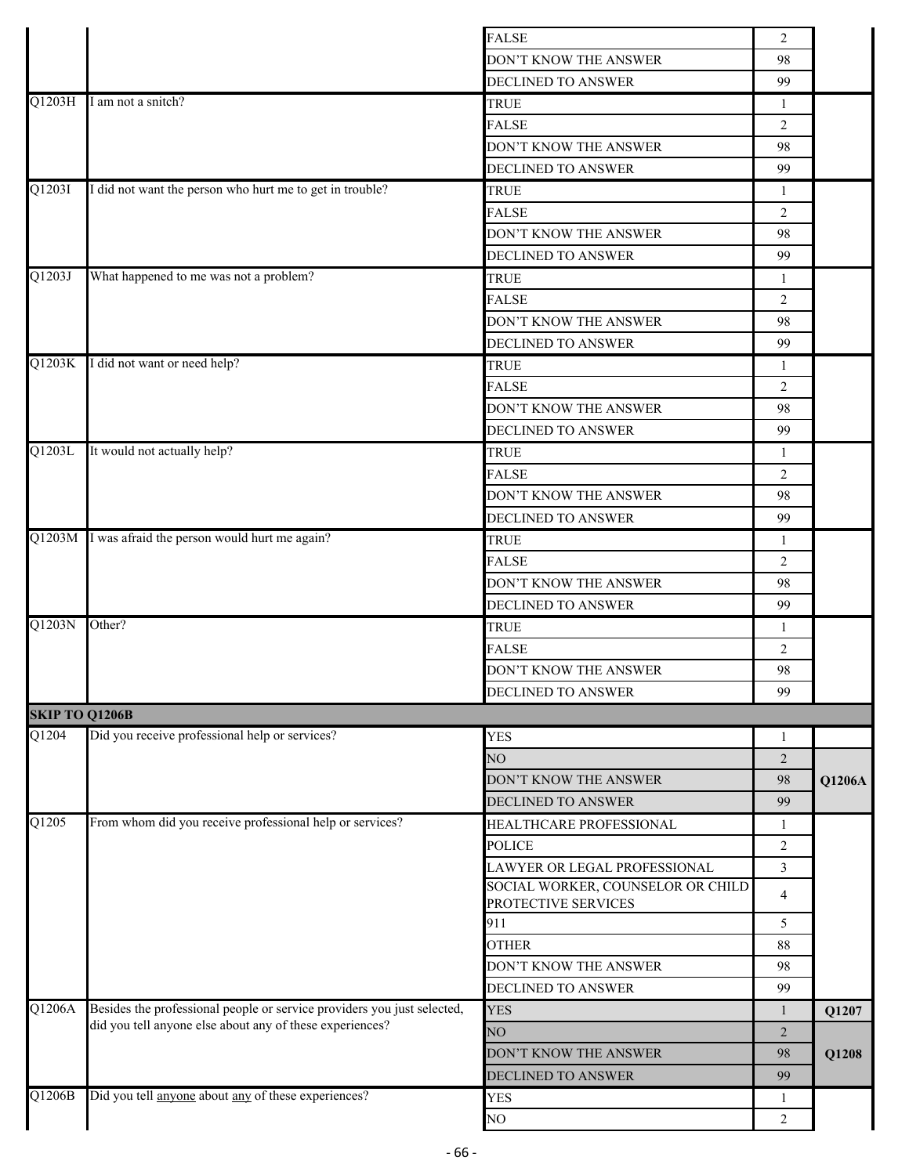|                       |                                                                         | <b>FALSE</b>                                             | 2              |        |
|-----------------------|-------------------------------------------------------------------------|----------------------------------------------------------|----------------|--------|
|                       |                                                                         | DON'T KNOW THE ANSWER                                    | 98             |        |
|                       |                                                                         | DECLINED TO ANSWER                                       | 99             |        |
| Q1203H                | I am not a snitch?                                                      | <b>TRUE</b>                                              | 1              |        |
|                       |                                                                         | <b>FALSE</b>                                             | 2              |        |
|                       |                                                                         | DON'T KNOW THE ANSWER                                    | 98             |        |
|                       |                                                                         | DECLINED TO ANSWER                                       | 99             |        |
| Q1203I                | I did not want the person who hurt me to get in trouble?                | <b>TRUE</b>                                              | $\mathbf{1}$   |        |
|                       |                                                                         | <b>FALSE</b>                                             | 2              |        |
|                       |                                                                         | DON'T KNOW THE ANSWER                                    | 98             |        |
|                       |                                                                         | DECLINED TO ANSWER                                       | 99             |        |
| Q1203J                | What happened to me was not a problem?                                  | <b>TRUE</b>                                              | 1              |        |
|                       |                                                                         | <b>FALSE</b>                                             | 2              |        |
|                       |                                                                         | DON'T KNOW THE ANSWER                                    | 98             |        |
|                       |                                                                         | DECLINED TO ANSWER                                       | 99             |        |
| Q1203K                | I did not want or need help?                                            | <b>TRUE</b>                                              | 1              |        |
|                       |                                                                         | <b>FALSE</b>                                             | $\overline{2}$ |        |
|                       |                                                                         | DON'T KNOW THE ANSWER                                    | 98             |        |
|                       |                                                                         | DECLINED TO ANSWER                                       | 99             |        |
| Q1203L                | It would not actually help?                                             | <b>TRUE</b>                                              | $\mathbf{1}$   |        |
|                       |                                                                         | <b>FALSE</b>                                             | $\overline{2}$ |        |
|                       |                                                                         | DON'T KNOW THE ANSWER                                    | 98             |        |
|                       |                                                                         | DECLINED TO ANSWER                                       | 99             |        |
|                       | Q1203M I was afraid the person would hurt me again?                     |                                                          |                |        |
|                       |                                                                         | <b>TRUE</b>                                              | $\mathbf{1}$   |        |
|                       |                                                                         | <b>FALSE</b>                                             | $\overline{2}$ |        |
|                       |                                                                         | DON'T KNOW THE ANSWER                                    | 98             |        |
| Q1203N                | Other?                                                                  | DECLINED TO ANSWER                                       | 99             |        |
|                       |                                                                         | <b>TRUE</b>                                              | $\mathbf{1}$   |        |
|                       |                                                                         | <b>FALSE</b>                                             | 2              |        |
|                       |                                                                         | DON'T KNOW THE ANSWER                                    | 98             |        |
|                       |                                                                         | DECLINED TO ANSWER                                       | 99             |        |
| <b>SKIP TO Q1206B</b> |                                                                         |                                                          |                |        |
| Q1204                 | Did you receive professional help or services?                          | <b>YES</b>                                               | $\mathbf{1}$   |        |
|                       |                                                                         | NO                                                       | $\overline{2}$ |        |
|                       |                                                                         | DON'T KNOW THE ANSWER                                    | 98             | Q1206A |
|                       |                                                                         | DECLINED TO ANSWER                                       | 99             |        |
| Q1205                 | From whom did you receive professional help or services?                | HEALTHCARE PROFESSIONAL                                  | 1              |        |
|                       |                                                                         | POLICE                                                   | $\overline{2}$ |        |
|                       |                                                                         | LAWYER OR LEGAL PROFESSIONAL                             | 3              |        |
|                       |                                                                         | SOCIAL WORKER, COUNSELOR OR CHILD<br>PROTECTIVE SERVICES | $\overline{4}$ |        |
|                       |                                                                         | 911                                                      | 5              |        |
|                       |                                                                         | <b>OTHER</b>                                             | 88             |        |
|                       |                                                                         | DON'T KNOW THE ANSWER                                    | 98             |        |
|                       |                                                                         | DECLINED TO ANSWER                                       | 99             |        |
| Q1206A                | Besides the professional people or service providers you just selected, | <b>YES</b>                                               | 1              | Q1207  |
|                       | did you tell anyone else about any of these experiences?                | NO <sub>1</sub>                                          | 2              |        |
|                       |                                                                         | DON'T KNOW THE ANSWER                                    | 98             | Q1208  |
|                       |                                                                         |                                                          | 99             |        |
| Q1206B                | Did you tell anyone about any of these experiences?                     | DECLINED TO ANSWER<br><b>YES</b>                         |                |        |
|                       |                                                                         |                                                          | 1              |        |
|                       |                                                                         | NO                                                       | 2              |        |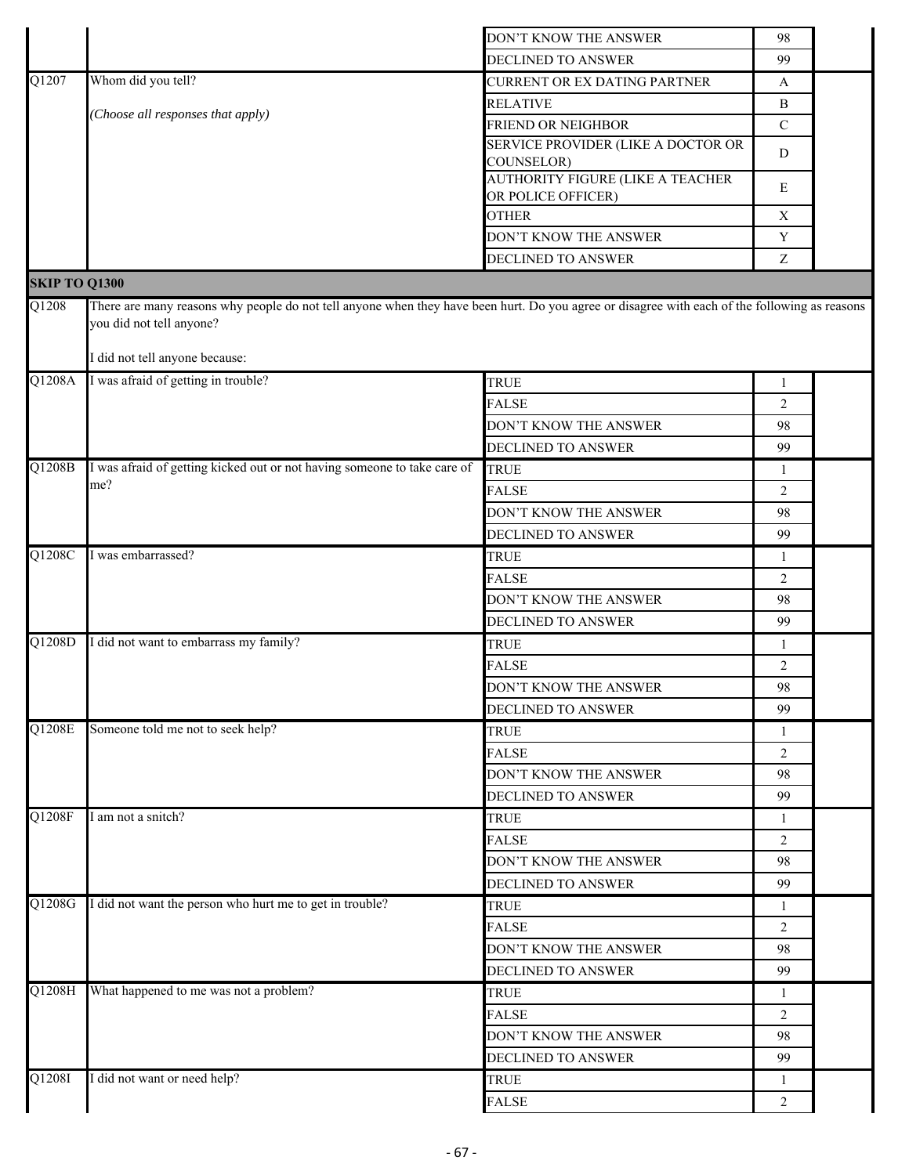|                      |                                                                                                                                                                                                             | DON'T KNOW THE ANSWER                                         | 98                   |  |
|----------------------|-------------------------------------------------------------------------------------------------------------------------------------------------------------------------------------------------------------|---------------------------------------------------------------|----------------------|--|
|                      |                                                                                                                                                                                                             | <b>DECLINED TO ANSWER</b>                                     | 99                   |  |
| Q1207                | Whom did you tell?                                                                                                                                                                                          | CURRENT OR EX DATING PARTNER                                  | A                    |  |
|                      |                                                                                                                                                                                                             | <b>RELATIVE</b>                                               | $\, {\bf B}$         |  |
|                      | Choose all responses that apply)                                                                                                                                                                            | <b>FRIEND OR NEIGHBOR</b>                                     | ${\bf C}$            |  |
|                      |                                                                                                                                                                                                             | SERVICE PROVIDER (LIKE A DOCTOR OR                            | D                    |  |
|                      |                                                                                                                                                                                                             | <b>COUNSELOR)</b>                                             |                      |  |
|                      |                                                                                                                                                                                                             | <b>AUTHORITY FIGURE (LIKE A TEACHER</b><br>OR POLICE OFFICER) | E                    |  |
|                      |                                                                                                                                                                                                             | <b>OTHER</b>                                                  | $\mathbf X$          |  |
|                      |                                                                                                                                                                                                             | DON'T KNOW THE ANSWER                                         | $\mathbf Y$          |  |
|                      |                                                                                                                                                                                                             | DECLINED TO ANSWER                                            | $\boldsymbol{Z}$     |  |
| <b>SKIP TO Q1300</b> |                                                                                                                                                                                                             |                                                               |                      |  |
| Q1208                | There are many reasons why people do not tell anyone when they have been hurt. Do you agree or disagree with each of the following as reasons<br>you did not tell anyone?<br>I did not tell anyone because: |                                                               |                      |  |
| Q1208A               | I was afraid of getting in trouble?                                                                                                                                                                         | <b>TRUE</b>                                                   | $\mathbf{1}$         |  |
|                      |                                                                                                                                                                                                             | <b>FALSE</b>                                                  | 2                    |  |
|                      |                                                                                                                                                                                                             | DON'T KNOW THE ANSWER                                         | 98                   |  |
|                      |                                                                                                                                                                                                             | <b>DECLINED TO ANSWER</b>                                     | 99                   |  |
| Q1208B               | I was afraid of getting kicked out or not having someone to take care of                                                                                                                                    | <b>TRUE</b>                                                   | 1                    |  |
|                      | me?                                                                                                                                                                                                         | <b>FALSE</b>                                                  | $\overline{2}$       |  |
|                      |                                                                                                                                                                                                             | DON'T KNOW THE ANSWER                                         | 98                   |  |
|                      |                                                                                                                                                                                                             | DECLINED TO ANSWER                                            | 99                   |  |
| Q1208C               | I was embarrassed?                                                                                                                                                                                          | <b>TRUE</b>                                                   | 1                    |  |
|                      |                                                                                                                                                                                                             | <b>FALSE</b>                                                  | 2                    |  |
|                      |                                                                                                                                                                                                             | DON'T KNOW THE ANSWER                                         | 98                   |  |
|                      |                                                                                                                                                                                                             | DECLINED TO ANSWER                                            | 99                   |  |
| Q1208D               | I did not want to embarrass my family?                                                                                                                                                                      | <b>TRUE</b>                                                   | 1                    |  |
|                      |                                                                                                                                                                                                             | <b>FALSE</b>                                                  | 2                    |  |
|                      |                                                                                                                                                                                                             |                                                               | 98                   |  |
|                      |                                                                                                                                                                                                             | DON'T KNOW THE ANSWER<br><b>DECLINED TO ANSWER</b>            | 99                   |  |
| Q1208E               | Someone told me not to seek help?                                                                                                                                                                           | <b>TRUE</b>                                                   |                      |  |
|                      |                                                                                                                                                                                                             | <b>FALSE</b>                                                  | 1                    |  |
|                      |                                                                                                                                                                                                             |                                                               | $\overline{2}$<br>98 |  |
|                      |                                                                                                                                                                                                             | DON'T KNOW THE ANSWER                                         | 99                   |  |
| Q1208F               | I am not a snitch?                                                                                                                                                                                          | DECLINED TO ANSWER                                            |                      |  |
|                      |                                                                                                                                                                                                             | <b>TRUE</b>                                                   | 1                    |  |
|                      |                                                                                                                                                                                                             | <b>FALSE</b>                                                  | 2<br>98              |  |
|                      |                                                                                                                                                                                                             | DON'T KNOW THE ANSWER                                         |                      |  |
| Q1208G               | I did not want the person who hurt me to get in trouble?                                                                                                                                                    | DECLINED TO ANSWER                                            | 99                   |  |
|                      |                                                                                                                                                                                                             | <b>TRUE</b>                                                   | 1                    |  |
|                      |                                                                                                                                                                                                             | <b>FALSE</b>                                                  | $\overline{2}$       |  |
|                      |                                                                                                                                                                                                             | DON'T KNOW THE ANSWER                                         | 98                   |  |
|                      |                                                                                                                                                                                                             | DECLINED TO ANSWER                                            | 99                   |  |
| Q1208H               | What happened to me was not a problem?                                                                                                                                                                      | <b>TRUE</b>                                                   | 1                    |  |
|                      |                                                                                                                                                                                                             | <b>FALSE</b>                                                  | $\overline{2}$       |  |
|                      |                                                                                                                                                                                                             | DON'T KNOW THE ANSWER                                         | 98                   |  |
|                      |                                                                                                                                                                                                             | DECLINED TO ANSWER                                            | 99                   |  |
| Q1208I               | I did not want or need help?                                                                                                                                                                                | <b>TRUE</b>                                                   | 1                    |  |
|                      |                                                                                                                                                                                                             | <b>FALSE</b>                                                  | $\overline{2}$       |  |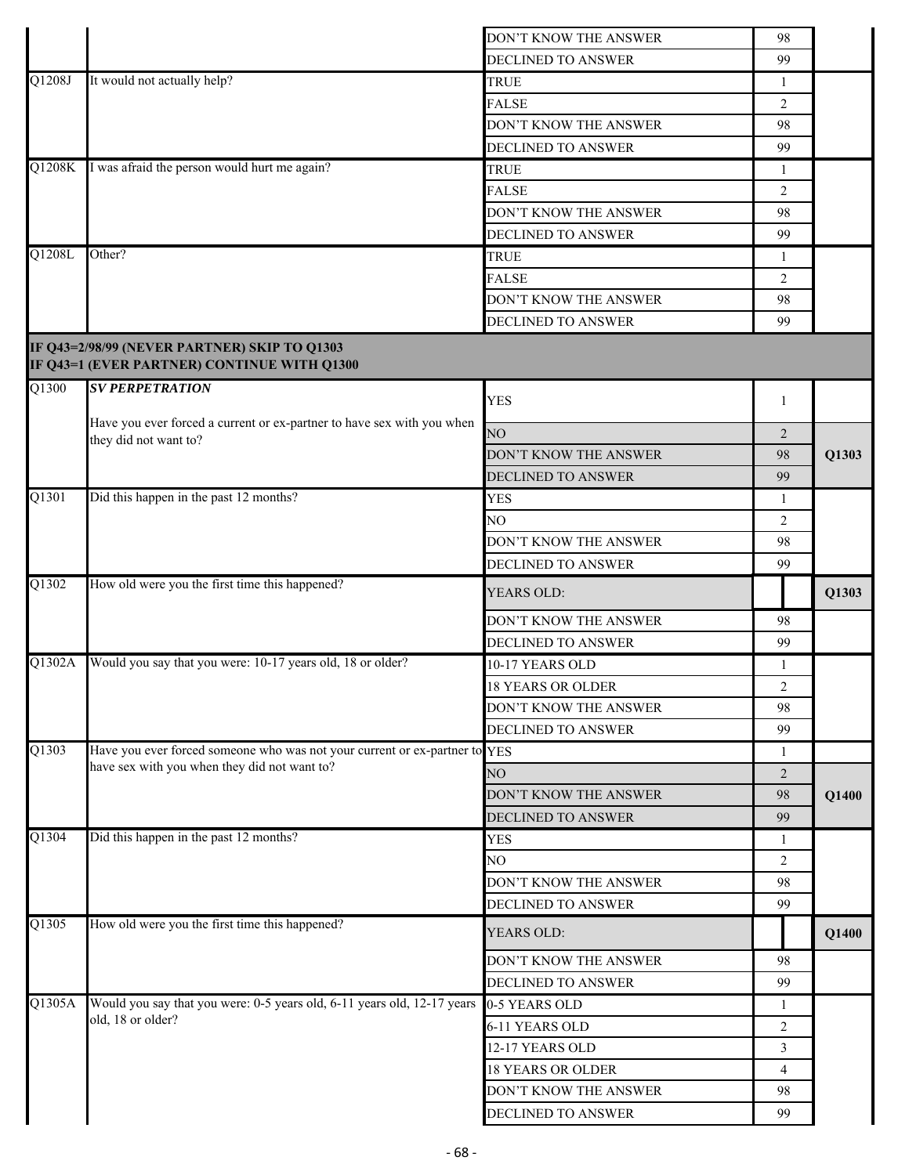|                     |                                                                                             | DON'T KNOW THE ANSWER                       | 98             |       |
|---------------------|---------------------------------------------------------------------------------------------|---------------------------------------------|----------------|-------|
|                     |                                                                                             | DECLINED TO ANSWER                          | 99             |       |
| Q1208J              | It would not actually help?                                                                 | <b>TRUE</b>                                 | -1             |       |
|                     |                                                                                             | <b>FALSE</b>                                | 2              |       |
|                     |                                                                                             | DON'T KNOW THE ANSWER                       | 98             |       |
|                     |                                                                                             | DECLINED TO ANSWER                          | 99             |       |
| $\overline{Q1208}K$ | I was afraid the person would hurt me again?                                                | <b>TRUE</b>                                 | 1              |       |
|                     |                                                                                             | <b>FALSE</b>                                | 2              |       |
|                     |                                                                                             | DON'T KNOW THE ANSWER                       | 98             |       |
|                     |                                                                                             | DECLINED TO ANSWER                          | 99             |       |
| Q1208L              | Other?                                                                                      | <b>TRUE</b>                                 | 1              |       |
|                     |                                                                                             | <b>FALSE</b>                                | 2              |       |
|                     |                                                                                             | DON'T KNOW THE ANSWER                       | 98             |       |
|                     |                                                                                             | DECLINED TO ANSWER                          | 99             |       |
|                     |                                                                                             |                                             |                |       |
|                     | IF Q43=2/98/99 (NEVER PARTNER) SKIP TO Q1303<br>IF Q43=1 (EVER PARTNER) CONTINUE WITH Q1300 |                                             |                |       |
| Q1300               | <b>SV PERPETRATION</b>                                                                      | <b>YES</b>                                  | 1              |       |
|                     | Have you ever forced a current or ex-partner to have sex with you when                      |                                             |                |       |
|                     | they did not want to?                                                                       | NO                                          | 2              |       |
|                     |                                                                                             | DON'T KNOW THE ANSWER                       | 98             | Q1303 |
|                     |                                                                                             | DECLINED TO ANSWER                          | 99             |       |
| Q1301               | Did this happen in the past 12 months?                                                      | <b>YES</b>                                  | 1              |       |
|                     |                                                                                             | NO                                          | 2              |       |
|                     |                                                                                             | DON'T KNOW THE ANSWER                       | 98             |       |
|                     |                                                                                             | DECLINED TO ANSWER                          | 99             |       |
| Q1302               | How old were you the first time this happened?                                              | YEARS OLD:                                  |                | Q1303 |
|                     |                                                                                             | DON'T KNOW THE ANSWER                       | 98             |       |
|                     |                                                                                             | <b>DECLINED TO ANSWER</b>                   | 99             |       |
| Q1302A              | Would you say that you were: 10-17 years old, 18 or older?                                  | 10-17 YEARS OLD                             | 1              |       |
|                     |                                                                                             | <b>18 YEARS OR OLDER</b>                    | $\overline{2}$ |       |
|                     |                                                                                             | DON'T KNOW THE ANSWER                       | 98             |       |
|                     |                                                                                             | DECLINED TO ANSWER                          | 99             |       |
| Q1303               | Have you ever forced someone who was not your current or ex-partner to YES                  |                                             | 1              |       |
|                     | have sex with you when they did not want to?                                                | NO                                          | $\overline{2}$ |       |
|                     |                                                                                             | DON'T KNOW THE ANSWER                       | 98             | Q1400 |
|                     |                                                                                             | DECLINED TO ANSWER                          | 99             |       |
| Q1304               | Did this happen in the past 12 months?                                                      | <b>YES</b>                                  | -1             |       |
|                     |                                                                                             | NO                                          | $\overline{2}$ |       |
|                     |                                                                                             | DON'T KNOW THE ANSWER                       | 98             |       |
|                     |                                                                                             | DECLINED TO ANSWER                          | 99             |       |
| $\overline{Q1305}$  | How old were you the first time this happened?                                              | YEARS OLD:                                  |                | Q1400 |
|                     |                                                                                             | DON'T KNOW THE ANSWER                       | 98             |       |
|                     |                                                                                             | DECLINED TO ANSWER                          | 99             |       |
| $\overline{Q1305}A$ | Would you say that you were: 0-5 years old, 6-11 years old, 12-17 years                     | 0-5 YEARS OLD                               | 1              |       |
|                     | old, 18 or older?                                                                           | 6-11 YEARS OLD                              | 2              |       |
|                     |                                                                                             | 12-17 YEARS OLD                             | 3              |       |
|                     |                                                                                             |                                             |                |       |
|                     |                                                                                             |                                             |                |       |
|                     |                                                                                             | <b>18 YEARS OR OLDER</b>                    | $\overline{4}$ |       |
|                     |                                                                                             | DON'T KNOW THE ANSWER<br>DECLINED TO ANSWER | 98<br>99       |       |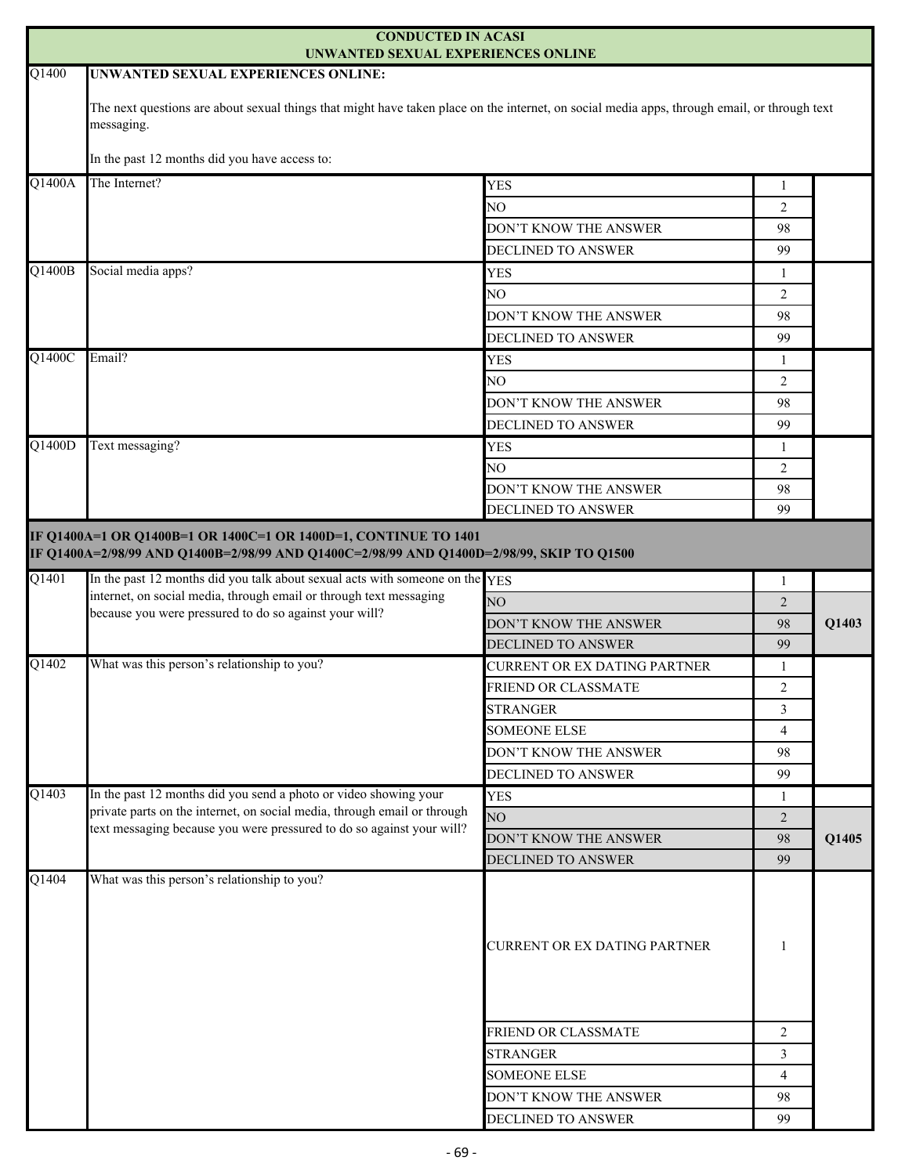|                     | <b>CONDUCTED IN ACASI</b><br>UNWANTED SEXUAL EXPERIENCES ONLINE                                                                                                                                                                              |                                              |                      |       |
|---------------------|----------------------------------------------------------------------------------------------------------------------------------------------------------------------------------------------------------------------------------------------|----------------------------------------------|----------------------|-------|
| Q1400               | <b>UNWANTED SEXUAL EXPERIENCES ONLINE:</b>                                                                                                                                                                                                   |                                              |                      |       |
|                     | The next questions are about sexual things that might have taken place on the internet, on social media apps, through email, or through text<br>messaging.                                                                                   |                                              |                      |       |
|                     | In the past 12 months did you have access to:                                                                                                                                                                                                |                                              |                      |       |
| Q1400A              | The Internet?                                                                                                                                                                                                                                | <b>YES</b>                                   |                      |       |
|                     |                                                                                                                                                                                                                                              | NO.                                          | 1<br>$\overline{2}$  |       |
|                     |                                                                                                                                                                                                                                              | DON'T KNOW THE ANSWER                        | 98                   |       |
|                     |                                                                                                                                                                                                                                              | DECLINED TO ANSWER                           | 99                   |       |
| Q1400B              | Social media apps?                                                                                                                                                                                                                           | <b>YES</b>                                   |                      |       |
|                     |                                                                                                                                                                                                                                              | NO                                           | 1<br>2               |       |
|                     |                                                                                                                                                                                                                                              | DON'T KNOW THE ANSWER                        | 98                   |       |
|                     |                                                                                                                                                                                                                                              | <b>DECLINED TO ANSWER</b>                    | 99                   |       |
| $Q\overline{1400C}$ | Email?                                                                                                                                                                                                                                       | <b>YES</b>                                   |                      |       |
|                     |                                                                                                                                                                                                                                              | NO.                                          | -1<br>2              |       |
|                     |                                                                                                                                                                                                                                              | DON'T KNOW THE ANSWER                        | 98                   |       |
|                     |                                                                                                                                                                                                                                              |                                              |                      |       |
| Q1400D              | Text messaging?                                                                                                                                                                                                                              | <b>DECLINED TO ANSWER</b>                    | 99                   |       |
|                     |                                                                                                                                                                                                                                              | <b>YES</b>                                   | 1                    |       |
|                     |                                                                                                                                                                                                                                              | NO<br>DON'T KNOW THE ANSWER                  | 2<br>98              |       |
|                     |                                                                                                                                                                                                                                              | DECLINED TO ANSWER                           | 99                   |       |
| $\overline{Q1401}$  | IF Q1400A=1 OR Q1400B=1 OR 1400C=1 OR 1400D=1, CONTINUE TO 1401<br>IF Q1400A=2/98/99 AND Q1400B=2/98/99 AND Q1400C=2/98/99 AND Q1400D=2/98/99, SKIP TO Q1500<br>In the past 12 months did you talk about sexual acts with someone on the YES |                                              |                      |       |
|                     | internet, on social media, through email or through text messaging<br>because you were pressured to do so against your will?                                                                                                                 | NO                                           | 1                    | Q1403 |
|                     |                                                                                                                                                                                                                                              | DON'T KNOW THE ANSWER                        | 2<br>98              |       |
|                     |                                                                                                                                                                                                                                              | <b>DECLINED TO ANSWER</b>                    | 99                   |       |
| Q1402               | What was this person's relationship to you?                                                                                                                                                                                                  | CURRENT OR EX DATING PARTNER                 | 1                    |       |
|                     |                                                                                                                                                                                                                                              | <b>FRIEND OR CLASSMATE</b>                   | $\overline{2}$       |       |
|                     |                                                                                                                                                                                                                                              | <b>STRANGER</b>                              | 3                    |       |
|                     |                                                                                                                                                                                                                                              | <b>SOMEONE ELSE</b>                          | $\overline{4}$       |       |
|                     |                                                                                                                                                                                                                                              | DON'T KNOW THE ANSWER                        | 98                   |       |
|                     |                                                                                                                                                                                                                                              | DECLINED TO ANSWER                           | 99                   |       |
| Q1403               | In the past 12 months did you send a photo or video showing your                                                                                                                                                                             | <b>YES</b>                                   | 1                    |       |
|                     | private parts on the internet, on social media, through email or through                                                                                                                                                                     | NO <sub>1</sub>                              | $\overline{2}$       |       |
|                     | text messaging because you were pressured to do so against your will?                                                                                                                                                                        | DON'T KNOW THE ANSWER                        | 98                   | Q1405 |
|                     |                                                                                                                                                                                                                                              | DECLINED TO ANSWER                           | 99                   |       |
| Q1404               | What was this person's relationship to you?                                                                                                                                                                                                  | CURRENT OR EX DATING PARTNER                 | 1                    |       |
|                     |                                                                                                                                                                                                                                              |                                              |                      |       |
|                     |                                                                                                                                                                                                                                              |                                              |                      |       |
|                     |                                                                                                                                                                                                                                              | FRIEND OR CLASSMATE                          | 2                    |       |
|                     |                                                                                                                                                                                                                                              | <b>STRANGER</b>                              | $\overline{3}$       |       |
|                     |                                                                                                                                                                                                                                              | <b>SOMEONE ELSE</b><br>DON'T KNOW THE ANSWER | $\overline{4}$<br>98 |       |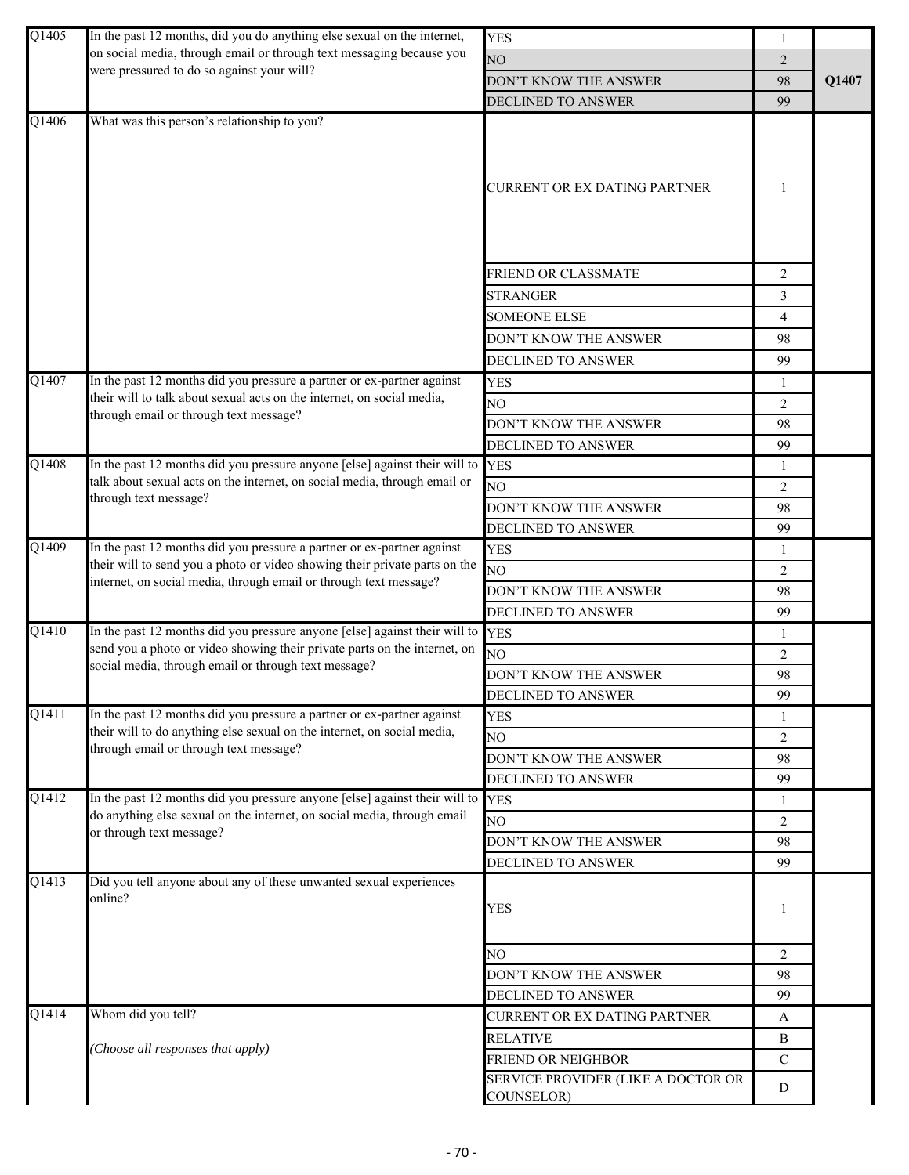| Q1405              | In the past 12 months, did you do anything else sexual on the internet,                                                                                                               | <b>YES</b>                         | 1              |       |
|--------------------|---------------------------------------------------------------------------------------------------------------------------------------------------------------------------------------|------------------------------------|----------------|-------|
|                    | on social media, through email or through text messaging because you                                                                                                                  | NO                                 | $\overline{2}$ |       |
|                    | were pressured to do so against your will?                                                                                                                                            | DON'T KNOW THE ANSWER              | 98             | Q1407 |
|                    |                                                                                                                                                                                       | DECLINED TO ANSWER                 | 99             |       |
| $\overline{Q1406}$ | What was this person's relationship to you?                                                                                                                                           | CURRENT OR EX DATING PARTNER       | 1              |       |
|                    |                                                                                                                                                                                       | FRIEND OR CLASSMATE                | $\overline{c}$ |       |
|                    |                                                                                                                                                                                       |                                    | 3              |       |
|                    |                                                                                                                                                                                       | <b>STRANGER</b>                    |                |       |
|                    |                                                                                                                                                                                       | <b>SOMEONE ELSE</b>                | 4              |       |
|                    |                                                                                                                                                                                       | DON'T KNOW THE ANSWER              | 98             |       |
|                    |                                                                                                                                                                                       | DECLINED TO ANSWER                 | 99             |       |
| Q1407              | In the past 12 months did you pressure a partner or ex-partner against<br>their will to talk about sexual acts on the internet, on social media,                                      | <b>YES</b>                         | 1              |       |
|                    | through email or through text message?                                                                                                                                                | NO.                                | 2              |       |
|                    |                                                                                                                                                                                       | DON'T KNOW THE ANSWER              | 98             |       |
|                    |                                                                                                                                                                                       | DECLINED TO ANSWER                 | 99             |       |
| $\overline{Q1408}$ | In the past 12 months did you pressure anyone [else] against their will to                                                                                                            | <b>YES</b>                         | 1              |       |
|                    | talk about sexual acts on the internet, on social media, through email or<br>through text message?                                                                                    | NO                                 | $\overline{2}$ |       |
|                    |                                                                                                                                                                                       | DON'T KNOW THE ANSWER              | 98             |       |
|                    |                                                                                                                                                                                       | DECLINED TO ANSWER                 | 99             |       |
| Q1409              | In the past 12 months did you pressure a partner or ex-partner against                                                                                                                | <b>YES</b>                         | 1              |       |
|                    | their will to send you a photo or video showing their private parts on the<br>internet, on social media, through email or through text message?                                       | NO <sub>1</sub>                    | $\overline{2}$ |       |
|                    |                                                                                                                                                                                       | DON'T KNOW THE ANSWER              | 98             |       |
|                    |                                                                                                                                                                                       | <b>DECLINED TO ANSWER</b>          | 99             |       |
| Q1410              | In the past 12 months did you pressure anyone [else] against their will to YES                                                                                                        |                                    | 1              |       |
|                    | send you a photo or video showing their private parts on the internet, on<br>social media, through email or through text message?                                                     | NO.                                | 2              |       |
|                    |                                                                                                                                                                                       | DON'T KNOW THE ANSWER              | 98             |       |
|                    |                                                                                                                                                                                       | DECLINED TO ANSWER                 | 99             |       |
| Q1411              | In the past 12 months did you pressure a partner or ex-partner against                                                                                                                | <b>YES</b>                         | 1              |       |
|                    | their will to do anything else sexual on the internet, on social media,                                                                                                               | NO.                                | $\overline{2}$ |       |
|                    | through email or through text message?                                                                                                                                                | DON'T KNOW THE ANSWER              | 98             |       |
|                    |                                                                                                                                                                                       | DECLINED TO ANSWER                 | 99             |       |
| Q1412              | In the past 12 months did you pressure anyone [else] against their will to YES<br>do anything else sexual on the internet, on social media, through email<br>or through text message? |                                    | 1              |       |
|                    |                                                                                                                                                                                       | NO                                 | 2              |       |
|                    |                                                                                                                                                                                       | DON'T KNOW THE ANSWER              | 98             |       |
|                    |                                                                                                                                                                                       | <b>DECLINED TO ANSWER</b>          | 99             |       |
| $Q1\overline{413}$ | Did you tell anyone about any of these unwanted sexual experiences<br>online?                                                                                                         | <b>YES</b>                         | 1              |       |
|                    |                                                                                                                                                                                       | NO                                 | $\overline{2}$ |       |
|                    |                                                                                                                                                                                       | DON'T KNOW THE ANSWER              | 98             |       |
|                    |                                                                                                                                                                                       | DECLINED TO ANSWER                 | 99             |       |
| $\overline{Q1414}$ | Whom did you tell?                                                                                                                                                                    | CURRENT OR EX DATING PARTNER       | A              |       |
|                    |                                                                                                                                                                                       | <b>RELATIVE</b>                    | B              |       |
|                    | Choose all responses that apply)                                                                                                                                                      | FRIEND OR NEIGHBOR                 | $\mathbf C$    |       |
|                    |                                                                                                                                                                                       | SERVICE PROVIDER (LIKE A DOCTOR OR | D              |       |
|                    |                                                                                                                                                                                       | COUNSELOR)                         |                |       |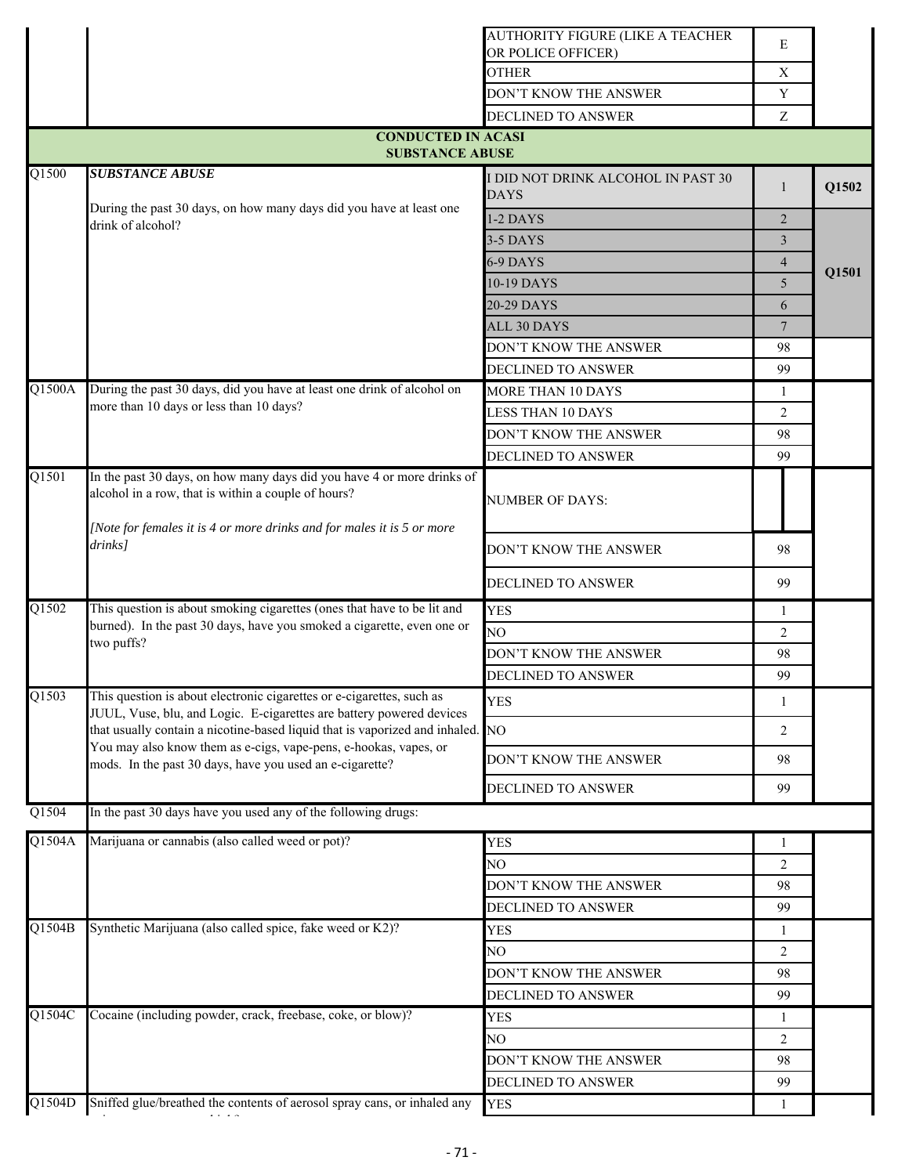|                         |                                                                                                                                                                                                                                                                                                                                                                 | AUTHORITY FIGURE (LIKE A TEACHER<br>OR POLICE OFFICER) | E               |       |  |
|-------------------------|-----------------------------------------------------------------------------------------------------------------------------------------------------------------------------------------------------------------------------------------------------------------------------------------------------------------------------------------------------------------|--------------------------------------------------------|-----------------|-------|--|
|                         |                                                                                                                                                                                                                                                                                                                                                                 | <b>OTHER</b>                                           | $\mathbf X$     |       |  |
|                         |                                                                                                                                                                                                                                                                                                                                                                 | DON'T KNOW THE ANSWER                                  | Y               |       |  |
|                         |                                                                                                                                                                                                                                                                                                                                                                 | <b>DECLINED TO ANSWER</b>                              | Z               |       |  |
|                         | <b>CONDUCTED IN ACASI</b><br><b>SUBSTANCE ABUSE</b>                                                                                                                                                                                                                                                                                                             |                                                        |                 |       |  |
| $\overline{Q1500}$      | <b>SUBSTANCE ABUSE</b>                                                                                                                                                                                                                                                                                                                                          | I DID NOT DRINK ALCOHOL IN PAST 30                     |                 |       |  |
|                         | During the past 30 days, on how many days did you have at least one<br>drink of alcohol?                                                                                                                                                                                                                                                                        | <b>DAYS</b>                                            | 1               | Q1502 |  |
|                         |                                                                                                                                                                                                                                                                                                                                                                 | 1-2 DAYS                                               | $\overline{2}$  |       |  |
|                         |                                                                                                                                                                                                                                                                                                                                                                 | 3-5 DAYS                                               | 3               | Q1501 |  |
|                         |                                                                                                                                                                                                                                                                                                                                                                 | 6-9 DAYS                                               | $\overline{4}$  |       |  |
|                         |                                                                                                                                                                                                                                                                                                                                                                 | 10-19 DAYS                                             | 5               |       |  |
|                         |                                                                                                                                                                                                                                                                                                                                                                 | 20-29 DAYS                                             | 6               |       |  |
|                         |                                                                                                                                                                                                                                                                                                                                                                 | <b>ALL 30 DAYS</b>                                     | $7\phantom{.0}$ |       |  |
|                         |                                                                                                                                                                                                                                                                                                                                                                 | DON'T KNOW THE ANSWER                                  | 98              |       |  |
|                         |                                                                                                                                                                                                                                                                                                                                                                 | <b>DECLINED TO ANSWER</b>                              | 99              |       |  |
| Q1500A                  | During the past 30 days, did you have at least one drink of alcohol on                                                                                                                                                                                                                                                                                          | <b>MORE THAN 10 DAYS</b>                               | 1               |       |  |
|                         | more than 10 days or less than 10 days?                                                                                                                                                                                                                                                                                                                         | <b>LESS THAN 10 DAYS</b>                               | $\overline{2}$  |       |  |
|                         |                                                                                                                                                                                                                                                                                                                                                                 | DON'T KNOW THE ANSWER                                  | 98              |       |  |
|                         |                                                                                                                                                                                                                                                                                                                                                                 | DECLINED TO ANSWER                                     | 99              |       |  |
| $\overline{Q1501}$      | In the past 30 days, on how many days did you have 4 or more drinks of<br>alcohol in a row, that is within a couple of hours?                                                                                                                                                                                                                                   | <b>NUMBER OF DAYS:</b>                                 |                 |       |  |
|                         | [Note for females it is 4 or more drinks and for males it is 5 or more<br>drinks]                                                                                                                                                                                                                                                                               | DON'T KNOW THE ANSWER                                  | 98              |       |  |
|                         |                                                                                                                                                                                                                                                                                                                                                                 | DECLINED TO ANSWER                                     | 99              |       |  |
| Q1502                   | This question is about smoking cigarettes (ones that have to be lit and                                                                                                                                                                                                                                                                                         | <b>YES</b>                                             | 1               |       |  |
|                         | burned). In the past 30 days, have you smoked a cigarette, even one or                                                                                                                                                                                                                                                                                          | NO                                                     | 2               |       |  |
|                         | two puffs?                                                                                                                                                                                                                                                                                                                                                      | DON'T KNOW THE ANSWER                                  | 98              |       |  |
|                         |                                                                                                                                                                                                                                                                                                                                                                 | DECLINED TO ANSWER                                     | 99              |       |  |
| Q1503                   | This question is about electronic cigarettes or e-cigarettes, such as<br>JUUL, Vuse, blu, and Logic. E-cigarettes are battery powered devices<br>that usually contain a nicotine-based liquid that is vaporized and inhaled. NO<br>You may also know them as e-cigs, vape-pens, e-hookas, vapes, or<br>mods. In the past 30 days, have you used an e-cigarette? | <b>YES</b>                                             | 1               |       |  |
|                         |                                                                                                                                                                                                                                                                                                                                                                 |                                                        | 2               |       |  |
|                         |                                                                                                                                                                                                                                                                                                                                                                 | DON'T KNOW THE ANSWER                                  | 98              |       |  |
|                         |                                                                                                                                                                                                                                                                                                                                                                 | <b>DECLINED TO ANSWER</b>                              | 99              |       |  |
| Q1504                   | In the past 30 days have you used any of the following drugs:                                                                                                                                                                                                                                                                                                   |                                                        |                 |       |  |
| Q1504A                  | Marijuana or cannabis (also called weed or pot)?                                                                                                                                                                                                                                                                                                                | <b>YES</b>                                             | 1               |       |  |
|                         |                                                                                                                                                                                                                                                                                                                                                                 | NO                                                     | 2               |       |  |
|                         |                                                                                                                                                                                                                                                                                                                                                                 | DON'T KNOW THE ANSWER                                  | 98              |       |  |
|                         |                                                                                                                                                                                                                                                                                                                                                                 | DECLINED TO ANSWER                                     | 99              |       |  |
| $Q$ <sub>1504</sub> B   | Synthetic Marijuana (also called spice, fake weed or K2)?                                                                                                                                                                                                                                                                                                       | <b>YES</b>                                             | 1               |       |  |
|                         |                                                                                                                                                                                                                                                                                                                                                                 | NO                                                     | 2               |       |  |
|                         |                                                                                                                                                                                                                                                                                                                                                                 | DON'T KNOW THE ANSWER                                  | 98              |       |  |
|                         |                                                                                                                                                                                                                                                                                                                                                                 | DECLINED TO ANSWER                                     | 99              |       |  |
| $Q$ <sub>1504</sub> $C$ | Cocaine (including powder, crack, freebase, coke, or blow)?                                                                                                                                                                                                                                                                                                     | <b>YES</b>                                             | 1               |       |  |
|                         |                                                                                                                                                                                                                                                                                                                                                                 | NΟ                                                     | 2               |       |  |
|                         |                                                                                                                                                                                                                                                                                                                                                                 | DON'T KNOW THE ANSWER                                  | 98              |       |  |
|                         |                                                                                                                                                                                                                                                                                                                                                                 | DECLINED TO ANSWER                                     | 99              |       |  |
| Q1504D                  | Sniffed glue/breathed the contents of aerosol spray cans, or inhaled any<br>$\cdots$                                                                                                                                                                                                                                                                            | <b>YES</b>                                             | 1               |       |  |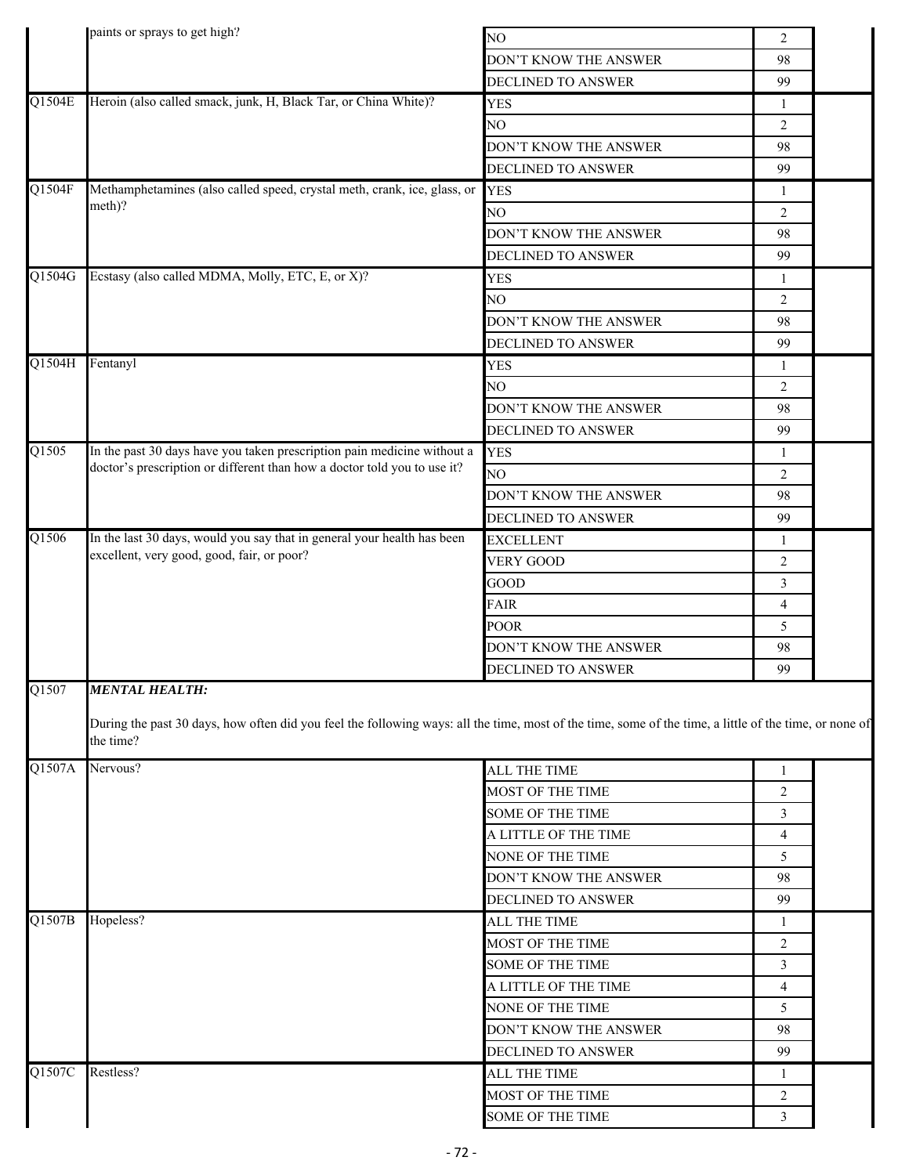|        | paints or sprays to get high?                                                                                                                                                                |                       |                |  |  |
|--------|----------------------------------------------------------------------------------------------------------------------------------------------------------------------------------------------|-----------------------|----------------|--|--|
|        |                                                                                                                                                                                              | NO                    | $\overline{2}$ |  |  |
|        |                                                                                                                                                                                              | DON'T KNOW THE ANSWER | 98             |  |  |
|        |                                                                                                                                                                                              | DECLINED TO ANSWER    | 99             |  |  |
| Q1504E | Heroin (also called smack, junk, H, Black Tar, or China White)?                                                                                                                              | <b>YES</b>            | 1              |  |  |
|        |                                                                                                                                                                                              | NO                    | 2              |  |  |
|        |                                                                                                                                                                                              | DON'T KNOW THE ANSWER | 98             |  |  |
|        |                                                                                                                                                                                              | DECLINED TO ANSWER    | 99             |  |  |
| Q1504F | Methamphetamines (also called speed, crystal meth, crank, ice, glass, or                                                                                                                     | <b>YES</b>            | 1              |  |  |
|        | meth)?                                                                                                                                                                                       | NO                    | 2              |  |  |
|        |                                                                                                                                                                                              | DON'T KNOW THE ANSWER | 98             |  |  |
|        |                                                                                                                                                                                              | DECLINED TO ANSWER    | 99             |  |  |
| Q1504G | Ecstasy (also called MDMA, Molly, ETC, E, or X)?                                                                                                                                             | <b>YES</b>            | 1              |  |  |
|        |                                                                                                                                                                                              | NO                    | 2              |  |  |
|        |                                                                                                                                                                                              | DON'T KNOW THE ANSWER | 98             |  |  |
|        |                                                                                                                                                                                              | DECLINED TO ANSWER    | 99             |  |  |
| Q1504H | Fentanyl                                                                                                                                                                                     | <b>YES</b>            | 1              |  |  |
|        |                                                                                                                                                                                              | NO                    | $\overline{2}$ |  |  |
|        |                                                                                                                                                                                              | DON'T KNOW THE ANSWER | 98             |  |  |
|        |                                                                                                                                                                                              | DECLINED TO ANSWER    | 99             |  |  |
| Q1505  | In the past 30 days have you taken prescription pain medicine without a                                                                                                                      | <b>YES</b>            | 1              |  |  |
|        | doctor's prescription or different than how a doctor told you to use it?                                                                                                                     | NO                    | $\overline{2}$ |  |  |
|        |                                                                                                                                                                                              | DON'T KNOW THE ANSWER | 98             |  |  |
|        |                                                                                                                                                                                              | DECLINED TO ANSWER    | 99             |  |  |
| Q1506  | In the last 30 days, would you say that in general your health has been                                                                                                                      | <b>EXCELLENT</b>      | $\mathbf{1}$   |  |  |
|        | excellent, very good, good, fair, or poor?                                                                                                                                                   | <b>VERY GOOD</b>      | $\overline{2}$ |  |  |
|        |                                                                                                                                                                                              | GOOD                  | 3              |  |  |
|        |                                                                                                                                                                                              |                       |                |  |  |
|        |                                                                                                                                                                                              | FAIR                  | $\overline{4}$ |  |  |
|        |                                                                                                                                                                                              | POOR                  | 5              |  |  |
|        |                                                                                                                                                                                              | DON'T KNOW THE ANSWER | 98             |  |  |
| Q1507  |                                                                                                                                                                                              | DECLINED TO ANSWER    | 99             |  |  |
|        | <b>MENTAL HEALTH:</b><br>During the past 30 days, how often did you feel the following ways: all the time, most of the time, some of the time, a little of the time, or none of<br>the time? |                       |                |  |  |
| Q1507A | Nervous?                                                                                                                                                                                     | <b>ALL THE TIME</b>   | $\mathbf{1}$   |  |  |
|        |                                                                                                                                                                                              | MOST OF THE TIME      | $\overline{2}$ |  |  |
|        |                                                                                                                                                                                              | SOME OF THE TIME      | 3              |  |  |
|        |                                                                                                                                                                                              | A LITTLE OF THE TIME  | $\overline{4}$ |  |  |
|        |                                                                                                                                                                                              | NONE OF THE TIME      | 5              |  |  |
|        |                                                                                                                                                                                              | DON'T KNOW THE ANSWER | 98             |  |  |
|        |                                                                                                                                                                                              | DECLINED TO ANSWER    | 99             |  |  |
| Q1507B | Hopeless?                                                                                                                                                                                    | ALL THE TIME          | 1              |  |  |
|        |                                                                                                                                                                                              | MOST OF THE TIME      | $\overline{2}$ |  |  |
|        |                                                                                                                                                                                              | SOME OF THE TIME      | 3              |  |  |
|        |                                                                                                                                                                                              | A LITTLE OF THE TIME  | $\overline{4}$ |  |  |
|        |                                                                                                                                                                                              | NONE OF THE TIME      | 5              |  |  |
|        |                                                                                                                                                                                              | DON'T KNOW THE ANSWER | 98             |  |  |
|        |                                                                                                                                                                                              | DECLINED TO ANSWER    | 99             |  |  |
| Q1507C | Restless?                                                                                                                                                                                    | ALL THE TIME          | $\mathbf{1}$   |  |  |
|        |                                                                                                                                                                                              | MOST OF THE TIME      | 2              |  |  |
|        |                                                                                                                                                                                              | SOME OF THE TIME      | 3              |  |  |
|        |                                                                                                                                                                                              |                       |                |  |  |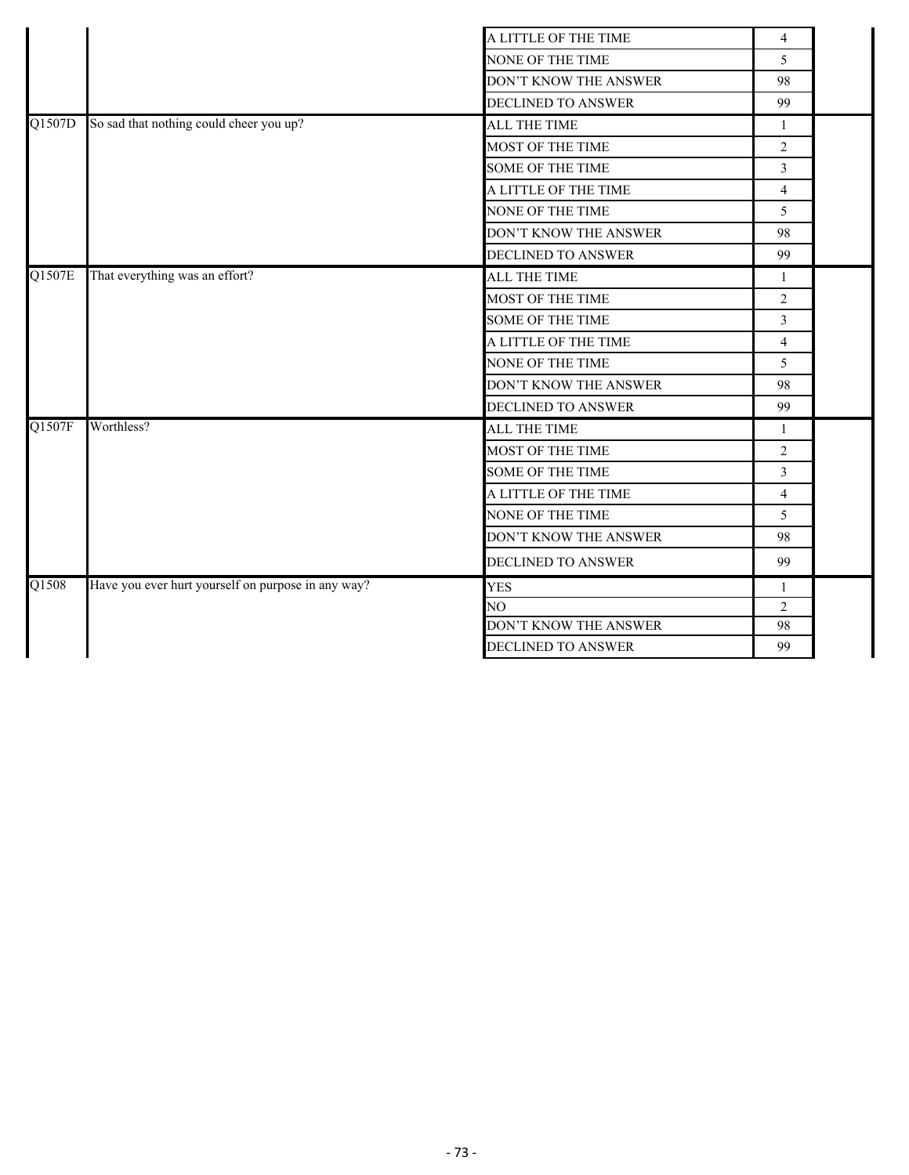|        |                                                    | A LITTLE OF THE TIME         | $\overline{\mathbf{4}}$ |  |
|--------|----------------------------------------------------|------------------------------|-------------------------|--|
|        |                                                    | NONE OF THE TIME             | 5                       |  |
|        |                                                    | <b>DON'T KNOW THE ANSWER</b> | 98                      |  |
|        |                                                    | DECLINED TO ANSWER           | 99                      |  |
| Q1507D | So sad that nothing could cheer you up?            | <b>ALL THE TIME</b>          | $\mathbf{1}$            |  |
|        |                                                    | MOST OF THE TIME             | $\overline{2}$          |  |
|        |                                                    | <b>SOME OF THE TIME</b>      | $\overline{3}$          |  |
|        |                                                    | A LITTLE OF THE TIME         | $\overline{4}$          |  |
|        |                                                    | NONE OF THE TIME             | 5                       |  |
|        |                                                    | DON'T KNOW THE ANSWER        | 98                      |  |
|        |                                                    | <b>DECLINED TO ANSWER</b>    | 99                      |  |
| Q1507E | That everything was an effort?                     | ALL THE TIME                 | $\mathbf{1}$            |  |
|        |                                                    | MOST OF THE TIME             | $\overline{2}$          |  |
|        |                                                    | <b>SOME OF THE TIME</b>      | 3                       |  |
|        |                                                    | A LITTLE OF THE TIME         | $\overline{4}$          |  |
|        |                                                    | NONE OF THE TIME             | 5                       |  |
|        |                                                    | DON'T KNOW THE ANSWER        | 98                      |  |
|        |                                                    | DECLINED TO ANSWER           | 99                      |  |
| Q1507F | Worthless?                                         | ALL THE TIME                 | 1                       |  |
|        |                                                    | MOST OF THE TIME             | $\overline{2}$          |  |
|        |                                                    | <b>SOME OF THE TIME</b>      | 3                       |  |
|        |                                                    | A LITTLE OF THE TIME         | $\overline{4}$          |  |
|        |                                                    | NONE OF THE TIME             | 5                       |  |
|        |                                                    | DON'T KNOW THE ANSWER        | 98                      |  |
|        |                                                    | DECLINED TO ANSWER           | 99                      |  |
| Q1508  | Have you ever hurt yourself on purpose in any way? | <b>YES</b>                   | $\mathbf{1}$            |  |
|        |                                                    | NO.                          | $\overline{2}$          |  |
|        |                                                    | DON'T KNOW THE ANSWER        | 98                      |  |
|        |                                                    | DECLINED TO ANSWER           | 99                      |  |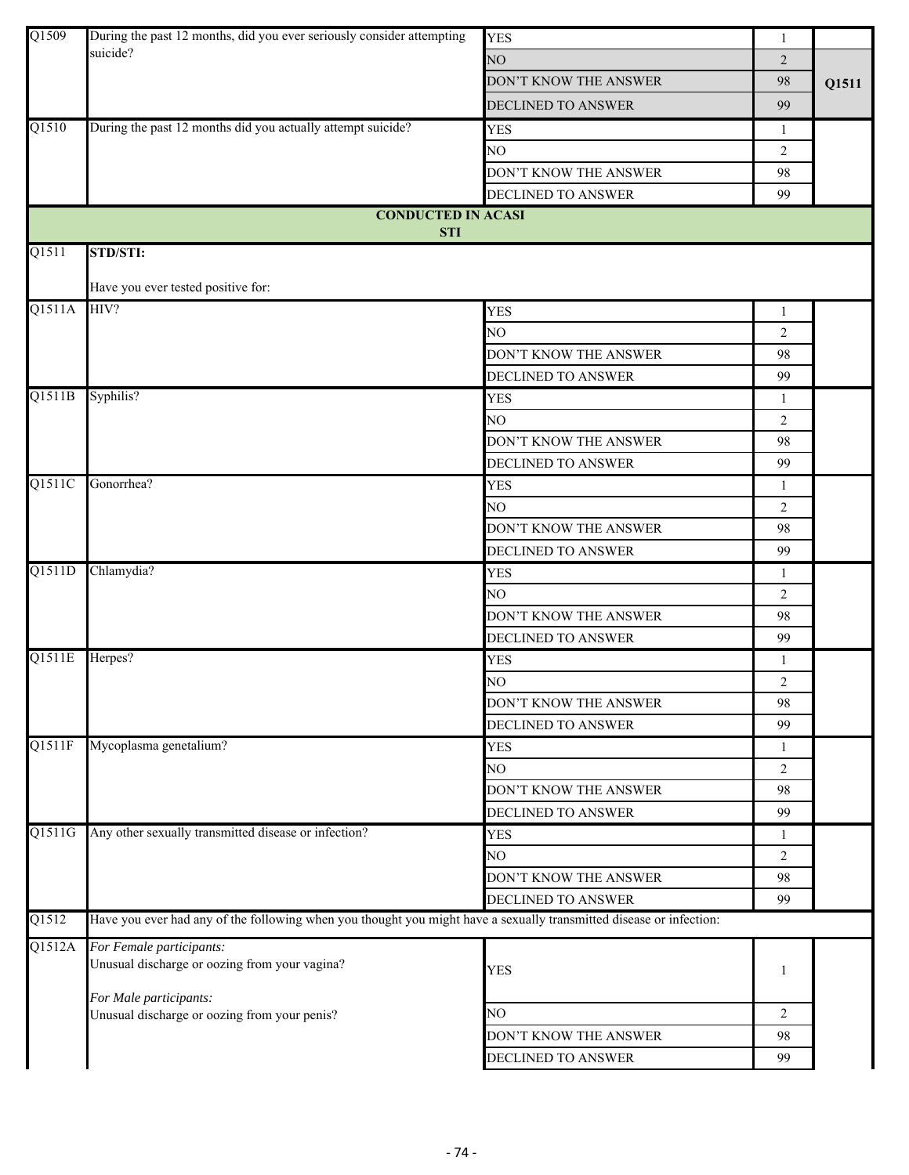| Q1509  | During the past 12 months, did you ever seriously consider attempting                                               | <b>YES</b>                | $\mathbf{1}$   |       |
|--------|---------------------------------------------------------------------------------------------------------------------|---------------------------|----------------|-------|
|        | suicide?                                                                                                            | NO                        | $\overline{2}$ |       |
|        |                                                                                                                     | DON'T KNOW THE ANSWER     | 98             | Q1511 |
|        |                                                                                                                     | DECLINED TO ANSWER        | 99             |       |
| Q1510  | During the past 12 months did you actually attempt suicide?                                                         | <b>YES</b>                | 1              |       |
|        |                                                                                                                     | NO                        | 2              |       |
|        |                                                                                                                     | DON'T KNOW THE ANSWER     | 98             |       |
|        |                                                                                                                     | DECLINED TO ANSWER        | 99             |       |
|        | <b>CONDUCTED IN ACASI</b>                                                                                           |                           |                |       |
| Q1511  | <b>STI</b><br>STD/STI:                                                                                              |                           |                |       |
|        | Have you ever tested positive for:                                                                                  |                           |                |       |
| Q1511A | HIV?                                                                                                                | <b>YES</b>                | 1              |       |
|        |                                                                                                                     | NO                        | $\overline{2}$ |       |
|        |                                                                                                                     | DON'T KNOW THE ANSWER     | 98             |       |
|        |                                                                                                                     | <b>DECLINED TO ANSWER</b> | 99             |       |
| Q1511B | Syphilis?                                                                                                           | <b>YES</b>                | $\mathbf{1}$   |       |
|        |                                                                                                                     | NO.                       | 2              |       |
|        |                                                                                                                     | DON'T KNOW THE ANSWER     | 98             |       |
|        |                                                                                                                     | DECLINED TO ANSWER        | 99             |       |
| Q1511C | Gonorrhea?                                                                                                          | <b>YES</b>                | 1              |       |
|        |                                                                                                                     | NO                        | 2              |       |
|        |                                                                                                                     | DON'T KNOW THE ANSWER     | 98             |       |
|        |                                                                                                                     | DECLINED TO ANSWER        | 99             |       |
| Q1511D | Chlamydia?                                                                                                          | <b>YES</b>                | 1              |       |
|        |                                                                                                                     | NO                        | $\overline{2}$ |       |
|        |                                                                                                                     | DON'T KNOW THE ANSWER     | 98             |       |
|        |                                                                                                                     | DECLINED TO ANSWER        | 99             |       |
| Q1511E | Herpes?                                                                                                             | <b>YES</b>                | 1              |       |
|        |                                                                                                                     | NO                        | $\overline{2}$ |       |
|        |                                                                                                                     | DON'T KNOW THE ANSWER     | 98             |       |
|        |                                                                                                                     | DECLINED TO ANSWER        | 99             |       |
| Q1511F | Mycoplasma genetalium?                                                                                              | <b>YES</b>                | 1              |       |
|        |                                                                                                                     | NO                        | $\overline{2}$ |       |
|        |                                                                                                                     | DON'T KNOW THE ANSWER     | 98             |       |
|        |                                                                                                                     | DECLINED TO ANSWER        | 99             |       |
| Q1511G | Any other sexually transmitted disease or infection?                                                                | <b>YES</b>                | $\mathbf{1}$   |       |
|        |                                                                                                                     | NO                        | $\overline{2}$ |       |
|        |                                                                                                                     | DON'T KNOW THE ANSWER     | 98             |       |
|        |                                                                                                                     | DECLINED TO ANSWER        | 99             |       |
| Q1512  | Have you ever had any of the following when you thought you might have a sexually transmitted disease or infection: |                           |                |       |
| Q1512A | For Female participants:<br>Unusual discharge or oozing from your vagina?                                           | <b>YES</b>                | 1              |       |
|        | For Male participants:<br>Unusual discharge or oozing from your penis?                                              | NO                        | 2              |       |
|        |                                                                                                                     | DON'T KNOW THE ANSWER     | 98             |       |
|        |                                                                                                                     | DECLINED TO ANSWER        | 99             |       |
|        |                                                                                                                     |                           |                |       |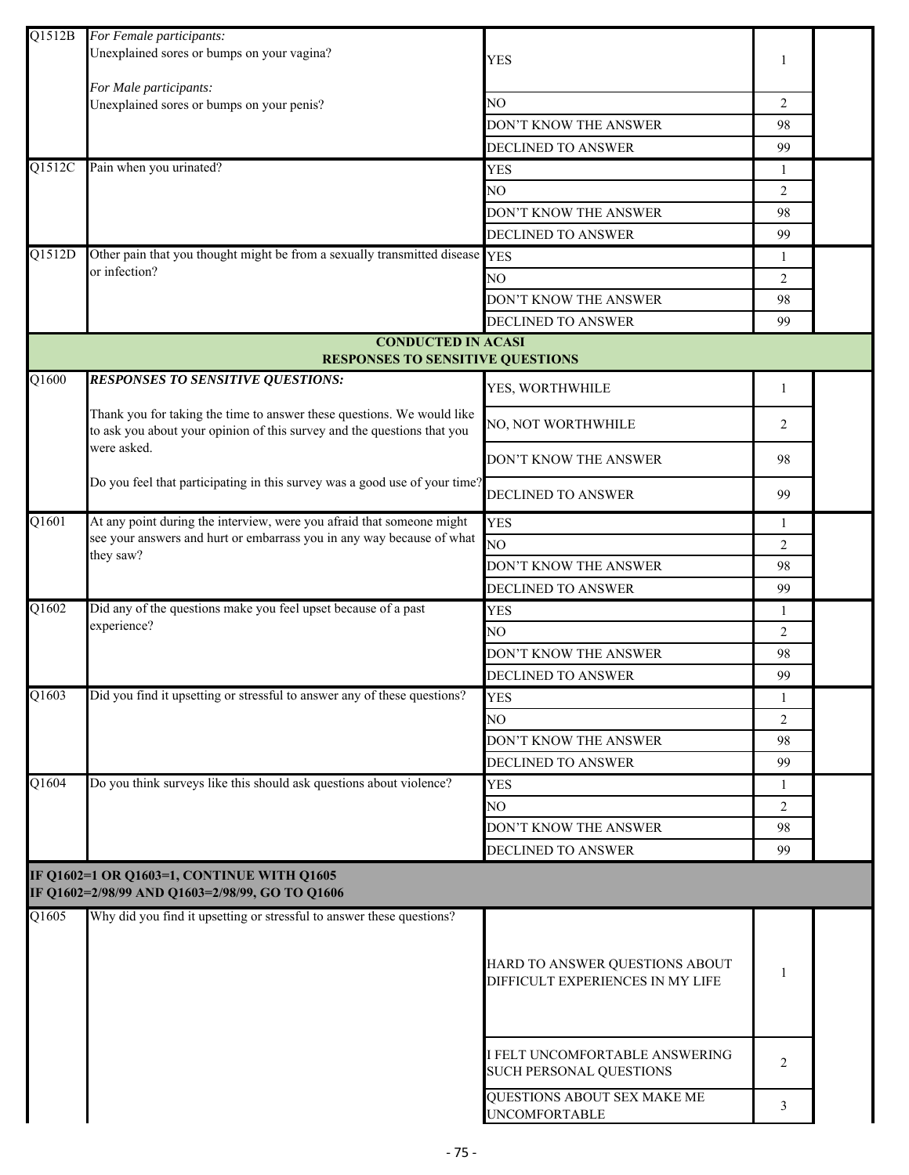| Q1512B | For Female participants:<br>Unexplained sores or bumps on your vagina?                                                                                      | <b>YES</b>                                                         | 1              |  |
|--------|-------------------------------------------------------------------------------------------------------------------------------------------------------------|--------------------------------------------------------------------|----------------|--|
|        | For Male participants:                                                                                                                                      |                                                                    |                |  |
|        | Unexplained sores or bumps on your penis?                                                                                                                   | NO.                                                                | 2              |  |
|        |                                                                                                                                                             | DON'T KNOW THE ANSWER                                              | 98             |  |
|        |                                                                                                                                                             | DECLINED TO ANSWER                                                 | 99             |  |
| Q1512C | Pain when you urinated?                                                                                                                                     | <b>YES</b>                                                         | 1              |  |
|        |                                                                                                                                                             | NO                                                                 | 2              |  |
|        |                                                                                                                                                             | DON'T KNOW THE ANSWER                                              | 98             |  |
|        |                                                                                                                                                             | <b>DECLINED TO ANSWER</b>                                          | 99             |  |
| Q1512D | Other pain that you thought might be from a sexually transmitted disease YES                                                                                |                                                                    | -1             |  |
|        | or infection?                                                                                                                                               | NO.                                                                | 2              |  |
|        |                                                                                                                                                             | DON'T KNOW THE ANSWER                                              | 98             |  |
|        |                                                                                                                                                             | DECLINED TO ANSWER                                                 | 99             |  |
|        | <b>CONDUCTED IN ACASI</b>                                                                                                                                   |                                                                    |                |  |
|        | <b>RESPONSES TO SENSITIVE QUESTIONS</b>                                                                                                                     |                                                                    |                |  |
| Q1600  | <b>RESPONSES TO SENSITIVE QUESTIONS:</b>                                                                                                                    | YES, WORTHWHILE                                                    | 1              |  |
|        | Thank you for taking the time to answer these questions. We would like<br>to ask you about your opinion of this survey and the questions that you           | NO, NOT WORTHWHILE                                                 | 2              |  |
|        | were asked.                                                                                                                                                 | DON'T KNOW THE ANSWER                                              | 98             |  |
|        | Do you feel that participating in this survey was a good use of your time?                                                                                  | DECLINED TO ANSWER                                                 | 99             |  |
| Q1601  | At any point during the interview, were you afraid that someone might<br>see your answers and hurt or embarrass you in any way because of what<br>they saw? | <b>YES</b>                                                         | 1              |  |
|        |                                                                                                                                                             | NO                                                                 | 2              |  |
|        |                                                                                                                                                             | DON'T KNOW THE ANSWER                                              | 98             |  |
|        |                                                                                                                                                             | DECLINED TO ANSWER                                                 | 99             |  |
| Q1602  | Did any of the questions make you feel upset because of a past<br>experience?                                                                               | <b>YES</b>                                                         | 1              |  |
|        |                                                                                                                                                             | NO                                                                 | $\overline{2}$ |  |
|        |                                                                                                                                                             | DON'T KNOW THE ANSWER                                              | 98             |  |
|        |                                                                                                                                                             | DECLINED TO ANSWER                                                 | 99             |  |
| Q1603  | Did you find it upsetting or stressful to answer any of these questions?                                                                                    | YES                                                                |                |  |
|        |                                                                                                                                                             | NO.                                                                | $\mathfrak{D}$ |  |
|        |                                                                                                                                                             | DON'T KNOW THE ANSWER                                              | 98             |  |
|        |                                                                                                                                                             | <b>DECLINED TO ANSWER</b>                                          | 99             |  |
| Q1604  | Do you think surveys like this should ask questions about violence?                                                                                         | <b>YES</b>                                                         | -1             |  |
|        |                                                                                                                                                             | NO                                                                 | 2              |  |
|        |                                                                                                                                                             | DON'T KNOW THE ANSWER                                              | 98             |  |
|        |                                                                                                                                                             | DECLINED TO ANSWER                                                 | 99             |  |
|        | IF Q1602=1 OR Q1603=1, CONTINUE WITH Q1605<br>IF Q1602=2/98/99 AND Q1603=2/98/99, GO TO Q1606                                                               |                                                                    |                |  |
| Q1605  | Why did you find it upsetting or stressful to answer these questions?                                                                                       |                                                                    |                |  |
|        |                                                                                                                                                             |                                                                    |                |  |
|        |                                                                                                                                                             | HARD TO ANSWER QUESTIONS ABOUT<br>DIFFICULT EXPERIENCES IN MY LIFE | 1              |  |
|        |                                                                                                                                                             | I FELT UNCOMFORTABLE ANSWERING<br>SUCH PERSONAL QUESTIONS          | 2              |  |
|        |                                                                                                                                                             | QUESTIONS ABOUT SEX MAKE ME<br><b>UNCOMFORTABLE</b>                | 3              |  |